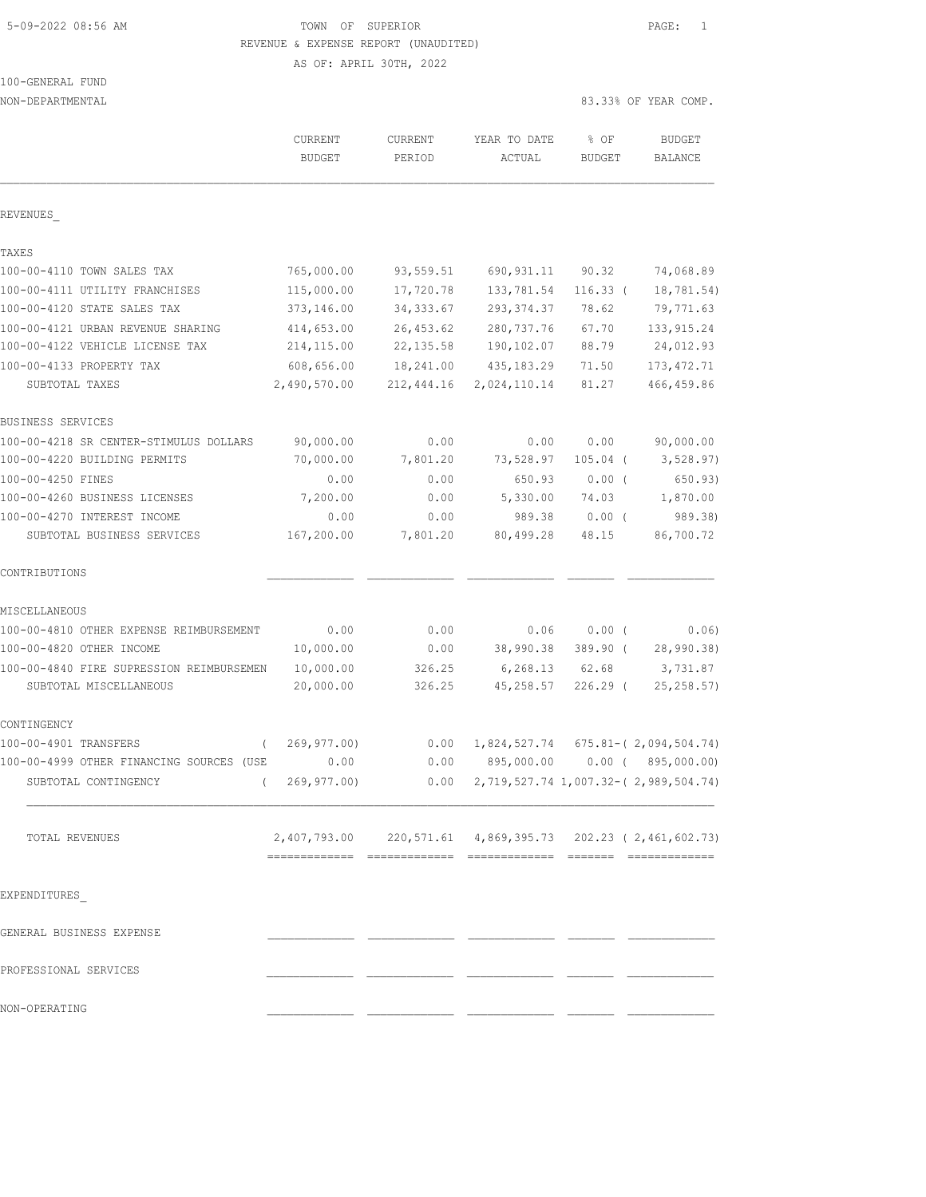# 5-09-2022 08:56 AM TOWN OF SUPERIOR PAGE: 1 REVENUE & EXPENSE REPORT (UNAUDITED)

AS OF: APRIL 30TH, 2022

| NON-DEPARTMENTAL                         |                                                            |                   |                                                  |                       | 83.33% OF YEAR COMP.      |
|------------------------------------------|------------------------------------------------------------|-------------------|--------------------------------------------------|-----------------------|---------------------------|
|                                          | CURRENT<br><b>BUDGET</b>                                   | CURRENT<br>PERIOD | YEAR TO DATE<br>ACTUAL                           | % OF<br><b>BUDGET</b> | <b>BUDGET</b><br>BALANCE  |
| REVENUES                                 |                                                            |                   |                                                  |                       |                           |
| TAXES                                    |                                                            |                   |                                                  |                       |                           |
| 100-00-4110 TOWN SALES TAX               | 765,000.00                                                 | 93,559.51         | 690, 931.11                                      | 90.32                 | 74,068.89                 |
| 100-00-4111 UTILITY FRANCHISES           | 115,000.00                                                 | 17,720.78         | 133,781.54                                       | $116.33$ (            | 18,781.54)                |
| 100-00-4120 STATE SALES TAX              | 373,146.00                                                 | 34, 333.67        | 293, 374.37                                      | 78.62                 | 79,771.63                 |
| 100-00-4121 URBAN REVENUE SHARING        | 414,653.00                                                 | 26, 453.62        | 280, 737.76                                      | 67.70                 | 133, 915.24               |
| 100-00-4122 VEHICLE LICENSE TAX          | 214, 115.00                                                | 22, 135.58        | 190,102.07                                       | 88.79                 | 24,012.93                 |
| 100-00-4133 PROPERTY TAX                 | 608,656.00                                                 | 18,241.00         | 435, 183.29                                      | 71.50                 | 173, 472.71               |
| SUBTOTAL TAXES                           | 2,490,570.00                                               | 212,444.16        | 2,024,110.14                                     | 81.27                 | 466, 459.86               |
| BUSINESS SERVICES                        |                                                            |                   |                                                  |                       |                           |
| 100-00-4218 SR CENTER-STIMULUS DOLLARS   | 90,000.00                                                  | 0.00              | 0.00                                             | 0.00                  | 90,000.00                 |
| 100-00-4220 BUILDING PERMITS             | 70,000.00                                                  | 7,801.20          | 73,528.97                                        | $105.04$ (            | 3,528.97)                 |
| 100-00-4250 FINES                        | 0.00                                                       | 0.00              | 650.93                                           | $0.00$ (              | 650.93)                   |
| 100-00-4260 BUSINESS LICENSES            | 7,200.00                                                   | 0.00              | 5,330.00                                         | 74.03                 | 1,870.00                  |
| 100-00-4270 INTEREST INCOME              | 0.00                                                       | 0.00              | 989.38                                           | $0.00$ (              | 989.38)                   |
| SUBTOTAL BUSINESS SERVICES               | 167,200.00                                                 | 7,801.20          | 80,499.28                                        | 48.15                 | 86,700.72                 |
| CONTRIBUTIONS                            |                                                            |                   |                                                  |                       |                           |
| MISCELLANEOUS                            |                                                            |                   |                                                  |                       |                           |
| 100-00-4810 OTHER EXPENSE REIMBURSEMENT  | 0.00                                                       | 0.00              | 0.06                                             | 0.00(                 | 0.06)                     |
| 100-00-4820 OTHER INCOME                 | 10,000.00                                                  | 0.00              | 38,990.38                                        | 389.90 (              | 28,990.38)                |
| 100-00-4840 FIRE SUPRESSION REIMBURSEMEN | 10,000.00                                                  | 326.25            | 6, 268.13                                        | 62.68                 | 3,731.87                  |
| SUBTOTAL MISCELLANEOUS                   | 20,000.00                                                  | 326.25            | 45,258.57                                        | $226.29$ (            | 25, 258.57)               |
| CONTINGENCY                              |                                                            |                   |                                                  |                       |                           |
| 100-00-4901 TRANSFERS<br>$\left($        | 269, 977.00                                                | 0.00              | 1,824,527.74                                     |                       | $675.81 - (2,094,504.74)$ |
| 100-00-4999 OTHER FINANCING SOURCES (USE | 0.00                                                       | 0.00              | 895,000.00                                       |                       | $0.00$ ( $895,000.00$ )   |
| SUBTOTAL CONTINGENCY                     | (269, 977, 00)                                             |                   | $0.00$ 2, 719, 527.74 1, 007.32-(2, 989, 504.74) |                       |                           |
| TOTAL REVENUES                           | 2,407,793.00 220,571.61 4,869,395.73 202.23 (2,461,602.73) |                   |                                                  |                       |                           |
|                                          |                                                            |                   |                                                  |                       |                           |
| EXPENDITURES                             |                                                            |                   |                                                  |                       |                           |
| GENERAL BUSINESS EXPENSE                 |                                                            |                   |                                                  |                       |                           |
| PROFESSIONAL SERVICES                    |                                                            |                   |                                                  |                       |                           |
| NON-OPERATING                            |                                                            |                   |                                                  |                       |                           |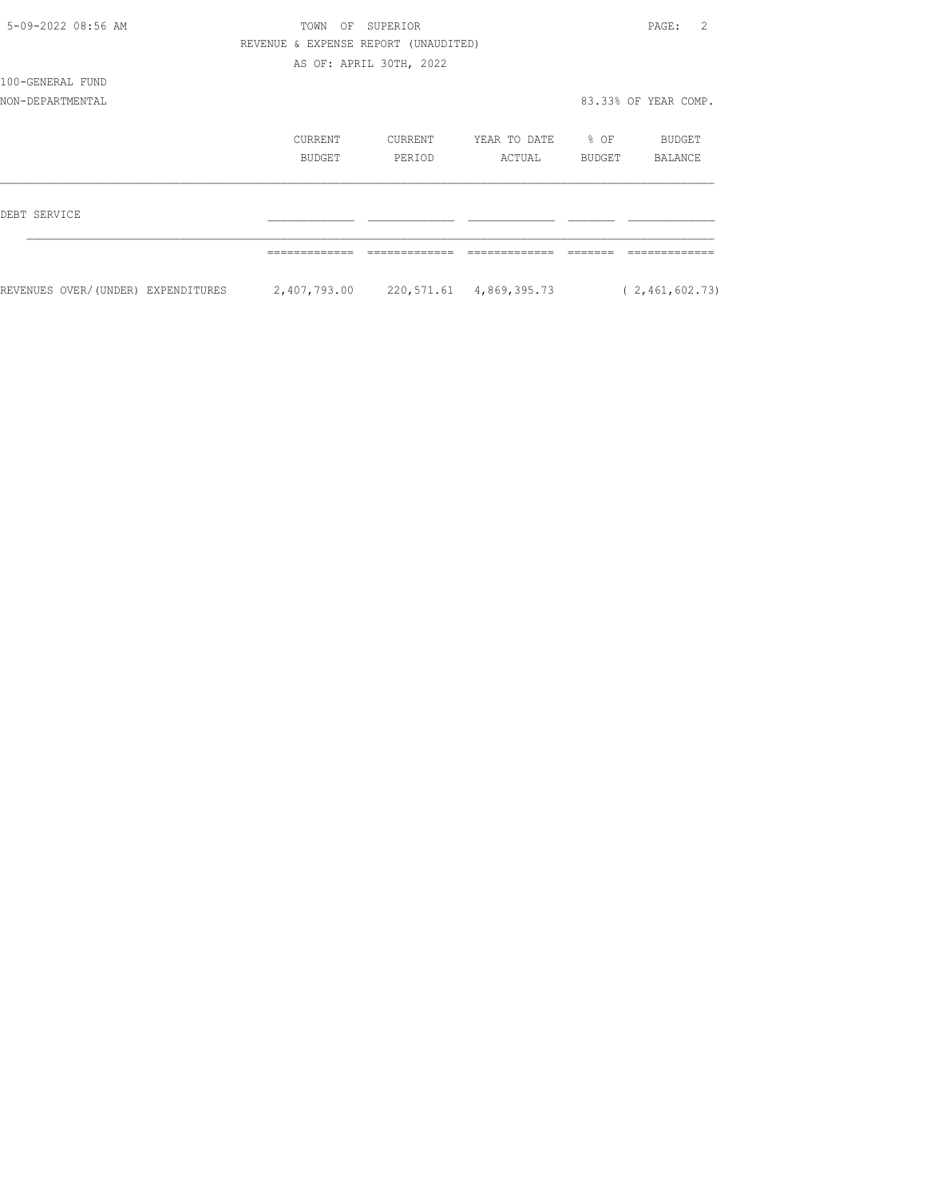| 5-09-2022 08:56 AM                 | TOWN<br>OF                           | SUPERIOR                |                                      |                  | 2<br>PAGE:           |
|------------------------------------|--------------------------------------|-------------------------|--------------------------------------|------------------|----------------------|
|                                    | REVENUE & EXPENSE REPORT (UNAUDITED) |                         |                                      |                  |                      |
|                                    |                                      | AS OF: APRIL 30TH, 2022 |                                      |                  |                      |
| 100-GENERAL FUND                   |                                      |                         |                                      |                  |                      |
| NON-DEPARTMENTAL                   |                                      |                         |                                      |                  | 83.33% OF YEAR COMP. |
|                                    | CURRENT                              | CURRENT                 | YEAR TO DATE                         | $\frac{1}{2}$ OF | BUDGET               |
|                                    | BUDGET                               | PERIOD                  | ACTUAL                               | BUDGET           | BALANCE              |
| DEBT SERVICE                       |                                      |                         |                                      |                  |                      |
|                                    |                                      |                         |                                      |                  |                      |
| REVENUES OVER/(UNDER) EXPENDITURES |                                      |                         | 2,407,793.00 220,571.61 4,869,395.73 |                  | (2, 461, 602.73)     |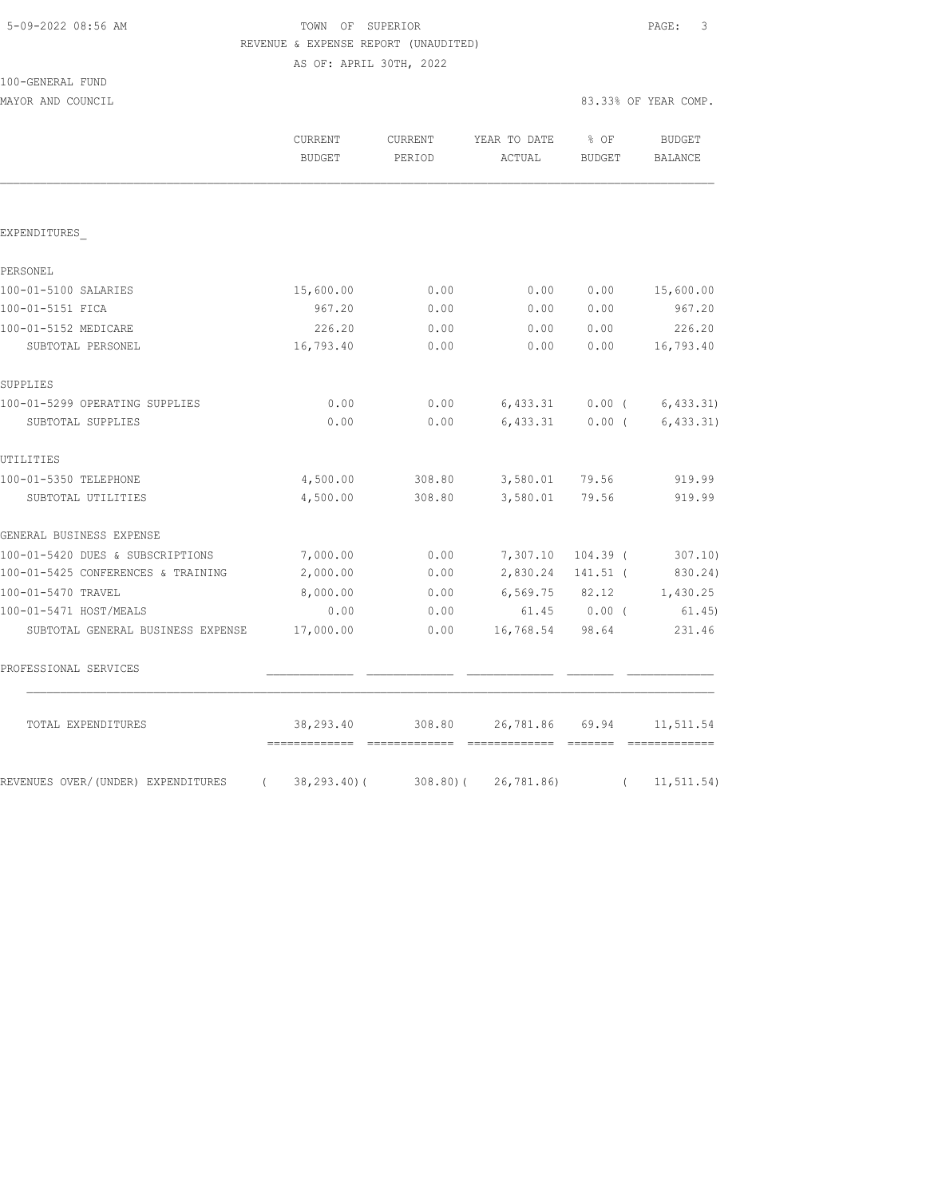# TOWN OF SUPERIOR **Example 20:56 AM TOWN OF SUPERIOR** REVENUE & EXPENSE REPORT (UNAUDITED)

AS OF: APRIL 30TH, 2022

| 100-GENERAL FUND |  |
|------------------|--|
|                  |  |

MAYOR AND COUNCIL 83.33% OF YEAR COMP.

|                                                  | CURRENT<br><b>BUDGET</b>                  | CURRENT<br>PERIOD | YEAR TO DATE<br>ACTUAL                                                                                                                                                                                                                                                                                                                                                                                                                                                                                                                                                         | % OF<br><b>BUDGET</b> | <b>BUDGET</b><br><b>BALANCE</b> |
|--------------------------------------------------|-------------------------------------------|-------------------|--------------------------------------------------------------------------------------------------------------------------------------------------------------------------------------------------------------------------------------------------------------------------------------------------------------------------------------------------------------------------------------------------------------------------------------------------------------------------------------------------------------------------------------------------------------------------------|-----------------------|---------------------------------|
|                                                  |                                           |                   |                                                                                                                                                                                                                                                                                                                                                                                                                                                                                                                                                                                |                       |                                 |
| EXPENDITURES                                     |                                           |                   |                                                                                                                                                                                                                                                                                                                                                                                                                                                                                                                                                                                |                       |                                 |
| PERSONEL                                         |                                           |                   |                                                                                                                                                                                                                                                                                                                                                                                                                                                                                                                                                                                |                       |                                 |
| 100-01-5100 SALARIES                             | 15,600.00                                 | 0.00              | 0.00                                                                                                                                                                                                                                                                                                                                                                                                                                                                                                                                                                           | 0.00                  | 15,600.00                       |
| 100-01-5151 FICA                                 | 967.20                                    | 0.00              | 0.00                                                                                                                                                                                                                                                                                                                                                                                                                                                                                                                                                                           | 0.00                  | 967.20                          |
| 100-01-5152 MEDICARE                             | 226.20                                    | 0.00              | 0.00                                                                                                                                                                                                                                                                                                                                                                                                                                                                                                                                                                           | 0.00                  | 226.20                          |
| SUBTOTAL PERSONEL                                | 16,793.40                                 | 0.00              | 0.00                                                                                                                                                                                                                                                                                                                                                                                                                                                                                                                                                                           | 0.00                  | 16,793.40                       |
| SUPPLIES                                         |                                           |                   |                                                                                                                                                                                                                                                                                                                                                                                                                                                                                                                                                                                |                       |                                 |
| 100-01-5299 OPERATING SUPPLIES                   | 0.00                                      | 0.00              | 6,433.31                                                                                                                                                                                                                                                                                                                                                                                                                                                                                                                                                                       | 0.00(                 | 6, 433.31)                      |
| SUBTOTAL SUPPLIES                                | 0.00                                      | 0.00              | 6,433.31                                                                                                                                                                                                                                                                                                                                                                                                                                                                                                                                                                       | $0.00$ (              | 6, 433.31)                      |
| UTILITIES                                        |                                           |                   |                                                                                                                                                                                                                                                                                                                                                                                                                                                                                                                                                                                |                       |                                 |
| 100-01-5350 TELEPHONE                            | 4,500.00                                  | 308.80            | 3,580.01                                                                                                                                                                                                                                                                                                                                                                                                                                                                                                                                                                       | 79.56                 | 919.99                          |
| SUBTOTAL UTILITIES                               | 4,500.00                                  | 308.80            | 3,580.01                                                                                                                                                                                                                                                                                                                                                                                                                                                                                                                                                                       | 79.56                 | 919.99                          |
| GENERAL BUSINESS EXPENSE                         |                                           |                   |                                                                                                                                                                                                                                                                                                                                                                                                                                                                                                                                                                                |                       |                                 |
| 100-01-5420 DUES & SUBSCRIPTIONS                 | 7,000.00                                  | 0.00              | 7,307.10                                                                                                                                                                                                                                                                                                                                                                                                                                                                                                                                                                       | $104.39$ (            | 307.10)                         |
| 100-01-5425 CONFERENCES & TRAINING               | 2,000.00                                  | 0.00              | 2,830.24                                                                                                                                                                                                                                                                                                                                                                                                                                                                                                                                                                       | $141.51$ (            | 830.24)                         |
| 100-01-5470 TRAVEL                               | 8,000.00                                  | 0.00              | 6,569.75 82.12                                                                                                                                                                                                                                                                                                                                                                                                                                                                                                                                                                 |                       | 1,430.25                        |
| 100-01-5471 HOST/MEALS                           | 0.00                                      | 0.00              |                                                                                                                                                                                                                                                                                                                                                                                                                                                                                                                                                                                | 61.45 0.00 (          | 61.45)                          |
| SUBTOTAL GENERAL BUSINESS EXPENSE                | 17,000.00                                 | 0.00              | 16,768.54                                                                                                                                                                                                                                                                                                                                                                                                                                                                                                                                                                      | 98.64                 | 231.46                          |
| PROFESSIONAL SERVICES                            |                                           |                   |                                                                                                                                                                                                                                                                                                                                                                                                                                                                                                                                                                                |                       |                                 |
| TOTAL EXPENDITURES                               | 38,293.40<br>------------- -------------- | 308.80            | 26,781.86<br>$\begin{array}{cccccc} \multicolumn{2}{c}{{\color{red}{{\color{magenta}\boldsymbol{\mathsf{G}}}}}{{\color{magenta}\boldsymbol{\mathsf{G}}}}} & \multicolumn{2}{c}{{\color{magenta}\boldsymbol{\mathsf{G}}}}} & \multicolumn{2}{c}{{\color{magenta}\boldsymbol{\mathsf{G}}}}} & \multicolumn{2}{c}{{\color{magenta}\boldsymbol{\mathsf{G}}}}} & \multicolumn{2}{c}{{\color{magenta}\boldsymbol{\mathsf{G}}}}} & \multicolumn{2}{c}{{\color{magenta}\boldsymbol{\mathsf{G}}}}} & \multicolumn{2}{c}{{\color{magenta}\boldsymbol{\mathsf{G}}}}} & \multicolumn{2}{c$ | 69.94                 | 11,511.54                       |
| REVENUES OVER/(UNDER) EXPENDITURES<br>$\sqrt{2}$ | $38, 293.40$ (                            | 308.80(           | 26,781.86)                                                                                                                                                                                                                                                                                                                                                                                                                                                                                                                                                                     | $\left($              | 11, 511.54)                     |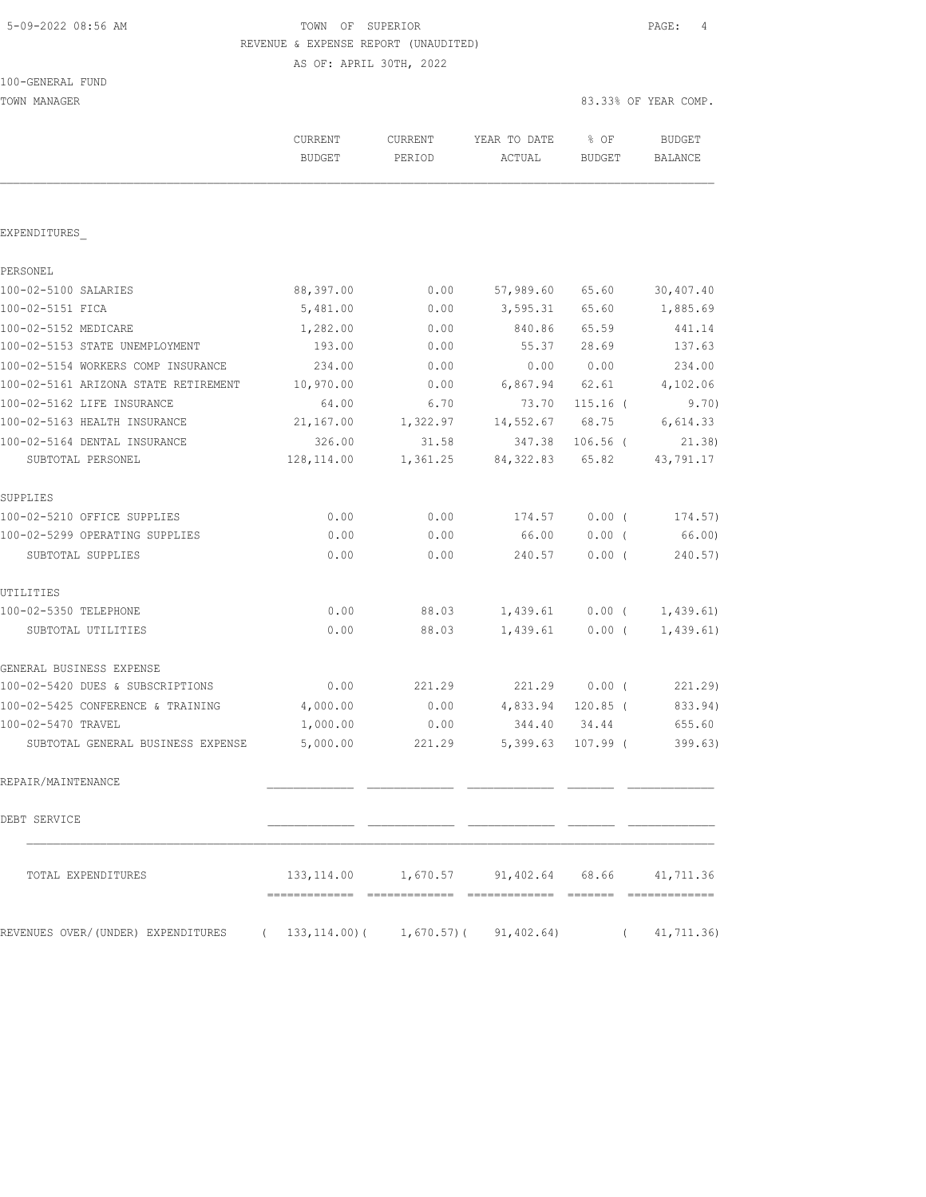# TOWN OF SUPERIOR **Example 2018** PAGE: 4 REVENUE & EXPENSE REPORT (UNAUDITED)

AS OF: APRIL 30TH, 2022

| 100-GENERAL FUND                     |                          |                   |                        |                |                                 |
|--------------------------------------|--------------------------|-------------------|------------------------|----------------|---------------------------------|
| TOWN MANAGER                         |                          |                   |                        |                | 83.33% OF YEAR COMP.            |
|                                      | CURRENT<br><b>BUDGET</b> | CURRENT<br>PERIOD | YEAR TO DATE<br>ACTUAL | % OF<br>BUDGET | <b>BUDGET</b><br><b>BALANCE</b> |
|                                      |                          |                   |                        |                |                                 |
| EXPENDITURES                         |                          |                   |                        |                |                                 |
| PERSONEL                             |                          |                   |                        |                |                                 |
| 100-02-5100 SALARIES                 | 88,397.00                | 0.00              | 57,989.60              | 65.60          | 30,407.40                       |
| 100-02-5151 FICA                     | 5,481.00                 | 0.00              | 3,595.31               | 65.60          | 1,885.69                        |
| 100-02-5152 MEDICARE                 | 1,282.00                 | 0.00              | 840.86                 | 65.59          | 441.14                          |
| 100-02-5153 STATE UNEMPLOYMENT       | 193.00                   | 0.00              | 55.37                  | 28.69          | 137.63                          |
| 100-02-5154 WORKERS COMP INSURANCE   | 234.00                   | 0.00              | 0.00                   | 0.00           | 234.00                          |
| 100-02-5161 ARIZONA STATE RETIREMENT | 10,970.00                | 0.00              | 6,867.94               | 62.61          | 4,102.06                        |
| 100-02-5162 LIFE INSURANCE           | 64.00                    | 6.70              | 73.70                  | $115.16$ (     | 9.70)                           |
| 100-02-5163 HEALTH INSURANCE         | 21,167.00                | 1,322.97          | 14,552.67              | 68.75          | 6,614.33                        |
| 100-02-5164 DENTAL INSURANCE         | 326.00                   | 31.58             | 347.38                 | $106.56$ (     | 21.38                           |
| SUBTOTAL PERSONEL                    | 128, 114.00              | 1,361.25          | 84, 322.83             | 65.82          | 43,791.17                       |
| SUPPLIES                             |                          |                   |                        |                |                                 |
| 100-02-5210 OFFICE SUPPLIES          | 0.00                     | 0.00              | 174.57                 | 0.00(          | 174.57)                         |
| 100-02-5299 OPERATING SUPPLIES       | 0.00                     | 0.00              | 66.00                  | $0.00$ (       | 66.00)                          |
| SUBTOTAL SUPPLIES                    | 0.00                     | 0.00              | 240.57                 | 0.00(          | 240.57)                         |
| UTILITIES                            |                          |                   |                        |                |                                 |
| 100-02-5350 TELEPHONE                | 0.00                     | 88.03             | 1,439.61               | $0.00$ (       | 1,439.61)                       |
| SUBTOTAL UTILITIES                   | 0.00                     | 88.03             | 1,439.61               | 0.00(          | 1,439.61)                       |
| GENERAL BUSINESS EXPENSE             |                          |                   |                        |                |                                 |
| 100-02-5420 DUES & SUBSCRIPTIONS     | 0.00                     | 221.29            | 221.29                 | 0.00(          | 221.29)                         |
| 100-02-5425 CONFERENCE & TRAINING    | 4,000.00                 | 0.00              | 4,833.94               | $120.85$ (     | 833.94)                         |
| 100-02-5470 TRAVEL                   | 1,000.00                 | 0.00              | 344.40                 | 34.44          | 655.60                          |
| SUBTOTAL GENERAL BUSINESS EXPENSE    | 5,000.00                 | 221.29            | 5,399.63               | $107.99$ (     | 399.63)                         |
| REPAIR/MAINTENANCE                   |                          |                   |                        |                |                                 |

DEBT SERVICE \_\_\_\_\_\_\_\_\_\_\_\_\_ \_\_\_\_\_\_\_\_\_\_\_\_\_ \_\_\_\_\_\_\_\_\_\_\_\_\_ \_\_\_\_\_\_\_ \_\_\_\_\_\_\_\_\_\_\_\_\_

 $\mathcal{L}_\text{max}$ 

TOTAL EXPENDITURES 133,114.00 1,670.57 91,402.64 68.66 41,711.36

REVENUES OVER/(UNDER) EXPENDITURES ( 133,114.00)( 1,670.57)( 91,402.64) ( 41,711.36)

============= ============= ============= ======= =============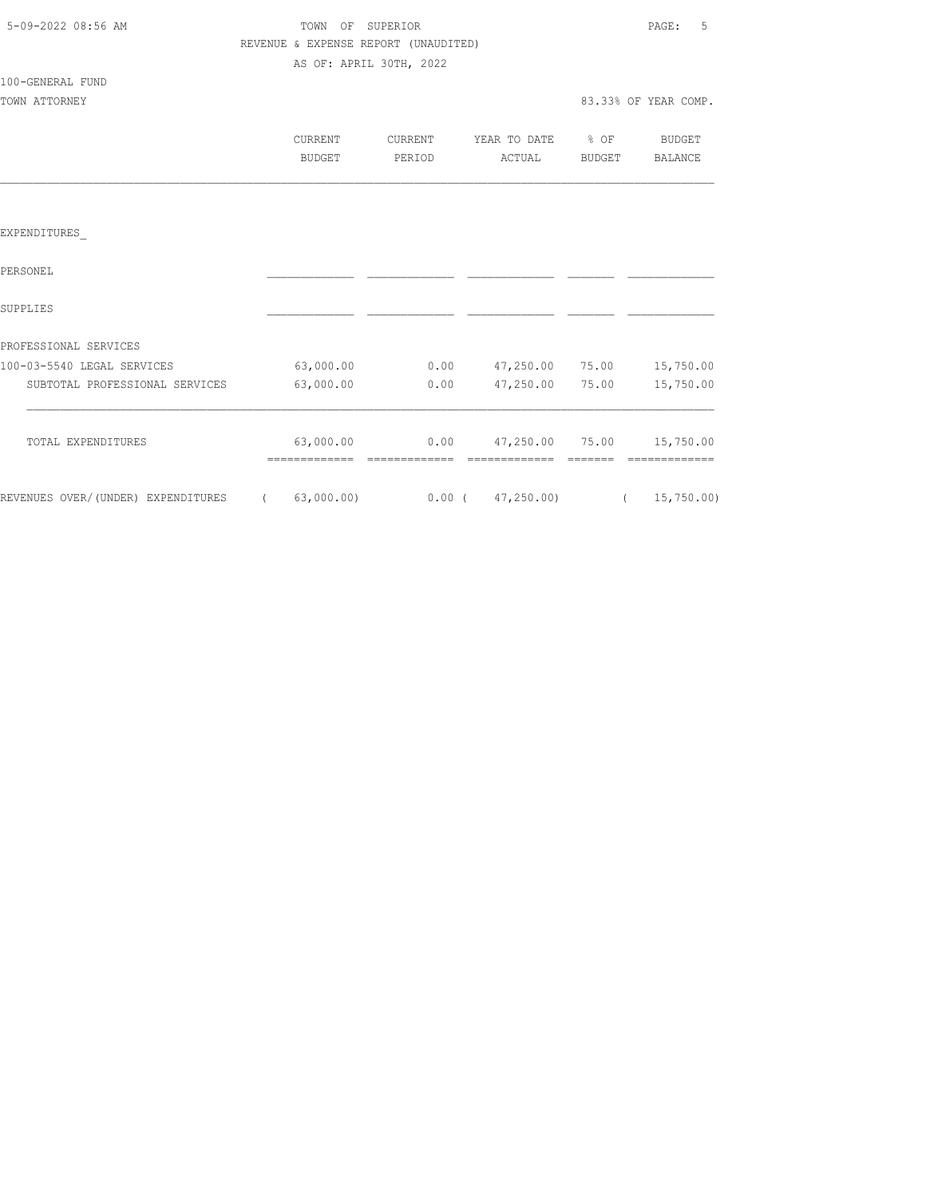| 5-09-2022 08:56 AM |  |
|--------------------|--|
|                    |  |

# TOWN OF SUPERIOR **Example 2018** PAGE: 5 REVENUE & EXPENSE REPORT (UNAUDITED) AS OF: APRIL 30TH, 2022

# 100-GENERAL FUND

TOWN ATTORNEY 83.33% OF YEAR COMP.

| CURRENT | TIRRENT.  | YEAR TO DATE | % OF          | <b>BUDGET</b>  |
|---------|-----------|--------------|---------------|----------------|
|         |           |              |               | <b>BALANCE</b> |
| BUDGET  | ח∩ד סים ס | ACTUAL       | <b>BUDGET</b> |                |

## EXPENDITURES\_

| PERSONEL                           |            |          |            |       |            |
|------------------------------------|------------|----------|------------|-------|------------|
| SUPPLIES                           |            |          |            |       |            |
| PROFESSIONAL SERVICES              |            |          |            |       |            |
| 100-03-5540 LEGAL SERVICES         | 63,000.00  | 0.00     | 47,250.00  | 75.00 | 15,750.00  |
| SUBTOTAL PROFESSIONAL SERVICES     | 63,000.00  | 0.00     | 47,250.00  | 75.00 | 15,750.00  |
| TOTAL EXPENDITURES                 | 63,000.00  | 0.00     | 47,250.00  | 75.00 | 15,750.00  |
| REVENUES OVER/(UNDER) EXPENDITURES | 63,000.00) | $0.00$ ( | 47,250.00) |       | 15,750.00) |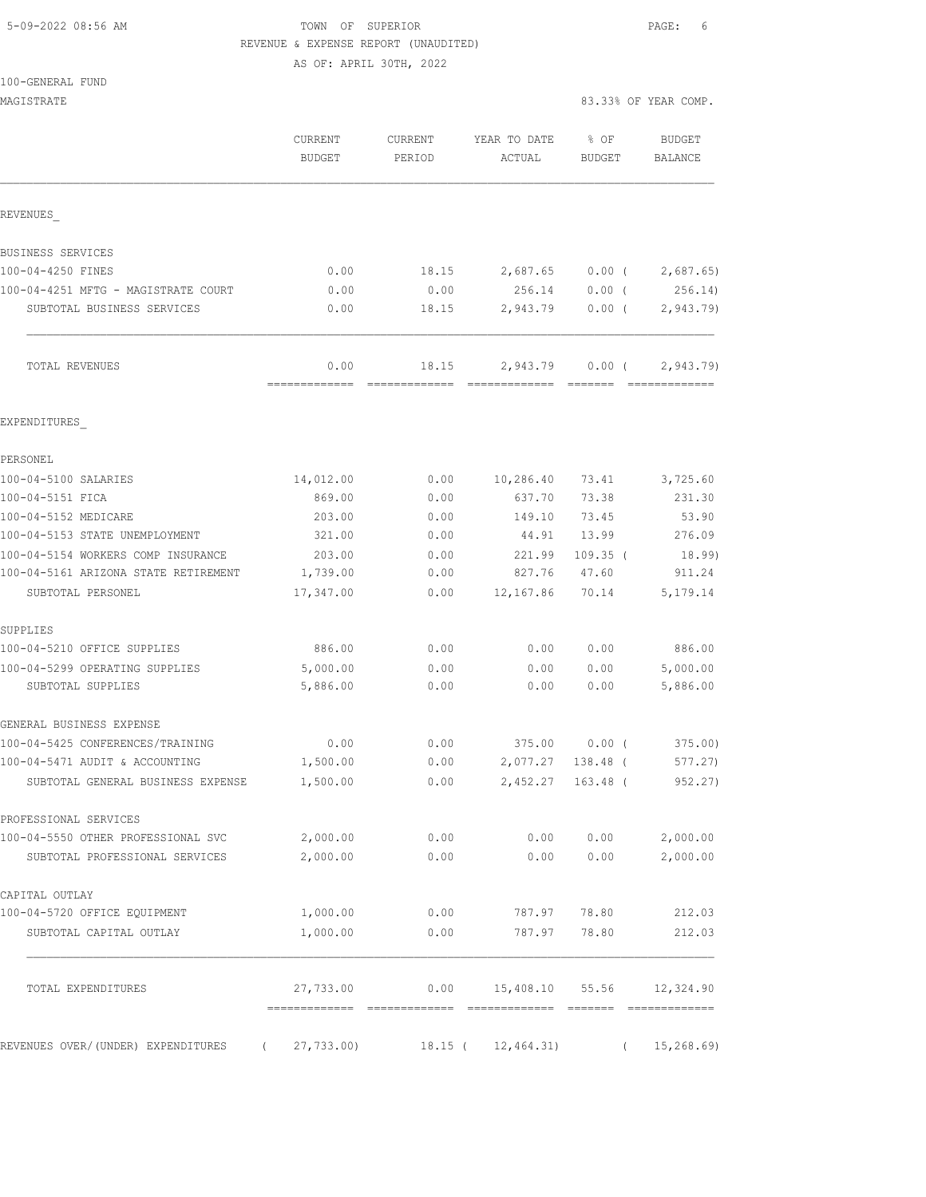# 5-09-2022 08:56 AM TOWN OF SUPERIOR PAGE: 6 REVENUE & EXPENSE REPORT (UNAUDITED)

AS OF: APRIL 30TH, 2022

| 100-GENERAL FUND |  |  |
|------------------|--|--|
|                  |  |  |

| MAGISTRATE                                       |                          |                   |                                  | 83.33% OF YEAR COMP.        |            |                                 |
|--------------------------------------------------|--------------------------|-------------------|----------------------------------|-----------------------------|------------|---------------------------------|
|                                                  | CURRENT<br><b>BUDGET</b> | CURRENT<br>PERIOD | YEAR TO DATE<br>ACTUAL           | % OF<br><b>BUDGET</b>       |            | <b>BUDGET</b><br><b>BALANCE</b> |
| REVENUES                                         |                          |                   |                                  |                             |            |                                 |
| BUSINESS SERVICES                                |                          |                   |                                  |                             |            |                                 |
| 100-04-4250 FINES                                | 0.00                     | 18.15             | 2,687.65                         | $0.00$ (                    |            | 2,687.65                        |
| 100-04-4251 MFTG - MAGISTRATE COURT              | 0.00                     | 0.00              | 256.14                           | $0.00$ (                    |            | 256.14)                         |
| SUBTOTAL BUSINESS SERVICES                       | 0.00                     | 18.15             | 2,943.79                         | $0.00$ (                    |            | 2,943.79                        |
| TOTAL REVENUES                                   | 0.00<br>=============    | 18.15             | 2,943.79                         | $0.00$ (<br><b>COOSSESS</b> |            | 2,943.79<br>=============       |
| EXPENDITURES                                     |                          |                   |                                  |                             |            |                                 |
| PERSONEL                                         |                          |                   |                                  |                             |            |                                 |
| 100-04-5100 SALARIES                             | 14,012.00                | 0.00              | 10,286.40                        | 73.41                       |            | 3,725.60                        |
| 100-04-5151 FICA                                 | 869.00                   | 0.00              | 637.70                           | 73.38                       |            | 231.30                          |
| 100-04-5152 MEDICARE                             | 203.00                   | 0.00              | 149.10                           | 73.45                       |            | 53.90                           |
| 100-04-5153 STATE UNEMPLOYMENT                   | 321.00                   | 0.00              | 44.91                            | 13.99                       |            | 276.09                          |
| 100-04-5154 WORKERS COMP INSURANCE               | 203.00                   | 0.00              | 221.99                           | $109.35$ (                  |            | 18.99)                          |
| 100-04-5161 ARIZONA STATE RETIREMENT             | 1,739.00                 | 0.00              | 827.76                           | 47.60                       |            | 911.24                          |
| SUBTOTAL PERSONEL                                | 17,347.00                | 0.00              | 12,167.86                        | 70.14                       |            | 5, 179. 14                      |
| SUPPLIES                                         |                          |                   |                                  |                             |            |                                 |
| 100-04-5210 OFFICE SUPPLIES                      | 886.00                   | 0.00              | 0.00                             | 0.00                        |            | 886.00                          |
| 100-04-5299 OPERATING SUPPLIES                   | 5,000.00                 | 0.00              | 0.00                             | 0.00                        |            | 5,000.00                        |
| SUBTOTAL SUPPLIES                                | 5,886.00                 | 0.00              | 0.00                             | 0.00                        |            | 5,886.00                        |
| GENERAL BUSINESS EXPENSE                         |                          |                   |                                  |                             |            |                                 |
| 100-04-5425 CONFERENCES/TRAINING                 | 0.00                     | 0.00              | 375.00                           | 0.00(                       |            | 375.00)                         |
| 100-04-5471 AUDIT & ACCOUNTING                   | 1,500.00                 | 0.00              | 2,077.27                         | 138.48 (                    |            | 577.27)                         |
| SUBTOTAL GENERAL BUSINESS EXPENSE                | 1,500.00                 | 0.00              | 2,452.27 163.48 (                |                             |            | 952.27)                         |
| PROFESSIONAL SERVICES                            |                          |                   |                                  |                             |            |                                 |
| 100-04-5550 OTHER PROFESSIONAL SVC               | 2,000.00                 | 0.00              | 0.00                             | 0.00                        |            | 2,000.00                        |
| SUBTOTAL PROFESSIONAL SERVICES                   | 2,000.00                 | 0.00              | 0.00                             | 0.00                        |            | 2,000.00                        |
| CAPITAL OUTLAY                                   |                          |                   |                                  |                             |            |                                 |
| 100-04-5720 OFFICE EQUIPMENT                     | 1,000.00                 | 0.00              | 787.97                           | 78.80                       |            | 212.03                          |
| SUBTOTAL CAPITAL OUTLAY                          | 1,000.00                 | 0.00              | 787.97                           | 78.80                       |            | 212.03                          |
| TOTAL EXPENDITURES                               | 27,733.00                |                   | $0.00$ 15,408.10 55.56 12,324.90 |                             |            |                                 |
| REVENUES OVER/(UNDER) EXPENDITURES<br>$\sqrt{2}$ | 27,733.00)               |                   | $18.15$ ( $12,464.31$ )          |                             | $\sqrt{2}$ | 15, 268.69                      |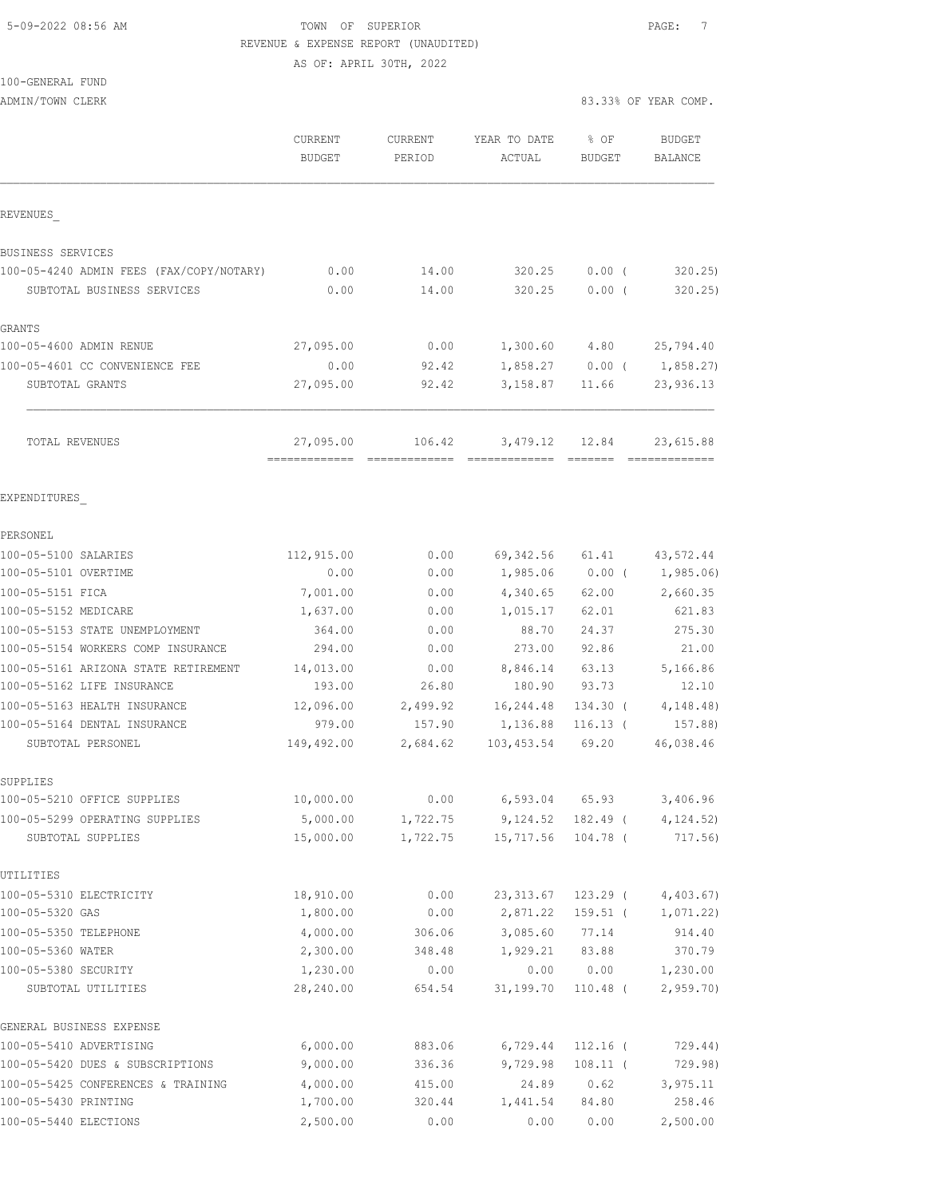## 5-09-2022 08:56 AM TOWN OF SUPERIOR PAGE: 7 REVENUE & EXPENSE REPORT (UNAUDITED) AS OF: APRIL 30TH, 2022

100-GENERAL FUND

ADMIN/TOWN CLERK 83.33% OF YEAR COMP.

|                                            | CURRENT<br><b>BUDGET</b> | CURRENT<br>PERIOD | YEAR TO DATE<br>ACTUAL | % OF<br><b>BUDGET</b> | <b>BUDGET</b><br><b>BALANCE</b> |
|--------------------------------------------|--------------------------|-------------------|------------------------|-----------------------|---------------------------------|
| REVENUES                                   |                          |                   |                        |                       |                                 |
| BUSINESS SERVICES                          |                          |                   |                        |                       |                                 |
| 100-05-4240 ADMIN FEES (FAX/COPY/NOTARY)   | 0.00                     | 14.00             | 320.25                 | $0.00$ (              | 320.25                          |
| SUBTOTAL BUSINESS SERVICES                 | 0.00                     | 14.00             | 320.25                 | $0.00$ (              | 320.25                          |
| <b>GRANTS</b>                              |                          |                   |                        |                       |                                 |
| 100-05-4600 ADMIN RENUE                    | 27,095.00                | 0.00              |                        | 1,300.60 4.80         | 25,794.40                       |
| 100-05-4601 CC CONVENIENCE FEE             | 0.00                     | 92.42             |                        | $1,858.27$ 0.00 (     | 1,858.27)                       |
| SUBTOTAL GRANTS                            | 27,095.00                | 92.42             | 3,158.87               | 11.66                 | 23,936.13                       |
| TOTAL REVENUES                             | 27,095.00                | 106.42            |                        | 3,479.12 12.84        | 23,615.88                       |
| EXPENDITURES                               |                          |                   |                        |                       |                                 |
| PERSONEL                                   |                          |                   |                        |                       |                                 |
| 100-05-5100 SALARIES                       | 112,915.00               | 0.00              |                        | 69,342.56 61.41       | 43,572.44                       |
| 100-05-5101 OVERTIME                       | 0.00                     | 0.00              |                        |                       | $1,985.06$ 0.00 ( 1,985.06)     |
| 100-05-5151 FICA                           | 7,001.00                 | 0.00              | 4,340.65               | 62.00                 | 2,660.35                        |
| 100-05-5152 MEDICARE                       | 1,637.00                 | 0.00              | 1,015.17               | 62.01                 | 621.83                          |
| 100-05-5153 STATE UNEMPLOYMENT             | 364.00                   | 0.00              | 88.70                  | 24.37                 | 275.30                          |
| 100-05-5154 WORKERS COMP INSURANCE         | 294.00                   | 0.00              | 273.00                 | 92.86                 | 21.00                           |
| 100-05-5161 ARIZONA STATE RETIREMENT       | 14,013.00                | 0.00              | 8,846.14               | 63.13                 | 5,166.86                        |
| 100-05-5162 LIFE INSURANCE                 | 193.00                   | 26.80             | 180.90                 | 93.73                 | 12.10                           |
| 100-05-5163 HEALTH INSURANCE               | 12,096.00                | 2,499.92          | 16,244.48              | 134.30 (              | 4, 148.48)                      |
| 100-05-5164 DENTAL INSURANCE               | 979.00                   | 157.90            | 1,136.88               | $116.13$ (            | 157.88)                         |
| SUBTOTAL PERSONEL                          | 149,492.00               | 2,684.62          | 103,453.54             | 69.20                 | 46,038.46                       |
| SUPPLIES                                   |                          |                   |                        |                       |                                 |
| 100-05-5210 OFFICE SUPPLIES                | 10,000.00                | 0.00              | 6,593.04               | 65.93                 | 3,406.96                        |
| 100-05-5299 OPERATING SUPPLIES             | 5,000.00                 | 1,722.75          | 9,124.52               |                       | $182.49$ ( $4,124.52$ )         |
| SUBTOTAL SUPPLIES                          | 15,000.00                | 1,722.75          | 15,717.56              | 104.78 (              | 717.56)                         |
| UTILITIES                                  |                          |                   |                        |                       |                                 |
| 100-05-5310 ELECTRICITY<br>100-05-5320 GAS | 18,910.00<br>1,800.00    | 0.00              | 23, 313.67<br>2,871.22 | 123.29 (              | 4,403.67)                       |
| 100-05-5350 TELEPHONE                      | 4,000.00                 | 0.00<br>306.06    | 3,085.60               | $159.51$ (<br>77.14   | 1,071.22)<br>914.40             |
| 100-05-5360 WATER                          | 2,300.00                 | 348.48            | 1,929.21               | 83.88                 | 370.79                          |
| 100-05-5380 SECURITY                       | 1,230.00                 | 0.00              | 0.00                   | 0.00                  | 1,230.00                        |
| SUBTOTAL UTILITIES                         | 28,240.00                | 654.54            | 31,199.70              | $110.48$ (            | 2,959.70                        |
| GENERAL BUSINESS EXPENSE                   |                          |                   |                        |                       |                                 |
| 100-05-5410 ADVERTISING                    | 6,000.00                 | 883.06            | 6,729.44               | $112.16$ (            | 729.44)                         |
| 100-05-5420 DUES & SUBSCRIPTIONS           | 9,000.00                 | 336.36            | 9,729.98               | $108.11$ (            | 729.98)                         |
| 100-05-5425 CONFERENCES & TRAINING         | 4,000.00                 | 415.00            | 24.89                  | 0.62                  | 3,975.11                        |
| 100-05-5430 PRINTING                       | 1,700.00                 | 320.44            | 1,441.54               | 84.80                 | 258.46                          |
| 100-05-5440 ELECTIONS                      | 2,500.00                 | 0.00              | 0.00                   | 0.00                  | 2,500.00                        |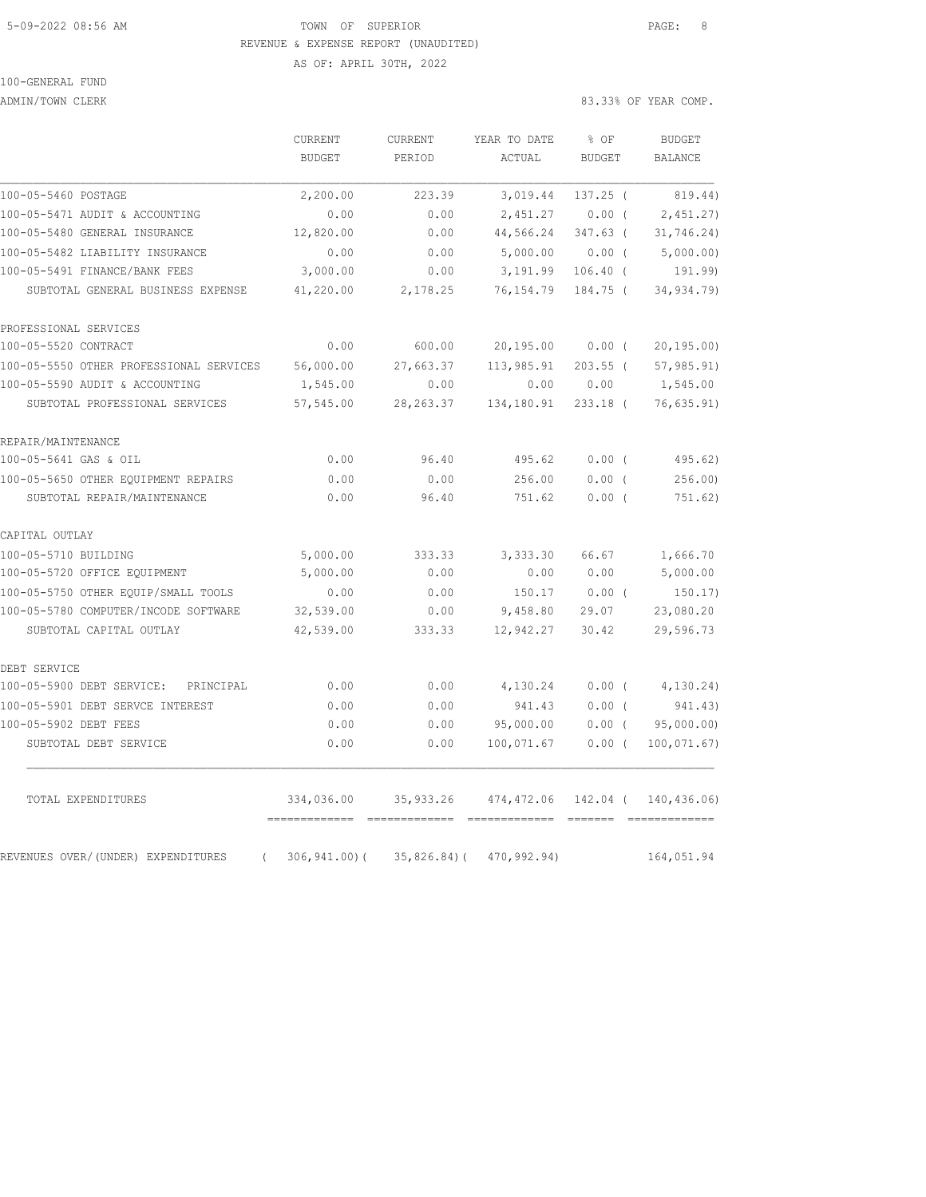## 5-09-2022 08:56 AM TOWN OF SUPERIOR PAGE: 8 REVENUE & EXPENSE REPORT (UNAUDITED) AS OF: APRIL 30TH, 2022

|                                                | CURRENT         | <b>CURRENT</b>  | YEAR TO DATE                              | % OF          | <b>BUDGET</b>  |
|------------------------------------------------|-----------------|-----------------|-------------------------------------------|---------------|----------------|
|                                                | <b>BUDGET</b>   | PERIOD          | ACTUAL                                    | <b>BUDGET</b> | <b>BALANCE</b> |
| 100-05-5460 POSTAGE                            | 2,200.00        | 223.39          | 3,019.44                                  | $137.25$ (    | 819.44)        |
| 100-05-5471 AUDIT & ACCOUNTING                 | 0.00            | 0.00            | 2,451.27                                  | $0.00$ (      | 2,451.27       |
| 100-05-5480 GENERAL INSURANCE                  | 12,820.00       | 0.00            | 44,566.24                                 | $347.63$ (    | 31, 746.24)    |
| 100-05-5482 LIABILITY INSURANCE                | 0.00            | 0.00            | 5,000.00                                  | $0.00$ (      | 5,000.00)      |
| 100-05-5491 FINANCE/BANK FEES                  | 3,000.00        | 0.00            | 3,191.99                                  | $106.40$ (    | 191.99)        |
| SUBTOTAL GENERAL BUSINESS EXPENSE              | 41,220.00       | 2,178.25        | 76,154.79                                 | 184.75 (      | 34,934.79)     |
| PROFESSIONAL SERVICES                          |                 |                 |                                           |               |                |
| 100-05-5520 CONTRACT                           | 0.00            | 600.00          | 20,195.00                                 | $0.00$ (      | 20, 195.00     |
| 100-05-5550 OTHER PROFESSIONAL SERVICES        | 56,000.00       | 27,663.37       | 113,985.91                                | $203.55$ (    | 57, 985.91)    |
| 100-05-5590 AUDIT & ACCOUNTING                 | 1,545.00        | 0.00            | 0.00                                      | 0.00          | 1,545.00       |
| SUBTOTAL PROFESSIONAL SERVICES                 | 57, 545.00      | 28, 263.37      | 134,180.91                                | $233.18$ (    | 76,635.91)     |
| REPAIR/MAINTENANCE                             |                 |                 |                                           |               |                |
| 100-05-5641 GAS & OIL                          | 0.00            | 96.40           | 495.62                                    | $0.00$ (      | 495.62)        |
| 100-05-5650 OTHER EQUIPMENT REPAIRS            | 0.00            | 0.00            | 256.00                                    | $0.00$ (      | 256.00         |
| SUBTOTAL REPAIR/MAINTENANCE                    | 0.00            | 96.40           | 751.62                                    | 0.00(         | 751.62)        |
| CAPITAL OUTLAY                                 |                 |                 |                                           |               |                |
| 100-05-5710 BUILDING                           | 5,000.00        | 333.33          | 3,333.30                                  | 66.67         | 1,666.70       |
| 100-05-5720 OFFICE EQUIPMENT                   | 5,000.00        | 0.00            | 0.00                                      | 0.00          | 5,000.00       |
| 100-05-5750 OTHER EOUIP/SMALL TOOLS            | 0.00            | 0.00            | 150.17                                    | $0.00$ (      | 150.17)        |
| 100-05-5780 COMPUTER/INCODE SOFTWARE           | 32,539.00       | 0.00            | 9,458.80                                  | 29.07         | 23,080.20      |
| SUBTOTAL CAPITAL OUTLAY                        | 42,539.00       | 333.33          | 12,942.27                                 | 30.42         | 29,596.73      |
| DEBT SERVICE                                   |                 |                 |                                           |               |                |
| 100-05-5900 DEBT SERVICE: PRINCIPAL            | 0.00            | 0.00            | 4,130.24                                  | $0.00$ (      | 4,130.24)      |
| 100-05-5901 DEBT SERVCE INTEREST               | 0.00            | 0.00            | 941.43                                    | $0.00$ (      | 941.43)        |
| 100-05-5902 DEBT FEES                          | 0.00            | 0.00            | 95,000.00                                 | $0.00$ (      | 95,000.00)     |
| SUBTOTAL DEBT SERVICE                          | 0.00            | 0.00            | 100,071.67                                | $0.00$ (      | 100, 071.67)   |
| TOTAL EXPENDITURES                             | 334,036.00      |                 | 35,933.26 474,472.06 142.04 ( 140,436.06) |               |                |
| REVENUES OVER/(UNDER) EXPENDITURES<br>$\left($ | $306, 941.00$ ( | $35,826.84$ ) ( | 470,992.94)                               |               | 164,051.94     |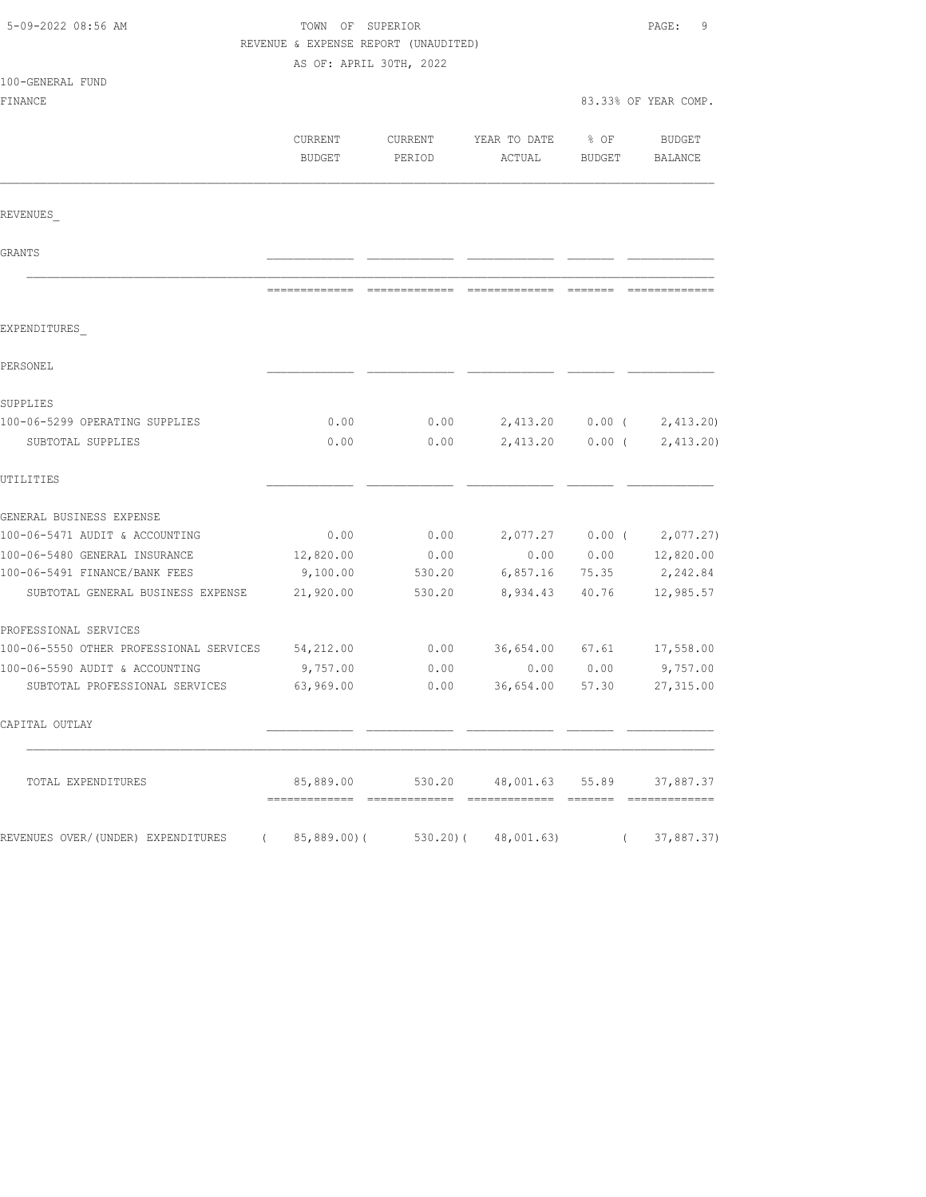| 5-09-2022 08:56 AM                                |                         | TOWN OF SUPERIOR<br>REVENUE & EXPENSE REPORT (UNAUDITED) |                                            |                       |                             |
|---------------------------------------------------|-------------------------|----------------------------------------------------------|--------------------------------------------|-----------------------|-----------------------------|
|                                                   | AS OF: APRIL 30TH, 2022 |                                                          |                                            |                       |                             |
| 100-GENERAL FUND<br>FINANCE                       |                         |                                                          |                                            |                       | 83.33% OF YEAR COMP.        |
|                                                   |                         |                                                          |                                            |                       |                             |
|                                                   | CURRENT<br>BUDGET       | CURRENT<br>PERIOD                                        | YEAR TO DATE<br>ACTUAL                     | % OF<br><b>BUDGET</b> | BUDGET<br>BALANCE           |
| REVENUES                                          |                         |                                                          |                                            |                       |                             |
| GRANTS                                            |                         |                                                          |                                            |                       |                             |
|                                                   |                         |                                                          |                                            |                       |                             |
| EXPENDITURES                                      |                         |                                                          |                                            |                       |                             |
| PERSONEL                                          |                         |                                                          |                                            |                       |                             |
| SUPPLIES                                          |                         |                                                          |                                            |                       |                             |
| 100-06-5299 OPERATING SUPPLIES                    | 0.00                    | 0.00                                                     |                                            |                       | 2,413.20 0.00 ( 2,413.20)   |
| SUBTOTAL SUPPLIES                                 | 0.00                    | 0.00                                                     | 2,413.20                                   | $0.00$ (              | 2,413.20                    |
| UTILITIES                                         |                         |                                                          |                                            |                       |                             |
| GENERAL BUSINESS EXPENSE                          |                         |                                                          |                                            |                       |                             |
| 100-06-5471 AUDIT & ACCOUNTING                    | 0.00                    | 0.00                                                     |                                            |                       | $2,077.27$ 0.00 ( 2,077.27) |
| 100-06-5480 GENERAL INSURANCE                     | 12,820.00               | 0.00                                                     | 0.00                                       |                       | $0.00$ $12,820.00$          |
| 100-06-5491 FINANCE/BANK FEES                     | 9,100.00                | 530.20                                                   | 6,857.16 75.35                             |                       | 2,242.84                    |
| SUBTOTAL GENERAL BUSINESS EXPENSE                 | 21,920.00               | 530.20                                                   | 8,934.43                                   | 40.76                 | 12,985.57                   |
| PROFESSIONAL SERVICES                             |                         |                                                          |                                            |                       |                             |
| 100-06-5550 OTHER PROFESSIONAL SERVICES 54,212.00 |                         | 0.00                                                     | 36,654.00                                  |                       | 67.61 17,558.00             |
| 100-06-5590 AUDIT & ACCOUNTING                    | 9,757.00                | 0.00                                                     | 0.00                                       | 0.00                  | 9,757.00                    |
| SUBTOTAL PROFESSIONAL SERVICES                    | 63,969.00               | 0.00                                                     | 36,654.00                                  | 57.30                 | 27, 315.00                  |
| CAPITAL OUTLAY                                    |                         |                                                          |                                            |                       |                             |
| TOTAL EXPENDITURES                                |                         |                                                          | 85,889.00 530.20 48,001.63 55.89 37,887.37 |                       |                             |
| REVENUES OVER/(UNDER) EXPENDITURES (              |                         |                                                          | 85,889.00) (530.20) (48,001.63)            |                       | (37,887.37)                 |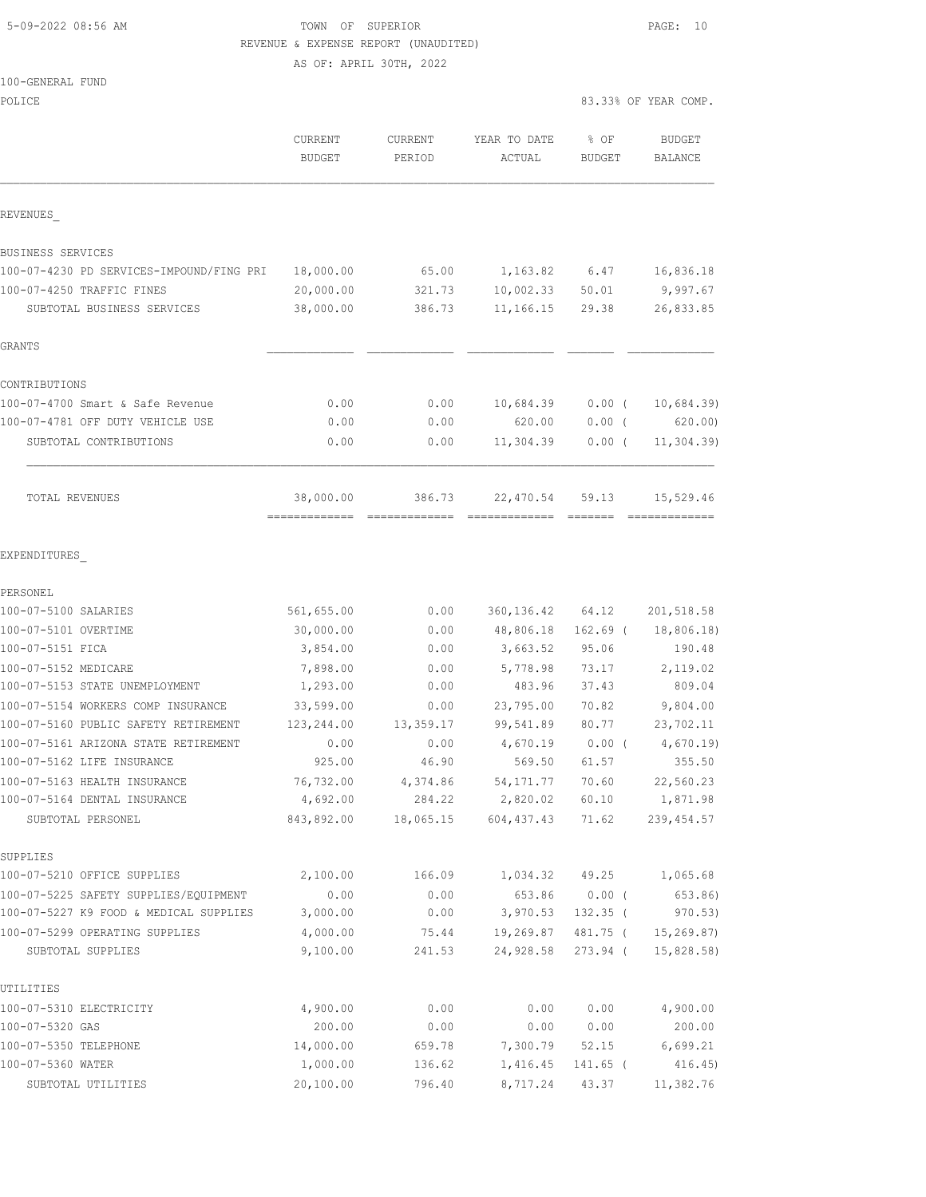5-09-2022 08:56 AM TOWN OF SUPERIOR PAGE: 10 REVENUE & EXPENSE REPORT (UNAUDITED)

AS OF: APRIL 30TH, 2022

|  | 100-GENERAL FUND |  |
|--|------------------|--|
|  |                  |  |

POLICE 83.33% OF YEAR COMP.

|                                                   | CURRENT<br><b>BUDGET</b> | <b>CURRENT</b><br>PERIOD | YEAR TO DATE<br>ACTUAL  | % OF<br><b>BUDGET</b> | <b>BUDGET</b><br>BALANCE |
|---------------------------------------------------|--------------------------|--------------------------|-------------------------|-----------------------|--------------------------|
| REVENUES                                          |                          |                          |                         |                       |                          |
| BUSINESS SERVICES                                 |                          |                          |                         |                       |                          |
| 100-07-4230 PD SERVICES-IMPOUND/FING PRI          | 18,000.00                | 65.00                    | 1,163.82 6.47           |                       | 16,836.18                |
| 100-07-4250 TRAFFIC FINES                         | 20,000.00                | 321.73                   | 10,002.33 50.01         |                       | 9,997.67                 |
| SUBTOTAL BUSINESS SERVICES                        | 38,000.00                | 386.73                   | 11,166.15               | 29.38                 | 26,833.85                |
| GRANTS                                            |                          |                          |                         |                       |                          |
| CONTRIBUTIONS                                     |                          |                          |                         |                       |                          |
| 100-07-4700 Smart & Safe Revenue                  | 0.00                     | 0.00                     | 10,684.39               | $0.00$ (              | 10,684.39                |
| 100-07-4781 OFF DUTY VEHICLE USE                  | 0.00                     | 0.00                     | 620.00                  | $0.00$ (              | 620.00                   |
| SUBTOTAL CONTRIBUTIONS                            | 0.00                     | 0.00                     | 11,304.39               | $0.00$ (              | 11,304.39)               |
| TOTAL REVENUES                                    | 38,000.00                | 386.73                   | 22,470.54               | 59.13                 | 15,529.46                |
| EXPENDITURES                                      |                          |                          |                         |                       |                          |
| PERSONEL                                          |                          |                          |                         |                       |                          |
| 100-07-5100 SALARIES                              | 561,655.00               | 0.00                     | 360, 136.42 64.12       |                       | 201, 518.58              |
| 100-07-5101 OVERTIME                              | 30,000.00                | 0.00                     | 48,806.18               | $162.69$ (            | 18,806.18)               |
| 100-07-5151 FICA                                  | 3,854.00                 | 0.00                     | 3,663.52                | 95.06                 | 190.48                   |
| 100-07-5152 MEDICARE                              | 7,898.00                 | 0.00                     | 5,778.98                | 73.17                 | 2,119.02                 |
| 100-07-5153 STATE UNEMPLOYMENT                    | 1,293.00                 | 0.00                     | 483.96                  | 37.43                 | 809.04                   |
| 100-07-5154 WORKERS COMP INSURANCE                | 33,599.00                | 0.00                     | 23,795.00               | 70.82                 | 9,804.00                 |
| 100-07-5160 PUBLIC SAFETY RETIREMENT              | 123,244.00               | 13,359.17                | 99,541.89               | 80.77                 | 23,702.11                |
| 100-07-5161 ARIZONA STATE RETIREMENT              | 0.00                     | 0.00                     | 4,670.19                | $0.00$ (              | 4,670.19                 |
| 100-07-5162 LIFE INSURANCE                        | 925.00                   | 46.90                    | 569.50                  | 61.57                 | 355.50                   |
| 100-07-5163 HEALTH INSURANCE                      | 76,732.00                | 4,374.86                 | 54, 171.77              | 70.60                 | 22,560.23                |
| 100-07-5164 DENTAL INSURANCE<br>SUBTOTAL PERSONEL | 4,692.00<br>843,892.00   | 284.22<br>18,065.15      | 2,820.02<br>604, 437.43 | 60.10<br>71.62        | 1,871.98<br>239, 454.57  |
| SUPPLIES                                          |                          |                          |                         |                       |                          |
| 100-07-5210 OFFICE SUPPLIES                       | 2,100.00                 | 166.09                   | 1,034.32                | 49.25                 | 1,065.68                 |
| 100-07-5225 SAFETY SUPPLIES/EQUIPMENT             | 0.00                     | 0.00                     | 653.86                  | $0.00$ (              | 653.86)                  |
| 100-07-5227 K9 FOOD & MEDICAL SUPPLIES            | 3,000.00                 | 0.00                     | 3,970.53                | $132.35$ (            | 970.53)                  |
| 100-07-5299 OPERATING SUPPLIES                    | 4,000.00                 | 75.44                    | 19,269.87               | 481.75 (              | 15, 269.87               |
| SUBTOTAL SUPPLIES                                 | 9,100.00                 | 241.53                   | 24,928.58               | 273.94 (              | 15,828.58)               |
| UTILITIES                                         |                          |                          |                         |                       |                          |
| 100-07-5310 ELECTRICITY                           | 4,900.00                 | 0.00                     | 0.00                    | 0.00                  | 4,900.00                 |
| 100-07-5320 GAS                                   | 200.00                   | 0.00                     | 0.00                    | 0.00                  | 200.00                   |
| 100-07-5350 TELEPHONE                             | 14,000.00                | 659.78                   | 7,300.79                | 52.15                 | 6,699.21                 |
| 100-07-5360 WATER                                 | 1,000.00                 | 136.62                   | 1,416.45                | 141.65 (              | 416.45                   |
| SUBTOTAL UTILITIES                                | 20,100.00                | 796.40                   | 8,717.24                | 43.37                 | 11,382.76                |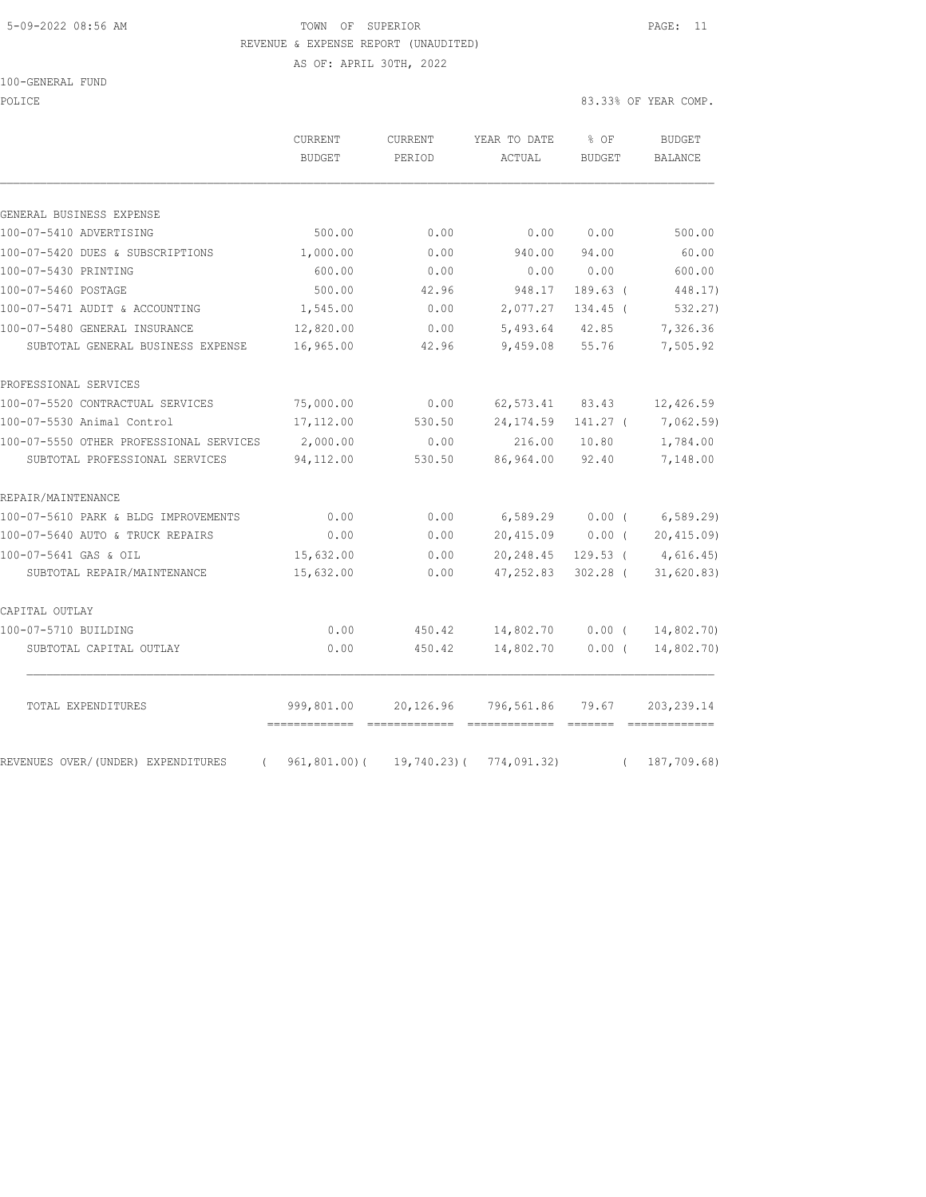# 5-09-2022 08:56 AM TOWN OF SUPERIOR PAGE: 11 REVENUE & EXPENSE REPORT (UNAUDITED)

AS OF: APRIL 30TH, 2022

#### 100-GENERAL FUND

POLICE 83.33% OF YEAR COMP.

|                                                | CURRENT<br><b>BUDGET</b>         | CURRENT<br>PERIOD | YEAR TO DATE<br>ACTUAL       | % OF<br><b>BUDGET</b> | <b>BUDGET</b><br><b>BALANCE</b> |
|------------------------------------------------|----------------------------------|-------------------|------------------------------|-----------------------|---------------------------------|
|                                                |                                  |                   |                              |                       |                                 |
| GENERAL BUSINESS EXPENSE                       |                                  |                   |                              |                       |                                 |
| 100-07-5410 ADVERTISING                        | 500.00                           | 0.00              | 0.00                         | 0.00                  | 500.00                          |
| 100-07-5420 DUES & SUBSCRIPTIONS               | 1,000.00                         | 0.00              | 940.00                       | 94.00                 | 60.00                           |
| 100-07-5430 PRINTING                           | 600.00                           | 0.00              | 0.00                         | 0.00                  | 600.00                          |
| 100-07-5460 POSTAGE                            | 500.00                           | 42.96             | 948.17                       | $189.63$ (            | 448.17)                         |
| 100-07-5471 AUDIT & ACCOUNTING                 | 1,545.00                         | 0.00              | 2,077.27                     | 134.45 (              | 532.27)                         |
| 100-07-5480 GENERAL INSURANCE                  | 12,820.00                        | 0.00              | 5,493.64                     | 42.85                 | 7,326.36                        |
| SUBTOTAL GENERAL BUSINESS EXPENSE              | 16,965.00                        | 42.96             | 9,459.08                     | 55.76                 | 7,505.92                        |
| PROFESSIONAL SERVICES                          |                                  |                   |                              |                       |                                 |
| 100-07-5520 CONTRACTUAL SERVICES               | 75,000.00                        | 0.00              | 62,573.41                    | 83.43                 | 12,426.59                       |
| 100-07-5530 Animal Control                     | 17,112.00                        | 530.50            | 24, 174.59                   | 141.27 (              | 7,062.59)                       |
| 100-07-5550 OTHER PROFESSIONAL SERVICES        | 2,000.00                         | 0.00              | 216.00                       | 10.80                 | 1,784.00                        |
| SUBTOTAL PROFESSIONAL SERVICES                 | 94,112.00                        | 530.50            | 86,964.00                    | 92.40                 | 7,148.00                        |
| REPAIR/MAINTENANCE                             |                                  |                   |                              |                       |                                 |
| 100-07-5610 PARK & BLDG IMPROVEMENTS           | 0.00                             | 0.00              | 6,589.29                     | 0.00(                 | 6,589.29                        |
| 100-07-5640 AUTO & TRUCK REPAIRS               | 0.00                             | 0.00              | 20,415.09                    | $0.00$ (              | 20, 415.09                      |
| 100-07-5641 GAS & OIL                          | 15,632.00                        | 0.00              | 20,248.45                    | $129.53$ (            | 4,616.45)                       |
| SUBTOTAL REPAIR/MAINTENANCE                    | 15,632.00                        | 0.00              | 47,252.83                    | $302.28$ (            | 31,620.83)                      |
| CAPITAL OUTLAY                                 |                                  |                   |                              |                       |                                 |
| 100-07-5710 BUILDING                           | 0.00                             | 450.42            | 14,802.70                    | 0.00(                 | 14,802.70)                      |
| SUBTOTAL CAPITAL OUTLAY                        | 0.00                             | 450.42            | 14,802.70                    | $0.00$ (              | 14,802.70)                      |
| TOTAL EXPENDITURES                             | 999,801.00                       | 20,126.96         | 796,561.86                   | 79.67                 | 203, 239.14                     |
| REVENUES OVER/(UNDER) EXPENDITURES<br>$\left($ | =============<br>$961, 801.00$ ( | $19,740.23$ ) (   | =============<br>774,091.32) | =======<br>$\left($   | 187,709.68)                     |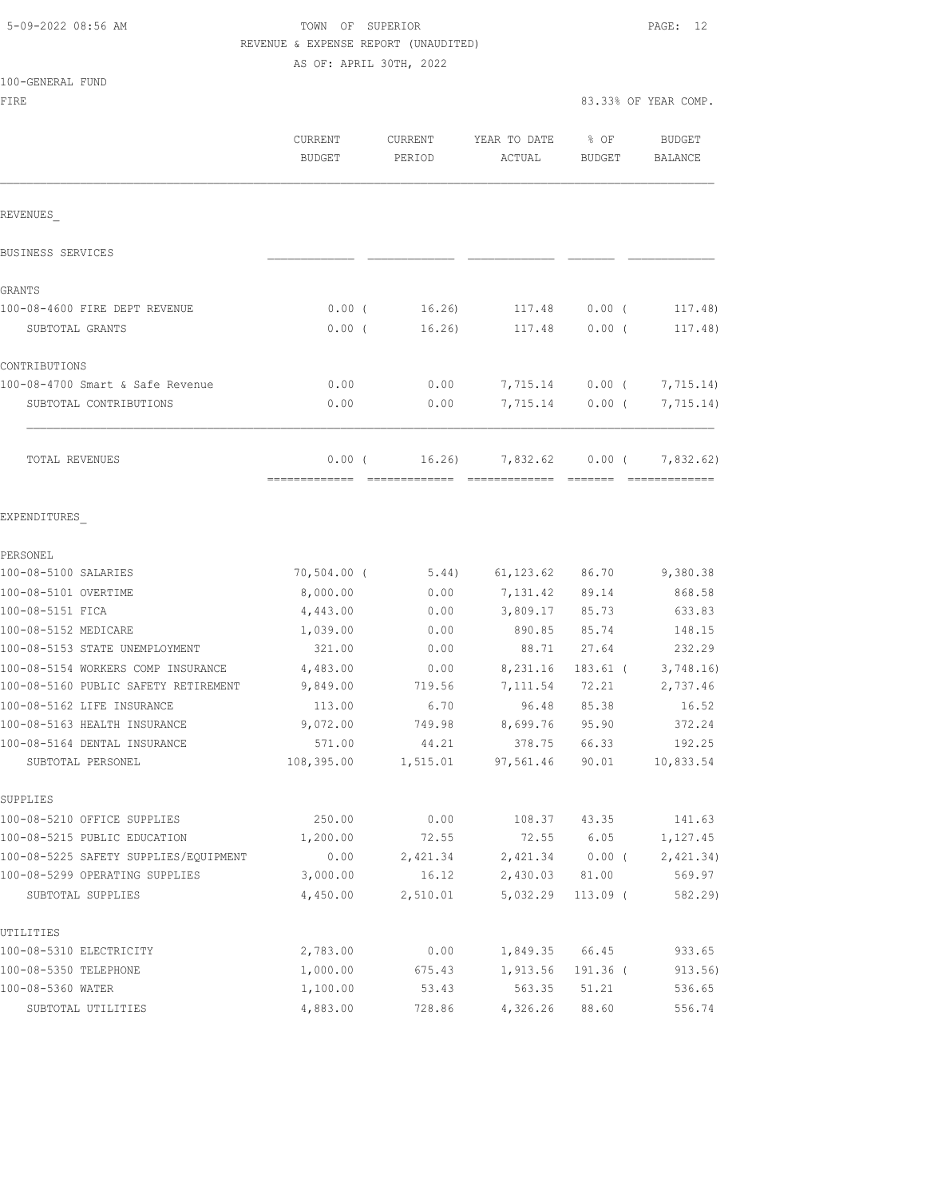# TOWN OF SUPERIOR **Example 2018** PAGE: 12 REVENUE & EXPENSE REPORT (UNAUDITED) AS OF: APRIL 30TH, 2022

|  | 100-GENERAL FUND |  |
|--|------------------|--|
|  |                  |  |

| FIRE                                                       |                          |                          |                           |                | 83.33% OF YEAR COMP.     |
|------------------------------------------------------------|--------------------------|--------------------------|---------------------------|----------------|--------------------------|
|                                                            | CURRENT<br><b>BUDGET</b> | <b>CURRENT</b><br>PERIOD | YEAR TO DATE<br>ACTUAL    | % OF<br>BUDGET | <b>BUDGET</b><br>BALANCE |
| REVENUES                                                   |                          |                          |                           |                |                          |
| BUSINESS SERVICES                                          |                          |                          |                           |                |                          |
| GRANTS                                                     |                          |                          |                           |                |                          |
| 100-08-4600 FIRE DEPT REVENUE                              | $0.00$ (                 | 16.26                    | 117.48                    | $0.00$ (       | 117.48)                  |
| SUBTOTAL GRANTS                                            | 0.00(                    | 16.26)                   | 117.48                    | 0.00(          | 117.48)                  |
| CONTRIBUTIONS                                              |                          |                          |                           |                |                          |
| 100-08-4700 Smart & Safe Revenue                           | 0.00                     | 0.00                     | 7,715.14                  | $0.00$ (       | 7,715.14)                |
| SUBTOTAL CONTRIBUTIONS                                     | 0.00                     | 0.00                     | 7,715.14                  | 0.00(          | 7,715.14)                |
| TOTAL REVENUES                                             | 0.00(                    | 16.26)                   | 7,832.62<br>============= | $0.00$ (       | 7,832.62)                |
| EXPENDITURES                                               |                          |                          |                           |                |                          |
| PERSONEL                                                   |                          |                          |                           |                |                          |
| 100-08-5100 SALARIES                                       | $70,504.00$ (            | 5.44)                    | 61,123.62                 | 86.70          | 9,380.38                 |
| 100-08-5101 OVERTIME                                       | 8,000.00                 | 0.00                     | 7,131.42                  | 89.14          | 868.58                   |
| 100-08-5151 FICA                                           | 4,443.00                 | 0.00                     | 3,809.17                  | 85.73          | 633.83                   |
| 100-08-5152 MEDICARE                                       | 1,039.00                 | 0.00                     | 890.85                    | 85.74          | 148.15                   |
| 100-08-5153 STATE UNEMPLOYMENT                             | 321.00                   | 0.00                     | 88.71                     | 27.64          | 232.29                   |
| 100-08-5154 WORKERS COMP INSURANCE                         | 4,483.00                 | 0.00                     | 8,231.16                  | $183.61$ (     | 3,748.16                 |
| 100-08-5160 PUBLIC SAFETY RETIREMENT                       | 9,849.00                 | 719.56                   | 7,111.54                  | 72.21          | 2,737.46                 |
| 100-08-5162 LIFE INSURANCE<br>100-08-5163 HEALTH INSURANCE | 113.00                   | 6.70                     | 96.48                     | 85.38          | 16.52                    |
| 100-08-5164 DENTAL INSURANCE                               | 9,072.00<br>571.00       | 749.98<br>44.21          | 8,699.76<br>378.75        | 95.90<br>66.33 | 372.24<br>192.25         |
| SUBTOTAL PERSONEL                                          | 108,395.00               | 1,515.01                 | 97,561.46                 | 90.01          | 10,833.54                |
| SUPPLIES                                                   |                          |                          |                           |                |                          |
| 100-08-5210 OFFICE SUPPLIES                                | 250.00                   | 0.00                     | 108.37                    | 43.35          | 141.63                   |
| 100-08-5215 PUBLIC EDUCATION                               | 1,200.00                 | 72.55                    | 72.55                     | 6.05           | 1,127.45                 |
| 100-08-5225 SAFETY SUPPLIES/EQUIPMENT                      | 0.00                     | 2,421.34                 | 2,421.34                  | $0.00$ (       | 2,421.34)                |
| 100-08-5299 OPERATING SUPPLIES                             | 3,000.00                 | 16.12                    | 2,430.03                  | 81.00          | 569.97                   |
| SUBTOTAL SUPPLIES                                          | 4,450.00                 | 2,510.01                 | 5,032.29                  | $113.09$ (     | 582.29)                  |
| UTILITIES                                                  |                          |                          |                           |                |                          |
| 100-08-5310 ELECTRICITY                                    | 2,783.00                 | 0.00                     | 1,849.35                  | 66.45          | 933.65                   |
| 100-08-5350 TELEPHONE                                      | 1,000.00                 | 675.43                   | 1,913.56                  | 191.36 (       | 913.56                   |
| 100-08-5360 WATER                                          | 1,100.00                 | 53.43                    | 563.35                    | 51.21          | 536.65                   |
| SUBTOTAL UTILITIES                                         | 4,883.00                 | 728.86                   | 4,326.26                  | 88.60          | 556.74                   |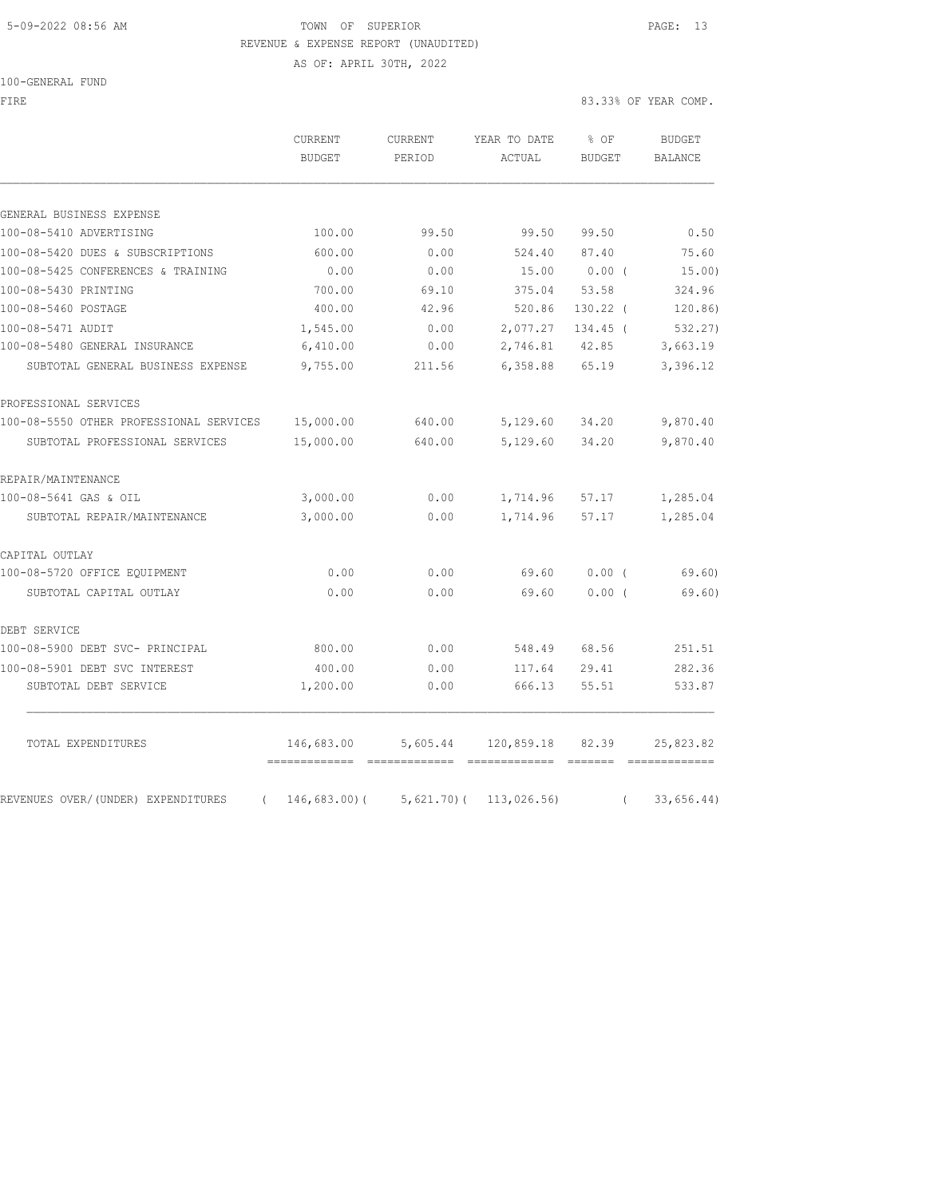# 5-09-2022 08:56 AM TOWN OF SUPERIOR PAGE: 13 REVENUE & EXPENSE REPORT (UNAUDITED)

AS OF: APRIL 30TH, 2022

100-GENERAL FUND

FIRE 83.33% OF YEAR COMP.

|                                                | CURRENT<br><b>BUDGET</b>                     | CURRENT<br>PERIOD | YEAR TO DATE<br>ACTUAL | $8$ OF<br><b>BUDGET</b> | <b>BUDGET</b><br><b>BALANCE</b> |
|------------------------------------------------|----------------------------------------------|-------------------|------------------------|-------------------------|---------------------------------|
| GENERAL BUSINESS EXPENSE                       |                                              |                   |                        |                         |                                 |
| 100-08-5410 ADVERTISING                        | 100.00                                       | 99.50             | 99.50                  | 99.50                   | 0.50                            |
| 100-08-5420 DUES & SUBSCRIPTIONS               | 600.00                                       | 0.00              | 524.40                 | 87.40                   | 75.60                           |
| 100-08-5425 CONFERENCES & TRAINING             | 0.00                                         | 0.00              | 15.00                  | $0.00$ (                | 15.00)                          |
| 100-08-5430 PRINTING                           | 700.00                                       | 69.10             | 375.04                 | 53.58                   | 324.96                          |
| 100-08-5460 POSTAGE                            | 400.00                                       | 42.96             | 520.86                 | $130.22$ (              | 120.86)                         |
| 100-08-5471 AUDIT                              | 1,545.00                                     | 0.00              | 2,077.27               | 134.45 (                | 532.27                          |
| 100-08-5480 GENERAL INSURANCE                  | 6,410.00                                     | 0.00              | 2,746.81               | 42.85                   | 3,663.19                        |
| SUBTOTAL GENERAL BUSINESS EXPENSE              | 9,755.00                                     | 211.56            | 6,358.88               | 65.19                   | 3,396.12                        |
| PROFESSIONAL SERVICES                          |                                              |                   |                        |                         |                                 |
| 100-08-5550 OTHER PROFESSIONAL SERVICES        | 15,000.00                                    | 640.00            | 5,129.60               | 34.20                   | 9,870.40                        |
| SUBTOTAL PROFESSIONAL SERVICES                 | 15,000.00                                    | 640.00            | 5,129.60               | 34.20                   | 9,870.40                        |
| REPAIR/MAINTENANCE                             |                                              |                   |                        |                         |                                 |
| 100-08-5641 GAS & OIL                          | 3,000.00                                     | 0.00              | 1,714.96               | 57.17                   | 1,285.04                        |
| SUBTOTAL REPAIR/MAINTENANCE                    | 3,000.00                                     | 0.00              | 1,714.96               | 57.17                   | 1,285.04                        |
| CAPITAL OUTLAY                                 |                                              |                   |                        |                         |                                 |
| 100-08-5720 OFFICE EQUIPMENT                   | 0.00                                         | 0.00              | 69.60                  | 0.00(                   | 69.60                           |
| SUBTOTAL CAPITAL OUTLAY                        | 0.00                                         | 0.00              | 69.60                  | 0.00(                   | 69.60)                          |
| DEBT SERVICE                                   |                                              |                   |                        |                         |                                 |
| 100-08-5900 DEBT SVC- PRINCIPAL                | 800.00                                       | 0.00              | 548.49                 | 68.56                   | 251.51                          |
| 100-08-5901 DEBT SVC INTEREST                  | 400.00                                       | 0.00              | 117.64                 | 29.41                   | 282.36                          |
| SUBTOTAL DEBT SERVICE                          | 1,200.00                                     | 0.00              | 666.13                 | 55.51                   | 533.87                          |
| TOTAL EXPENDITURES                             | 146,683.00<br>============================== | 5,605.44          | 120,859.18 82.39       |                         | 25,823.82                       |
| REVENUES OVER/(UNDER) EXPENDITURES<br>$\left($ | 146,683.00(                                  | 5,621.70(         | 113,026.56)            |                         | 33,656.44)                      |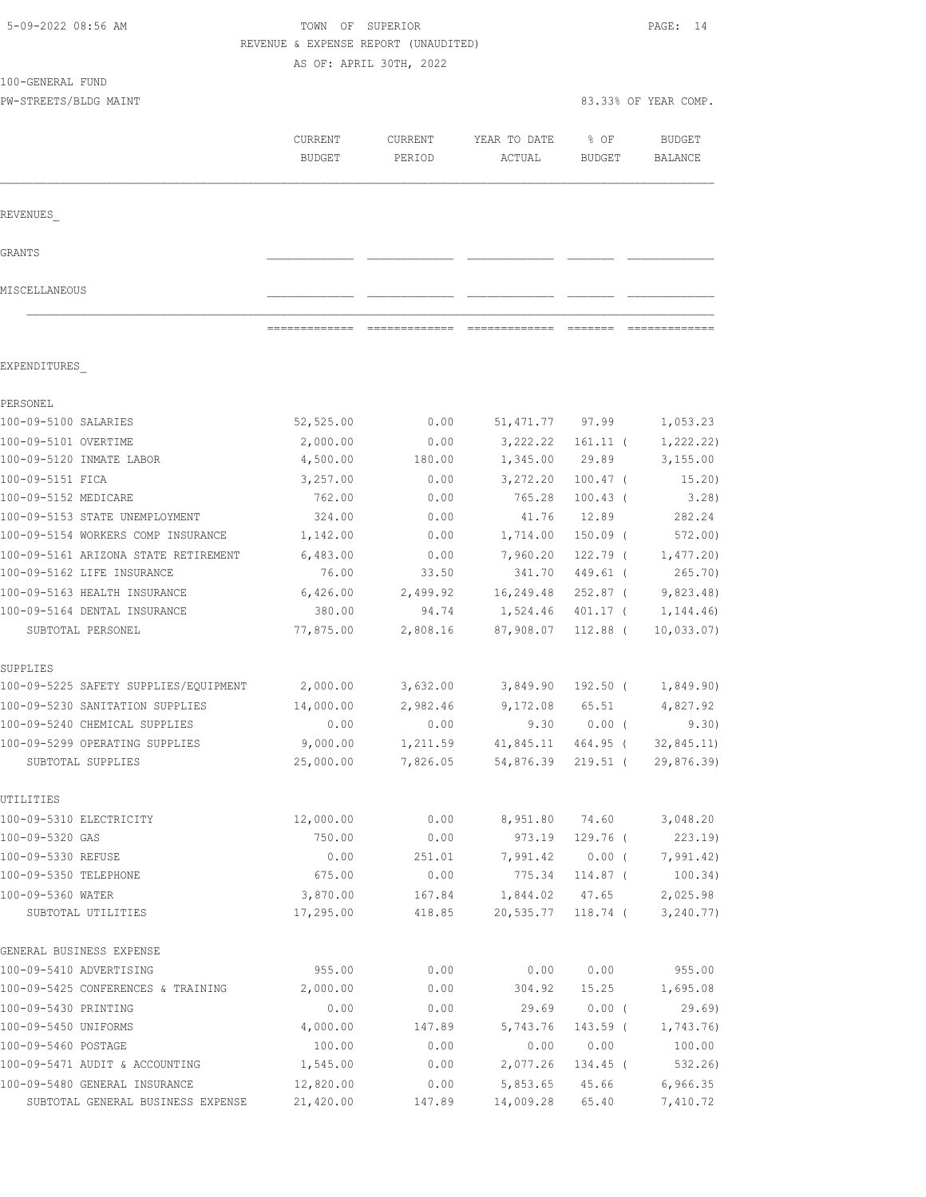|                                       | REVENUE & EXPENSE REPORT (UNAUDITED) | AS OF: APRIL 30TH, 2022 |                        |                       |                          |
|---------------------------------------|--------------------------------------|-------------------------|------------------------|-----------------------|--------------------------|
| 100-GENERAL FUND                      |                                      |                         |                        |                       |                          |
| PW-STREETS/BLDG MAINT                 |                                      |                         |                        |                       | 83.33% OF YEAR COMP.     |
|                                       | CURRENT<br><b>BUDGET</b>             | CURRENT<br>PERIOD       | YEAR TO DATE<br>ACTUAL | % OF<br><b>BUDGET</b> | <b>BUDGET</b><br>BALANCE |
| REVENUES                              |                                      |                         |                        |                       |                          |
| GRANTS                                |                                      |                         |                        |                       |                          |
| MISCELLANEOUS                         |                                      |                         |                        |                       |                          |
|                                       |                                      |                         |                        |                       |                          |
| EXPENDITURES                          |                                      |                         |                        |                       |                          |
| PERSONEL                              |                                      |                         |                        |                       |                          |
| 100-09-5100 SALARIES                  | 52, 525.00                           | 0.00                    | 51, 471.77             | 97.99                 | 1,053.23                 |
| 100-09-5101 OVERTIME                  | 2,000.00                             | 0.00                    | 3,222.22               | $161.11$ (            | 1,222.22)                |
| 100-09-5120 INMATE LABOR              | 4,500.00                             | 180.00                  | 1,345.00               | 29.89                 | 3,155.00                 |
| 100-09-5151 FICA                      | 3,257.00                             | 0.00                    | 3,272.20               | $100.47$ (            | 15.20)                   |
| 100-09-5152 MEDICARE                  | 762.00                               | 0.00                    | 765.28                 | $100.43$ (            | 3.28)                    |
| 100-09-5153 STATE UNEMPLOYMENT        | 324.00                               | 0.00                    | 41.76                  | 12.89                 | 282.24                   |
| 100-09-5154 WORKERS COMP INSURANCE    | 1,142.00                             | 0.00                    | 1,714.00               | $150.09$ (            | 572.00)                  |
| 100-09-5161 ARIZONA STATE RETIREMENT  | 6,483.00                             | 0.00                    | 7,960.20               | $122.79$ (            | 1,477.20                 |
| 100-09-5162 LIFE INSURANCE            | 76.00                                | 33.50                   | 341.70                 | 449.61 (              | 265.70                   |
| 100-09-5163 HEALTH INSURANCE          | 6,426.00                             | 2,499.92                | 16,249.48              | $252.87$ (            | 9,823.48                 |
| 100-09-5164 DENTAL INSURANCE          | 380.00                               | 94.74                   | 1,524.46               | 401.17 (              | 1,144.46)                |
| SUBTOTAL PERSONEL                     | 77,875.00                            | 2,808.16                | 87,908.07              | $112.88$ (            | 10,033.07)               |
| SUPPLIES                              |                                      |                         |                        |                       |                          |
| 100-09-5225 SAFETY SUPPLIES/EQUIPMENT | 2,000.00                             | 3,632.00                | 3,849.90               | 192.50 (              | 1,849.90)                |
| 100-09-5230 SANITATION SUPPLIES       | 14,000.00                            | 2,982.46                | 9,172.08               | 65.51                 | 4,827.92                 |
| 100-09-5240 CHEMICAL SUPPLIES         | 0.00                                 | 0.00                    | 9.30                   | $0.00$ (              | 9.30)                    |
| 100-09-5299 OPERATING SUPPLIES        | 9,000.00                             | 1,211.59                | 41,845.11              | 464.95 (              | 32,845.11)               |
| SUBTOTAL SUPPLIES                     | 25,000.00                            | 7,826.05                | 54,876.39              | $219.51$ (            | 29,876.39)               |
| UTILITIES                             |                                      |                         |                        |                       |                          |
| 100-09-5310 ELECTRICITY               | 12,000.00                            | 0.00                    | 8,951.80               | 74.60                 | 3,048.20                 |
| 100-09-5320 GAS                       | 750.00                               | 0.00                    | 973.19                 | 129.76 (              | 223.19)                  |
| 100-09-5330 REFUSE                    | 0.00                                 | 251.01                  | 7,991.42               | $0.00$ (              | 7,991.42)                |
| 100-09-5350 TELEPHONE                 | 675.00                               | 0.00                    | 775.34                 | 114.87 (              | 100.34)                  |
| 100-09-5360 WATER                     | 3,870.00                             | 167.84                  | 1,844.02               | 47.65                 | 2,025.98                 |
| SUBTOTAL UTILITIES                    | 17,295.00                            | 418.85                  | 20,535.77              | 118.74 (              | 3, 240.77)               |
| GENERAL BUSINESS EXPENSE              |                                      |                         |                        |                       |                          |
| 100-09-5410 ADVERTISING               | 955.00                               | 0.00                    | 0.00                   | 0.00                  | 955.00                   |
| 100-09-5425 CONFERENCES & TRAINING    | 2,000.00                             | 0.00                    | 304.92                 | 15.25                 | 1,695.08                 |
| 100-09-5430 PRINTING                  | 0.00                                 | 0.00                    | 29.69                  | $0.00$ (              | 29.69                    |
| 100-09-5450 UNIFORMS                  | 4,000.00                             | 147.89                  | 5,743.76               | $143.59$ (            | 1,743.76)                |
| 100-09-5460 POSTAGE                   | 100.00                               | 0.00                    | 0.00                   | 0.00                  | 100.00                   |
| 100-09-5471 AUDIT & ACCOUNTING        | 1,545.00                             | 0.00                    | 2,077.26               | 134.45 (              | 532.26)                  |
| 100-09-5480 GENERAL INSURANCE         | 12,820.00                            | 0.00                    | 5,853.65               | 45.66                 | 6,966.35                 |
| SUBTOTAL GENERAL BUSINESS EXPENSE     | 21,420.00                            | 147.89                  | 14,009.28              | 65.40                 | 7,410.72                 |

5-09-2022 08:56 AM TOWN OF SUPERIOR PAGE: 14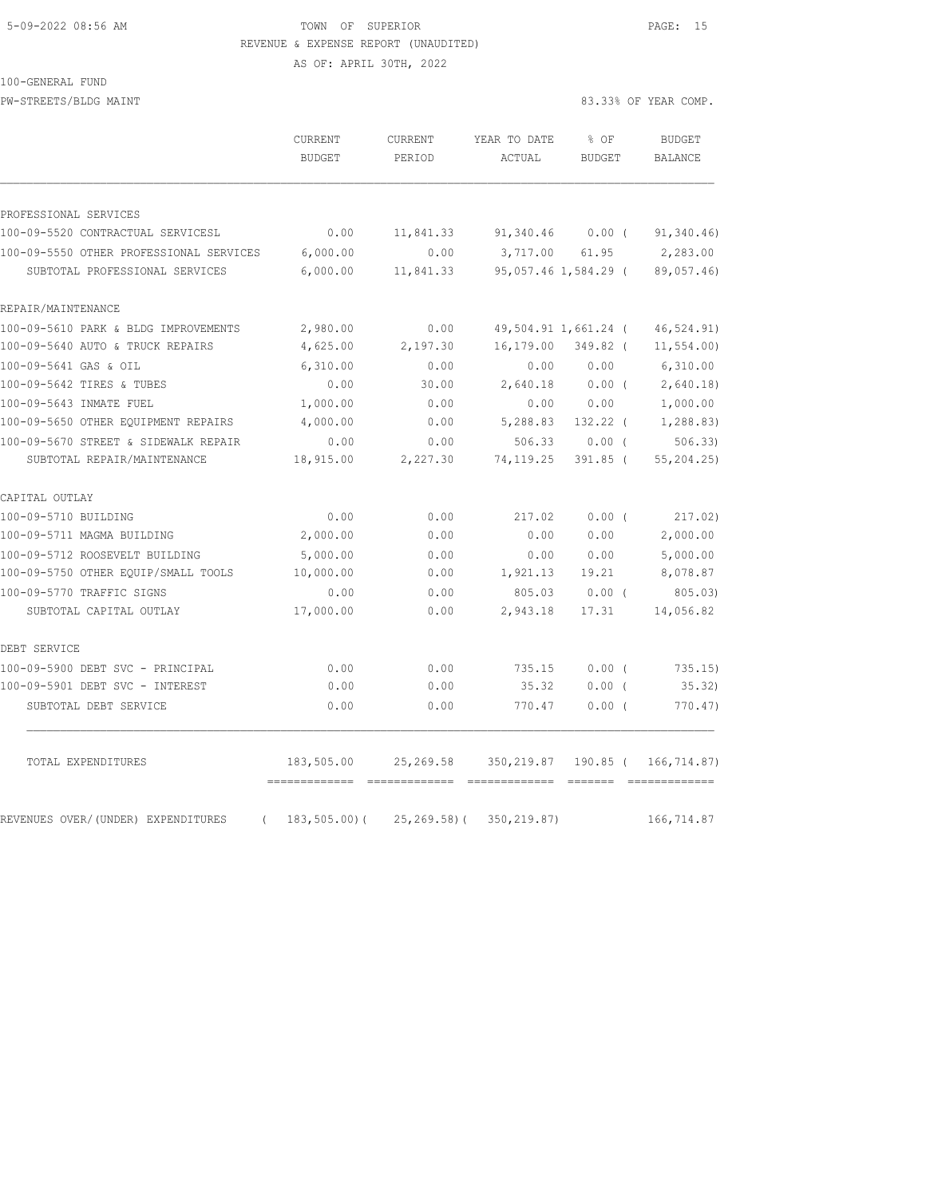# 5-09-2022 08:56 AM TOWN OF SUPERIOR PAGE: 15 REVENUE & EXPENSE REPORT (UNAUDITED)

AS OF: APRIL 30TH, 2022

100-GENERAL FUND

PW-STREETS/BLDG MAINT 83.33% OF YEAR COMP.

|                                                | <b>CURRENT</b><br><b>BUDGET</b> | CURRENT<br>PERIOD | YEAR TO DATE<br>ACTUAL | % OF<br><b>BUDGET</b> | <b>BUDGET</b><br>BALANCE          |
|------------------------------------------------|---------------------------------|-------------------|------------------------|-----------------------|-----------------------------------|
|                                                |                                 |                   |                        |                       |                                   |
| PROFESSIONAL SERVICES                          |                                 |                   |                        |                       |                                   |
| 100-09-5520 CONTRACTUAL SERVICESL              | 0.00                            | 11,841.33         | 91,340.46              | $0.00$ (              | 91,340.46)                        |
| 100-09-5550 OTHER PROFESSIONAL SERVICES        | 6,000.00                        | 0.00              | 3,717.00               | 61.95                 | 2,283.00                          |
| SUBTOTAL PROFESSIONAL SERVICES                 | 6,000.00                        | 11,841.33         |                        | 95,057.46 1,584.29 (  | 89,057.46)                        |
| REPAIR/MAINTENANCE                             |                                 |                   |                        |                       |                                   |
| 100-09-5610 PARK & BLDG IMPROVEMENTS           | 2,980.00                        | 0.00              |                        | 49,504.91 1,661.24 (  | 46,524.91)                        |
| 100-09-5640 AUTO & TRUCK REPAIRS               | 4,625.00                        | 2,197.30          | 16,179.00              | 349.82 (              | 11, 554.00                        |
| 100-09-5641 GAS & OIL                          | 6,310.00                        | 0.00              | 0.00                   | 0.00                  | 6,310.00                          |
| 100-09-5642 TIRES & TUBES                      | 0.00                            | 30.00             | 2,640.18               | 0.00(                 | 2,640.18                          |
| 100-09-5643 INMATE FUEL                        | 1,000.00                        | 0.00              | 0.00                   | 0.00                  | 1,000.00                          |
| 100-09-5650 OTHER EQUIPMENT REPAIRS            | 4,000.00                        | 0.00              | 5,288.83               | 132.22 (              | 1,288.83)                         |
| 100-09-5670 STREET & SIDEWALK REPAIR           | 0.00                            | 0.00              | 506.33                 | $0.00$ (              | 506.33                            |
| SUBTOTAL REPAIR/MAINTENANCE                    | 18,915.00                       | 2,227.30          | 74, 119.25             | $391.85$ (            | 55,204.25)                        |
| CAPITAL OUTLAY                                 |                                 |                   |                        |                       |                                   |
| 100-09-5710 BUILDING                           | 0.00                            | 0.00              | 217.02                 | 0.00(                 | 217.02)                           |
| 100-09-5711 MAGMA BUILDING                     | 2,000.00                        | 0.00              | 0.00                   | 0.00                  | 2,000.00                          |
| 100-09-5712 ROOSEVELT BUILDING                 | 5,000.00                        | 0.00              | 0.00                   | 0.00                  | 5,000.00                          |
| 100-09-5750 OTHER EQUIP/SMALL TOOLS            | 10,000.00                       | 0.00              | 1,921.13               | 19.21                 | 8,078.87                          |
| 100-09-5770 TRAFFIC SIGNS                      | 0.00                            | 0.00              | 805.03                 | $0.00$ (              | 805.03                            |
| SUBTOTAL CAPITAL OUTLAY                        | 17,000.00                       | 0.00              | 2,943.18               | 17.31                 | 14,056.82                         |
| DEBT SERVICE                                   |                                 |                   |                        |                       |                                   |
| 100-09-5900 DEBT SVC - PRINCIPAL               | 0.00                            | 0.00              | 735.15                 | 0.00(                 | 735.15)                           |
| 100-09-5901 DEBT SVC - INTEREST                | 0.00                            | 0.00              | 35.32                  | $0.00$ (              | 35.32)                            |
| SUBTOTAL DEBT SERVICE                          | 0.00                            | 0.00              | 770.47                 | 0.00(                 | 770.47)                           |
| TOTAL EXPENDITURES                             | 183,505.00                      | 25,269.58         |                        |                       | 350, 219.87 190.85 ( 166, 714.87) |
| REVENUES OVER/(UNDER) EXPENDITURES<br>$\left($ | $183, 505.00$ (                 | $25, 269, 58$ ) ( | 350, 219.87)           |                       | 166,714.87                        |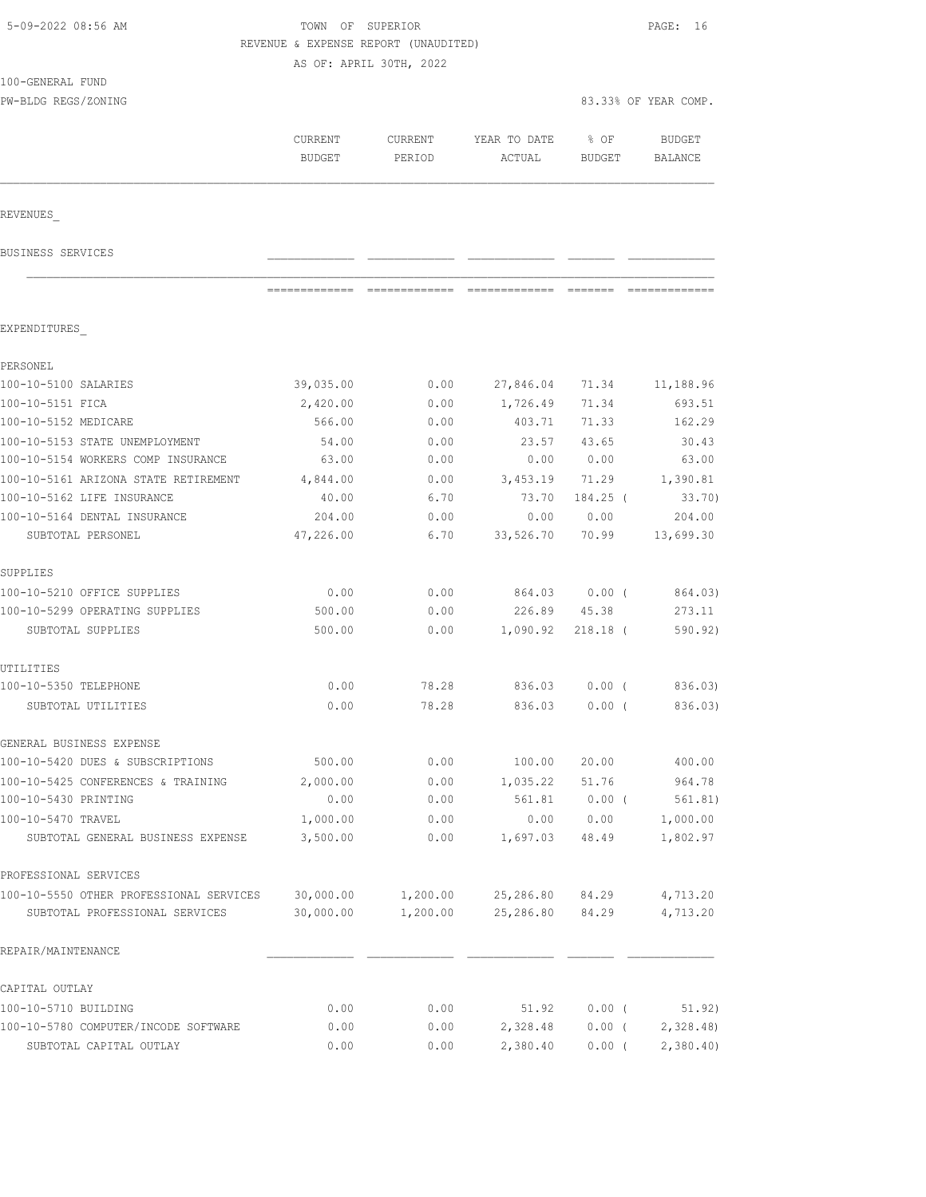| 5-09-2022 08:56 AM                                      | TOWN OF SUPERIOR                     |                         |                   |               | PAGE: 16             |
|---------------------------------------------------------|--------------------------------------|-------------------------|-------------------|---------------|----------------------|
|                                                         | REVENUE & EXPENSE REPORT (UNAUDITED) |                         |                   |               |                      |
| 100-GENERAL FUND                                        |                                      | AS OF: APRIL 30TH, 2022 |                   |               |                      |
| PW-BLDG REGS/ZONING                                     |                                      |                         |                   |               | 83.33% OF YEAR COMP. |
|                                                         |                                      |                         |                   |               |                      |
|                                                         | CURRENT                              | CURRENT                 | YEAR TO DATE      | % OF          | <b>BUDGET</b>        |
|                                                         | <b>BUDGET</b>                        | PERIOD                  | ACTUAL            | BUDGET        | BALANCE              |
| REVENUES                                                |                                      |                         |                   |               |                      |
|                                                         |                                      |                         |                   |               |                      |
| BUSINESS SERVICES                                       |                                      |                         |                   |               |                      |
|                                                         | =============                        |                         |                   |               |                      |
| EXPENDITURES                                            |                                      |                         |                   |               |                      |
| PERSONEL                                                |                                      |                         |                   |               |                      |
| 100-10-5100 SALARIES                                    | 39,035.00                            | 0.00                    | 27,846.04 71.34   |               | 11,188.96            |
| 100-10-5151 FICA                                        | 2,420.00                             | 0.00                    | 1,726.49          | 71.34         | 693.51               |
| 100-10-5152 MEDICARE                                    | 566.00                               | 0.00                    | 403.71            | 71.33         | 162.29               |
| 100-10-5153 STATE UNEMPLOYMENT                          | 54.00                                | 0.00                    | 23.57             | 43.65         | 30.43                |
| 100-10-5154 WORKERS COMP INSURANCE                      | 63.00                                | 0.00                    | 0.00              | 0.00          | 63.00                |
| 100-10-5161 ARIZONA STATE RETIREMENT                    | 4,844.00                             | 0.00                    | 3,453.19          | 71.29         | 1,390.81             |
| 100-10-5162 LIFE INSURANCE                              | 40.00                                | 6.70                    | 73.70             | 184.25 (      | 33.70)               |
| 100-10-5164 DENTAL INSURANCE<br>SUBTOTAL PERSONEL       | 204.00<br>47,226.00                  | 0.00<br>6.70            | 0.00<br>33,526.70 | 0.00<br>70.99 | 204.00<br>13,699.30  |
| SUPPLIES                                                |                                      |                         |                   |               |                      |
| 100-10-5210 OFFICE SUPPLIES                             | 0.00                                 | 0.00                    | 864.03 0.00 (     |               | 864.03)              |
| 100-10-5299 OPERATING SUPPLIES                          | 500.00                               | 0.00                    |                   | 226.89 45.38  | 273.11               |
| SUBTOTAL SUPPLIES                                       | 500.00                               | 0.00                    | 1,090.92          | $218.18$ (    | 590.92)              |
|                                                         |                                      |                         |                   |               |                      |
| UTILITIES                                               |                                      |                         |                   |               |                      |
| 100-10-5350 TELEPHONE                                   | 0.00                                 | 78.28                   | 836.03            | 0.00(         | 836.03)              |
| SUBTOTAL UTILITIES                                      | 0.00                                 | 78.28                   | 836.03            | $0.00$ (      | 836.03)              |
| GENERAL BUSINESS EXPENSE                                |                                      |                         |                   |               |                      |
| 100-10-5420 DUES & SUBSCRIPTIONS                        | 500.00                               | 0.00                    | 100.00            | 20.00         | 400.00               |
| 100-10-5425 CONFERENCES & TRAINING                      | 2,000.00                             | 0.00                    | 1,035.22          | 51.76         | 964.78               |
| 100-10-5430 PRINTING                                    | 0.00                                 | 0.00                    | 561.81            | $0.00$ (      | 561.81)              |
| 100-10-5470 TRAVEL<br>SUBTOTAL GENERAL BUSINESS EXPENSE | 1,000.00<br>3,500.00                 | 0.00<br>0.00            | 0.00<br>1,697.03  | 0.00<br>48.49 | 1,000.00<br>1,802.97 |
|                                                         |                                      |                         |                   |               |                      |
| PROFESSIONAL SERVICES                                   |                                      |                         |                   |               |                      |
| 100-10-5550 OTHER PROFESSIONAL SERVICES                 | 30,000.00                            | 1,200.00                | 25,286.80         | 84.29         | 4,713.20             |
| SUBTOTAL PROFESSIONAL SERVICES                          | 30,000.00                            | 1,200.00                | 25,286.80         | 84.29         | 4,713.20             |
| REPAIR/MAINTENANCE                                      |                                      |                         |                   |               |                      |
| CAPITAL OUTLAY                                          |                                      |                         |                   |               |                      |
| 100-10-5710 BUILDING                                    | 0.00                                 | 0.00                    | 51.92             | $0.00$ (      | 51.92)               |
| 100-10-5780 COMPUTER/INCODE SOFTWARE                    | 0.00                                 | 0.00                    | 2,328.48          | $0.00$ (      | 2,328.48             |
| SUBTOTAL CAPITAL OUTLAY                                 | 0.00                                 | 0.00                    | 2,380.40          | $0.00$ (      | 2,380.40             |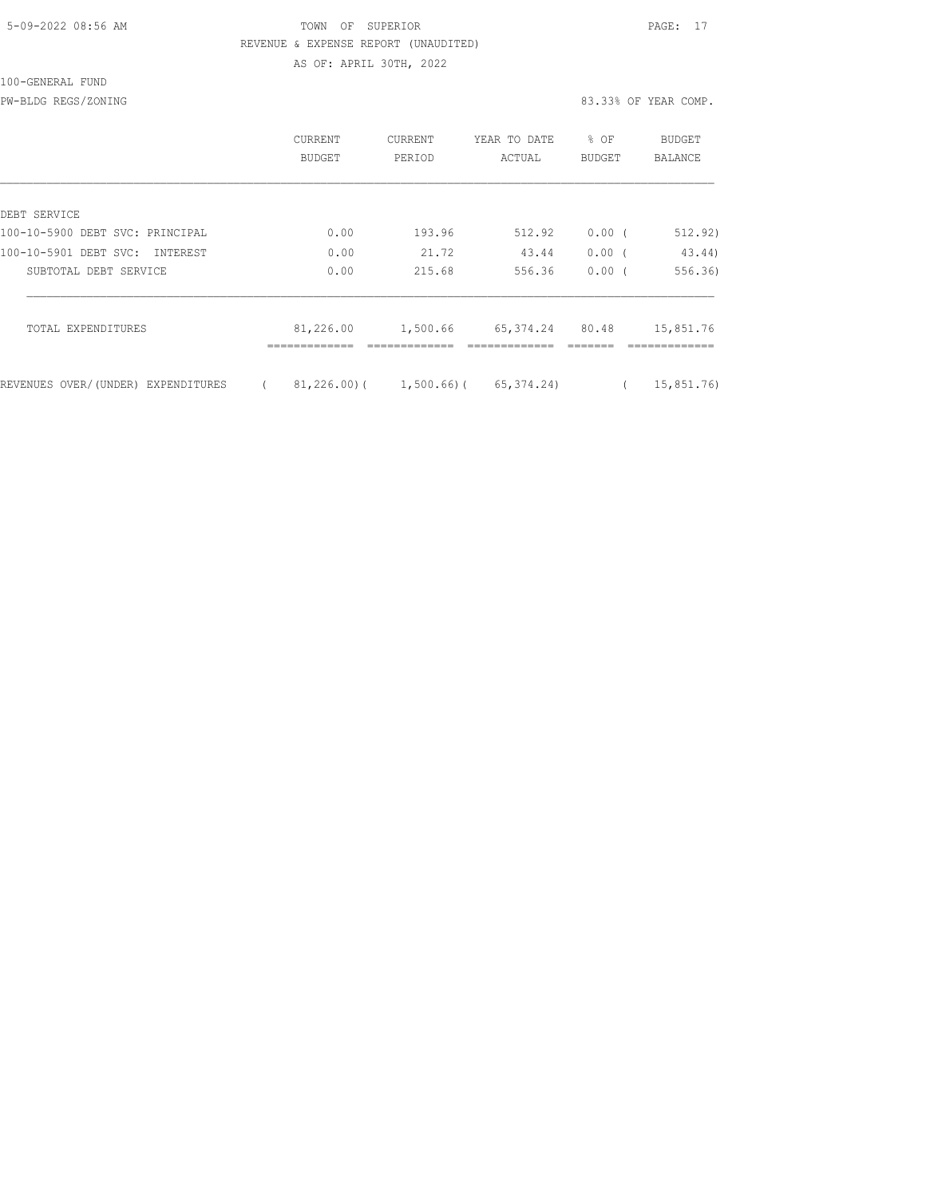## 5-09-2022 08:56 AM TOWN OF SUPERIOR PAGE: 17 REVENUE & EXPENSE REPORT (UNAUDITED) AS OF: APRIL 30TH, 2022

|                                          | CURRENT<br>BUDGET | <b>CURRENT</b><br>PERIOD | YEAR TO DATE<br>ACTUAL                   | % OF<br>BUDGET | <b>BUDGET</b><br><b>BALANCE</b> |
|------------------------------------------|-------------------|--------------------------|------------------------------------------|----------------|---------------------------------|
| DEBT SERVICE                             |                   |                          |                                          |                |                                 |
| 100-10-5900 DEBT SVC: PRINCIPAL          | 0.00              | 193.96                   | 512.92                                   | $0.00$ (       | 512.92)                         |
| 100-10-5901 DEBT SVC:<br><b>TNTEREST</b> | 0.00              | 21.72                    | 43.44                                    | 0.00(          | 43.44)                          |
| SUBTOTAL DEBT SERVICE                    | 0.00              | 215.68                   | 556.36                                   | $0.00$ (       | 556.36)                         |
| TOTAL EXPENDITURES                       | 81,226.00         | 1,500.66                 | 65,374.24                                | 80.48          | 15,851.76                       |
| REVENUES OVER/(UNDER) EXPENDITURES       |                   |                          | $81,226.00$ ( $1,500.66$ ( $65,374.24$ ) |                | 15,851.76                       |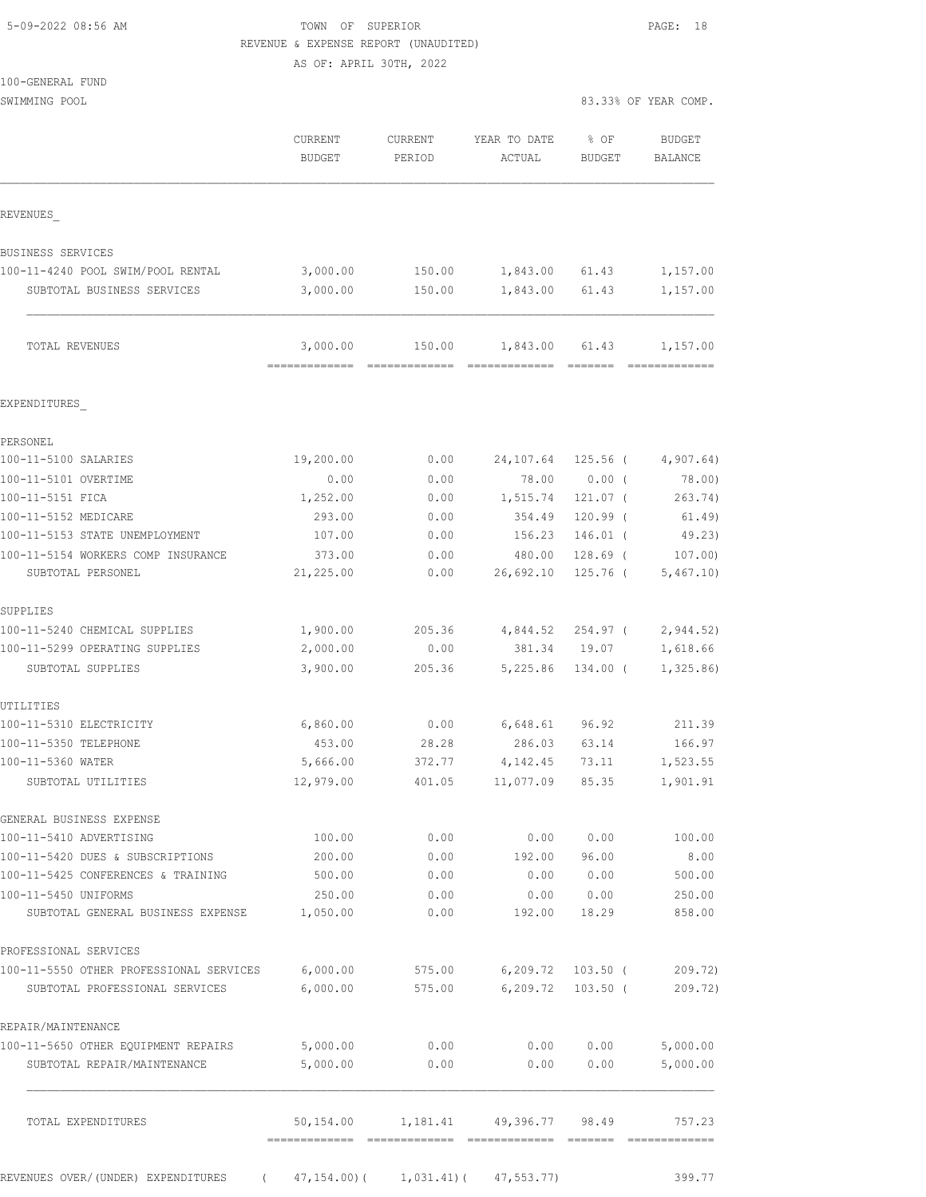| 5-09-2022 08:56 AM |  |
|--------------------|--|
|                    |  |

TOWN OF SUPERIOR **Example 2018** PAGE: 18 REVENUE & EXPENSE REPORT (UNAUDITED)

AS OF: APRIL 30TH, 2022

| 100-GENERAL FUND |  |
|------------------|--|
|                  |  |

SWIMMING POOL 83.33% OF YEAR COMP.

|                                                                 | CURRENT<br><b>BUDGET</b> | CURRENT<br>PERIOD | YEAR TO DATE<br>ACTUAL | % OF<br>BUDGET      | <b>BUDGET</b><br>BALANCE |
|-----------------------------------------------------------------|--------------------------|-------------------|------------------------|---------------------|--------------------------|
| REVENUES                                                        |                          |                   |                        |                     |                          |
| BUSINESS SERVICES                                               |                          |                   |                        |                     |                          |
| 100-11-4240 POOL SWIM/POOL RENTAL                               | 3,000.00                 | 150.00            | 1,843.00 61.43         |                     | 1,157.00                 |
| SUBTOTAL BUSINESS SERVICES                                      | 3,000.00                 | 150.00            | 1,843.00               | 61.43               | 1,157.00                 |
| TOTAL REVENUES                                                  | 3,000.00                 | 150.00            | 1,843.00 61.43         | --------            | 1,157.00                 |
| EXPENDITURES                                                    |                          |                   |                        |                     |                          |
| PERSONEL                                                        |                          |                   |                        |                     |                          |
| 100-11-5100 SALARIES                                            | 19,200.00                | 0.00              | 24,107.64              | $125.56$ (          | 4,907.64)                |
| 100-11-5101 OVERTIME                                            | 0.00                     | 0.00              | 78.00                  | $0.00$ (            | 78.00)                   |
| 100-11-5151 FICA                                                | 1,252.00                 | 0.00              | 1,515.74               | 121.07 (            | 263.74)                  |
| 100-11-5152 MEDICARE                                            | 293.00                   | 0.00              | 354.49                 | $120.99$ (          | 61.49)                   |
| 100-11-5153 STATE UNEMPLOYMENT                                  | 107.00                   | 0.00              | 156.23                 | $146.01$ (          | 49.23)                   |
| 100-11-5154 WORKERS COMP INSURANCE                              | 373.00                   | 0.00              | 480.00                 | $128.69$ (          | 107.00                   |
| SUBTOTAL PERSONEL                                               | 21,225.00                | 0.00              | 26,692.10              | 125.76 (            | 5,467.10)                |
| SUPPLIES                                                        |                          |                   |                        |                     |                          |
| 100-11-5240 CHEMICAL SUPPLIES<br>100-11-5299 OPERATING SUPPLIES | 1,900.00                 | 205.36            | 4,844.52               | 254.97 (            | 2,944.52)                |
| SUBTOTAL SUPPLIES                                               | 2,000.00<br>3,900.00     | 0.00<br>205.36    | 381.34<br>5,225.86     | 19.07<br>$134.00$ ( | 1,618.66<br>1,325.86     |
| UTILITIES                                                       |                          |                   |                        |                     |                          |
| 100-11-5310 ELECTRICITY                                         | 6,860.00                 | 0.00              | 6,648.61               | 96.92               | 211.39                   |
| 100-11-5350 TELEPHONE                                           | 453.00                   | 28.28             | 286.03                 | 63.14               | 166.97                   |
| 100-11-5360 WATER                                               | 5,666.00                 | 372.77            | 4,142.45               | 73.11               | 1,523.55                 |
| SUBTOTAL UTILITIES                                              | 12,979.00                | 401.05            | 11,077.09              | 85.35               | 1,901.91                 |
| GENERAL BUSINESS EXPENSE                                        |                          |                   |                        |                     |                          |
| 100-11-5410 ADVERTISING                                         | 100.00                   | 0.00              | 0.00                   | 0.00                | 100.00                   |
| 100-11-5420 DUES & SUBSCRIPTIONS                                | 200.00<br>500.00         | 0.00              | 192.00                 | 96.00               | 8.00                     |
| 100-11-5425 CONFERENCES & TRAINING<br>100-11-5450 UNIFORMS      |                          | 0.00              | 0.00                   | 0.00                | 500.00<br>250.00         |
| SUBTOTAL GENERAL BUSINESS EXPENSE                               | 250.00<br>1,050.00       | 0.00<br>0.00      | 0.00<br>192.00         | 0.00<br>18.29       | 858.00                   |
| PROFESSIONAL SERVICES                                           |                          |                   |                        |                     |                          |
| 100-11-5550 OTHER PROFESSIONAL SERVICES                         | 6,000.00                 | 575.00            |                        | $6,209.72$ 103.50 ( | 209.72)                  |
| SUBTOTAL PROFESSIONAL SERVICES                                  | 6,000.00                 | 575.00            | 6,209.72               | $103.50$ (          | 209.72)                  |
| REPAIR/MAINTENANCE                                              |                          |                   |                        |                     |                          |
| 100-11-5650 OTHER EQUIPMENT REPAIRS                             | 5,000.00                 | 0.00              | 0.00                   | 0.00                | 5,000.00                 |
| SUBTOTAL REPAIR/MAINTENANCE                                     | 5,000.00                 | 0.00              | 0.00                   | 0.00                | 5,000.00                 |
| TOTAL EXPENDITURES                                              | 50,154.00                | 1,181.41          | 49,396.77 98.49        |                     | 757.23                   |
|                                                                 |                          |                   |                        |                     |                          |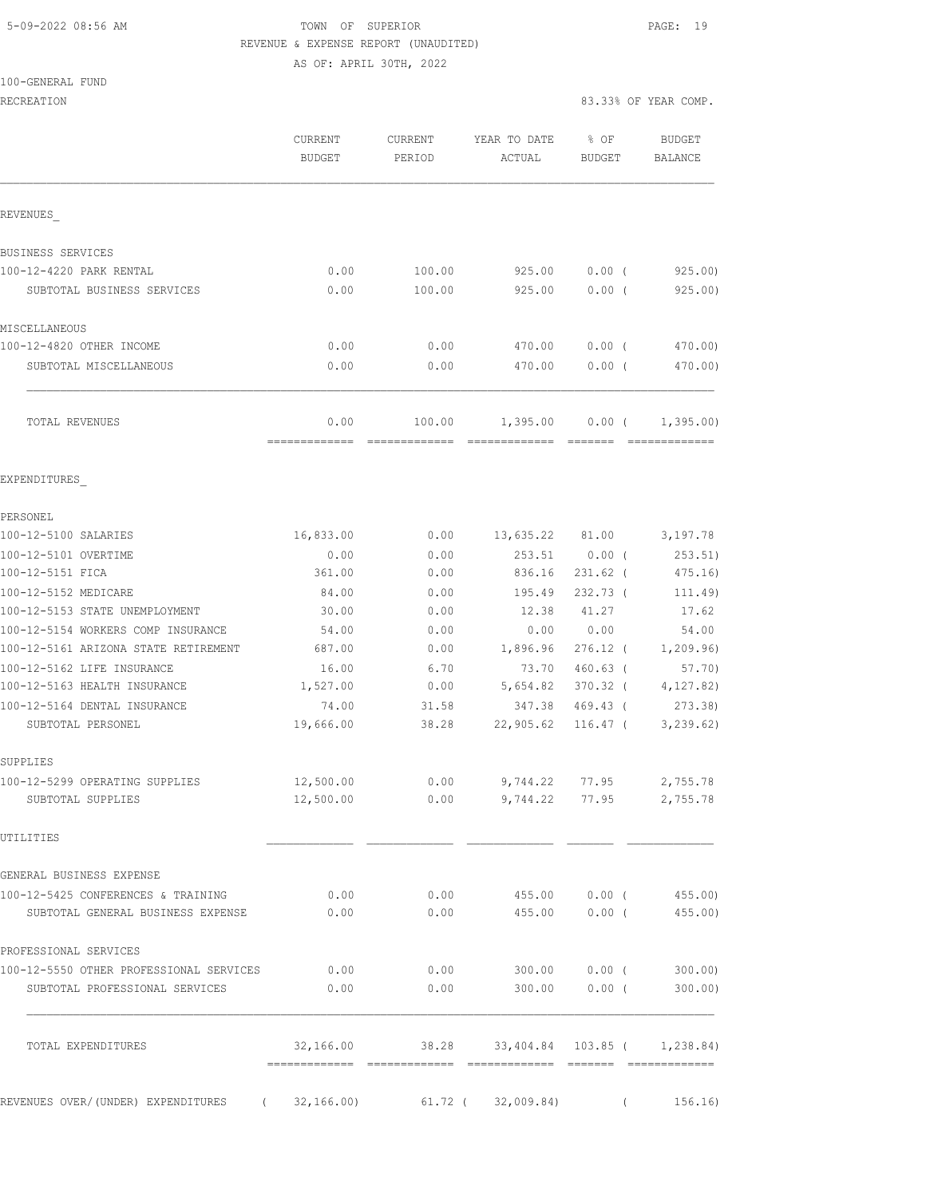# 5-09-2022 08:56 AM TOWN OF SUPERIOR PAGE: 19 REVENUE & EXPENSE REPORT (UNAUDITED)

AS OF: APRIL 30TH, 2022

|                                                                           | CURRENT<br><b>BUDGET</b> | CURRENT<br>PERIOD       | YEAR TO DATE<br>ACTUAL                       | % OF<br><b>BUDGET</b> | <b>BUDGET</b><br><b>BALANCE</b> |
|---------------------------------------------------------------------------|--------------------------|-------------------------|----------------------------------------------|-----------------------|---------------------------------|
| REVENUES                                                                  |                          |                         |                                              |                       |                                 |
| BUSINESS SERVICES                                                         |                          |                         |                                              |                       |                                 |
| 100-12-4220 PARK RENTAL                                                   | 0.00                     | 100.00                  | 925.00                                       | $0.00$ (              | 925.00                          |
| SUBTOTAL BUSINESS SERVICES                                                | 0.00                     | 100.00                  | 925.00                                       | 0.00(                 | 925.00                          |
| MISCELLANEOUS                                                             |                          |                         |                                              |                       |                                 |
| 100-12-4820 OTHER INCOME                                                  | 0.00                     | 0.00                    | 470.00                                       | $0.00$ (              | 470.00)                         |
| SUBTOTAL MISCELLANEOUS                                                    | 0.00                     | 0.00                    | 470.00                                       | 0.00(                 | 470.00)                         |
| TOTAL REVENUES                                                            | 0.00<br>=============    | 100.00<br>============= | 1,395.00                                     | $0.00$ (              | 1,395.00<br><b>ERRESTEREDE</b>  |
| EXPENDITURES                                                              |                          |                         |                                              |                       |                                 |
| PERSONEL                                                                  |                          |                         |                                              |                       |                                 |
| 100-12-5100 SALARIES                                                      | 16,833.00                | 0.00                    | 13,635.22 81.00                              |                       | 3,197.78                        |
| 100-12-5101 OVERTIME                                                      | 0.00                     | 0.00                    | 253.51                                       | $0.00$ (              | 253.51)                         |
| 100-12-5151 FICA                                                          | 361.00                   | 0.00                    | 836.16                                       | $231.62$ (            | 475.16)                         |
| 100-12-5152 MEDICARE                                                      | 84.00                    | 0.00                    | 195.49                                       | $232.73$ (            | 111.49)                         |
| 100-12-5153 STATE UNEMPLOYMENT                                            | 30.00                    | 0.00                    | 12.38                                        | 41.27                 | 17.62                           |
| 100-12-5154 WORKERS COMP INSURANCE                                        | 54.00                    | 0.00                    | 0.00                                         | 0.00                  | 54.00                           |
| 100-12-5161 ARIZONA STATE RETIREMENT                                      | 687.00                   | 0.00                    | 1,896.96                                     | $276.12$ (            | 1,209.96)                       |
| 100-12-5162 LIFE INSURANCE                                                | 16.00                    | 6.70                    | 73.70                                        | $460.63$ (            | 57.70                           |
| 100-12-5163 HEALTH INSURANCE                                              | 1,527.00                 | 0.00                    | 5,654.82                                     | $370.32$ (            | 4, 127.82                       |
| 100-12-5164 DENTAL INSURANCE                                              | 74.00                    | 31.58                   | 347.38                                       | $469.43$ (            | 273.38                          |
| SUBTOTAL PERSONEL                                                         | 19,666.00                | 38.28                   | 22,905.62                                    | $116.47$ (            | 3, 239.62)                      |
| SUPPLIES                                                                  |                          |                         |                                              |                       |                                 |
| 100-12-5299 OPERATING SUPPLIES                                            | 12,500.00                | 0.00                    | 9,744.22                                     | 77.95                 | 2,755.78                        |
| SUBTOTAL SUPPLIES                                                         | 12,500.00                | 0.00                    | 9,744.22 77.95                               |                       | 2,755.78                        |
| UTILITIES                                                                 |                          |                         |                                              |                       |                                 |
| GENERAL BUSINESS EXPENSE                                                  |                          |                         |                                              |                       |                                 |
| 100-12-5425 CONFERENCES & TRAINING                                        | 0.00                     |                         | $0.00$ 455.00 0.00 (455.00)                  |                       |                                 |
| SUBTOTAL GENERAL BUSINESS EXPENSE                                         | 0.00                     |                         | $0.00$ 455.00 0.00 (455.00)                  |                       |                                 |
| PROFESSIONAL SERVICES                                                     |                          |                         |                                              |                       |                                 |
| 100-12-5550 OTHER PROFESSIONAL SERVICES                                   | 0.00                     |                         | $0.00$ 300.00 0.00 (300.00)                  |                       |                                 |
| SUBTOTAL PROFESSIONAL SERVICES                                            | 0.00                     | 0.00                    | $300.00$ 0.00 (                              |                       | 300.00                          |
| TOTAL EXPENDITURES                                                        |                          |                         | 32,166.00 38.28 33,404.84 103.85 ( 1,238.84) |                       |                                 |
| REVENUES OVER/(UNDER) EXPENDITURES (32,166.00) 61.72 (32,009.84) (156.16) |                          |                         |                                              |                       |                                 |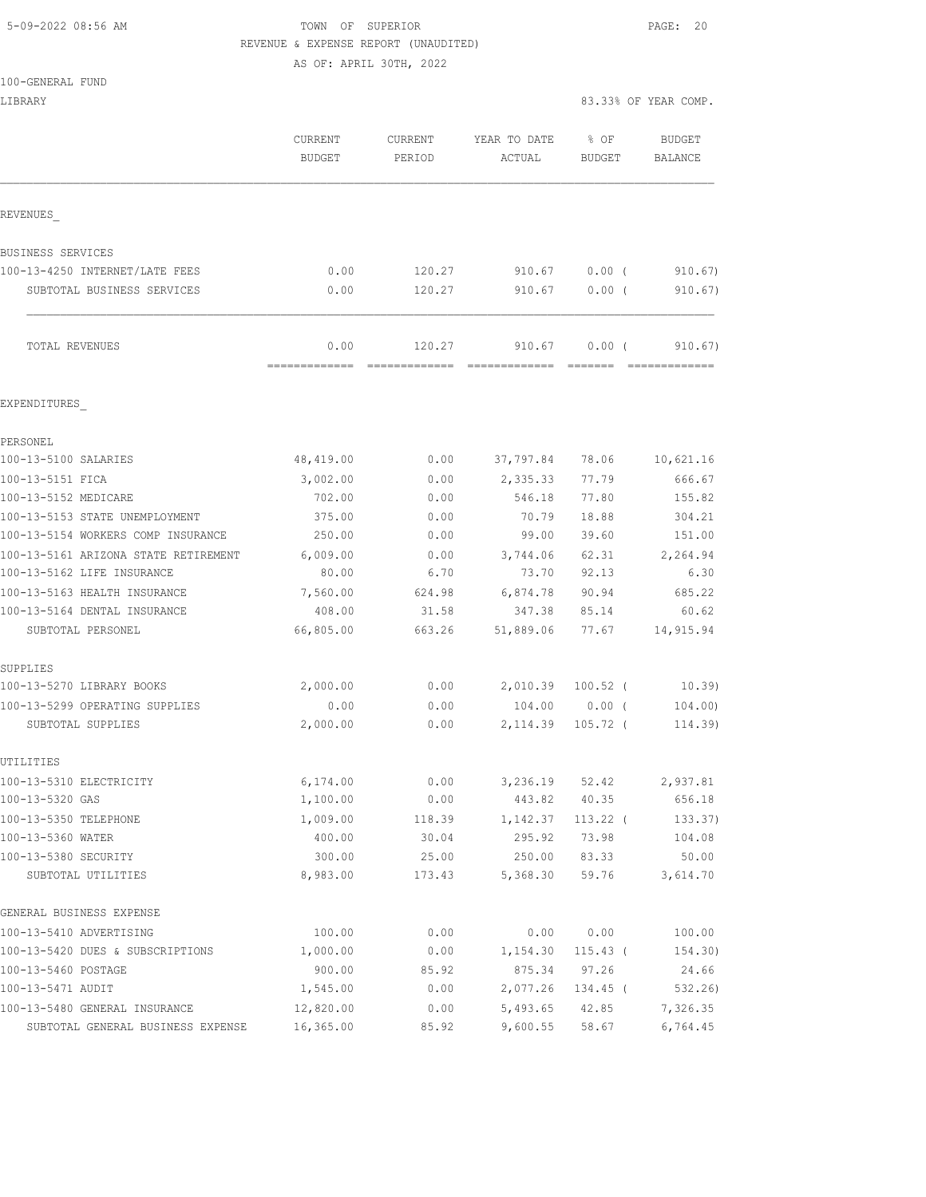# 5-09-2022 08:56 AM TOWN OF SUPERIOR PAGE: 20 REVENUE & EXPENSE REPORT (UNAUDITED)

AS OF: APRIL 30TH, 2022

| 100-GENERAL FUND                           |                          |                   |                        |                |                          |
|--------------------------------------------|--------------------------|-------------------|------------------------|----------------|--------------------------|
| LIBRARY                                    |                          |                   |                        |                | 83.33% OF YEAR COMP.     |
|                                            | CURRENT<br><b>BUDGET</b> | CURRENT<br>PERIOD | YEAR TO DATE<br>ACTUAL | % OF<br>BUDGET | BUDGET<br><b>BALANCE</b> |
| REVENUES                                   |                          |                   |                        |                |                          |
| BUSINESS SERVICES                          |                          |                   |                        |                |                          |
| 100-13-4250 INTERNET/LATE FEES             | 0.00                     | 120.27            | 910.67                 | $0.00$ (       | 910.67                   |
| SUBTOTAL BUSINESS SERVICES                 | 0.00                     | 120.27            | 910.67                 | $0.00$ (       | 910.67)                  |
| TOTAL REVENUES                             | 0.00                     | 120.27            | 910.67                 | 0.00(          | 910.67)                  |
| EXPENDITURES                               |                          |                   |                        |                |                          |
| PERSONEL                                   |                          |                   |                        |                |                          |
| 100-13-5100 SALARIES                       | 48,419.00                | 0.00              | 37,797.84              | 78.06          | 10,621.16                |
| 100-13-5151 FICA                           | 3,002.00                 | 0.00              | 2,335.33               | 77.79          | 666.67                   |
| 100-13-5152 MEDICARE                       | 702.00                   | 0.00              | 546.18                 | 77.80          | 155.82                   |
| 100-13-5153 STATE UNEMPLOYMENT             | 375.00                   | 0.00              | 70.79                  | 18.88          | 304.21                   |
| 100-13-5154 WORKERS COMP INSURANCE         | 250.00                   | 0.00              | 99.00                  | 39.60          | 151.00                   |
| 100-13-5161 ARIZONA STATE RETIREMENT       | 6,009.00                 | 0.00              | 3,744.06               | 62.31          | 2,264.94                 |
| 100-13-5162 LIFE INSURANCE                 | 80.00                    | 6.70              | 73.70                  | 92.13          | 6.30                     |
| 100-13-5163 HEALTH INSURANCE               | 7,560.00                 | 624.98            | 6,874.78               | 90.94          | 685.22                   |
| 100-13-5164 DENTAL INSURANCE               | 408.00                   | 31.58             | 347.38                 | 85.14          | 60.62                    |
| SUBTOTAL PERSONEL                          | 66,805.00                | 663.26            | 51,889.06              | 77.67          | 14,915.94                |
| SUPPLIES                                   |                          |                   |                        |                |                          |
| 100-13-5270 LIBRARY BOOKS                  | 2,000.00                 | 0.00              | 2,010.39               | $100.52$ (     | 10.39)                   |
| 100-13-5299 OPERATING SUPPLIES             | 0.00                     | 0.00              | 104.00                 | 0.00(          | 104.00)                  |
| SUBTOTAL SUPPLIES                          | 2,000.00                 | 0.00              | 2,114.39               | $105.72$ (     | 114.39)                  |
| UTILITIES                                  |                          |                   |                        |                |                          |
| 100-13-5310 ELECTRICITY                    | 6,174.00                 | 0.00              | 3,236.19               | 52.42          | 2,937.81                 |
| 100-13-5320 GAS                            | 1,100.00                 | 0.00              | 443.82                 | 40.35          | 656.18                   |
| 100-13-5350 TELEPHONE                      | 1,009.00                 | 118.39            | 1,142.37               | $113.22$ (     | 133.37)                  |
| 100-13-5360 WATER                          | 400.00                   | 30.04             | 295.92                 | 73.98          | 104.08                   |
| 100-13-5380 SECURITY<br>SUBTOTAL UTILITIES | 300.00<br>8,983.00       | 25.00<br>173.43   | 250.00<br>5,368.30     | 83.33<br>59.76 | 50.00<br>3,614.70        |
| GENERAL BUSINESS EXPENSE                   |                          |                   |                        |                |                          |
| 100-13-5410 ADVERTISING                    | 100.00                   | 0.00              | 0.00                   | 0.00           | 100.00                   |
| 100-13-5420 DUES & SUBSCRIPTIONS           | 1,000.00                 | 0.00              | 1,154.30               | $115.43$ (     | 154.30)                  |
| 100-13-5460 POSTAGE                        | 900.00                   | 85.92             | 875.34                 | 97.26          | 24.66                    |
| 100-13-5471 AUDIT                          | 1,545.00                 | 0.00              | 2,077.26               | 134.45 (       | 532.26)                  |
| 100-13-5480 GENERAL INSURANCE              | 12,820.00                | 0.00              | 5,493.65               | 42.85          | 7,326.35                 |
| SUBTOTAL GENERAL BUSINESS EXPENSE          | 16,365.00                | 85.92             | 9,600.55               | 58.67          | 6,764.45                 |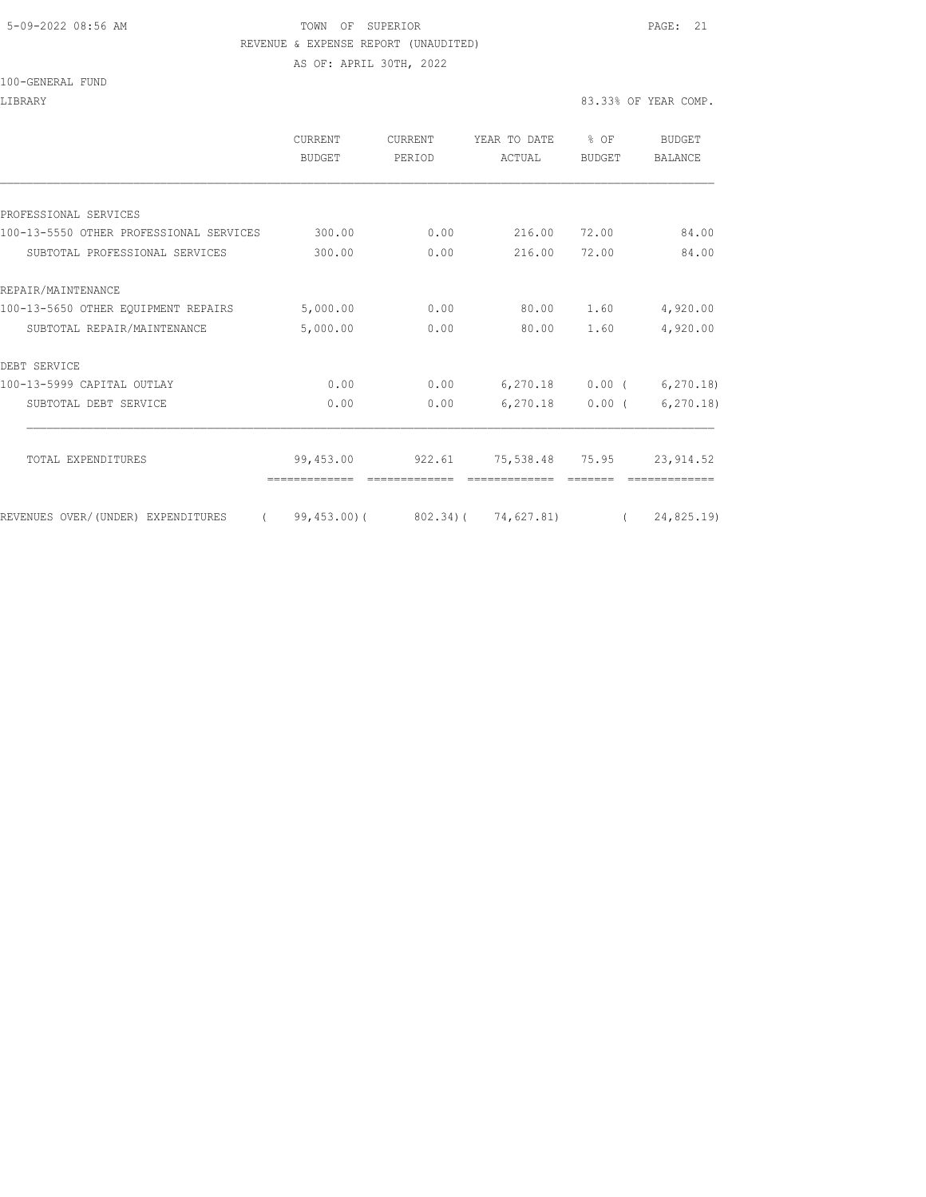#### 5-09-2022 08:56 AM TOWN OF SUPERIOR PAGE: 21 REVENUE & EXPENSE REPORT (UNAUDITED)

AS OF: APRIL 30TH, 2022

#### 100-GENERAL FUND

#### LIBRARY 83.33% OF YEAR COMP.

|                                         | <b>CURRENT</b><br>BUDGET | CURRENT<br>PERIOD | YEAR TO DATE<br>ACTUAL                                  | % OF<br>BUDGET    | <b>BUDGET</b><br><b>BALANCE</b> |
|-----------------------------------------|--------------------------|-------------------|---------------------------------------------------------|-------------------|---------------------------------|
|                                         |                          |                   |                                                         |                   |                                 |
| PROFESSIONAL SERVICES                   |                          |                   |                                                         |                   |                                 |
| 100-13-5550 OTHER PROFESSIONAL SERVICES | 300.00                   | 0.00              | 216.00                                                  | 72.00             | 84.00                           |
| SUBTOTAL PROFESSIONAL SERVICES          | 300.00                   | 0.00              | 216.00                                                  | 72.00             | 84.00                           |
| REPAIR/MAINTENANCE                      |                          |                   |                                                         |                   |                                 |
| 100-13-5650 OTHER EQUIPMENT REPAIRS     | 5,000.00                 | 0.00              | 80.00                                                   | 1.60              | 4,920.00                        |
| SUBTOTAL REPAIR/MAINTENANCE             | 5,000.00                 | 0.00              | 80.00                                                   | 1.60              | 4,920.00                        |
| DEBT SERVICE                            |                          |                   |                                                         |                   |                                 |
| 100-13-5999 CAPITAL OUTLAY              | 0.00                     | 0.00              |                                                         | $6,270.18$ 0.00 ( | 6, 270.18                       |
| SUBTOTAL DEBT SERVICE                   | 0.00                     | 0.00              |                                                         | $6,270.18$ 0.00 ( | 6, 270.18                       |
| TOTAL EXPENDITURES                      | 99,453.00                | 922.61            | 75,538.48 75.95                                         |                   | 23, 914.52                      |
|                                         |                          |                   |                                                         |                   |                                 |
| REVENUES OVER/(UNDER) EXPENDITURES      |                          |                   | $(99, 453.00)$ $(802.34)$ $(74, 627.81)$ $(24, 825.19)$ |                   |                                 |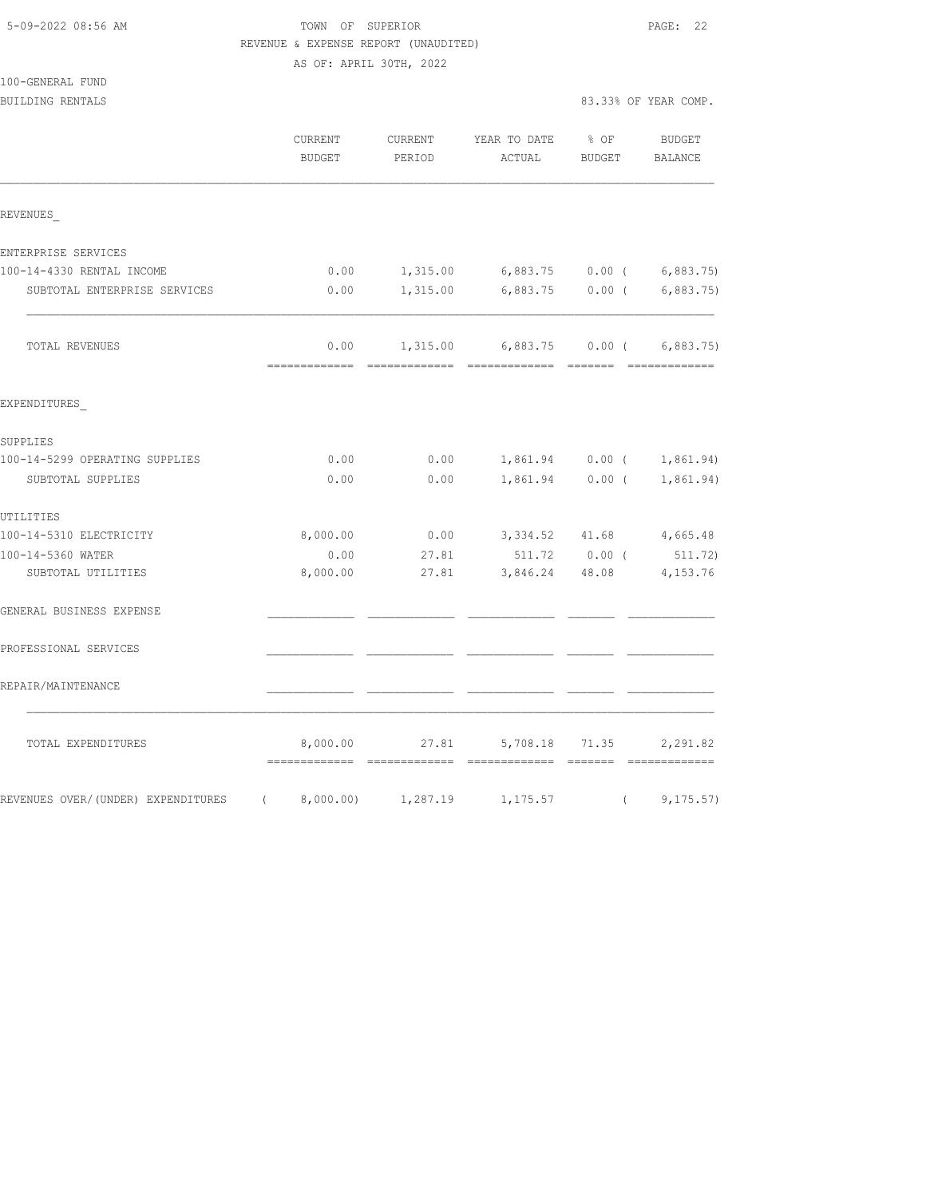# TOWN OF SUPERIOR **EXECUTERIOR** PAGE: 22 REVENUE & EXPENSE REPORT (UNAUDITED)

|          | AS OF: APRIL 30TH, 2022 |        |                                                                        |                                                                                                                                                                                                                                                                                                                   |  |
|----------|-------------------------|--------|------------------------------------------------------------------------|-------------------------------------------------------------------------------------------------------------------------------------------------------------------------------------------------------------------------------------------------------------------------------------------------------------------|--|
|          |                         |        |                                                                        |                                                                                                                                                                                                                                                                                                                   |  |
|          |                         |        |                                                                        | 83.33% OF YEAR COMP.                                                                                                                                                                                                                                                                                              |  |
|          |                         |        |                                                                        | BUDGET                                                                                                                                                                                                                                                                                                            |  |
| BUDGET   | PERIOD                  | ACTUAL |                                                                        |                                                                                                                                                                                                                                                                                                                   |  |
|          |                         |        |                                                                        |                                                                                                                                                                                                                                                                                                                   |  |
|          |                         |        |                                                                        |                                                                                                                                                                                                                                                                                                                   |  |
| 0.00     |                         |        |                                                                        |                                                                                                                                                                                                                                                                                                                   |  |
| 0.00     |                         |        |                                                                        |                                                                                                                                                                                                                                                                                                                   |  |
| 0.00     |                         |        |                                                                        |                                                                                                                                                                                                                                                                                                                   |  |
|          |                         |        |                                                                        |                                                                                                                                                                                                                                                                                                                   |  |
|          |                         |        |                                                                        |                                                                                                                                                                                                                                                                                                                   |  |
| 0.00     |                         |        |                                                                        |                                                                                                                                                                                                                                                                                                                   |  |
| 0.00     |                         |        |                                                                        |                                                                                                                                                                                                                                                                                                                   |  |
|          |                         |        |                                                                        |                                                                                                                                                                                                                                                                                                                   |  |
| 8,000.00 |                         |        |                                                                        |                                                                                                                                                                                                                                                                                                                   |  |
| 0.00     |                         |        |                                                                        |                                                                                                                                                                                                                                                                                                                   |  |
| 8,000.00 |                         |        |                                                                        |                                                                                                                                                                                                                                                                                                                   |  |
|          |                         |        |                                                                        |                                                                                                                                                                                                                                                                                                                   |  |
|          |                         |        |                                                                        |                                                                                                                                                                                                                                                                                                                   |  |
|          |                         |        |                                                                        |                                                                                                                                                                                                                                                                                                                   |  |
|          | CURRENT                 |        | KEVENUE & EXPENSE KEPORT (UNAUDITED)<br>0.00<br>0.00<br>27.81<br>27.81 | CURRENT YEAR TO DATE % OF<br>BUDGET BALANCE<br>1,315.00 6,883.75 0.00 ( 6,883.75)<br>1,315.00 6,883.75 0.00 (6,883.75)<br>1,315.00 6,883.75 0.00 ( 6,883.75)<br>1,861.94 0.00 ( 1,861.94)<br>1,861.94 0.00 ( 1,861.94)<br>$0.00$ $3,334.52$ $41.68$ $4,665.48$<br>511.72 0.00 (511.72)<br>3,846.24 48.08 4,153.76 |  |

| TOTAL EXPENDITURES                 |                      | 8,000.00 | 27.81              | 5,708.18 71.35 | 2,291.82  |
|------------------------------------|----------------------|----------|--------------------|----------------|-----------|
| REVENUES OVER/(UNDER) EXPENDITURES | $\sim$ $\sim$ $\sim$ |          | 8,000.00) 1,287.19 | 1,175.57       | 9, 175.57 |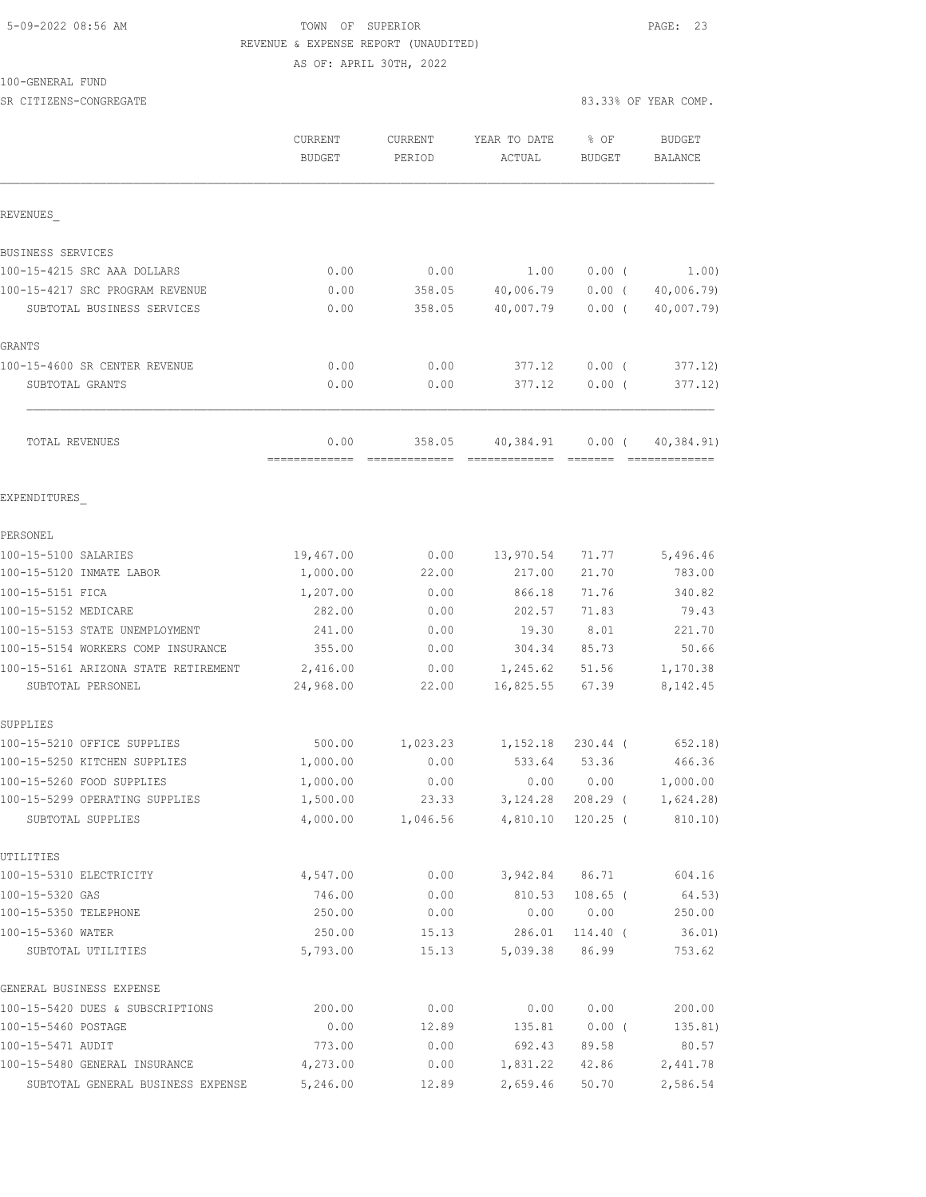# 5-09-2022 08:56 AM TOWN OF SUPERIOR PAGE: 23 REVENUE & EXPENSE REPORT (UNAUDITED) AS OF: APRIL 30TH, 2022

100-GENERAL FUND

SR CITIZENS-CONGREGATE 83.33% OF YEAR COMP.

|                                         | CURRENT<br><b>BUDGET</b> | CURRENT<br>PERIOD | YEAR TO DATE<br>ACTUAL | % OF<br>BUDGET    | <b>BUDGET</b><br>BALANCE |
|-----------------------------------------|--------------------------|-------------------|------------------------|-------------------|--------------------------|
| REVENUES                                |                          |                   |                        |                   |                          |
| <b>BUSINESS SERVICES</b>                |                          |                   |                        |                   |                          |
| 100-15-4215 SRC AAA DOLLARS             | 0.00                     | 0.00              | 1.00                   | $0.00$ (          | 1.00)                    |
| 100-15-4217 SRC PROGRAM REVENUE         | 0.00                     | 358.05            | 40,006.79              | $0.00$ (          | 40,006.79)               |
| SUBTOTAL BUSINESS SERVICES              | 0.00                     | 358.05            | 40,007.79              | $0.00$ (          | 40,007.79)               |
| GRANTS                                  |                          |                   |                        |                   |                          |
| 100-15-4600 SR CENTER REVENUE           | 0.00                     | 0.00              | 377.12                 | $0.00$ (          | 377.12)                  |
| SUBTOTAL GRANTS                         | 0.00                     | 0.00              | 377.12                 | 0.00(             | 377.12)                  |
| TOTAL REVENUES                          | 0.00                     | 358.05            | 40,384.91              | $0.00$ (          | 40,384.91)               |
| EXPENDITURES                            |                          |                   |                        |                   |                          |
| PERSONEL                                |                          |                   |                        |                   |                          |
| 100-15-5100 SALARIES                    | 19,467.00                | 0.00              | 13,970.54              | 71.77             | 5,496.46                 |
| 100-15-5120 INMATE LABOR                | 1,000.00                 | 22.00             | 217.00                 | 21.70             | 783.00                   |
| 100-15-5151 FICA                        | 1,207.00                 | 0.00              | 866.18                 | 71.76             | 340.82                   |
| 100-15-5152 MEDICARE                    | 282.00                   | 0.00              | 202.57                 | 71.83             | 79.43                    |
| 100-15-5153 STATE UNEMPLOYMENT          | 241.00                   | 0.00              | 19.30                  | 8.01              | 221.70                   |
| 100-15-5154 WORKERS COMP INSURANCE      | 355.00                   | 0.00              | 304.34                 | 85.73             | 50.66                    |
| 100-15-5161 ARIZONA STATE RETIREMENT    | 2,416.00                 | 0.00              | 1,245.62               | 51.56             | 1,170.38                 |
| SUBTOTAL PERSONEL                       | 24,968.00                | 22.00             | 16,825.55              | 67.39             | 8,142.45                 |
| SUPPLIES                                |                          |                   |                        |                   |                          |
| 100-15-5210 OFFICE SUPPLIES             | 500.00                   | 1,023.23          | 1,152.18               | $230.44$ (        | 652, 18)                 |
| 100-15-5250 KITCHEN SUPPLIES            | 1,000.00                 | 0.00              | 533.64                 | 53.36             | 466.36                   |
| 100-15-5260 FOOD SUPPLIES               | 1,000.00                 | 0.00              | 0.00                   | 0.00              | 1,000.00                 |
| 100-15-5299 OPERATING SUPPLIES          | 1,500.00                 | 23.33             | 3, 124.28              | 208.29 (          | 1,624.28)                |
| SUBTOTAL SUPPLIES                       | 4,000.00                 | 1,046.56          | 4,810.10               | $120.25$ (        | 810.10)                  |
| UTILITIES                               |                          |                   |                        |                   |                          |
| 100-15-5310 ELECTRICITY                 | 4,547.00                 | 0.00              | 3,942.84               | 86.71             | 604.16                   |
| 100-15-5320 GAS                         | 746.00                   | 0.00              | 810.53                 | $108.65$ (        | 64.53)                   |
| 100-15-5350 TELEPHONE                   | 250.00                   | 0.00              | 0.00                   | 0.00              | 250.00                   |
| 100-15-5360 WATER<br>SUBTOTAL UTILITIES | 250.00<br>5,793.00       | 15.13<br>15.13    | 286.01<br>5,039.38     | 114.40 (<br>86.99 | 36.01)<br>753.62         |
| GENERAL BUSINESS EXPENSE                |                          |                   |                        |                   |                          |
| 100-15-5420 DUES & SUBSCRIPTIONS        | 200.00                   | 0.00              | 0.00                   | 0.00              | 200.00                   |
| 100-15-5460 POSTAGE                     | 0.00                     | 12.89             | 135.81                 | $0.00$ (          | 135.81)                  |
| 100-15-5471 AUDIT                       | 773.00                   | 0.00              | 692.43                 | 89.58             | 80.57                    |
| 100-15-5480 GENERAL INSURANCE           | 4,273.00                 | 0.00              | 1,831.22               | 42.86             | 2,441.78                 |
| SUBTOTAL GENERAL BUSINESS EXPENSE       | 5,246.00                 | 12.89             | 2,659.46               | 50.70             | 2,586.54                 |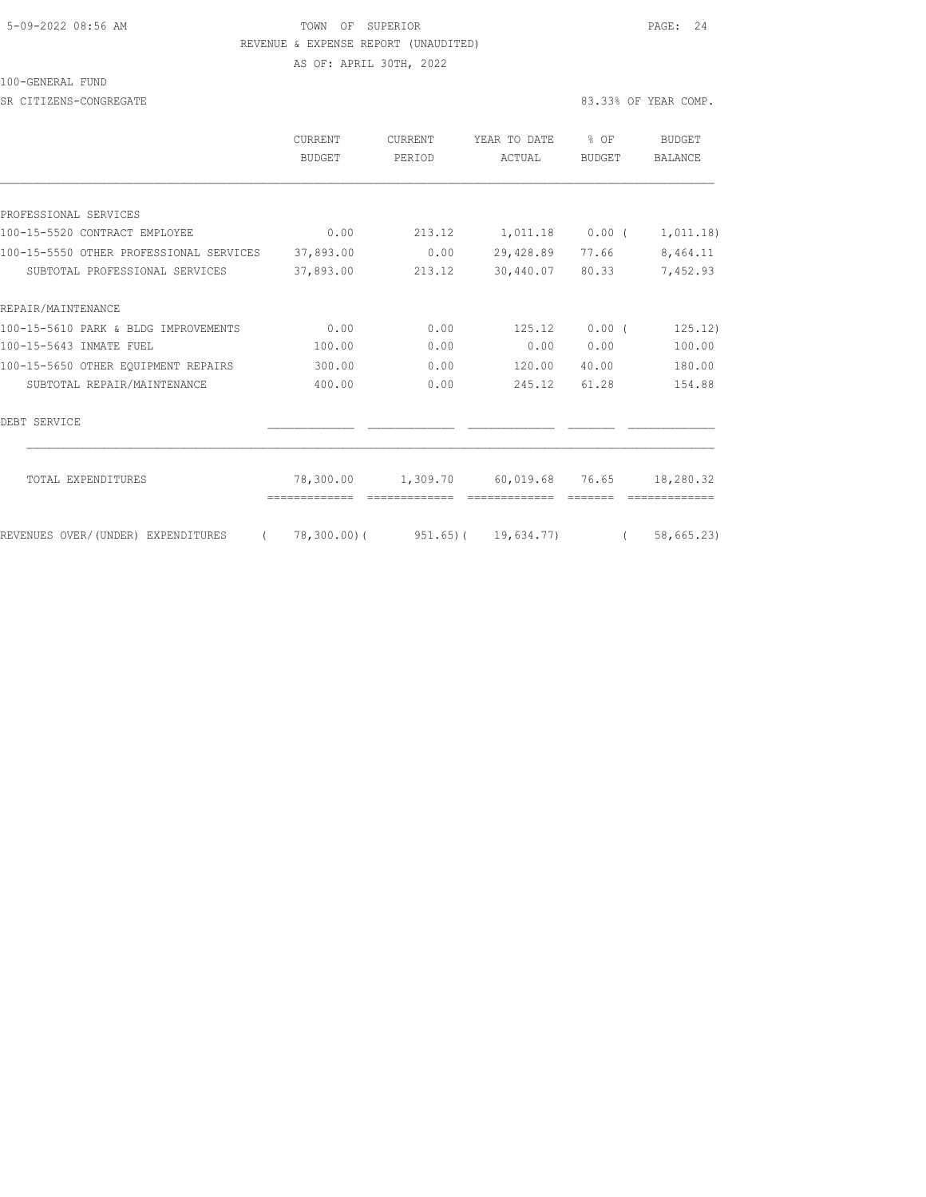## 5-09-2022 08:56 AM TOWN OF SUPERIOR PAGE: 24 REVENUE & EXPENSE REPORT (UNAUDITED) AS OF: APRIL 30TH, 2022

100-GENERAL FUND

SR CITIZENS-CONGREGATE 83.33% OF YEAR COMP.

|                                                   | <b>CURRENT</b><br><b>BUDGET</b> | CURRENT<br>PERIOD | YEAR TO DATE<br>ACTUAL                               | $8$ OF<br><b>BUDGET</b> | <b>BUDGET</b><br><b>BALANCE</b> |
|---------------------------------------------------|---------------------------------|-------------------|------------------------------------------------------|-------------------------|---------------------------------|
|                                                   |                                 |                   |                                                      |                         |                                 |
| PROFESSIONAL SERVICES                             |                                 |                   |                                                      |                         |                                 |
| 100-15-5520 CONTRACT EMPLOYEE                     | 0.00                            | 213.12            | 1,011.18 0.00 (                                      |                         | 1,011.18)                       |
| 100-15-5550 OTHER PROFESSIONAL SERVICES 37,893.00 |                                 | 0.00              | 29,428.89                                            | 77.66                   | 8,464.11                        |
| SUBTOTAL PROFESSIONAL SERVICES                    | 37,893.00                       | 213.12            | 30,440.07 80.33                                      |                         | 7,452.93                        |
| REPAIR/MAINTENANCE                                |                                 |                   |                                                      |                         |                                 |
| 100-15-5610 PARK & BLDG IMPROVEMENTS              | 0.00                            | 0.00              | 125.12                                               | $0.00$ (                | 125.12)                         |
| 100-15-5643 INMATE FUEL                           | 100.00                          | 0.00              | 0.00                                                 | 0.00                    | 100.00                          |
| 100-15-5650 OTHER EQUIPMENT REPAIRS               | 300.00                          | 0.00              | 120.00                                               | 40.00                   | 180.00                          |
| SUBTOTAL REPAIR/MAINTENANCE                       | 400.00                          | 0.00              | 245.12                                               | 61.28                   | 154.88                          |
| DEBT SERVICE                                      |                                 |                   |                                                      |                         |                                 |
| TOTAL EXPENDITURES                                |                                 |                   | 78,300.00  1,309.70  60,019.68  76.65  18,280.32     |                         |                                 |
| REVENUES OVER/(UNDER) EXPENDITURES                |                                 |                   | $(78,300.00)$ $(951.65)$ $(19,634.77)$ $(58,665.23)$ |                         |                                 |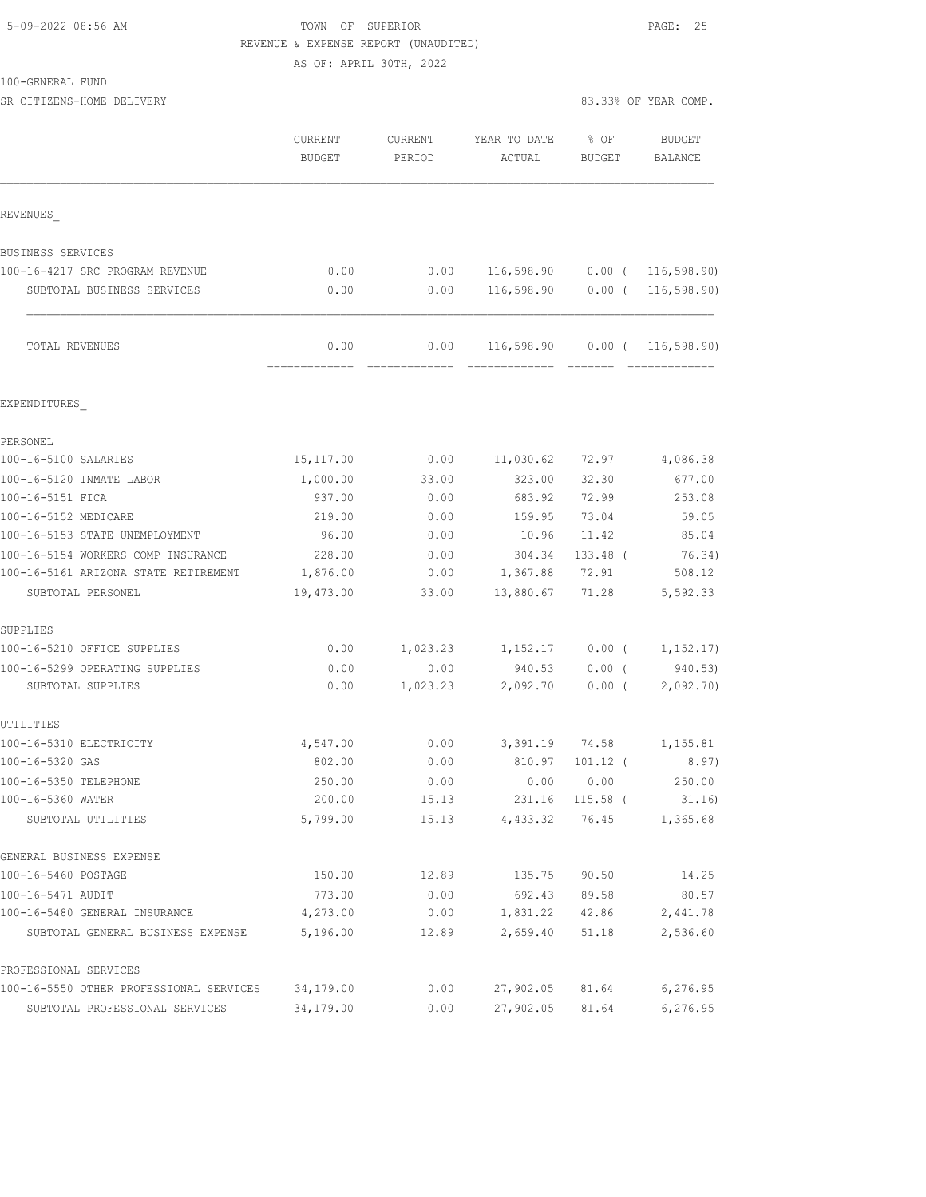# 5-09-2022 08:56 AM TOWN OF SUPERIOR PAGE: 25 REVENUE & EXPENSE REPORT (UNAUDITED)

AS OF: APRIL 30TH, 2022

| 100-GENERAL FUND |  |
|------------------|--|
|------------------|--|

SR CITIZENS-HOME DELIVERY 83.33% OF YEAR COMP.

|                                                           | CURRENT<br><b>BUDGET</b> | <b>CURRENT</b><br>PERIOD | YEAR TO DATE<br>ACTUAL            | % OF<br>BUDGET          | <b>BUDGET</b><br><b>BALANCE</b> |
|-----------------------------------------------------------|--------------------------|--------------------------|-----------------------------------|-------------------------|---------------------------------|
| REVENUES                                                  |                          |                          |                                   |                         |                                 |
| BUSINESS SERVICES                                         |                          |                          |                                   |                         |                                 |
| 100-16-4217 SRC PROGRAM REVENUE                           | 0.00                     | 0.00                     | 116,598.90                        |                         | $0.00$ ( 116,598.90)            |
| SUBTOTAL BUSINESS SERVICES                                | 0.00                     | 0.00                     | 116,598.90                        |                         | $0.00$ ( 116,598.90)            |
| TOTAL REVENUES                                            | 0.00                     | 0.00                     | 116,598.90   0.00   ( 116,598.90) |                         |                                 |
| EXPENDITURES                                              |                          |                          |                                   |                         |                                 |
| PERSONEL                                                  |                          |                          |                                   |                         |                                 |
| 100-16-5100 SALARIES                                      | 15,117.00                | 0.00                     | 11,030.62                         | 72.97                   | 4,086.38                        |
| 100-16-5120 INMATE LABOR                                  | 1,000.00                 | 33.00                    | 323.00                            | 32.30                   | 677.00                          |
| 100-16-5151 FICA                                          | 937.00                   | 0.00                     | 683.92                            | 72.99                   | 253.08                          |
| 100-16-5152 MEDICARE                                      | 219.00                   | 0.00                     | 159.95                            | 73.04                   | 59.05                           |
| 100-16-5153 STATE UNEMPLOYMENT                            | 96.00                    | 0.00                     | 10.96                             | 11.42                   | 85.04                           |
| 100-16-5154 WORKERS COMP INSURANCE                        | 228.00                   | 0.00                     | 304.34                            | 133.48 (                | 76.34)                          |
| 100-16-5161 ARIZONA STATE RETIREMENT<br>SUBTOTAL PERSONEL | 1,876.00<br>19,473.00    | 0.00<br>33.00            | 1,367.88<br>13,880.67             | 72.91<br>71.28          | 508.12<br>5,592.33              |
| SUPPLIES                                                  |                          |                          |                                   |                         |                                 |
| 100-16-5210 OFFICE SUPPLIES                               | 0.00                     | 1,023.23                 | 1,152.17                          | $0.00$ (                | 1, 152.17)                      |
| 100-16-5299 OPERATING SUPPLIES                            | 0.00                     | 0.00                     | 940.53                            | $0.00$ (                | 940.53)                         |
| SUBTOTAL SUPPLIES                                         | 0.00                     | 1,023.23                 | 2,092.70                          | $0.00$ (                | 2,092.70                        |
| UTILITIES                                                 |                          |                          |                                   |                         |                                 |
| 100-16-5310 ELECTRICITY                                   | 4,547.00                 | 0.00                     |                                   | 3,391.19 74.58          | 1,155.81                        |
| 100-16-5320 GAS                                           | 802.00                   | 0.00                     | 810.97                            | $101.12$ (              | 8.97)                           |
| 100-16-5350 TELEPHONE<br>100-16-5360 WATER                | 250.00<br>200.00         | 0.00<br>15.13            | 0.00                              | 0.00<br>231.16 115.58 ( | 250.00<br>31.16                 |
| SUBTOTAL UTILITIES                                        | 5,799.00                 | 15.13                    | 4,433.32                          | 76.45                   | 1,365.68                        |
| GENERAL BUSINESS EXPENSE                                  |                          |                          |                                   |                         |                                 |
| 100-16-5460 POSTAGE                                       | 150.00                   | 12.89                    | 135.75                            | 90.50                   | 14.25                           |
| 100-16-5471 AUDIT                                         | 773.00                   | 0.00                     | 692.43                            | 89.58                   | 80.57                           |
| 100-16-5480 GENERAL INSURANCE                             | 4,273.00                 | 0.00                     | 1,831.22                          | 42.86                   | 2,441.78                        |
| SUBTOTAL GENERAL BUSINESS EXPENSE                         | 5,196.00                 | 12.89                    | 2,659.40                          | 51.18                   | 2,536.60                        |
| PROFESSIONAL SERVICES                                     |                          |                          |                                   |                         |                                 |
| 100-16-5550 OTHER PROFESSIONAL SERVICES                   | 34,179.00                | 0.00                     | 27,902.05                         | 81.64                   | 6, 276.95                       |
| SUBTOTAL PROFESSIONAL SERVICES                            | 34,179.00                | 0.00                     | 27,902.05                         | 81.64                   | 6, 276.95                       |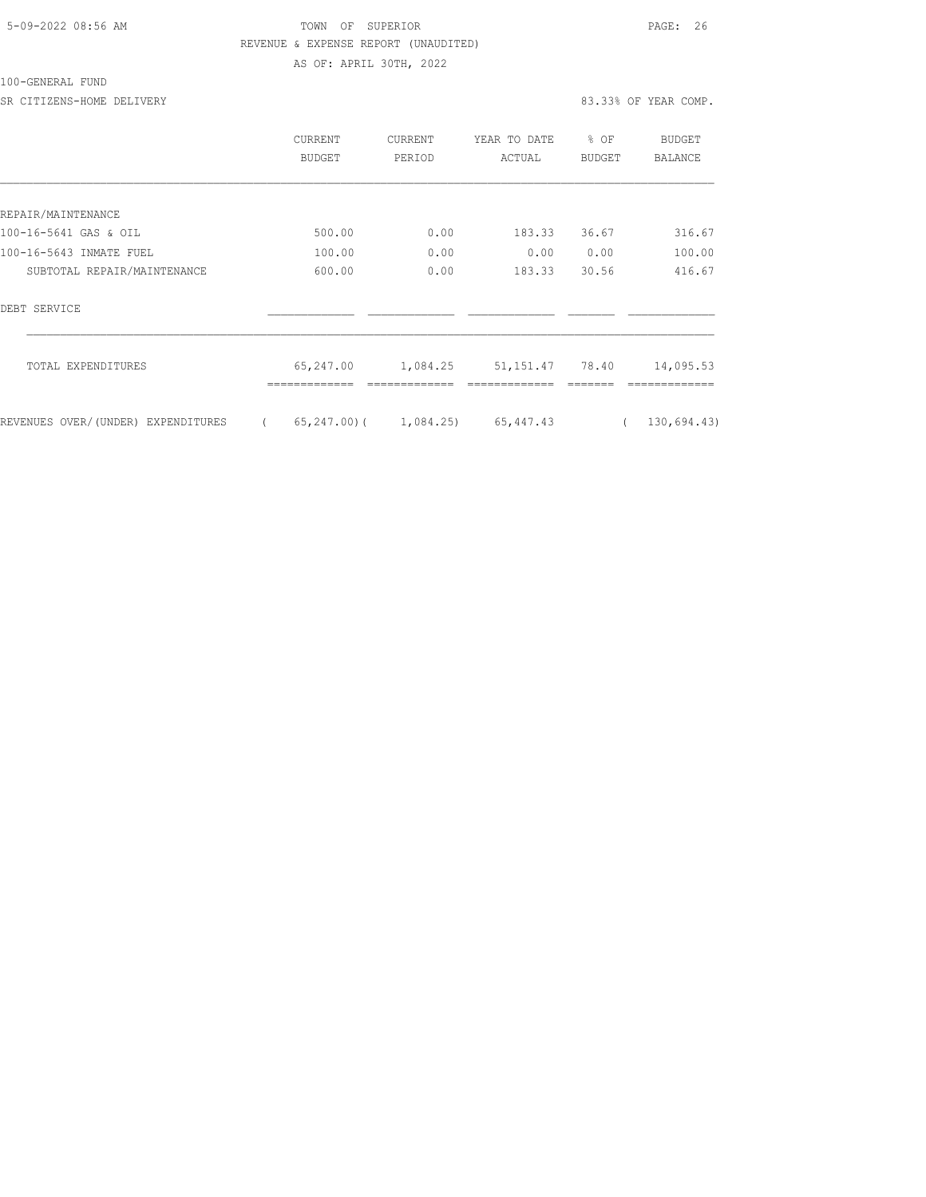# 5-09-2022 08:56 AM TOWN OF SUPERIOR PAGE: 26 REVENUE & EXPENSE REPORT (UNAUDITED) AS OF: APRIL 30TH, 2022

|                                    | CURRENT<br>BUDGET | CURRENT<br>PERIOD         | YEAR TO DATE<br>ACTUAL | % OF<br><b>BUDGET</b> | <b>BUDGET</b><br>BALANCE |
|------------------------------------|-------------------|---------------------------|------------------------|-----------------------|--------------------------|
|                                    |                   |                           |                        |                       |                          |
| REPAIR/MAINTENANCE                 |                   |                           |                        |                       |                          |
| 100-16-5641 GAS & OIL              | 500.00            | 0.00                      | 183.33                 | 36.67                 | 316.67                   |
| 100-16-5643 INMATE FUEL            | 100.00            | 0.00                      | 0.00                   | 0.00                  | 100.00                   |
| SUBTOTAL REPAIR/MAINTENANCE        | 600.00            | 0.00                      | 183.33                 | 30.56                 | 416.67                   |
| DEBT SERVICE                       |                   |                           |                        |                       |                          |
| TOTAL EXPENDITURES                 | 65,247.00         | 1,084.25                  | 51, 151, 47 78, 40     |                       | 14,095.53                |
| REVENUES OVER/(UNDER) EXPENDITURES |                   | $65, 247, 00$ ( 1,084.25) | 65, 447.43             |                       | 130,694.43)              |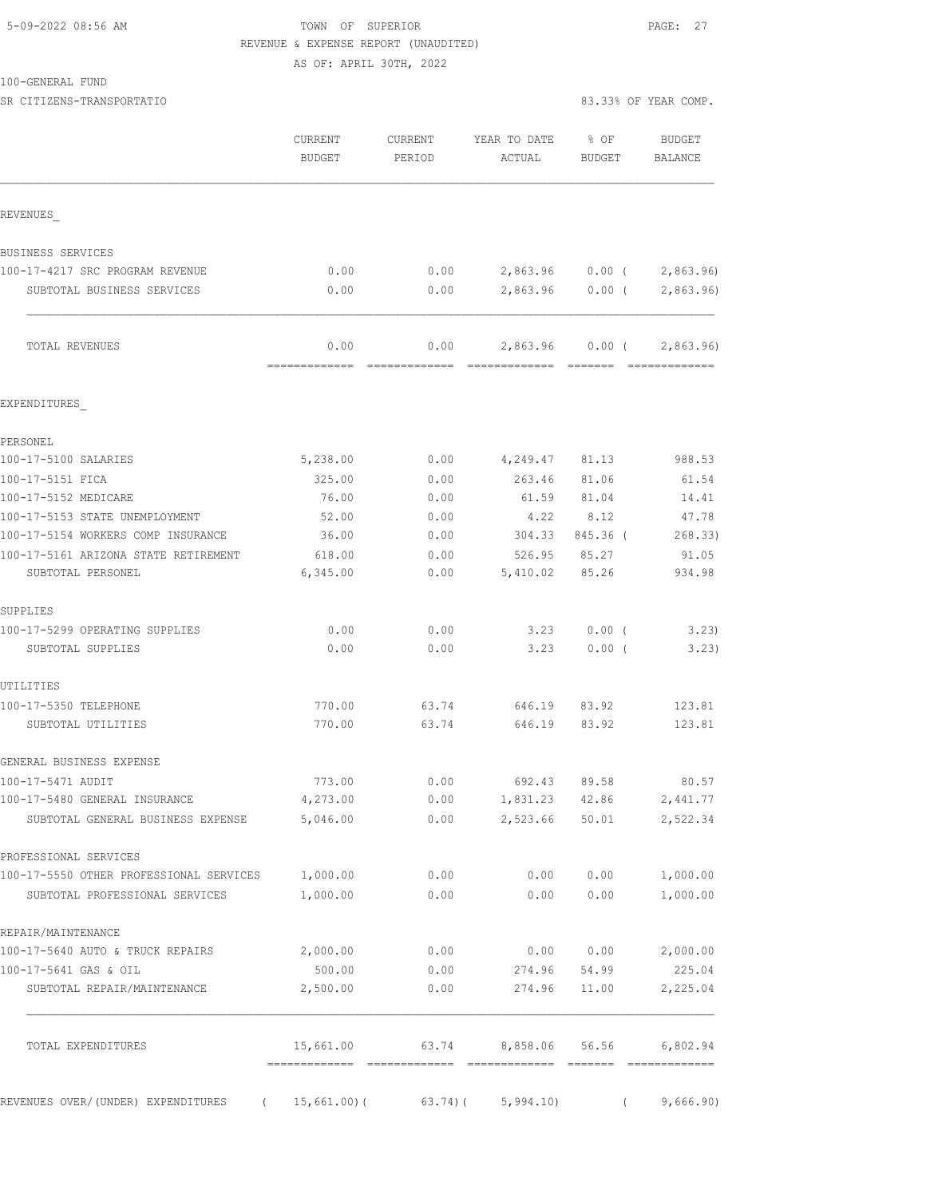# 5-09-2022 08:56 AM TOWN OF SUPERIOR PAGE: 27 REVENUE & EXPENSE REPORT (UNAUDITED)

AS OF: APRIL 30TH, 2022

|                                                                                    | CURRENT<br><b>BUDGET</b> | CURRENT<br>PERIOD | YEAR TO DATE<br>ACTUAL | $8$ OF<br><b>BUDGET</b> | <b>BUDGET</b><br>BALANCE  |
|------------------------------------------------------------------------------------|--------------------------|-------------------|------------------------|-------------------------|---------------------------|
| REVENUES                                                                           |                          |                   |                        |                         |                           |
| BUSINESS SERVICES                                                                  |                          |                   |                        |                         |                           |
| 100-17-4217 SRC PROGRAM REVENUE                                                    | 0.00                     | 0.00              |                        |                         | 2,863.96 0.00 ( 2,863.96) |
| SUBTOTAL BUSINESS SERVICES                                                         | 0.00                     | 0.00              |                        | 2,863.96 0.00 (         | 2,863.96)                 |
| TOTAL REVENUES                                                                     | 0.00                     | 0.00              |                        | 2,863.96 0.00 (         | 2,863.96                  |
| EXPENDITURES                                                                       |                          |                   |                        |                         |                           |
| PERSONEL                                                                           |                          |                   |                        |                         |                           |
| 100-17-5100 SALARIES                                                               | 5,238.00                 | 0.00              | 4,249.47 81.13         |                         | 988.53                    |
| 100-17-5151 FICA                                                                   | 325.00                   | 0.00              | 263.46                 | 81.06                   | 61.54                     |
| 100-17-5152 MEDICARE                                                               | 76.00                    | 0.00              | 61.59                  | 81.04                   | 14.41                     |
| 100-17-5153 STATE UNEMPLOYMENT                                                     | 52.00                    | 0.00              | 4.22                   | 8.12                    | 47.78                     |
| 100-17-5154 WORKERS COMP INSURANCE                                                 | 36.00                    | 0.00              | 304.33                 | 845.36 (                | 268.33)                   |
| 100-17-5161 ARIZONA STATE RETIREMENT<br>SUBTOTAL PERSONEL                          | 618.00<br>6,345.00       | 0.00<br>0.00      | 526.95<br>5,410.02     | 85.27<br>85.26          | 91.05<br>934.98           |
| SUPPLIES                                                                           |                          |                   |                        |                         |                           |
| 100-17-5299 OPERATING SUPPLIES                                                     | 0.00                     | 0.00              | 3.23                   | $0.00$ (                | 3,23)                     |
| SUBTOTAL SUPPLIES                                                                  | 0.00                     | 0.00              | 3.23                   | $0.00$ (                | 3.23)                     |
| UTILITIES                                                                          |                          |                   |                        |                         |                           |
| 100-17-5350 TELEPHONE<br>SUBTOTAL UTILITIES                                        | 770.00<br>770.00         | 63.74<br>63.74    | 646.19                 | 646.19 83.92<br>83.92   | 123.81<br>123.81          |
| GENERAL BUSINESS EXPENSE                                                           |                          |                   |                        |                         |                           |
| 100-17-5471 AUDIT                                                                  | 773.00                   | 0.00              | 692.43                 | 89.58                   | 80.57                     |
| 100-17-5480 GENERAL INSURANCE                                                      | 4,273.00                 | 0.00              | 1,831.23 42.86         |                         | 2,441.77                  |
| SUBTOTAL GENERAL BUSINESS EXPENSE                                                  | 5,046.00                 | 0.00              | 2,523.66               | 50.01                   | 2,522.34                  |
| PROFESSIONAL SERVICES                                                              |                          |                   |                        |                         |                           |
| 100-17-5550 OTHER PROFESSIONAL SERVICES 1,000.00<br>SUBTOTAL PROFESSIONAL SERVICES | 1,000.00                 | 0.00<br>0.00      | 0.00<br>0.00           | 0.00<br>0.00            | 1,000.00<br>1,000.00      |
| REPAIR/MAINTENANCE                                                                 |                          |                   |                        |                         |                           |
| 100-17-5640 AUTO & TRUCK REPAIRS                                                   | 2,000.00                 | 0.00              |                        | 0.00 0.00               | 2,000.00                  |
| 100-17-5641 GAS & OIL                                                              | 500.00                   | 0.00              | 274.96                 | 54.99                   | 225.04                    |
| SUBTOTAL REPAIR/MAINTENANCE                                                        | 2,500.00                 | 0.00              | 274.96                 | 11.00                   | 2,225.04                  |
| TOTAL EXPENDITURES                                                                 | 15,661.00                | 63.74             | 8,858.06 56.56         |                         | 6,802.94                  |
| REVENUES OVER/(UNDER) EXPENDITURES                                                 | (15, 661.00)             |                   | $63.74$ ( $5,994.10$ ) |                         | 9,666.90)                 |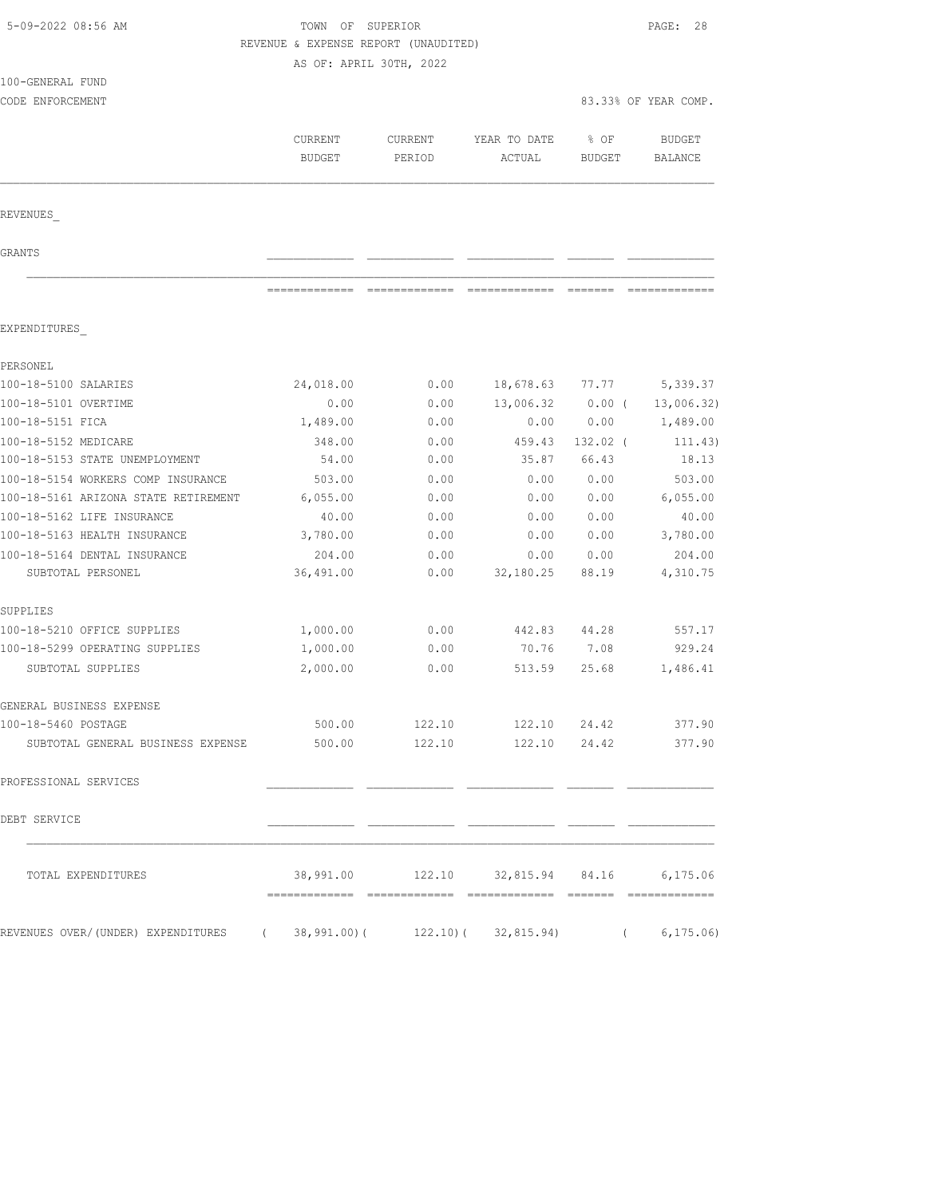| 5-09-2022 08:56 AM                                                           |                                      | TOWN OF SUPERIOR        |                            |               |                      |  |  |
|------------------------------------------------------------------------------|--------------------------------------|-------------------------|----------------------------|---------------|----------------------|--|--|
|                                                                              | REVENUE & EXPENSE REPORT (UNAUDITED) |                         |                            |               |                      |  |  |
|                                                                              |                                      | AS OF: APRIL 30TH, 2022 |                            |               |                      |  |  |
| 100-GENERAL FUND                                                             |                                      |                         |                            |               |                      |  |  |
| CODE ENFORCEMENT                                                             |                                      |                         |                            |               | 83.33% OF YEAR COMP. |  |  |
|                                                                              |                                      |                         |                            |               |                      |  |  |
|                                                                              | <b>CURRENT</b>                       | <b>CURRENT</b>          | YEAR TO DATE               | % OF          | <b>BUDGET</b>        |  |  |
|                                                                              | <b>BUDGET</b>                        | PERIOD                  | ACTUAL                     | <b>BUDGET</b> | <b>BALANCE</b>       |  |  |
|                                                                              |                                      |                         |                            |               |                      |  |  |
| REVENUES                                                                     |                                      |                         |                            |               |                      |  |  |
| GRANTS                                                                       |                                      |                         |                            |               |                      |  |  |
|                                                                              | =============                        |                         |                            |               |                      |  |  |
|                                                                              |                                      |                         |                            |               |                      |  |  |
| EXPENDITURES                                                                 |                                      |                         |                            |               |                      |  |  |
| PERSONEL                                                                     |                                      |                         |                            |               |                      |  |  |
| 100-18-5100 SALARIES                                                         | 24,018.00                            | 0.00                    | 18,678.63                  | 77.77         | 5,339.37             |  |  |
| 100-18-5101 OVERTIME                                                         | 0.00                                 | 0.00                    | 13,006.32                  | $0.00$ (      | 13,006.32)           |  |  |
| 100-18-5151 FICA                                                             | 1,489.00                             | 0.00                    | 0.00                       | 0.00          | 1,489.00             |  |  |
| 100-18-5152 MEDICARE                                                         | 348.00                               | 0.00                    | 459.43                     | $132.02$ (    | 111.43)              |  |  |
| 100-18-5153 STATE UNEMPLOYMENT                                               | 54.00                                | 0.00                    | 35.87                      | 66.43         | 18.13                |  |  |
| 100-18-5154 WORKERS COMP INSURANCE                                           | 503.00                               | 0.00                    | 0.00                       | 0.00          | 503.00               |  |  |
| 100-18-5161 ARIZONA STATE RETIREMENT                                         | 6,055.00                             | 0.00                    | 0.00                       | 0.00          | 6,055.00             |  |  |
| 100-18-5162 LIFE INSURANCE                                                   | 40.00                                | 0.00                    | 0.00                       | 0.00          | 40.00                |  |  |
| 100-18-5163 HEALTH INSURANCE                                                 | 3,780.00                             | 0.00                    | 0.00                       | 0.00          | 3,780.00             |  |  |
| 100-18-5164 DENTAL INSURANCE                                                 | 204.00                               | 0.00                    | 0.00                       | 0.00          | 204.00               |  |  |
| SUBTOTAL PERSONEL                                                            | 36,491.00                            | 0.00                    | 32,180.25                  | 88.19         | 4,310.75             |  |  |
| SUPPLIES                                                                     |                                      |                         |                            |               |                      |  |  |
| 100-18-5210 OFFICE SUPPLIES                                                  | 1,000.00                             | 0.00                    | 442.83                     | 44.28         | 557.17               |  |  |
| 100-18-5299 OPERATING SUPPLIES                                               | 1,000.00                             | 0.00                    | 70.76                      | 7.08          | 929.24               |  |  |
| SUBTOTAL SUPPLIES                                                            | 2,000.00                             | 0.00                    | 513.59                     | 25.68         | 1,486.41             |  |  |
| GENERAL BUSINESS EXPENSE                                                     |                                      |                         |                            |               |                      |  |  |
| 100-18-5460 POSTAGE                                                          | 500.00                               |                         | 122.10 122.10 24.42 377.90 |               |                      |  |  |
| SUBTOTAL GENERAL BUSINESS EXPENSE                                            | 500.00                               |                         | 122.10 122.10 24.42 377.90 |               |                      |  |  |
| PROFESSIONAL SERVICES                                                        |                                      |                         |                            |               |                      |  |  |
| DEBT SERVICE                                                                 |                                      |                         |                            |               |                      |  |  |
| TOTAL EXPENDITURES                                                           |                                      |                         |                            |               |                      |  |  |
| REVENUES OVER/(UNDER) EXPENDITURES (38,991.00)(122.10)(32,815.94) (6,175.06) |                                      |                         |                            |               |                      |  |  |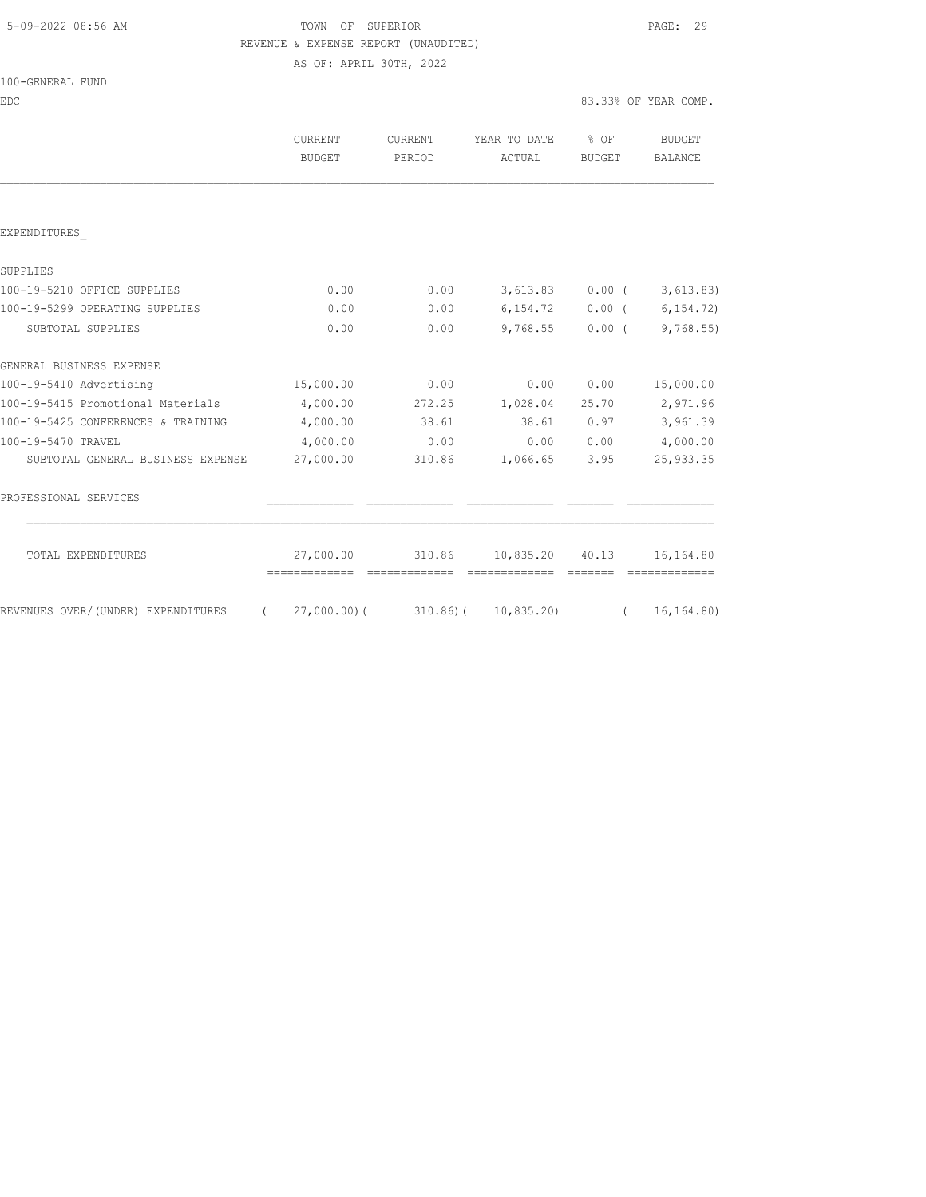# 5-09-2022 08:56 AM TOWN OF SUPERIOR PAGE: 29 REVENUE & EXPENSE REPORT (UNAUDITED)

AS OF: APRIL 30TH, 2022

| 100-GENERAL FUND |  |
|------------------|--|
|------------------|--|

| EDC                                            |                          |                   |                                    |                            | 83.33% OF YEAR COMP.         |
|------------------------------------------------|--------------------------|-------------------|------------------------------------|----------------------------|------------------------------|
|                                                | <b>CURRENT</b><br>BUDGET | CURRENT<br>PERIOD | YEAR TO DATE<br>ACTUAL             | $\frac{6}{6}$ OF<br>BUDGET | BUDGET<br>BALANCE            |
|                                                |                          |                   |                                    |                            |                              |
| EXPENDITURES                                   |                          |                   |                                    |                            |                              |
| SUPPLIES                                       |                          |                   |                                    |                            |                              |
| 100-19-5210 OFFICE SUPPLIES                    | 0.00                     | 0.00              |                                    |                            | $3,613.83$ 0.00 ( 3,613.83)  |
| 100-19-5299 OPERATING SUPPLIES                 | 0.00                     | 0.00              |                                    |                            | $6, 154.72$ 0.00 (6, 154.72) |
| SUBTOTAL SUPPLIES                              | 0.00                     | 0.00              |                                    |                            | $9,768.55$ 0.00 (9,768.55)   |
| GENERAL BUSINESS EXPENSE                       |                          |                   |                                    |                            |                              |
| 100-19-5410 Advertising                        | 15,000.00                | 0.00              |                                    | 0.00 0.00                  | 15,000.00                    |
| 100-19-5415 Promotional Materials              | 4,000.00                 |                   | 272.25 1,028.04                    | 25.70                      | 2,971.96                     |
| 100-19-5425 CONFERENCES & TRAINING             | 4,000.00                 | 38.61             |                                    | 38.61 0.97                 | 3,961.39                     |
| 100-19-5470 TRAVEL                             | 4,000.00                 | 0.00              |                                    | 0.00 0.00                  | 4,000.00                     |
| SUBTOTAL GENERAL BUSINESS EXPENSE              | 27,000.00                | 310.86            | 1,066.65 3.95                      |                            | 25, 933.35                   |
| PROFESSIONAL SERVICES                          |                          |                   |                                    |                            |                              |
| TOTAL EXPENDITURES                             |                          |                   | 27,000.00 310.86 10,835.20 40.13   |                            | 16,164.80                    |
| REVENUES OVER/(UNDER) EXPENDITURES<br>$\left($ |                          |                   | $27,000.00$ ( 310.86) ( 10,835.20) | $\left($                   | 16, 164.80)                  |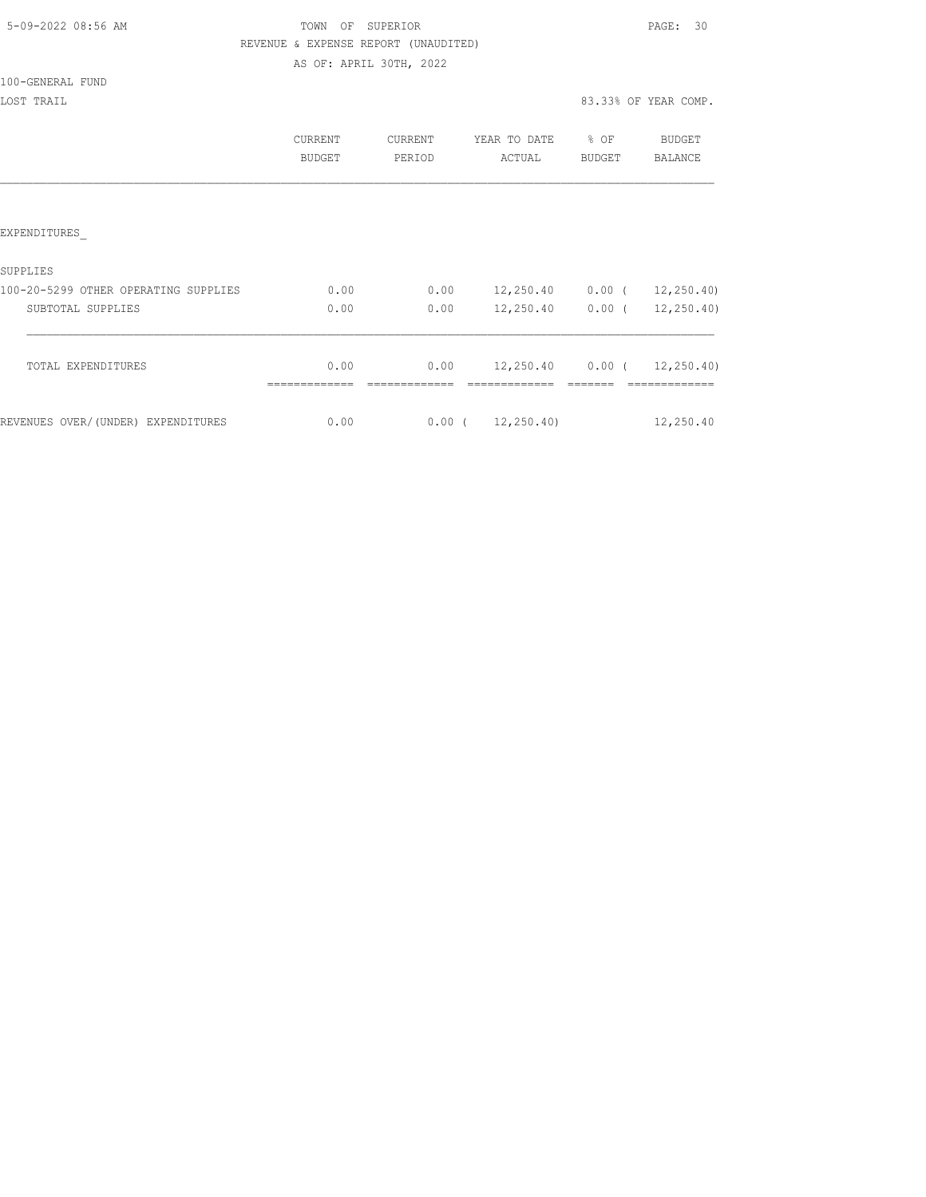| 5-09-2022 08:56 AM |  |  |
|--------------------|--|--|
|                    |  |  |

# TOWN OF SUPERIOR **Example 20:56 AM TOWN OF SUPERIOR**  REVENUE & EXPENSE REPORT (UNAUDITED) AS OF: APRIL 30TH, 2022

|                                      | <b>CURRENT</b><br><b>BUDGET</b> | <b>CURRENT</b><br>PERIOD | YEAR TO DATE<br>ACTUAL | $8$ OF<br><b>BUDGET</b> | <b>BUDGET</b><br>BALANCE         |
|--------------------------------------|---------------------------------|--------------------------|------------------------|-------------------------|----------------------------------|
|                                      |                                 |                          |                        |                         |                                  |
| EXPENDITURES                         |                                 |                          |                        |                         |                                  |
| SUPPLIES                             |                                 |                          |                        |                         |                                  |
| 100-20-5299 OTHER OPERATING SUPPLIES | 0.00                            | 0.00                     | 12,250.40              |                         | $0.00$ ( $12,250.40$ )           |
| SUBTOTAL SUPPLIES                    | 0.00                            | 0.00                     | 12,250.40              | $0.00$ (                | 12, 250.40                       |
| TOTAL EXPENDITURES                   | 0.00                            | 0.00                     |                        |                         | $12,250.40$ 0.00 ( $12,250.40$ ) |
|                                      |                                 |                          |                        |                         |                                  |
| REVENUES OVER/(UNDER) EXPENDITURES   | 0.00                            |                          | $0.00$ ( $12,250.40$ ) |                         | 12,250.40                        |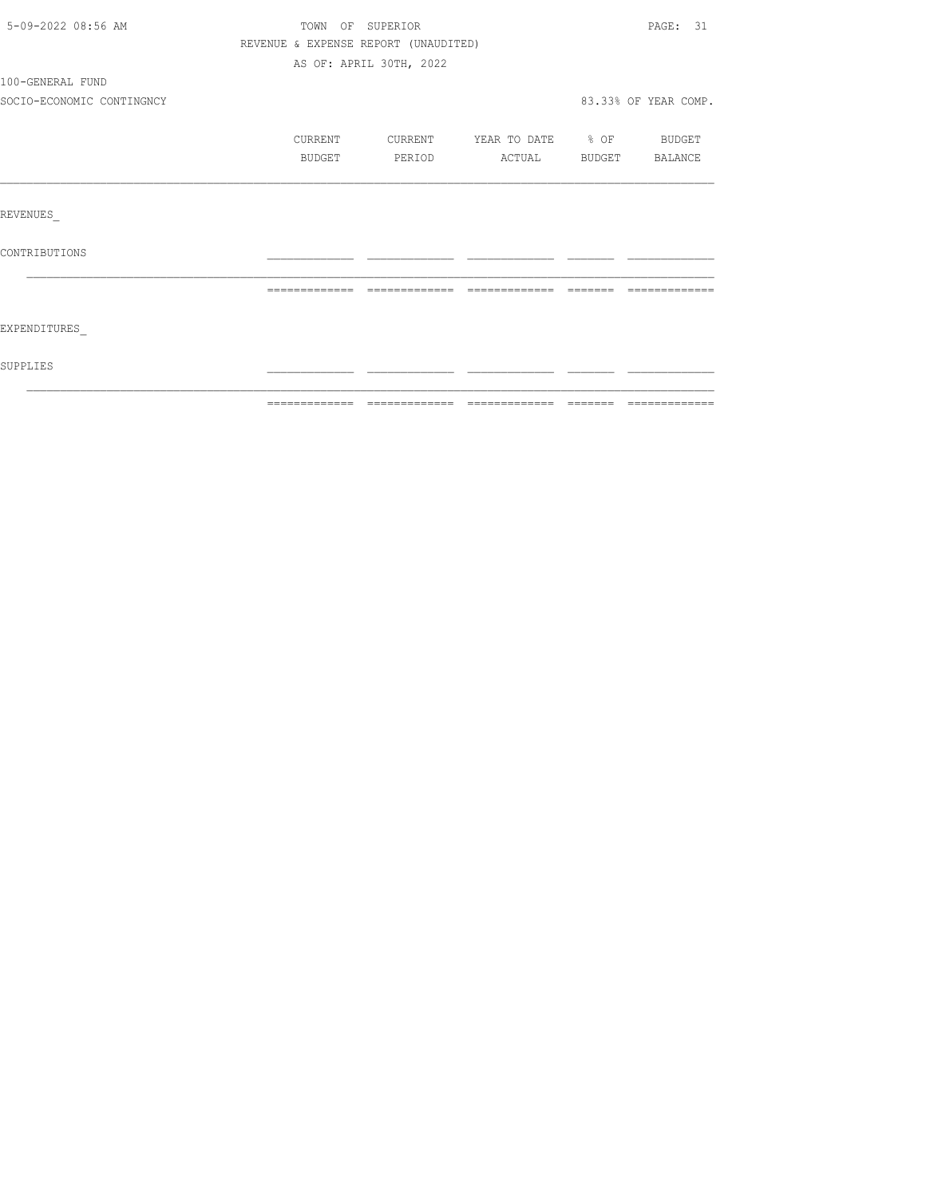| 5-09-2022 08:56 AM<br>TOWN OF SUPERIOR |                                      |                                                                                                                                                                                                                                                                                                                                                                                                                                                               |                          |               | PAGE: 31             |
|----------------------------------------|--------------------------------------|---------------------------------------------------------------------------------------------------------------------------------------------------------------------------------------------------------------------------------------------------------------------------------------------------------------------------------------------------------------------------------------------------------------------------------------------------------------|--------------------------|---------------|----------------------|
|                                        | REVENUE & EXPENSE REPORT (UNAUDITED) |                                                                                                                                                                                                                                                                                                                                                                                                                                                               |                          |               |                      |
|                                        |                                      | AS OF: APRIL 30TH, 2022                                                                                                                                                                                                                                                                                                                                                                                                                                       |                          |               |                      |
| 100-GENERAL FUND                       |                                      |                                                                                                                                                                                                                                                                                                                                                                                                                                                               |                          |               |                      |
| SOCIO-ECONOMIC CONTINGNCY              |                                      |                                                                                                                                                                                                                                                                                                                                                                                                                                                               |                          |               | 83.33% OF YEAR COMP. |
|                                        | CURRENT                              | CURRENT                                                                                                                                                                                                                                                                                                                                                                                                                                                       | YEAR TO DATE % OF BUDGET |               |                      |
|                                        | <b>BUDGET</b>                        | PERIOD                                                                                                                                                                                                                                                                                                                                                                                                                                                        | ACTUAL                   | <b>BUDGET</b> | BALANCE              |
|                                        |                                      |                                                                                                                                                                                                                                                                                                                                                                                                                                                               |                          |               |                      |
| REVENUES                               |                                      |                                                                                                                                                                                                                                                                                                                                                                                                                                                               |                          |               |                      |
| CONTRIBUTIONS                          |                                      |                                                                                                                                                                                                                                                                                                                                                                                                                                                               |                          |               |                      |
|                                        | =============                        | $\begin{array}{c} \multicolumn{2}{c} {\textbf{2.5}} \multicolumn{2}{c} {\textbf{2.5}} \multicolumn{2}{c} {\textbf{2.5}} \multicolumn{2}{c} {\textbf{2.5}} \multicolumn{2}{c} {\textbf{2.5}} \multicolumn{2}{c} {\textbf{2.5}} \multicolumn{2}{c} {\textbf{2.5}} \multicolumn{2}{c} {\textbf{2.5}} \multicolumn{2}{c} {\textbf{2.5}} \multicolumn{2}{c} {\textbf{2.5}} \multicolumn{2}{c} {\textbf{2.5}} \multicolumn{2}{c} {\textbf{2.5}} \multicolumn{2}{c}$ | -------------            | -------       |                      |
| EXPENDITURES                           |                                      |                                                                                                                                                                                                                                                                                                                                                                                                                                                               |                          |               |                      |
| SUPPLIES                               |                                      |                                                                                                                                                                                                                                                                                                                                                                                                                                                               |                          |               |                      |
|                                        |                                      |                                                                                                                                                                                                                                                                                                                                                                                                                                                               |                          |               |                      |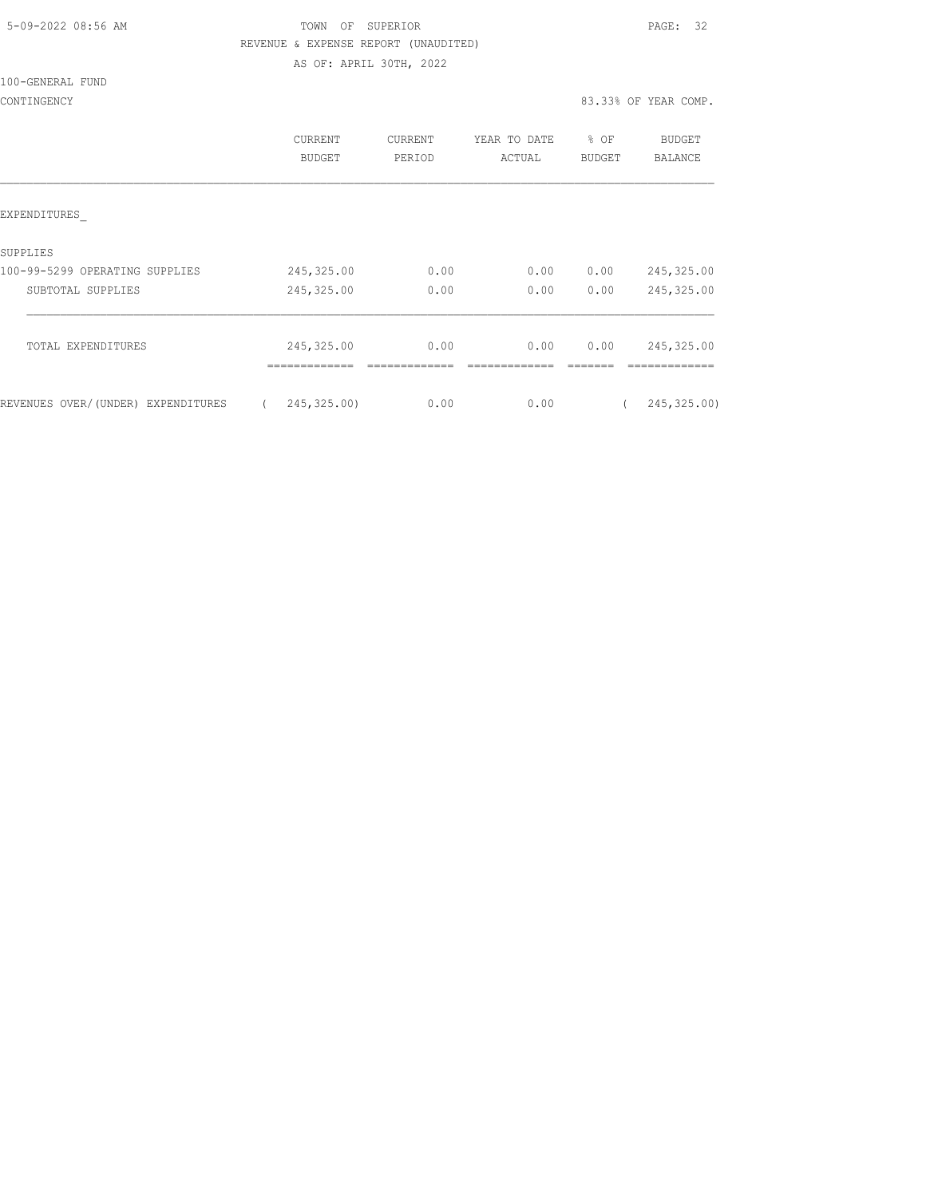| 5-09-2022 08:56 AM |  |
|--------------------|--|

# TOWN OF SUPERIOR **Example 2018** PAGE: 32 REVENUE & EXPENSE REPORT (UNAUDITED) AS OF: APRIL 30TH, 2022

|                                    | <b>CURRENT</b><br>BUDGET     | <b>CURRENT</b><br>PERIOD | YEAR TO DATE<br>ACTUAL | $\frac{6}{6}$<br>OF<br><b>BUDGET</b> | <b>BUDGET</b><br><b>BALANCE</b> |
|------------------------------------|------------------------------|--------------------------|------------------------|--------------------------------------|---------------------------------|
| EXPENDITURES                       |                              |                          |                        |                                      |                                 |
| SUPPLIES                           |                              |                          |                        |                                      |                                 |
| 100-99-5299 OPERATING SUPPLIES     | 245,325.00                   | 0.00                     | 0.00                   | 0.00                                 | 245,325.00                      |
| SUBTOTAL SUPPLIES                  | 245,325.00                   | 0.00                     | 0.00                   | 0.00                                 | 245,325.00                      |
| TOTAL EXPENDITURES                 | 245, 325.00<br>------------- | 0.00                     | 0.00                   | 0.00                                 | 245,325.00<br>---------         |
| REVENUES OVER/(UNDER) EXPENDITURES | 245,325.00)<br>$\left($      | 0.00                     | 0.00                   |                                      | 245, 325.00)                    |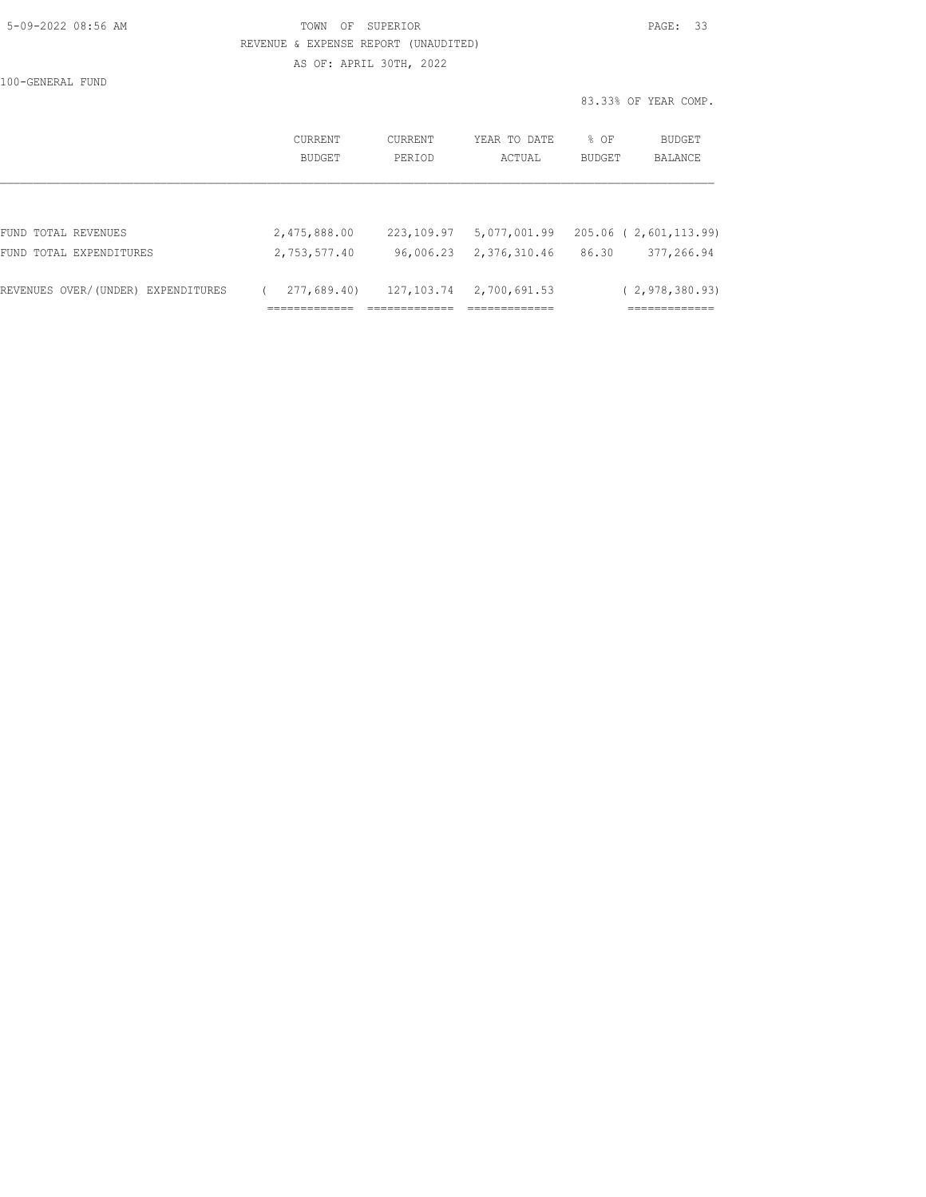| 5-09-2022 08:56 AM |  |
|--------------------|--|

## TOWN OF SUPERIOR **EXECUTERIOR** PAGE: 33 REVENUE & EXPENSE REPORT (UNAUDITED) AS OF: APRIL 30TH, 2022

|                                    |                   |                   |                        | 83.33% OF YEAR COMP.                       |
|------------------------------------|-------------------|-------------------|------------------------|--------------------------------------------|
|                                    | CURRENT<br>BUDGET | CURRENT<br>PERIOD | YEAR TO DATE<br>ACTUAL | % OF<br>BUDGET<br>BALANCE<br><b>BUDGET</b> |
|                                    |                   |                   |                        |                                            |
| FUND TOTAL REVENUES                | 2,475,888.00      | 223,109.97        | 5,077,001.99           | 205.06 ( 2,601,113.99)                     |
| FUND TOTAL EXPENDITURES            | 2,753,577.40      | 96,006.23         | 2,376,310.46           | 377,266.94<br>86.30                        |
| REVENUES OVER/(UNDER) EXPENDITURES | 277,689.40)       | 127,103.74        | 2,700,691.53           | (2, 978, 380.93)                           |
|                                    |                   |                   | -------------          | _____________<br>---------                 |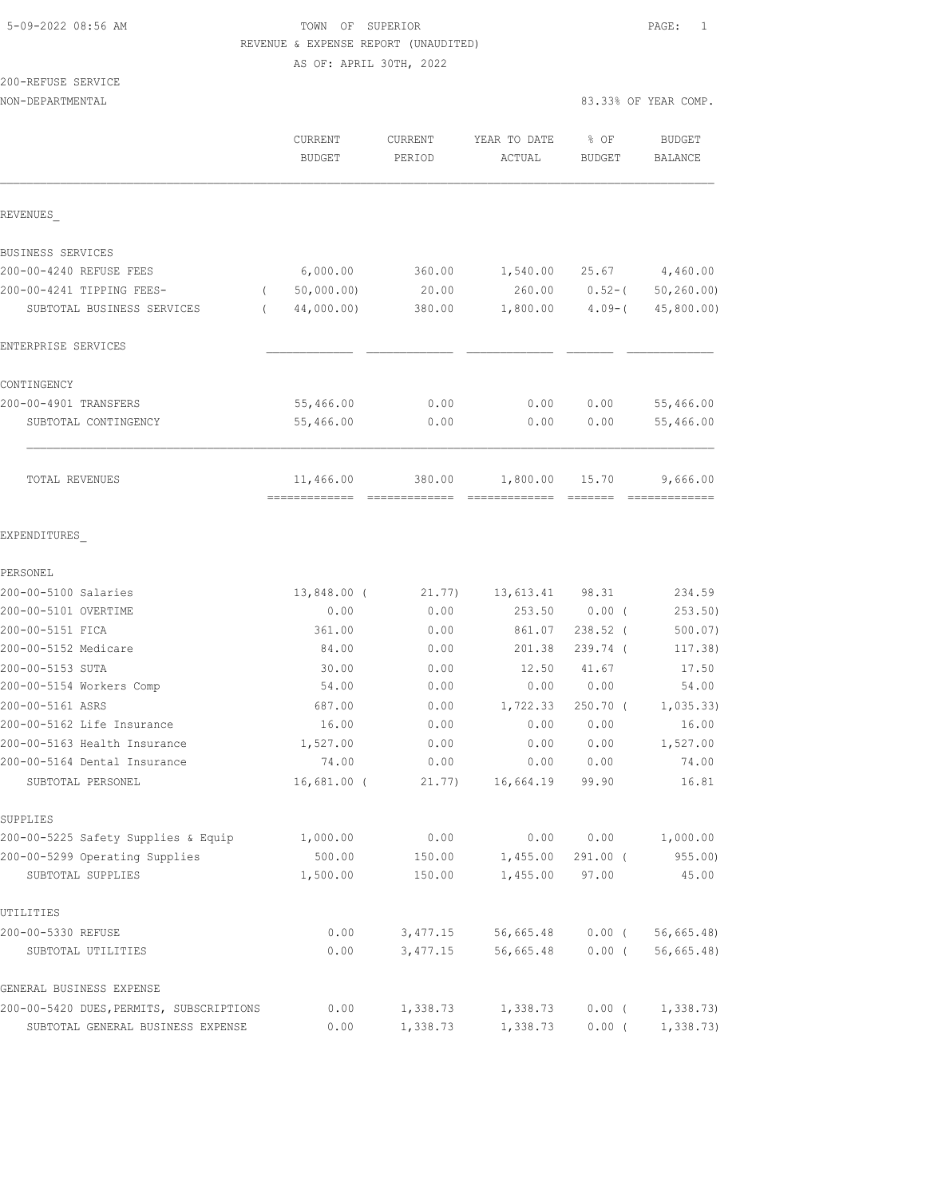## 5-09-2022 08:56 AM TOWN OF SUPERIOR PAGE: 1 REVENUE & EXPENSE REPORT (UNAUDITED) AS OF: APRIL 30TH, 2022

200-REFUSE SERVICE NON-DEPARTMENTAL 83.33% OF YEAR COMP.

|                                          | <b>CURRENT</b><br><b>BUDGET</b> | CURRENT<br>PERIOD | YEAR TO DATE<br>ACTUAL | % OF<br>BUDGET | <b>BUDGET</b><br><b>BALANCE</b> |
|------------------------------------------|---------------------------------|-------------------|------------------------|----------------|---------------------------------|
| REVENUES                                 |                                 |                   |                        |                |                                 |
| BUSINESS SERVICES                        |                                 |                   |                        |                |                                 |
| 200-00-4240 REFUSE FEES                  | 6,000.00                        | 360.00            | 1,540.00               | 25.67          | 4,460.00                        |
| 200-00-4241 TIPPING FEES-<br>$\left($    | 50,000.00)                      | 20.00             | 260.00                 | $0.52 - ($     | 50, 260.00                      |
| SUBTOTAL BUSINESS SERVICES<br>$\left($   | 44,000.00)                      | 380.00            | 1,800.00               | $4.09-$ (      | 45, 800.00)                     |
| ENTERPRISE SERVICES                      |                                 |                   |                        |                |                                 |
| CONTINGENCY                              |                                 |                   |                        |                |                                 |
| 200-00-4901 TRANSFERS                    | 55,466.00                       | 0.00              | 0.00                   | 0.00           | 55,466.00                       |
| SUBTOTAL CONTINGENCY                     | 55,466.00                       | 0.00              | 0.00                   | 0.00           | 55,466.00                       |
| <b>TOTAL REVENUES</b>                    | 11,466.00                       | 380.00            | 1,800.00               | 15.70          | 9,666.00                        |
| EXPENDITURES                             |                                 |                   |                        |                |                                 |
| PERSONEL                                 |                                 |                   |                        |                |                                 |
| 200-00-5100 Salaries                     | 13,848.00 (                     | 21.77)            | 13,613.41              | 98.31          | 234.59                          |
| 200-00-5101 OVERTIME                     | 0.00                            | 0.00              | 253.50                 | $0.00$ (       | 253.50)                         |
| 200-00-5151 FICA                         | 361.00                          | 0.00              | 861.07                 | $238.52$ (     | $500.07$ )                      |
| 200-00-5152 Medicare                     | 84.00                           | 0.00              | 201.38                 | $239.74$ (     | 117.38)                         |
| 200-00-5153 SUTA                         | 30.00                           | 0.00              | 12.50                  | 41.67          | 17.50                           |
| 200-00-5154 Workers Comp                 | 54.00                           | 0.00              | 0.00                   | 0.00           | 54.00                           |
| 200-00-5161 ASRS                         | 687.00                          | 0.00              | 1,722.33               | $250.70$ (     | 1,035.33)                       |
| 200-00-5162 Life Insurance               | 16.00                           | 0.00              | 0.00                   | 0.00           | 16.00                           |
| 200-00-5163 Health Insurance             | 1,527.00                        | 0.00              | 0.00                   | 0.00           | 1,527.00                        |
| 200-00-5164 Dental Insurance             | 74.00                           | 0.00              | 0.00                   | 0.00           | 74.00                           |
| SUBTOTAL PERSONEL                        | $16,681.00$ (                   | 21.77)            | 16,664.19              | 99.90          | 16.81                           |
| SUPPLIES                                 |                                 |                   |                        |                |                                 |
| 200-00-5225 Safety Supplies & Equip      | 1,000.00                        | 0.00              | 0.00                   | 0.00           | 1,000.00                        |
| 200-00-5299 Operating Supplies           | 500.00                          | 150.00            | 1,455.00               | $291.00$ (     | 955.00                          |
| SUBTOTAL SUPPLIES                        | 1,500.00                        | 150.00            | 1,455.00               | 97.00          | 45.00                           |
| UTILITIES                                |                                 |                   |                        |                |                                 |
| 200-00-5330 REFUSE                       | 0.00                            | 3, 477.15         | 56,665.48              | $0.00$ (       | 56, 665.48                      |
| SUBTOTAL UTILITIES                       | 0.00                            | 3,477.15          | 56,665.48              | $0.00$ (       | $56, 665.48$ )                  |
| GENERAL BUSINESS EXPENSE                 |                                 |                   |                        |                |                                 |
| 200-00-5420 DUES, PERMITS, SUBSCRIPTIONS | 0.00                            | 1,338.73          | 1,338.73               | $0.00$ (       | 1,338.73                        |
| SUBTOTAL GENERAL BUSINESS EXPENSE        | 0.00                            | 1,338.73          | 1,338.73               | $0.00$ (       | 1,338.73                        |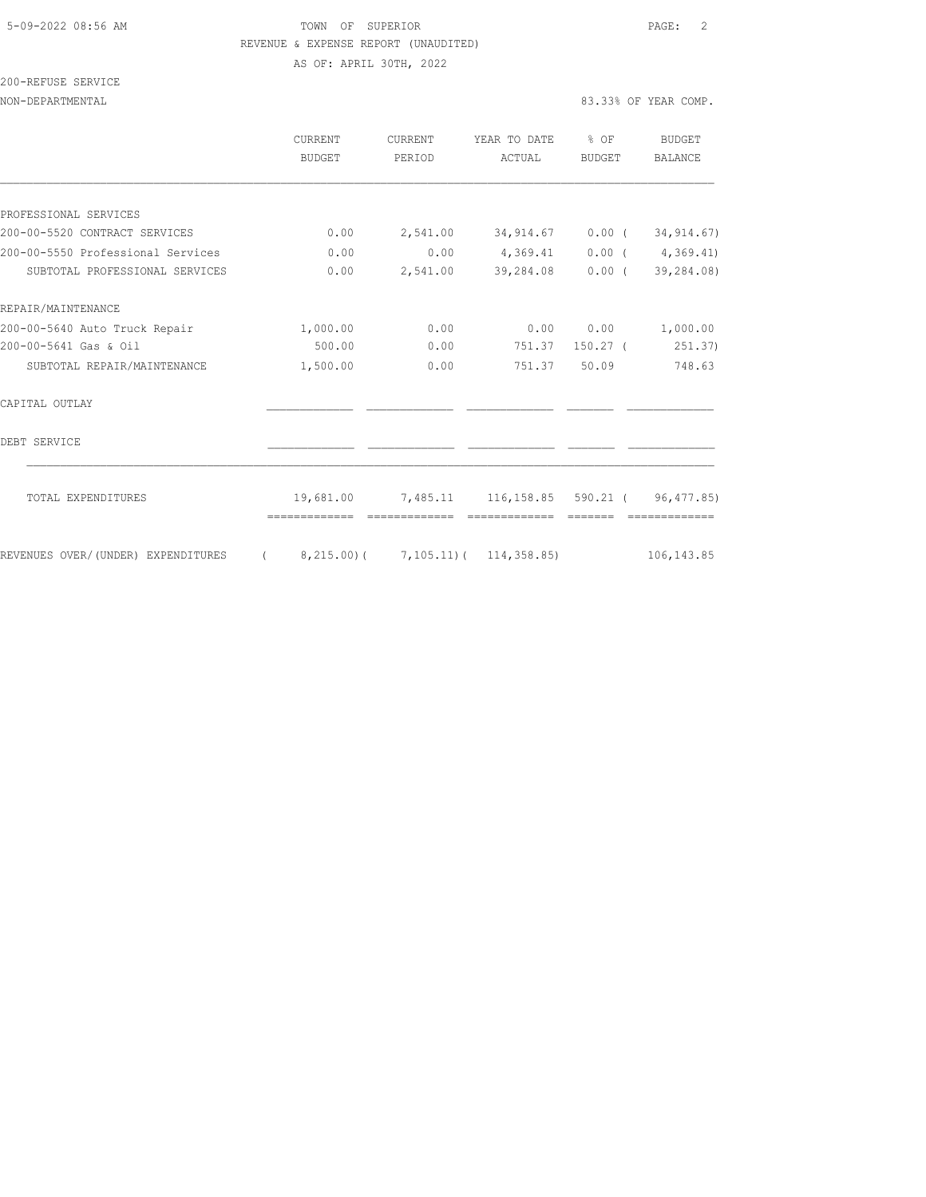#### 5-09-2022 08:56 AM TOWN OF SUPERIOR PAGE: 2 REVENUE & EXPENSE REPORT (UNAUDITED) AS OF: APRIL 30TH, 2022

200-REFUSE SERVICE

|                                    | <b>CURRENT</b><br>BUDGET                      | <b>CURRENT</b><br>PERIOD | YEAR TO DATE<br>ACTUAL                 | \$OF<br>BUDGET | BUDGET<br>BALANCE          |
|------------------------------------|-----------------------------------------------|--------------------------|----------------------------------------|----------------|----------------------------|
|                                    |                                               |                          |                                        |                |                            |
| PROFESSIONAL SERVICES              |                                               |                          |                                        |                |                            |
| 200-00-5520 CONTRACT SERVICES      | 0.00                                          | 2,541.00                 |                                        |                | 34,914.67 0.00 (34,914.67) |
| 200-00-5550 Professional Services  | 0.00                                          | 0.00                     | 4,369.41                               |                | 0.00(4,369.41)             |
| SUBTOTAL PROFESSIONAL SERVICES     | 0.00                                          | 2,541.00                 | 39,284.08                              | $0.00$ (       | 39,284.08)                 |
| REPAIR/MAINTENANCE                 |                                               |                          |                                        |                |                            |
| 200-00-5640 Auto Truck Repair      | 1,000.00                                      | 0.00                     | 0.00                                   | 0.00           | 1,000.00                   |
| 200-00-5641 Gas & Oil              | 500.00                                        | 0.00                     | 751.37                                 | $150.27$ (     | 251.37)                    |
| SUBTOTAL REPAIR/MAINTENANCE        | 1,500.00                                      | 0.00                     | 751.37                                 | 50.09          | 748.63                     |
| CAPITAL OUTLAY                     |                                               |                          |                                        |                |                            |
| DEBT SERVICE                       |                                               |                          |                                        |                |                            |
| TOTAL EXPENDITURES                 | 19,681.00                                     |                          | 7,485.11 116,158.85 590.21 (96,477.85) |                |                            |
| REVENUES OVER/(UNDER) EXPENDITURES | 8,215.00)( 7,105.11)( 114,358.85)<br>$\left($ |                          |                                        |                | 106, 143.85                |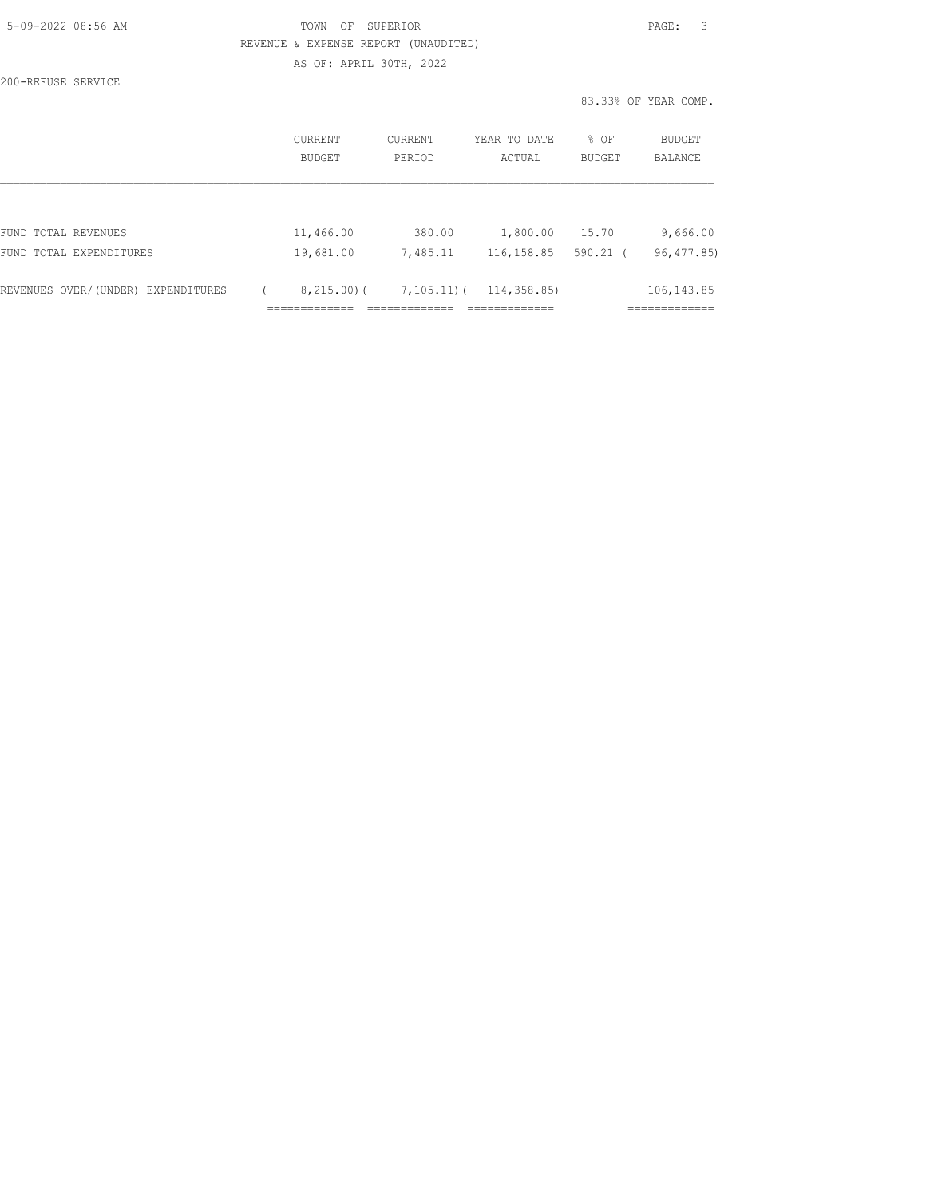| 5-09-2022 08:56 AM |  |
|--------------------|--|

200-REFUSE SERVICE

# TOWN OF SUPERIOR **Example 20:56 AM TOWN OF SUPERIOR**  REVENUE & EXPENSE REPORT (UNAUDITED) AS OF: APRIL 30TH, 2022

83.33% OF YEAR COMP.

|                                    | CURRENT<br><b>BUDGET</b> | CURRENT<br>PERIOD | YEAR TO DATE<br>ACTUAL | % OF<br><b>BUDGET</b> | BUDGET<br><b>BALANCE</b> |
|------------------------------------|--------------------------|-------------------|------------------------|-----------------------|--------------------------|
|                                    |                          |                   |                        |                       |                          |
| FUND TOTAL REVENUES                | 11,466.00                | 380.00            | 1,800.00               | 15.70                 | 9,666.00                 |
| FUND TOTAL EXPENDITURES            | 19,681.00                | 7,485.11          | 116, 158.85            | $590.21$ (            | 96, 477.85)              |
| REVENUES OVER/(UNDER) EXPENDITURES | 8,215,00(                | $7,105,11$ ) (    | 114, 358.85)           |                       | 106, 143.85              |
|                                    | __________               |                   | _____________          |                       | :===========             |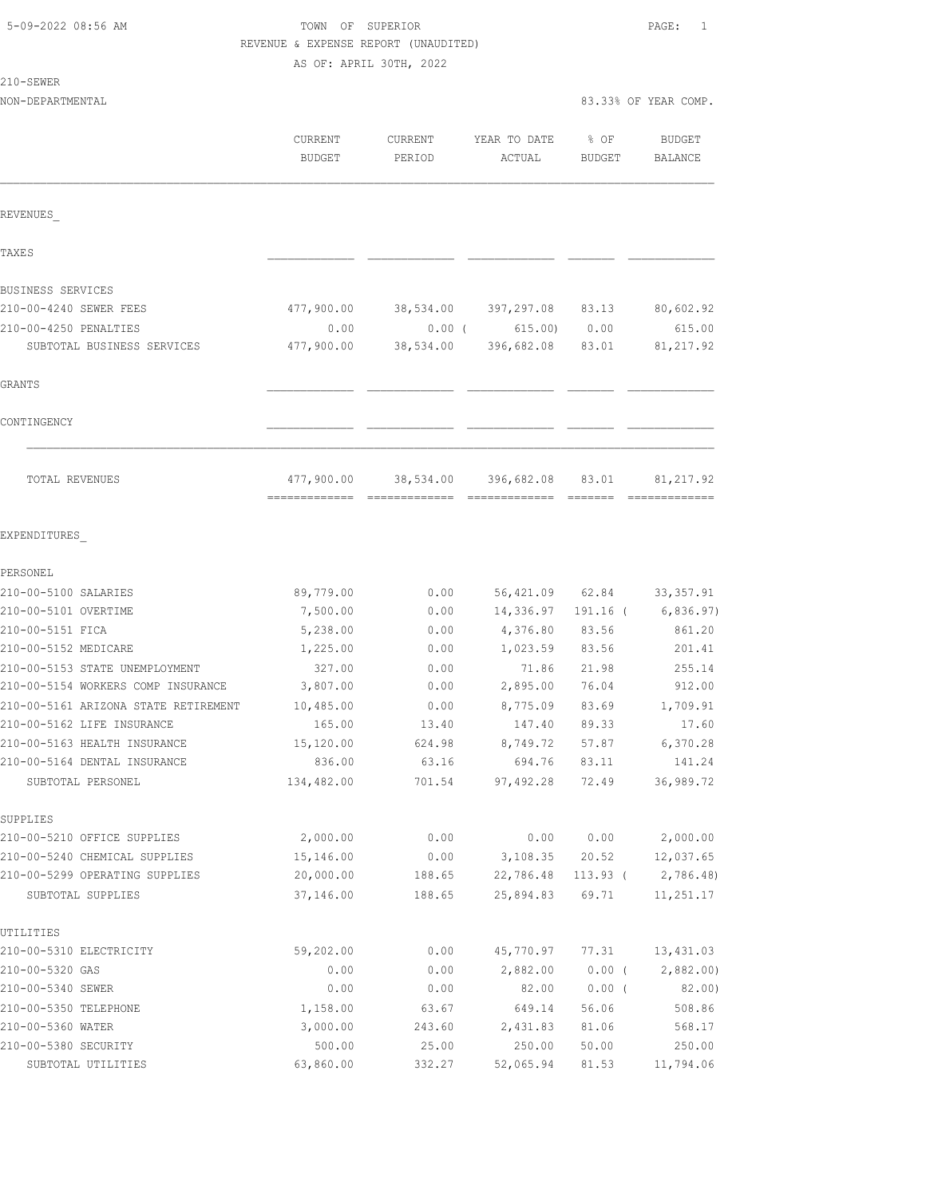210-SEWER

# TOWN OF SUPERIOR **Example 2018** PAGE: 1 REVENUE & EXPENSE REPORT (UNAUDITED)

AS OF: APRIL 30TH, 2022

|                                      | <b>CURRENT</b><br>BUDGET | <b>CURRENT</b><br>PERIOD | YEAR TO DATE<br>ACTUAL | % OF<br><b>BUDGET</b> | <b>BUDGET</b><br>BALANCE |
|--------------------------------------|--------------------------|--------------------------|------------------------|-----------------------|--------------------------|
| REVENUES                             |                          |                          |                        |                       |                          |
| <b>TAXES</b>                         |                          |                          |                        |                       |                          |
| BUSINESS SERVICES                    |                          |                          |                        |                       |                          |
| 210-00-4240 SEWER FEES               | 477,900.00               | 38,534.00                | 397,297.08             | 83.13                 | 80,602.92                |
| 210-00-4250 PENALTIES                | 0.00                     | $0.00$ (                 | 615.00                 | 0.00                  | 615.00                   |
| SUBTOTAL BUSINESS SERVICES           | 477,900.00               | 38,534.00                | 396,682.08             | 83.01                 | 81, 217.92               |
| <b>GRANTS</b>                        |                          |                          |                        |                       |                          |
| CONTINGENCY                          |                          |                          |                        |                       |                          |
| TOTAL REVENUES                       | 477,900.00               | 38,534.00                | 396,682.08             | 83.01                 | 81, 217.92               |
| EXPENDITURES                         |                          |                          |                        |                       |                          |
| PERSONEL                             |                          |                          |                        |                       |                          |
| 210-00-5100 SALARIES                 | 89,779.00                | 0.00                     | 56,421.09              | 62.84                 | 33, 357.91               |
| 210-00-5101 OVERTIME                 | 7,500.00                 | 0.00                     | 14,336.97              | $191.16$ (            | 6,836.97)                |
| 210-00-5151 FICA                     | 5,238.00                 | 0.00                     | 4,376.80               | 83.56                 | 861.20                   |
| 210-00-5152 MEDICARE                 | 1,225.00                 | 0.00                     | 1,023.59               | 83.56                 | 201.41                   |
| 210-00-5153 STATE UNEMPLOYMENT       | 327.00                   | 0.00                     | 71.86                  | 21.98                 | 255.14                   |
| 210-00-5154 WORKERS COMP INSURANCE   | 3,807.00                 | 0.00                     | 2,895.00               | 76.04                 | 912.00                   |
| 210-00-5161 ARIZONA STATE RETIREMENT | 10,485.00                | 0.00                     | 8,775.09               | 83.69                 | 1,709.91                 |
| 210-00-5162 LIFE INSURANCE           | 165.00                   | 13.40                    | 147.40                 | 89.33                 | 17.60                    |
| 210-00-5163 HEALTH INSURANCE         | 15,120.00                | 624.98                   | 8,749.72               | 57.87                 | 6,370.28                 |
| 210-00-5164 DENTAL INSURANCE         | 836.00                   | 63.16                    | 694.76                 | 83.11                 | 141.24                   |
| SUBTOTAL PERSONEL                    | 134,482.00               | 701.54                   | 97, 492.28             | 72.49                 | 36,989.72                |
| SUPPLIES                             |                          |                          |                        |                       |                          |
| 210-00-5210 OFFICE SUPPLIES          | 2,000.00                 | 0.00                     | 0.00                   | 0.00                  | 2,000.00                 |
| 210-00-5240 CHEMICAL SUPPLIES        | 15,146.00                | 0.00                     | 3,108.35               | 20.52                 | 12,037.65                |
| 210-00-5299 OPERATING SUPPLIES       | 20,000.00                | 188.65                   | 22,786.48              | $113.93$ (            | 2,786.48)                |
| SUBTOTAL SUPPLIES                    | 37,146.00                | 188.65                   | 25,894.83              | 69.71                 | 11,251.17                |
| UTILITIES                            |                          |                          |                        |                       |                          |
| 210-00-5310 ELECTRICITY              | 59,202.00                | 0.00                     | 45,770.97              | 77.31                 | 13,431.03                |
| 210-00-5320 GAS                      | 0.00                     | 0.00                     | 2,882.00               | $0.00$ (              | 2,882.00                 |
| 210-00-5340 SEWER                    | 0.00                     | 0.00                     | 82.00                  | $0.00$ (              | 82.00)                   |
| 210-00-5350 TELEPHONE                | 1,158.00                 | 63.67                    | 649.14                 | 56.06                 | 508.86                   |
| 210-00-5360 WATER                    | 3,000.00                 | 243.60                   | 2,431.83               | 81.06                 | 568.17                   |
| 210-00-5380 SECURITY                 | 500.00                   | 25.00                    | 250.00                 | 50.00                 | 250.00                   |
| SUBTOTAL UTILITIES                   | 63,860.00                | 332.27                   | 52,065.94              | 81.53                 | 11,794.06                |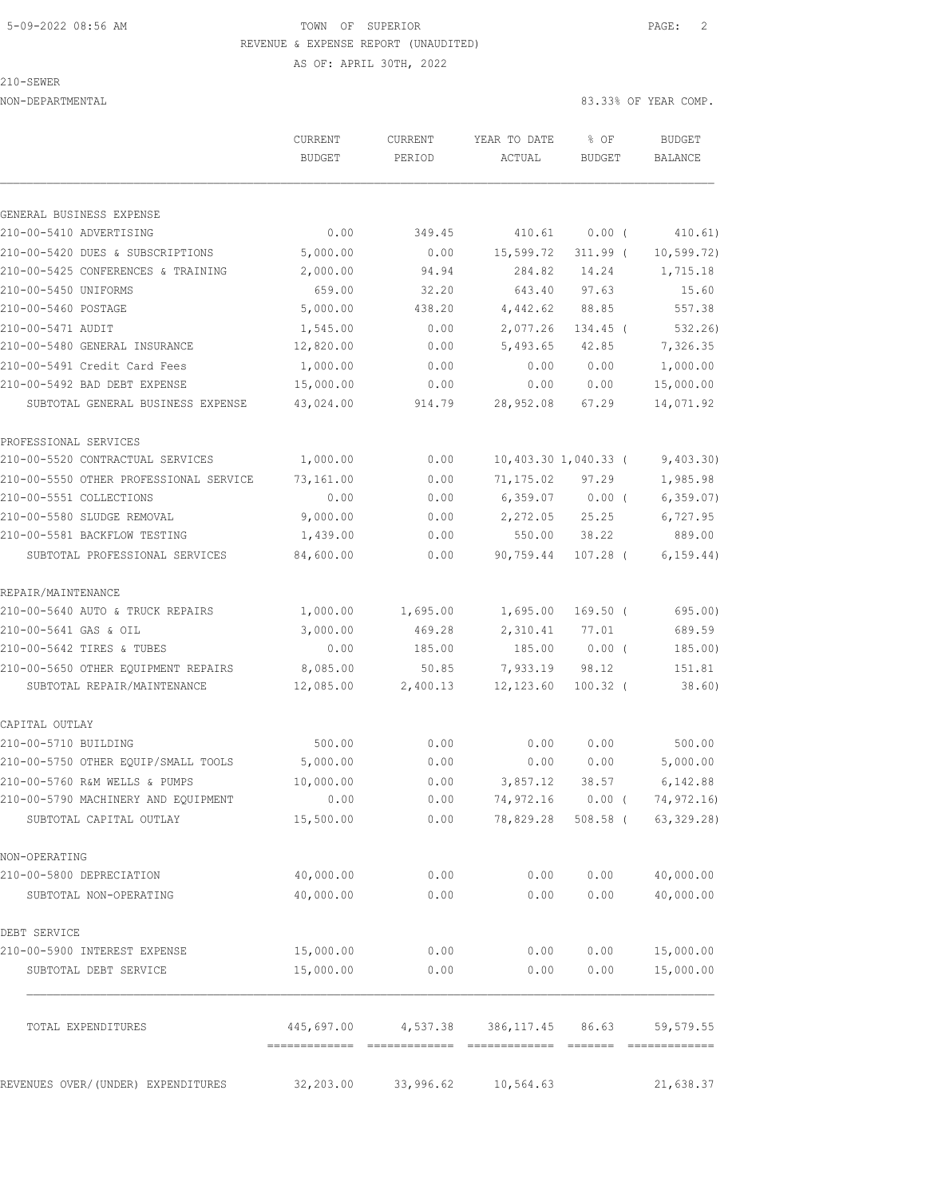#### 5-09-2022 08:56 AM TOWN OF SUPERIOR PAGE: 2 REVENUE & EXPENSE REPORT (UNAUDITED) AS OF: APRIL 30TH, 2022

210-SEWER

|                                                                        | CURRENT<br><b>BUDGET</b> | <b>CURRENT</b><br>PERIOD             | YEAR TO DATE<br>ACTUAL             | % OF<br><b>BUDGET</b> | <b>BUDGET</b><br>BALANCE |
|------------------------------------------------------------------------|--------------------------|--------------------------------------|------------------------------------|-----------------------|--------------------------|
|                                                                        |                          |                                      |                                    |                       |                          |
| GENERAL BUSINESS EXPENSE                                               |                          |                                      |                                    |                       |                          |
| 210-00-5410 ADVERTISING                                                | 0.00                     | 349.45                               | 410.61                             | 0.00(                 | 410.61)                  |
| 210-00-5420 DUES & SUBSCRIPTIONS<br>210-00-5425 CONFERENCES & TRAINING | 5,000.00<br>2,000.00     | 0.00<br>94.94                        | 15,599.72<br>284.82                | $311.99$ (<br>14.24   | 10, 599.72)<br>1,715.18  |
| 210-00-5450 UNIFORMS                                                   | 659.00                   | 32.20                                | 643.40                             | 97.63                 | 15.60                    |
| 210-00-5460 POSTAGE                                                    | 5,000.00                 | 438.20                               | 4,442.62                           | 88.85                 | 557.38                   |
| 210-00-5471 AUDIT                                                      | 1,545.00                 | 0.00                                 | 2,077.26                           | 134.45 (              | 532.26                   |
| 210-00-5480 GENERAL INSURANCE                                          | 12,820.00                | 0.00                                 | 5,493.65                           | 42.85                 | 7,326.35                 |
| 210-00-5491 Credit Card Fees                                           | 1,000.00                 | 0.00                                 | 0.00                               | 0.00                  | 1,000.00                 |
| 210-00-5492 BAD DEBT EXPENSE                                           | 15,000.00                | 0.00                                 | 0.00                               | 0.00                  | 15,000.00                |
| SUBTOTAL GENERAL BUSINESS EXPENSE                                      | 43,024.00                | 914.79                               | 28,952.08                          | 67.29                 | 14,071.92                |
| PROFESSIONAL SERVICES                                                  |                          |                                      |                                    |                       |                          |
| 210-00-5520 CONTRACTUAL SERVICES                                       | 1,000.00                 | 0.00                                 |                                    | 10,403.30 1,040.33 (  | 9,403.30)                |
| 210-00-5550 OTHER PROFESSIONAL SERVICE                                 | 73,161.00                | 0.00                                 | 71,175.02                          | 97.29                 | 1,985.98                 |
| 210-00-5551 COLLECTIONS                                                | 0.00                     | 0.00                                 | 6,359.07                           | $0.00$ (              | 6, 359.07)               |
| 210-00-5580 SLUDGE REMOVAL                                             | 9,000.00                 | 0.00                                 | 2,272.05                           | 25.25                 | 6,727.95                 |
| 210-00-5581 BACKFLOW TESTING                                           | 1,439.00                 | 0.00                                 | 550.00                             | 38.22                 | 889.00                   |
| SUBTOTAL PROFESSIONAL SERVICES                                         | 84,600.00                | 0.00                                 | 90,759.44                          | $107.28$ (            | 6, 159.44)               |
| REPAIR/MAINTENANCE                                                     |                          |                                      |                                    |                       |                          |
| 210-00-5640 AUTO & TRUCK REPAIRS                                       | 1,000.00                 | 1,695.00                             | 1,695.00                           | $169.50$ (            | 695.00)                  |
| 210-00-5641 GAS & OIL                                                  | 3,000.00                 | 469.28                               | 2,310.41                           | 77.01                 | 689.59                   |
| 210-00-5642 TIRES & TUBES                                              | 0.00                     | 185.00                               | 185.00                             | $0.00$ (              | 185.00)                  |
| 210-00-5650 OTHER EQUIPMENT REPAIRS                                    | 8,085.00                 | 50.85                                | 7,933.19                           | 98.12                 | 151.81                   |
| SUBTOTAL REPAIR/MAINTENANCE                                            | 12,085.00                | 2,400.13                             | 12,123.60                          | $100.32$ (            | 38.60)                   |
| CAPITAL OUTLAY                                                         |                          |                                      |                                    |                       |                          |
| 210-00-5710 BUILDING                                                   | 500.00                   | 0.00                                 | 0.00                               | 0.00                  | 500.00                   |
| 210-00-5750 OTHER EQUIP/SMALL TOOLS                                    | 5,000.00                 | 0.00                                 | 0.00                               | 0.00                  | 5,000.00                 |
| 210-00-5760 R&M WELLS & PUMPS                                          | 10,000.00                | 0.00                                 | 3,857.12                           | 38.57                 | 6,142.88                 |
| 210-00-5790 MACHINERY AND EQUIPMENT                                    | 0.00                     |                                      | $0.00$ 74,972.16 0.00 ( 74,972.16) |                       |                          |
| SUBTOTAL CAPITAL OUTLAY                                                | 15,500.00                | 0.00                                 | 78,829.28                          | 508.58 (              | 63, 329.28)              |
| NON-OPERATING                                                          |                          |                                      |                                    |                       |                          |
| 210-00-5800 DEPRECIATION                                               | 40,000.00                | 0.00                                 | 0.00                               | 0.00                  | 40,000.00                |
| SUBTOTAL NON-OPERATING                                                 | 40,000.00                | 0.00                                 | 0.00                               | 0.00                  | 40,000.00                |
| DEBT SERVICE                                                           |                          |                                      |                                    |                       |                          |
| 210-00-5900 INTEREST EXPENSE                                           | 15,000.00                | 0.00                                 | 0.00                               | 0.00                  | 15,000.00                |
| SUBTOTAL DEBT SERVICE                                                  | 15,000.00                | 0.00                                 | 0.00                               | 0.00                  | 15,000.00                |
| TOTAL EXPENDITURES                                                     |                          | 445,697.00 4,537.38 386,117.45 86.63 |                                    |                       | 59, 579.55               |
| REVENUES OVER/(UNDER) EXPENDITURES                                     | 32, 203.00               | 33,996.62                            | 10, 564.63                         |                       | 21,638.37                |
|                                                                        |                          |                                      |                                    |                       |                          |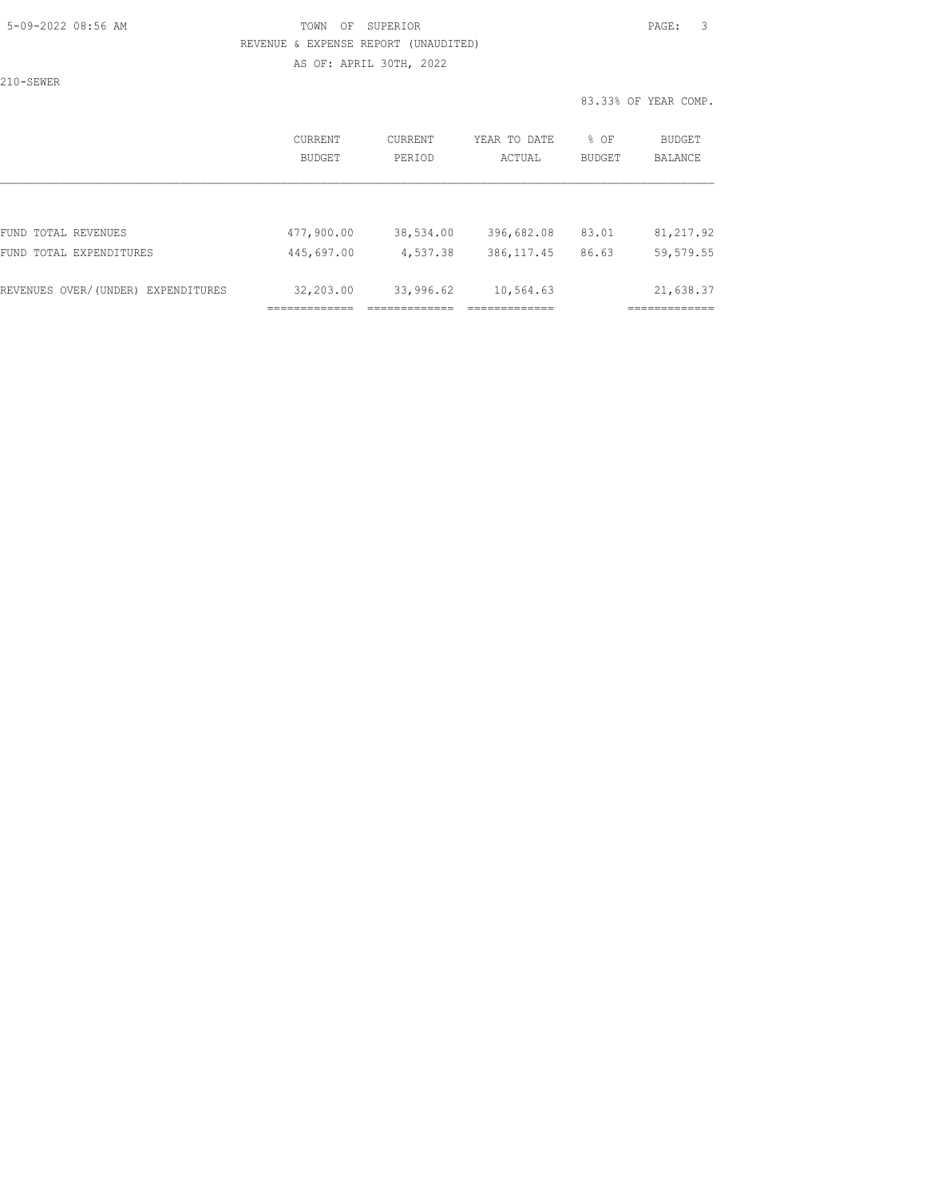#### 5-09-2022 08:56 AM TOWN OF SUPERIOR PAGE: 3 REVENUE & EXPENSE REPORT (UNAUDITED) AS OF: APRIL 30TH, 2022

210-SEWER

|                                    | CURRENT<br><b>BUDGET</b> | CURRENT<br>PERIOD | YEAR TO DATE<br>ACTUAL | % OF<br><b>BUDGET</b> | BUDGET<br><b>BALANCE</b> |
|------------------------------------|--------------------------|-------------------|------------------------|-----------------------|--------------------------|
|                                    |                          |                   |                        |                       |                          |
| FUND TOTAL REVENUES                | 477,900.00               | 38,534.00         | 396,682.08             | 83.01                 | 81, 217.92               |
| FUND TOTAL EXPENDITURES            | 445,697.00               | 4,537.38          | 386, 117.45            | 86.63                 | 59, 579.55               |
| REVENUES OVER/(UNDER) EXPENDITURES | 32,203.00                | 33,996.62         | 10,564.63              |                       | 21,638.37                |
|                                    |                          |                   |                        |                       |                          |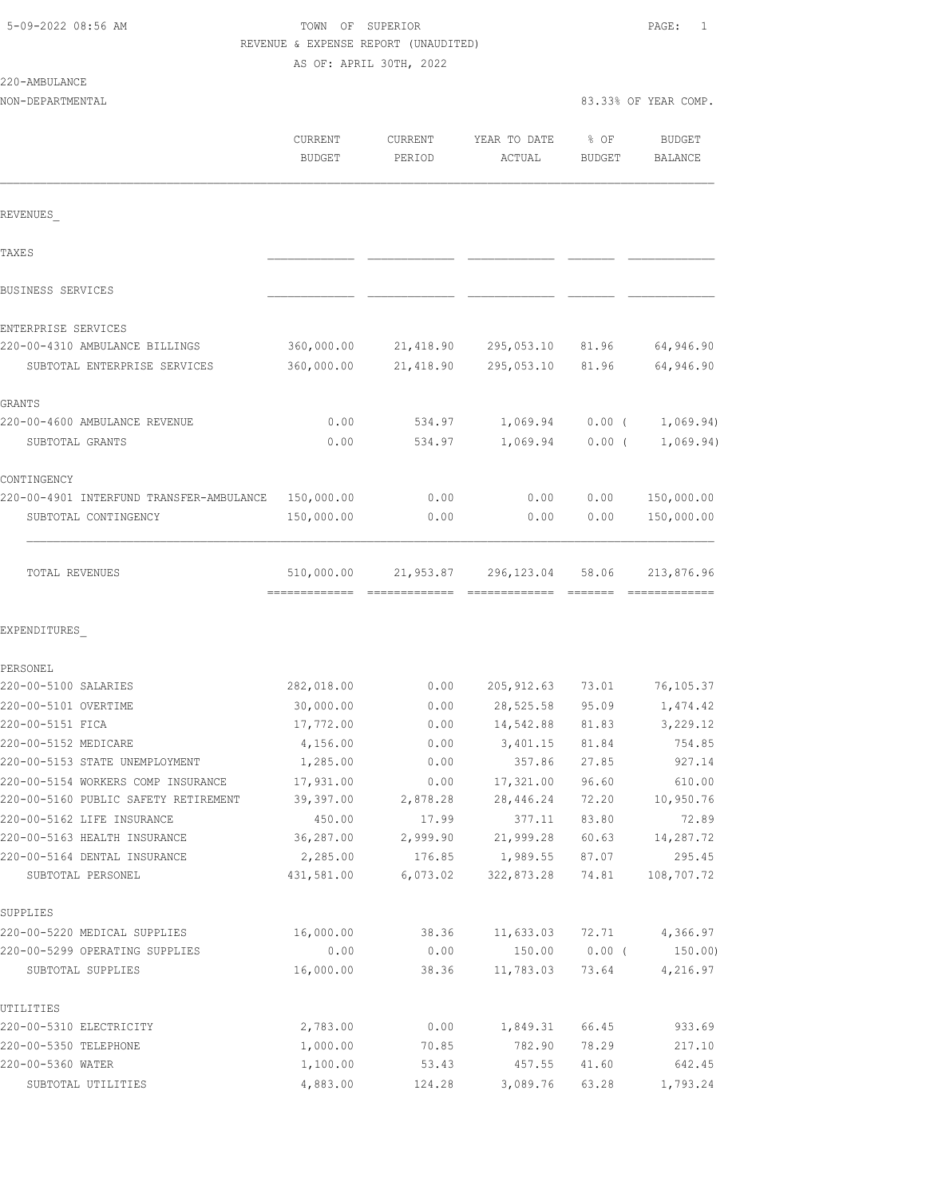220-AMBULANCE

### TOWN OF SUPERIOR **Example 2018** PAGE: 1 REVENUE & EXPENSE REPORT (UNAUDITED) AS OF: APRIL 30TH, 2022

|                                                                            | CURRENT<br><b>BUDGET</b> | CURRENT<br>PERIOD | YEAR TO DATE<br>ACTUAL | % OF<br><b>BUDGET</b> | <b>BUDGET</b><br>BALANCE |
|----------------------------------------------------------------------------|--------------------------|-------------------|------------------------|-----------------------|--------------------------|
| REVENUES                                                                   |                          |                   |                        |                       |                          |
| TAXE S                                                                     |                          |                   |                        |                       |                          |
| <b>BUSINESS SERVICES</b>                                                   |                          |                   |                        |                       |                          |
| ENTERPRISE SERVICES                                                        |                          |                   |                        |                       |                          |
| 220-00-4310 AMBULANCE BILLINGS                                             | 360,000.00               | 21,418.90         | 295,053.10             | 81.96                 | 64,946.90                |
| SUBTOTAL ENTERPRISE SERVICES                                               | 360,000.00               | 21,418.90         | 295,053.10             | 81.96                 | 64,946.90                |
| <b>GRANTS</b>                                                              |                          |                   |                        |                       |                          |
| 220-00-4600 AMBULANCE REVENUE                                              | 0.00                     | 534.97            | 1,069.94               | 0.00(                 | 1,069.94)                |
| SUBTOTAL GRANTS                                                            | 0.00                     | 534.97            | 1,069.94               | 0.00(                 | 1,069.94)                |
| CONTINGENCY                                                                |                          |                   |                        |                       |                          |
| 220-00-4901 INTERFUND TRANSFER-AMBULANCE                                   | 150,000.00               | 0.00              | 0.00                   | 0.00                  | 150,000.00               |
| SUBTOTAL CONTINGENCY                                                       | 150,000.00               | 0.00              | 0.00                   | 0.00                  | 150,000.00               |
| TOTAL REVENUES                                                             | 510,000.00               | 21,953.87         | 296, 123.04            | 58.06                 | 213,876.96               |
| EXPENDITURES                                                               |                          |                   |                        |                       |                          |
| PERSONEL                                                                   |                          |                   |                        |                       |                          |
| 220-00-5100 SALARIES                                                       | 282,018.00               | 0.00              | 205, 912.63            | 73.01                 | 76,105.37                |
| 220-00-5101 OVERTIME                                                       | 30,000.00                | 0.00              | 28,525.58              | 95.09                 | 1,474.42                 |
| 220-00-5151 FICA                                                           | 17,772.00                | 0.00              | 14,542.88              | 81.83                 | 3,229.12                 |
| 220-00-5152 MEDICARE                                                       | 4,156.00                 | 0.00              | 3,401.15               | 81.84                 | 754.85                   |
| 220-00-5153 STATE UNEMPLOYMENT                                             | 1,285.00                 | 0.00              | 357.86                 | 27.85                 | 927.14                   |
| 220-00-5154 WORKERS COMP INSURANCE<br>220-00-5160 PUBLIC SAFETY RETIREMENT | 17,931.00                | 0.00              | 17,321.00              | 96.60                 | 610.00                   |
| 220-00-5162 LIFE INSURANCE                                                 | 39,397.00<br>450.00      | 2,878.28<br>17.99 | 28,446.24<br>377.11    | 72.20<br>83.80        | 10,950.76<br>72.89       |
| 220-00-5163 HEALTH INSURANCE                                               | 36,287.00                | 2,999.90          | 21,999.28              | 60.63                 | 14,287.72                |
| 220-00-5164 DENTAL INSURANCE                                               | 2,285.00                 | 176.85            | 1,989.55               | 87.07                 | 295.45                   |
| SUBTOTAL PERSONEL                                                          | 431,581.00               | 6,073.02          | 322,873.28             | 74.81                 | 108,707.72               |
| SUPPLIES                                                                   |                          |                   |                        |                       |                          |
| 220-00-5220 MEDICAL SUPPLIES                                               | 16,000.00                | 38.36             | 11,633.03              | 72.71                 | 4,366.97                 |
| 220-00-5299 OPERATING SUPPLIES                                             | 0.00                     | 0.00              | 150.00                 | $0.00$ (              | 150.00                   |
| SUBTOTAL SUPPLIES                                                          | 16,000.00                | 38.36             | 11,783.03              | 73.64                 | 4,216.97                 |
| UTILITIES                                                                  |                          |                   |                        |                       |                          |
| 220-00-5310 ELECTRICITY                                                    | 2,783.00                 | 0.00              | 1,849.31               | 66.45                 | 933.69                   |
| 220-00-5350 TELEPHONE                                                      | 1,000.00                 | 70.85             | 782.90                 | 78.29                 | 217.10                   |
| 220-00-5360 WATER                                                          | 1,100.00                 | 53.43             | 457.55                 | 41.60                 | 642.45                   |
| SUBTOTAL UTILITIES                                                         | 4,883.00                 | 124.28            | 3,089.76               | 63.28                 | 1,793.24                 |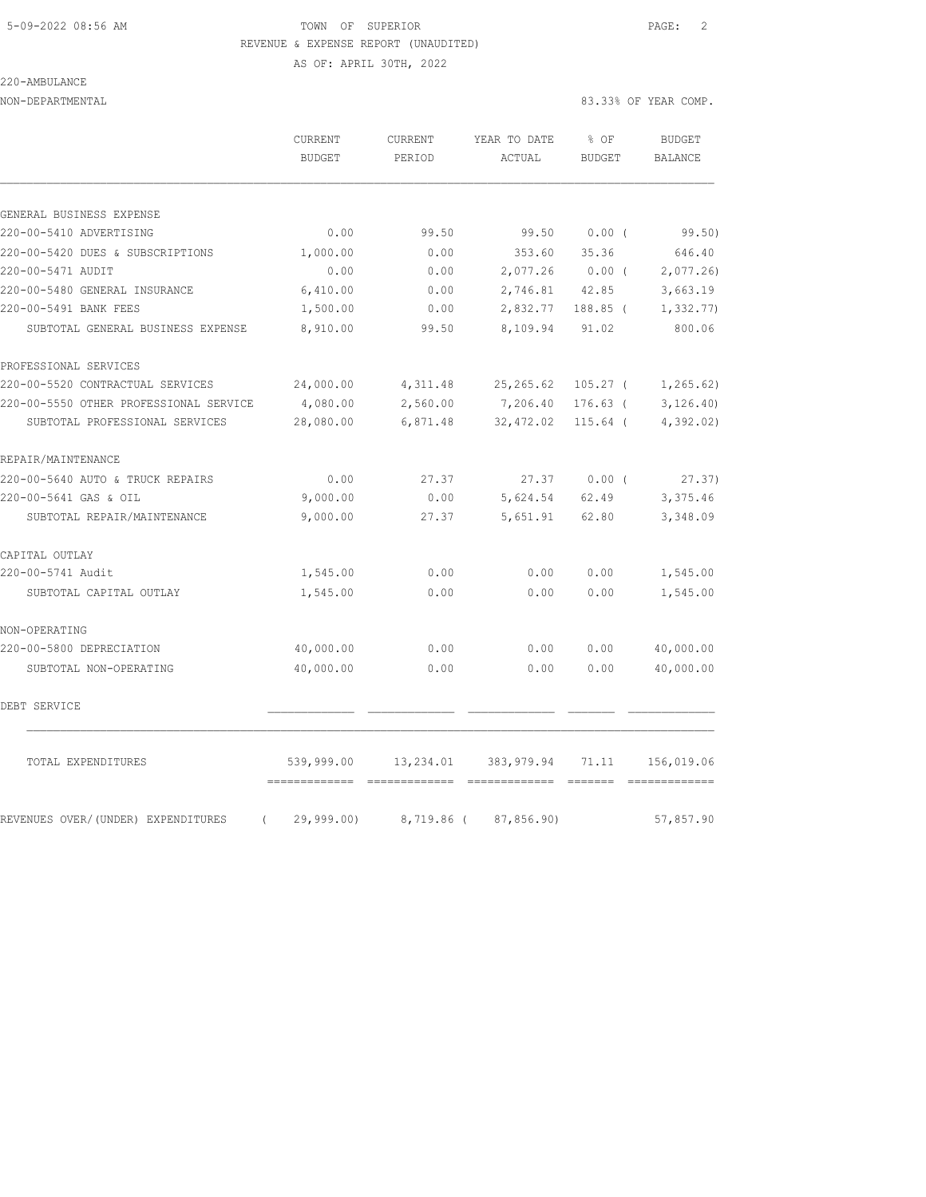# 5-09-2022 08:56 AM TOWN OF SUPERIOR PAGE: 2 REVENUE & EXPENSE REPORT (UNAUDITED)

### 220-AMBULANCE

AS OF: APRIL 30TH, 2022

|                                                | <b>CURRENT</b><br>BUDGET | <b>CURRENT</b><br>PERIOD | YEAR TO DATE<br>ACTUAL | % OF<br><b>BUDGET</b> | <b>BUDGET</b><br>BALANCE |
|------------------------------------------------|--------------------------|--------------------------|------------------------|-----------------------|--------------------------|
|                                                |                          |                          |                        |                       |                          |
| GENERAL BUSINESS EXPENSE                       |                          |                          |                        |                       |                          |
| 220-00-5410 ADVERTISING                        | 0.00                     | 99.50                    | 99.50                  | 0.00(                 | 99.50)                   |
| 220-00-5420 DUES & SUBSCRIPTIONS               | 1,000.00                 | 0.00                     | 353.60                 | 35.36                 | 646.40                   |
| 220-00-5471 AUDIT                              | 0.00                     | 0.00                     | 2,077.26               | $0.00$ (              | 2,077.26                 |
| 220-00-5480 GENERAL INSURANCE                  | 6,410.00                 | 0.00                     | 2,746.81               | 42.85                 | 3,663.19                 |
| 220-00-5491 BANK FEES                          | 1,500.00                 | 0.00                     | 2,832.77               | 188.85 (              | 1,332.77                 |
| SUBTOTAL GENERAL BUSINESS EXPENSE              | 8,910.00                 | 99.50                    | 8,109.94               | 91.02                 | 800.06                   |
| PROFESSIONAL SERVICES                          |                          |                          |                        |                       |                          |
| 220-00-5520 CONTRACTUAL SERVICES               | 24,000.00                | 4,311.48                 | 25, 265.62             | $105.27$ (            | 1, 265.62)               |
| 220-00-5550 OTHER PROFESSIONAL SERVICE         | 4,080.00                 | 2,560.00                 | 7,206.40               | $176.63$ (            | 3, 126.40                |
| SUBTOTAL PROFESSIONAL SERVICES                 | 28,080.00                | 6,871.48                 | 32,472.02              | $115.64$ (            | 4,392.02)                |
| REPAIR/MAINTENANCE                             |                          |                          |                        |                       |                          |
| 220-00-5640 AUTO & TRUCK REPAIRS               | 0.00                     | 27.37                    | 27.37                  | 0.00(                 | 27.37)                   |
| 220-00-5641 GAS & OIL                          | 9,000.00                 | 0.00                     | 5,624.54               | 62.49                 | 3,375.46                 |
| SUBTOTAL REPAIR/MAINTENANCE                    | 9,000.00                 | 27.37                    | 5,651.91               | 62.80                 | 3,348.09                 |
| CAPITAL OUTLAY                                 |                          |                          |                        |                       |                          |
| 220-00-5741 Audit                              | 1,545.00                 | 0.00                     | 0.00                   | 0.00                  | 1,545.00                 |
| SUBTOTAL CAPITAL OUTLAY                        | 1,545.00                 | 0.00                     | 0.00                   | 0.00                  | 1,545.00                 |
| NON-OPERATING                                  |                          |                          |                        |                       |                          |
| 220-00-5800 DEPRECIATION                       | 40,000.00                | 0.00                     | 0.00                   | 0.00                  | 40,000.00                |
| SUBTOTAL NON-OPERATING                         | 40,000.00                | 0.00                     | 0.00                   | 0.00                  | 40,000.00                |
| DEBT SERVICE                                   |                          |                          |                        |                       |                          |
| TOTAL EXPENDITURES                             | 539,999.00               | 13,234.01                | 383, 979.94            | 71.11                 | 156,019.06               |
| REVENUES OVER/(UNDER) EXPENDITURES<br>$\left($ | 29,999.00                |                          | 8,719.86 (87,856.90)   |                       | 57,857.90                |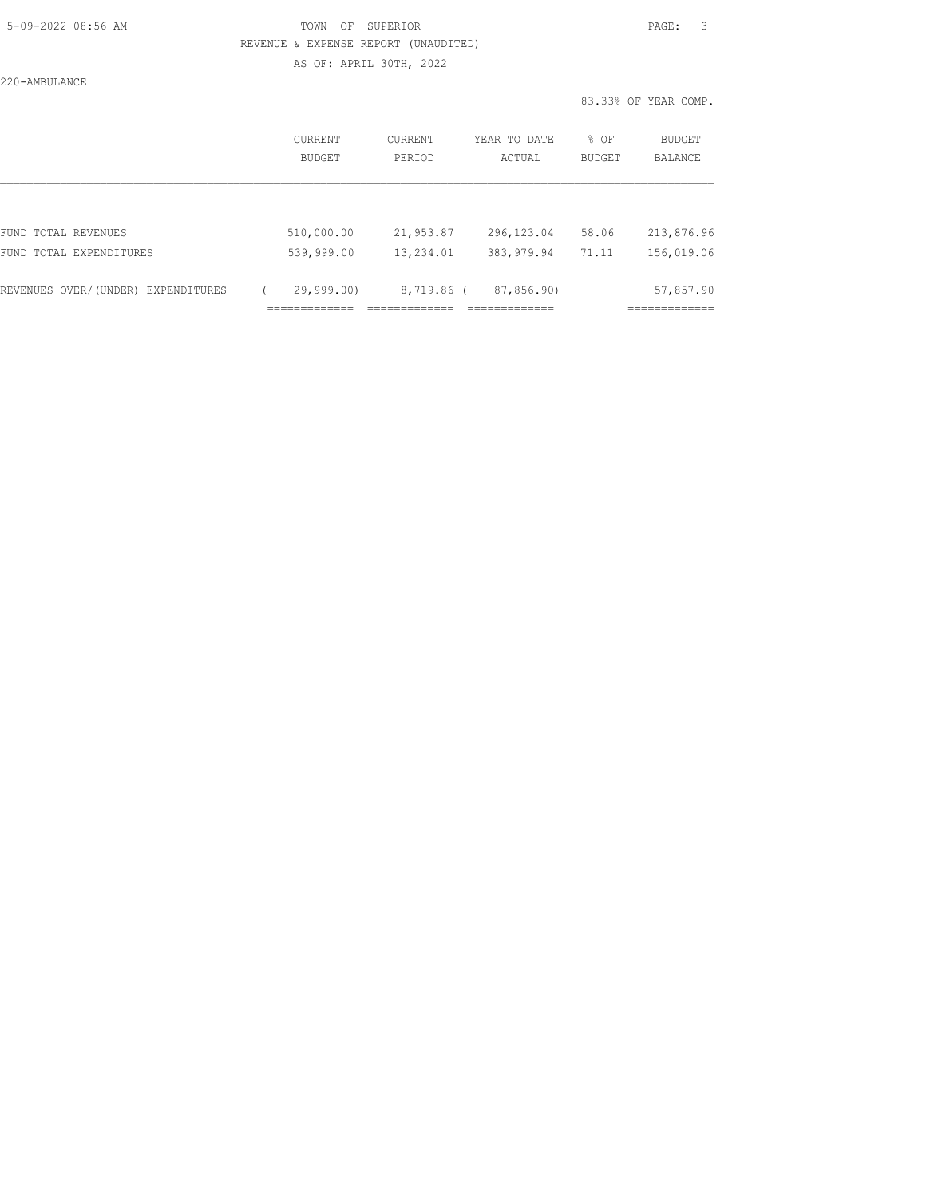## 5-09-2022 08:56 AM TOWN OF SUPERIOR PAGE: 3 REVENUE & EXPENSE REPORT (UNAUDITED) AS OF: APRIL 30TH, 2022

220-AMBULANCE

|                                    |                          |                   |                        |                       | 83.33% OF YEAR COMP.     |
|------------------------------------|--------------------------|-------------------|------------------------|-----------------------|--------------------------|
|                                    | <b>CURRENT</b><br>BUDGET | CURRENT<br>PERIOD | YEAR TO DATE<br>ACTUAL | % OF<br><b>BUDGET</b> | BUDGET<br>BALANCE        |
|                                    |                          |                   |                        |                       |                          |
| FUND TOTAL REVENUES                | 510,000.00               | 21,953.87         | 296, 123.04            | 58.06                 | 213,876.96               |
| FUND TOTAL EXPENDITURES            | 539,999.00               | 13,234.01         | 383, 979.94            | 71.11                 | 156,019.06               |
| REVENUES OVER/(UNDER) EXPENDITURES | 29,999,00                | 8,719.86 (        | 87,856.90)             |                       | 57,857.90<br>=========== |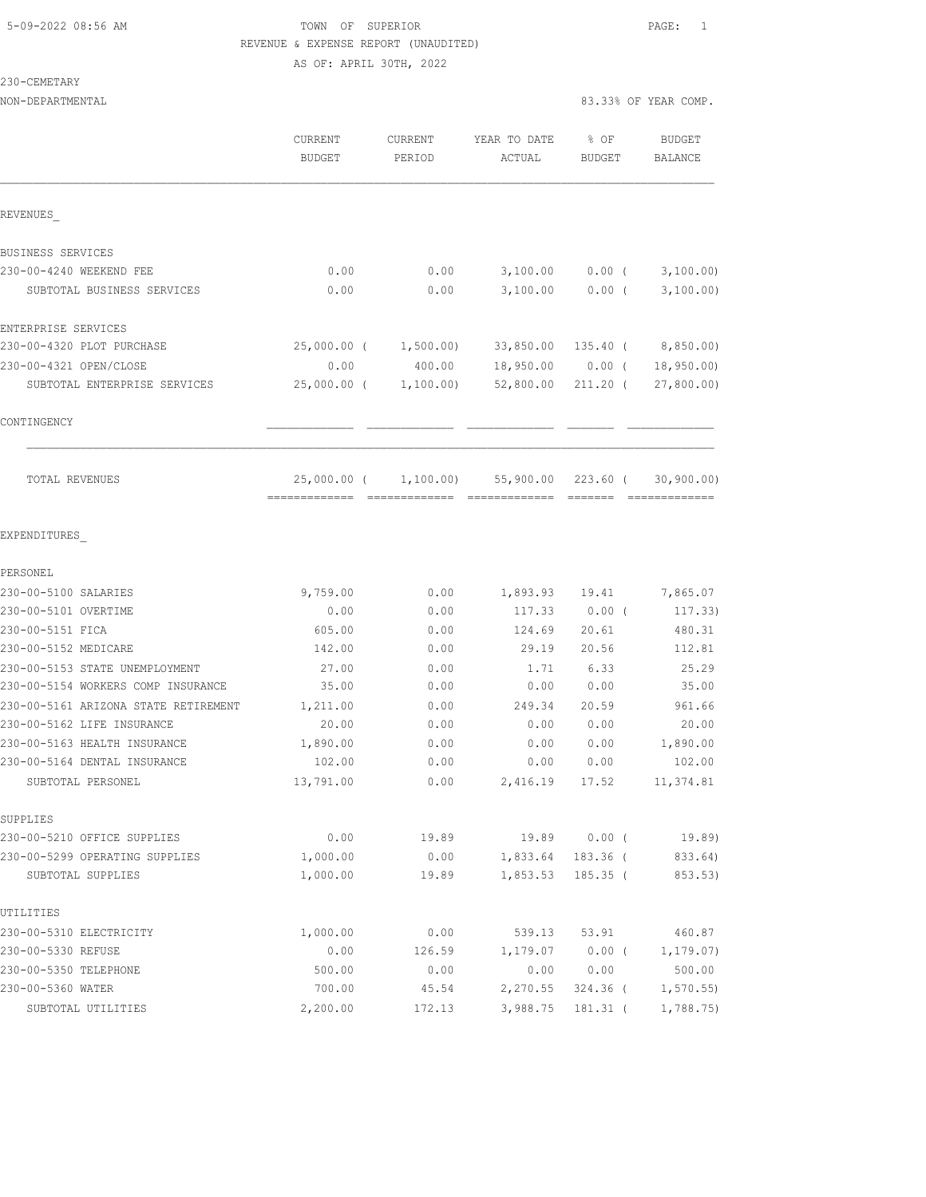### 5-09-2022 08:56 AM TOWN OF SUPERIOR PAGE: 1 REVENUE & EXPENSE REPORT (UNAUDITED) AS OF: APRIL 30TH, 2022

230-CEMETARY

| NON-DEPARTMENTAL                                  |                     |                   |                        |                       | 83.33% OF YEAR COMP. |
|---------------------------------------------------|---------------------|-------------------|------------------------|-----------------------|----------------------|
|                                                   | CURRENT<br>BUDGET   | CURRENT<br>PERIOD | YEAR TO DATE<br>ACTUAL | % OF<br><b>BUDGET</b> | BUDGET<br>BALANCE    |
| REVENUES                                          |                     |                   |                        |                       |                      |
| BUSINESS SERVICES                                 |                     |                   |                        |                       |                      |
| 230-00-4240 WEEKEND FEE                           | 0.00                | 0.00              | 3,100.00               | $0.00$ (              | 3,100.00)            |
| SUBTOTAL BUSINESS SERVICES                        | 0.00                | 0.00              | 3,100.00               | $0.00$ (              | 3,100.00)            |
| ENTERPRISE SERVICES                               |                     |                   |                        |                       |                      |
| 230-00-4320 PLOT PURCHASE                         | $25,000.00$ (       | 1,500.00)         | 33,850.00              | 135.40 (              | 8,850.00)            |
| 230-00-4321 OPEN/CLOSE                            | 0.00                | 400.00            | 18,950.00              | $0.00$ (              | 18,950.00            |
| SUBTOTAL ENTERPRISE SERVICES                      | $25,000.00$ (       | 1,100.00)         | 52,800.00              | $211.20$ (            | 27,800.00)           |
| CONTINGENCY                                       |                     |                   |                        |                       |                      |
| TOTAL REVENUES                                    | 25,000.00 (         | 1,100.00)         | 55,900.00              | $223.60$ (            | 30, 900.00)          |
| EXPENDITURES                                      |                     |                   |                        |                       |                      |
| PERSONEL                                          |                     |                   |                        |                       |                      |
| 230-00-5100 SALARIES                              | 9,759.00            | 0.00              | 1,893.93               | 19.41                 | 7,865.07             |
| 230-00-5101 OVERTIME                              | 0.00                | 0.00              | 117.33                 | $0.00$ (              | 117.33)              |
| 230-00-5151 FICA                                  | 605.00              | 0.00              | 124.69                 | 20.61                 | 480.31               |
| 230-00-5152 MEDICARE                              | 142.00              | 0.00              | 29.19                  | 20.56                 | 112.81               |
| 230-00-5153 STATE UNEMPLOYMENT                    | 27.00               | 0.00              | 1.71                   | 6.33                  | 25.29                |
| 230-00-5154 WORKERS COMP INSURANCE                | 35.00               | 0.00              | 0.00                   | 0.00                  | 35.00                |
| 230-00-5161 ARIZONA STATE RETIREMENT              | 1,211.00            | 0.00              | 249.34                 | 20.59                 | 961.66               |
| 230-00-5162 LIFE INSURANCE                        | 20.00               | 0.00              | 0.00                   | 0.00                  | 20.00                |
| 230-00-5163 HEALTH INSURANCE                      | 1,890.00            | 0.00              | 0.00                   | 0.00                  | 1,890.00             |
| 230-00-5164 DENTAL INSURANCE<br>SUBTOTAL PERSONEL | 102.00<br>13,791.00 | 0.00<br>0.00      | 0.00<br>2,416.19       | 0.00<br>17.52         | 102.00<br>11,374.81  |
|                                                   |                     |                   |                        |                       |                      |
| SUPPLIES<br>230-00-5210 OFFICE SUPPLIES           | 0.00                | 19.89             | 19.89                  | $0.00$ (              | 19.89)               |
| 230-00-5299 OPERATING SUPPLIES                    | 1,000.00            | 0.00              | 1,833.64               | 183.36 (              | 833.64)              |
| SUBTOTAL SUPPLIES                                 | 1,000.00            | 19.89             | 1,853.53               | $185.35$ (            | 853.53)              |
| UTILITIES                                         |                     |                   |                        |                       |                      |
| 230-00-5310 ELECTRICITY                           | 1,000.00            | 0.00              | 539.13                 | 53.91                 | 460.87               |
| 230-00-5330 REFUSE                                | 0.00                | 126.59            | 1,179.07               | $0.00$ (              | 1, 179.07)           |
| 230-00-5350 TELEPHONE                             | 500.00              | 0.00              | 0.00                   | 0.00                  | 500.00               |
| 230-00-5360 WATER                                 | 700.00              | 45.54             | 2,270.55               | $324.36$ (            | 1, 570.55            |
| SUBTOTAL UTILITIES                                | 2,200.00            | 172.13            | 3,988.75               | 181.31 (              | 1,788.75             |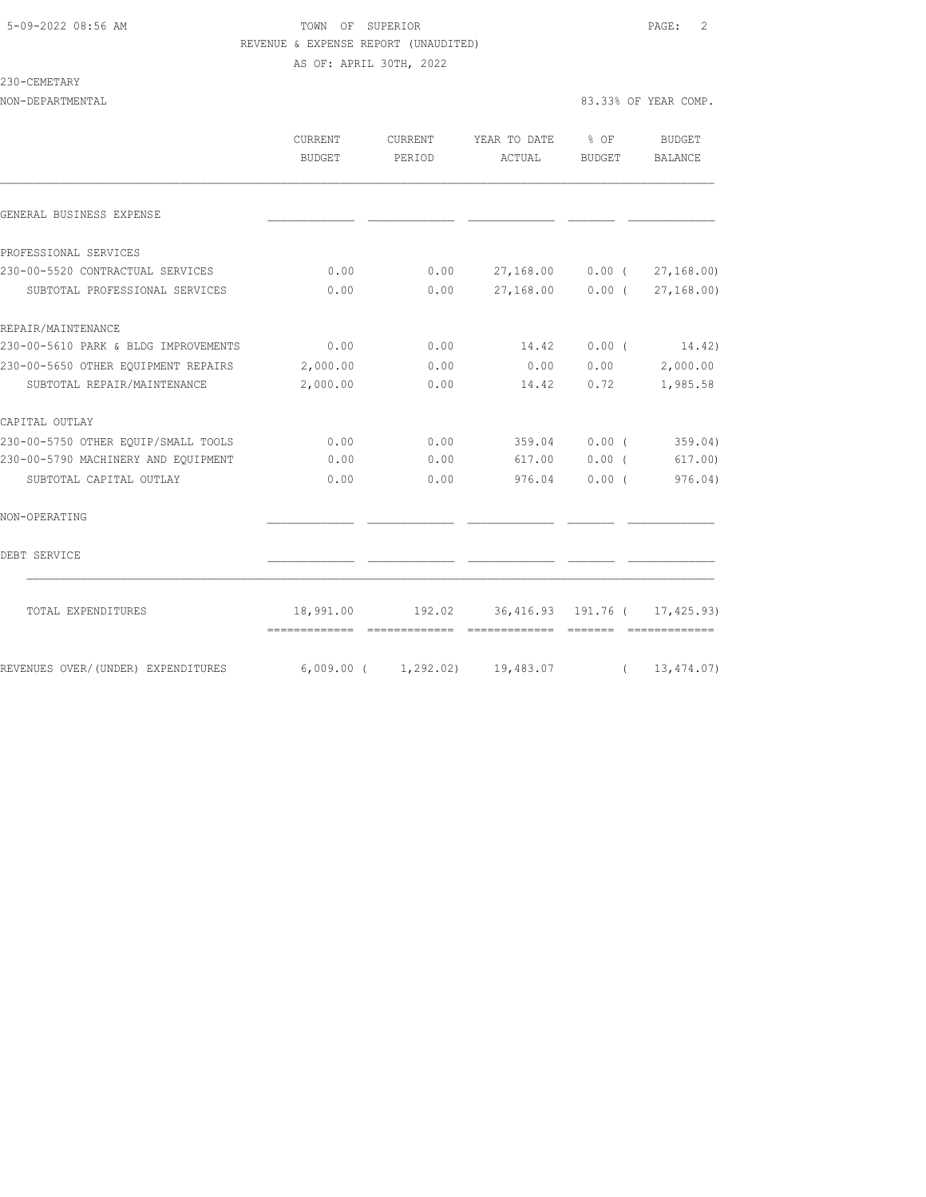# 5-09-2022 08:56 AM TOWN OF SUPERIOR PAGE: 2 REVENUE & EXPENSE REPORT (UNAUDITED)

AS OF: APRIL 30TH, 2022

#### 230-CEMETARY

| NON-DEPARTMENTAL | 83.33% OF YEAR COMP. |
|------------------|----------------------|
|                  |                      |
|                  |                      |

|                                      | <b>CURRENT</b><br><b>BUDGET</b>             | CURRENT<br>PERIOD | YEAR TO DATE<br>ACTUAL                                                                                                                                                                                                                                                                                                                                                                                                                                                                                                  | % OF<br>BUDGET | BUDGET<br><b>BALANCE</b> |
|--------------------------------------|---------------------------------------------|-------------------|-------------------------------------------------------------------------------------------------------------------------------------------------------------------------------------------------------------------------------------------------------------------------------------------------------------------------------------------------------------------------------------------------------------------------------------------------------------------------------------------------------------------------|----------------|--------------------------|
| GENERAL BUSINESS EXPENSE             |                                             |                   |                                                                                                                                                                                                                                                                                                                                                                                                                                                                                                                         |                |                          |
| PROFESSIONAL SERVICES                |                                             |                   |                                                                                                                                                                                                                                                                                                                                                                                                                                                                                                                         |                |                          |
| 230-00-5520 CONTRACTUAL SERVICES     | 0.00                                        | 0.00              | 27,168.00                                                                                                                                                                                                                                                                                                                                                                                                                                                                                                               | $0.00$ (       | 27, 168.00               |
| SUBTOTAL PROFESSIONAL SERVICES       | 0.00                                        | 0.00              | 27,168.00                                                                                                                                                                                                                                                                                                                                                                                                                                                                                                               | $0.00$ (       | 27, 168, 00)             |
| REPAIR/MAINTENANCE                   |                                             |                   |                                                                                                                                                                                                                                                                                                                                                                                                                                                                                                                         |                |                          |
| 230-00-5610 PARK & BLDG IMPROVEMENTS | 0.00                                        | 0.00              | 14.42                                                                                                                                                                                                                                                                                                                                                                                                                                                                                                                   | $0.00$ (       | 14.42)                   |
| 230-00-5650 OTHER EQUIPMENT REPAIRS  | 2,000.00                                    | 0.00              | 0.00                                                                                                                                                                                                                                                                                                                                                                                                                                                                                                                    | 0.00           | 2,000.00                 |
| SUBTOTAL REPAIR/MAINTENANCE          | 2,000.00                                    | 0.00              | 14.42                                                                                                                                                                                                                                                                                                                                                                                                                                                                                                                   | 0.72           | 1,985.58                 |
| CAPITAL OUTLAY                       |                                             |                   |                                                                                                                                                                                                                                                                                                                                                                                                                                                                                                                         |                |                          |
| 230-00-5750 OTHER EOUIP/SMALL TOOLS  | 0.00                                        | 0.00              | 359.04                                                                                                                                                                                                                                                                                                                                                                                                                                                                                                                  | 0.00(          | 359.04)                  |
| 230-00-5790 MACHINERY AND EOUIPMENT  | 0.00                                        | 0.00              | 617.00                                                                                                                                                                                                                                                                                                                                                                                                                                                                                                                  | 0.00(          | 617.00)                  |
| SUBTOTAL CAPITAL OUTLAY              | 0.00                                        | 0.00              | 976.04                                                                                                                                                                                                                                                                                                                                                                                                                                                                                                                  | $0.00$ (       | 976.04)                  |
| NON-OPERATING                        |                                             |                   |                                                                                                                                                                                                                                                                                                                                                                                                                                                                                                                         |                |                          |
| DEBT SERVICE                         |                                             |                   |                                                                                                                                                                                                                                                                                                                                                                                                                                                                                                                         |                |                          |
| TOTAL EXPENDITURES                   | 18,991.00<br>============================== | 192.02            | 36,416.93 191.76 ( 17,425.93)<br>$\begin{array}{cccccccccccccc} \multicolumn{2}{c}{} & \multicolumn{2}{c}{} & \multicolumn{2}{c}{} & \multicolumn{2}{c}{} & \multicolumn{2}{c}{} & \multicolumn{2}{c}{} & \multicolumn{2}{c}{} & \multicolumn{2}{c}{} & \multicolumn{2}{c}{} & \multicolumn{2}{c}{} & \multicolumn{2}{c}{} & \multicolumn{2}{c}{} & \multicolumn{2}{c}{} & \multicolumn{2}{c}{} & \multicolumn{2}{c}{} & \multicolumn{2}{c}{} & \multicolumn{2}{c}{} & \multicolumn{2}{c}{} & \multicolumn{2}{c}{} & \$ |                | -0000000000000           |
| REVENUES OVER/(UNDER) EXPENDITURES   | $6,009.00$ ( $1,292.02$ ) 19,483.07         |                   |                                                                                                                                                                                                                                                                                                                                                                                                                                                                                                                         | $\left($       | 13,474.07)               |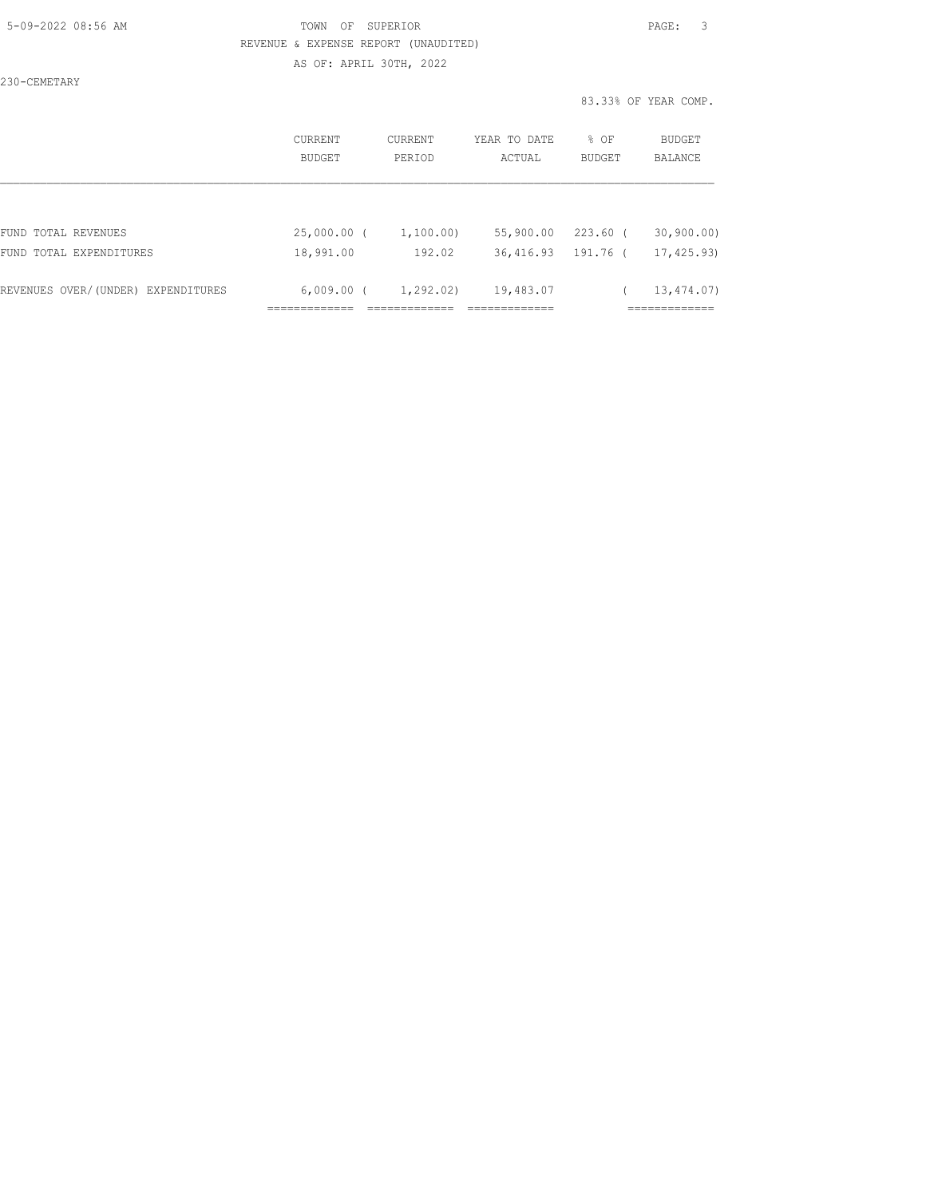#### 5-09-2022 08:56 AM TOWN OF SUPERIOR PAGE: 3 REVENUE & EXPENSE REPORT (UNAUDITED) AS OF: APRIL 30TH, 2022

230-CEMETARY

|                                    | CURRENT<br>BUDGET | CURRENT<br>PERIOD | YEAR TO DATE<br>ACTUAL | % OF<br><b>BUDGET</b> | BUDGET<br><b>BALANCE</b> |
|------------------------------------|-------------------|-------------------|------------------------|-----------------------|--------------------------|
|                                    |                   |                   |                        |                       |                          |
| FUND TOTAL REVENUES                | 25,000.00 (       | 1,100.00)         | 55,900.00              | $223.60$ (            | 30, 900, 00)             |
| FUND TOTAL EXPENDITURES            | 18,991.00         | 192.02            | 36,416.93              | 191.76 (              | 17,425.93)               |
| REVENUES OVER/(UNDER) EXPENDITURES | $6,009.00$ (      | 1,292.02)         | 19,483.07              |                       | 13,474.07)               |
|                                    |                   |                   |                        |                       |                          |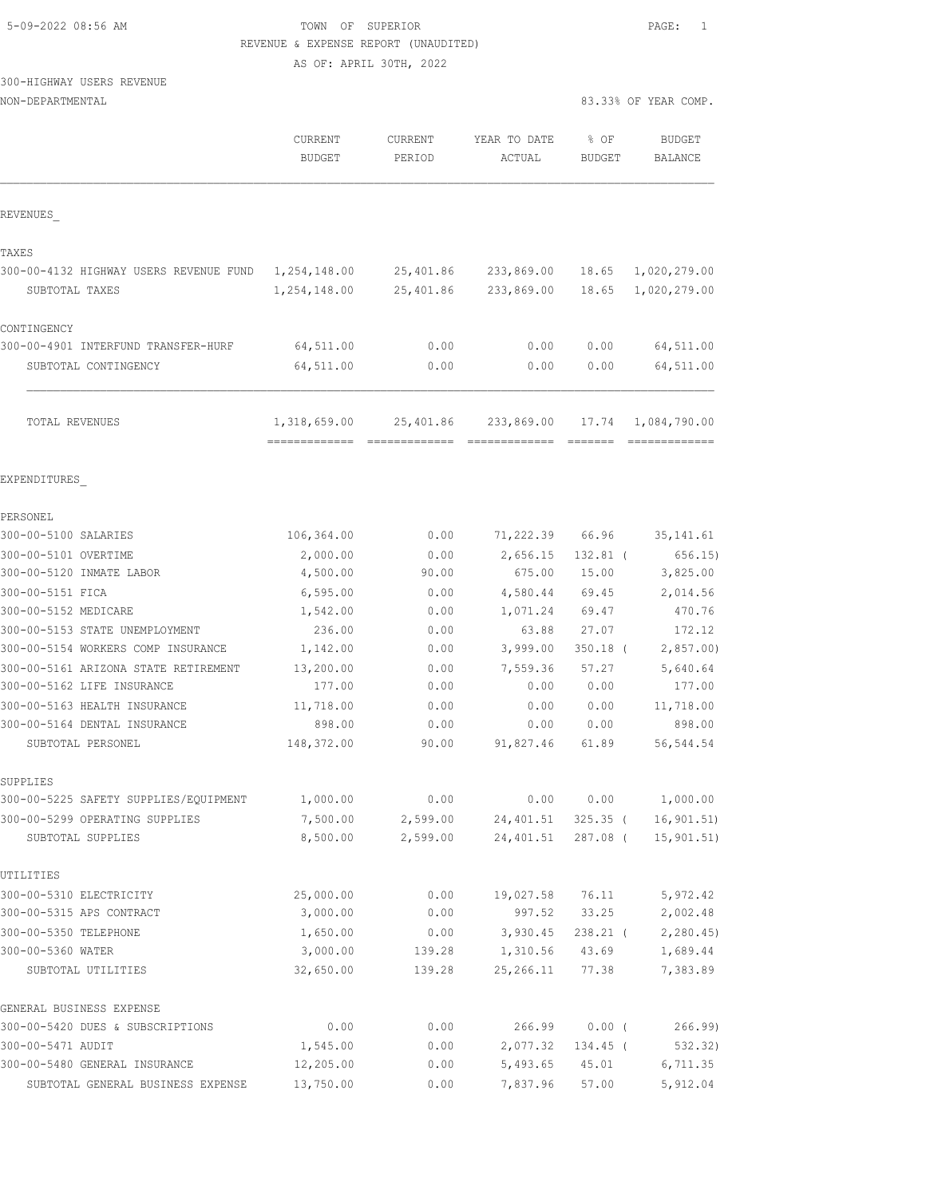| 5-09-2022 08:56 AM |  |
|--------------------|--|
|                    |  |

### TOWN OF SUPERIOR **EXECUTER** PAGE: 1 REVENUE & EXPENSE REPORT (UNAUDITED)

AS OF: APRIL 30TH, 2022

# 300-HIGHWAY USERS REVENUE

| NON-DEPARTMENTAL |
|------------------|
|------------------|

| NON-DEPARTMENTAL                       |               |                |              |       | 83.33% OF YEAR COMP. |
|----------------------------------------|---------------|----------------|--------------|-------|----------------------|
|                                        | CURRENT       | <b>CURRENT</b> | YEAR TO DATE | % OF  | BUDGET               |
|                                        | <b>BUDGET</b> | PERIOD         | ACTUAL       |       | <b>BALANCE</b>       |
|                                        |               |                |              |       |                      |
| REVENUES                               |               |                |              |       |                      |
| TAXES                                  |               |                |              |       |                      |
| 300-00-4132 HIGHWAY USERS REVENUE FUND | 1,254,148.00  | 25,401.86      | 233,869.00   | 18.65 | 1,020,279.00         |
| SUBTOTAL TAXES                         | 1,254,148.00  | 25,401.86      | 233,869.00   | 18.65 | 1,020,279.00         |
| CONTINGENCY                            |               |                |              |       |                      |
| 300-00-4901 INTERFUND TRANSFER-HURF    | 64,511.00     | 0.00           | 0.00         | 0.00  | 64,511.00            |
| SUBTOTAL CONTINGENCY                   | 64,511.00     | 0.00           | 0.00         | 0.00  | 64,511.00            |

| TOTAL REVENUES |  | 1,318,659.00  25,401.86  233,869.00  17.74  1,084,790.00 |  |
|----------------|--|----------------------------------------------------------|--|
|                |  |                                                          |  |

EXPENDITURES\_

PERSONEL

| 300-00-5100 SALARIES                  | 106,364.00 | 0.00     | 71,222.39          | 66.96      | 35, 141.61  |
|---------------------------------------|------------|----------|--------------------|------------|-------------|
| 300-00-5101 OVERTIME                  | 2,000.00   | 0.00     | 2,656.15           | 132.81 (   | 656.15)     |
| 300-00-5120 INMATE LABOR              | 4,500.00   | 90.00    | 675.00             | 15.00      | 3,825.00    |
| 300-00-5151 FICA                      | 6,595.00   | 0.00     | 4,580.44           | 69.45      | 2,014.56    |
| 300-00-5152 MEDICARE                  | 1,542.00   | 0.00     | 1,071.24           | 69.47      | 470.76      |
| 300-00-5153 STATE UNEMPLOYMENT        | 236.00     | 0.00     | 63.88              | 27.07      | 172.12      |
| 300-00-5154 WORKERS COMP INSURANCE    | 1,142.00   | 0.00     | 3,999.00           | $350.18$ ( | 2,857.00    |
| 300-00-5161 ARIZONA STATE RETIREMENT  | 13,200.00  | 0.00     | 7,559.36           | 57.27      | 5,640.64    |
| 300-00-5162 LIFE INSURANCE            | 177.00     | 0.00     | 0.00               | 0.00       | 177.00      |
| 300-00-5163 HEALTH INSURANCE          | 11,718.00  | 0.00     | 0.00               | 0.00       | 11,718.00   |
| 300-00-5164 DENTAL INSURANCE          | 898.00     | 0.00     | 0.00               | 0.00       | 898.00      |
| SUBTOTAL PERSONEL                     | 148,372.00 | 90.00    | 91,827.46          | 61.89      | 56, 544.54  |
| SUPPLIES                              |            |          |                    |            |             |
| 300-00-5225 SAFETY SUPPLIES/EQUIPMENT | 1,000.00   | 0.00     | 0.00               | 0.00       | 1,000.00    |
| 300-00-5299 OPERATING SUPPLIES        | 7,500.00   |          | 2,599.00 24,401.51 | $325.35$ ( | 16, 901.51) |
| SUBTOTAL SUPPLIES                     | 8,500.00   | 2,599.00 | 24,401.51          | 287.08 (   | 15, 901.51) |
| UTILITIES                             |            |          |                    |            |             |
| 300-00-5310 ELECTRICITY               | 25,000.00  | 0.00     | 19,027.58          | 76.11      | 5,972.42    |
| 300-00-5315 APS CONTRACT              | 3,000.00   | 0.00     | 997.52             | 33.25      | 2,002.48    |
| 300-00-5350 TELEPHONE                 | 1,650.00   | 0.00     | 3,930.45           | 238.21 (   | 2,280.45    |
| 300-00-5360 WATER                     | 3,000.00   | 139.28   | 1,310.56           | 43.69      | 1,689.44    |
| SUBTOTAL UTILITIES                    | 32,650.00  | 139.28   | 25,266.11          | 77.38      | 7,383.89    |
| GENERAL BUSINESS EXPENSE              |            |          |                    |            |             |
| 300-00-5420 DUES & SUBSCRIPTIONS      | 0.00       | 0.00     | 266.99             | $0.00$ (   | 266.99)     |
| 300-00-5471 AUDIT                     | 1,545.00   | 0.00     | 2,077.32           | 134.45 (   | 532.32)     |
| 300-00-5480 GENERAL INSURANCE         | 12,205.00  | 0.00     | 5,493.65           | 45.01      | 6,711.35    |
| SUBTOTAL GENERAL BUSINESS EXPENSE     | 13,750.00  | 0.00     | 7,837.96           | 57.00      | 5,912.04    |
|                                       |            |          |                    |            |             |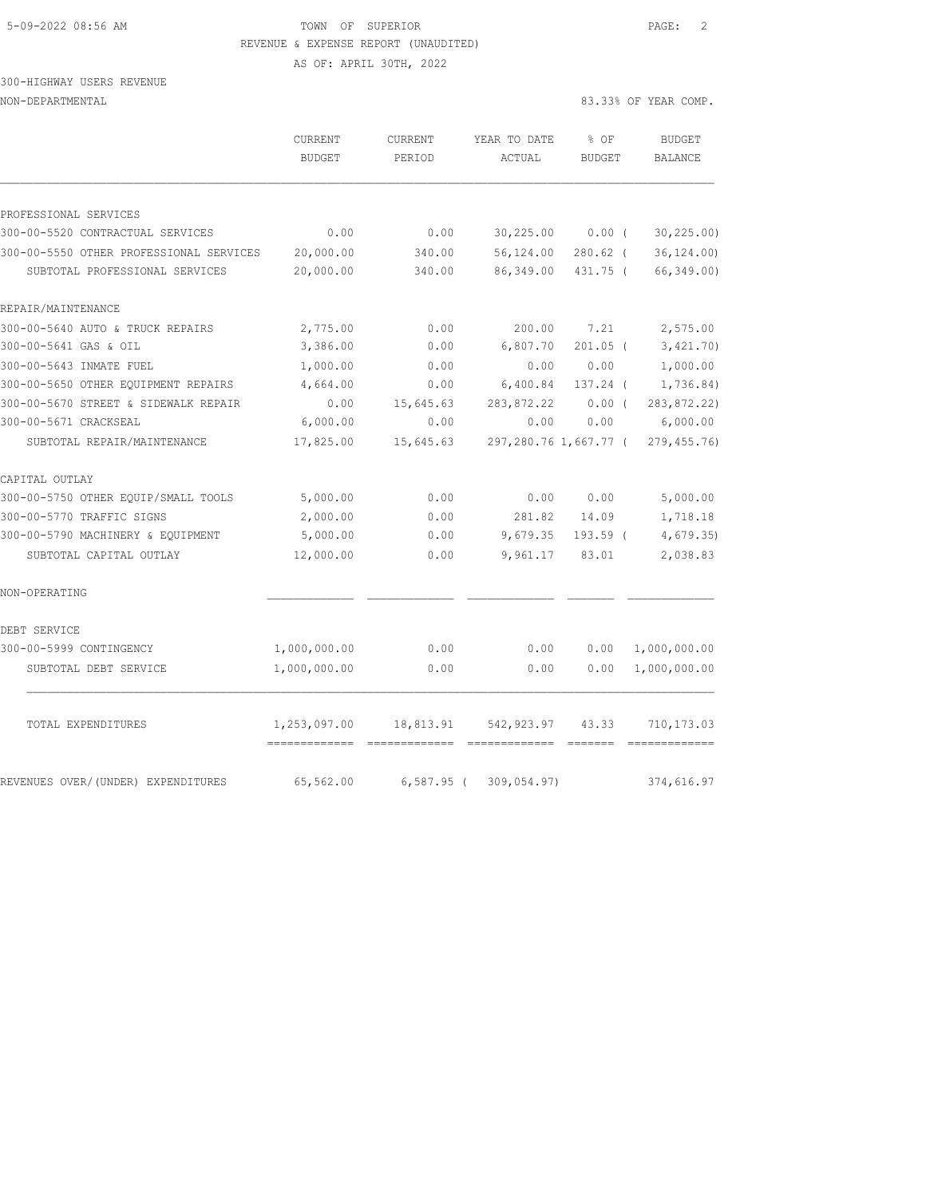# 5-09-2022 08:56 AM TOWN OF SUPERIOR PAGE: 2 REVENUE & EXPENSE REPORT (UNAUDITED)

AS OF: APRIL 30TH, 2022

# 300-HIGHWAY USERS REVENUE

| NON-DEPARTMENTAL |  |
|------------------|--|
|------------------|--|

|                           | $\cap$ TID DEMIT | $\cap$ TID DEMPT | VEAD HODAHE 0. OE | <b>DIIDORM</b>       |
|---------------------------|------------------|------------------|-------------------|----------------------|
| NON-DEPARTMENTAL          |                  |                  |                   | 83.33% OF YEAR COMP. |
| 300-HIGHWAY USERS REVENUE |                  |                  |                   |                      |

|                                         | CURRENT<br>BUDGET | CURRENT<br>PERIOD | YEAR TO DATE<br>ACTUAL | % OF<br><b>BUDGET</b> | <b>BUDGET</b><br>BALANCE |
|-----------------------------------------|-------------------|-------------------|------------------------|-----------------------|--------------------------|
|                                         |                   |                   |                        |                       |                          |
| PROFESSIONAL SERVICES                   |                   |                   |                        |                       |                          |
| 300-00-5520 CONTRACTUAL SERVICES        | 0.00              | 0.00              | 30, 225.00             | $0.00$ (              | 30, 225.00               |
| 300-00-5550 OTHER PROFESSIONAL SERVICES | 20,000.00         | 340.00            | 56,124.00              | $280.62$ (            | 36, 124.00               |
| SUBTOTAL PROFESSIONAL SERVICES          | 20,000.00         | 340.00            | 86,349.00              | 431.75 (              | 66,349.00)               |
| REPAIR/MAINTENANCE                      |                   |                   |                        |                       |                          |
| 300-00-5640 AUTO & TRUCK REPAIRS        | 2,775.00          | 0.00              | 200.00                 | 7.21                  | 2,575.00                 |
| 300-00-5641 GAS & OIL                   | 3,386.00          | 0.00              | 6,807.70               | $201.05$ (            | 3,421.70)                |
| 300-00-5643 INMATE FUEL                 | 1,000.00          | 0.00              | 0.00                   | 0.00                  | 1,000.00                 |
| 300-00-5650 OTHER EQUIPMENT REPAIRS     | 4,664.00          | 0.00              | 6,400.84               | 137.24 (              | 1,736.84)                |
| 300-00-5670 STREET & SIDEWALK REPAIR    | 0.00              | 15,645.63         | 283,872.22             | $0.00$ (              | 283,872.22)              |
| 300-00-5671 CRACKSEAL                   | 6,000.00          | 0.00              | 0.00                   | 0.00                  | 6,000.00                 |
| SUBTOTAL REPAIR/MAINTENANCE             | 17,825.00         | 15,645.63         | 297,280.76 1,667.77 (  |                       | 279, 455.76)             |
| CAPITAL OUTLAY                          |                   |                   |                        |                       |                          |
| 300-00-5750 OTHER EQUIP/SMALL TOOLS     | 5,000.00          | 0.00              | 0.00                   | 0.00                  | 5,000.00                 |
| 300-00-5770 TRAFFIC SIGNS               | 2,000.00          | 0.00              | 281.82                 | 14.09                 | 1,718.18                 |
| 300-00-5790 MACHINERY & EQUIPMENT       | 5,000.00          | 0.00              | 9,679.35               | 193.59 (              | 4,679.35                 |
| SUBTOTAL CAPITAL OUTLAY                 | 12,000.00         | 0.00              | 9,961.17               | 83.01                 | 2,038.83                 |
| NON-OPERATING                           |                   |                   |                        |                       |                          |
| DEBT SERVICE                            |                   |                   |                        |                       |                          |
| 300-00-5999 CONTINGENCY                 | 1,000,000.00      | 0.00              | 0.00                   | 0.00                  | 1,000,000.00             |
| SUBTOTAL DEBT SERVICE                   | 1,000,000.00      | 0.00              | 0.00                   | 0.00                  | 1,000,000.00             |
| TOTAL EXPENDITURES                      | 1,253,097.00      | 18,813.91         | 542,923.97             | 43.33                 | 710,173.03               |
| REVENUES OVER/(UNDER) EXPENDITURES      | 65,562.00         | $6,587.95$ (      | 309,054.97)            |                       | 374,616.97               |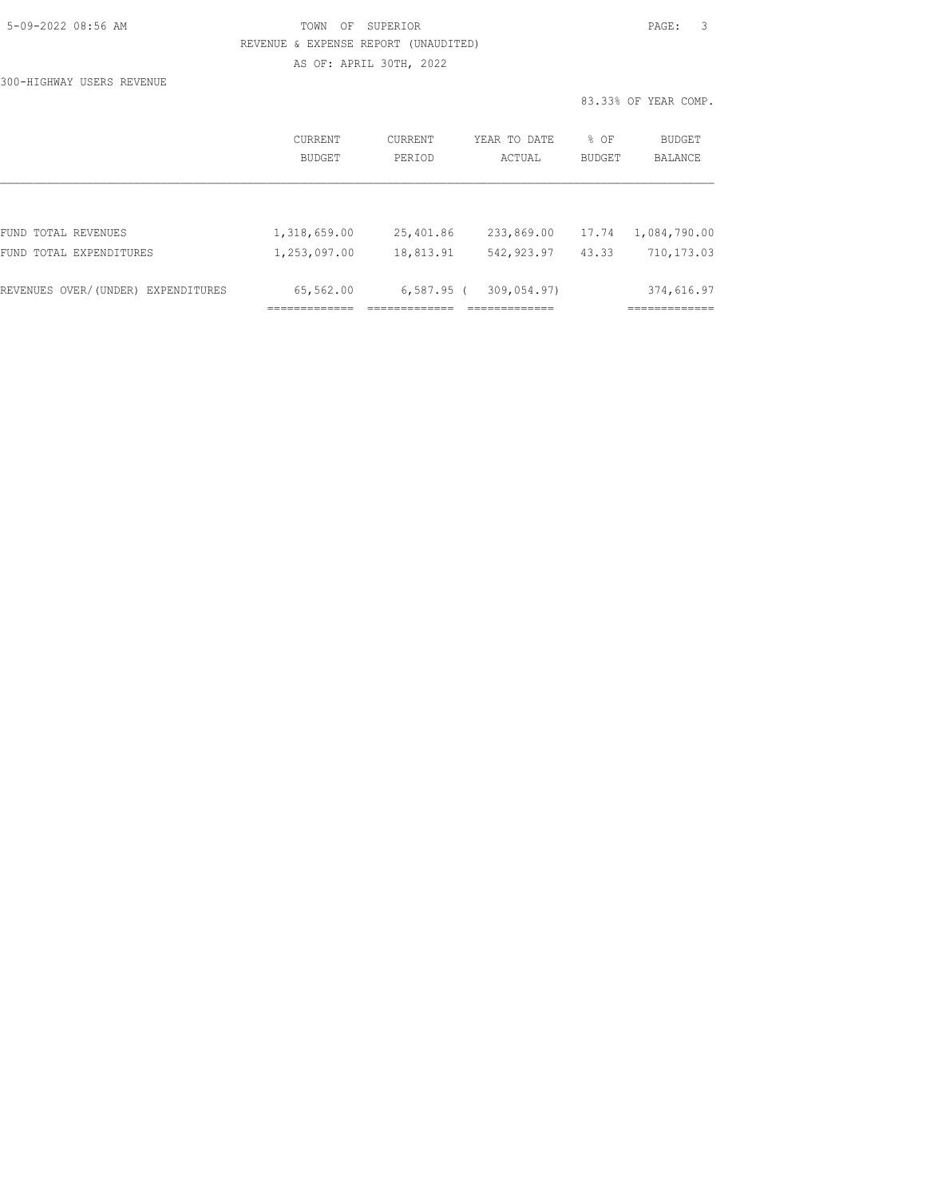| 5-09-2022 08:56 AM |  |
|--------------------|--|
|                    |  |

300-HIGHWAY USERS REVENUE

### TOWN OF SUPERIOR **Example 2018** PAGE: 3 REVENUE & EXPENSE REPORT (UNAUDITED) AS OF: APRIL 30TH, 2022

|                                    | CURRENT<br>BUDGET | <b>CURRENT</b><br>PERIOD | YEAR TO DATE<br>ACTUAL | $8$ OF<br><b>BUDGET</b> | BUDGET<br><b>BALANCE</b> |
|------------------------------------|-------------------|--------------------------|------------------------|-------------------------|--------------------------|
|                                    |                   |                          |                        |                         |                          |
| FUND TOTAL REVENUES                | 1,318,659.00      | 25,401.86                | 233,869.00             | 17.74                   | 1,084,790.00             |
| FUND TOTAL EXPENDITURES            | 1,253,097.00      | 18,813.91                | 542, 923.97            | 43.33                   | 710,173.03               |
| REVENUES OVER/(UNDER) EXPENDITURES | 65,562.00         | $6,587.95$ (             | 309,054.97)            |                         | 374,616.97               |
|                                    |                   |                          |                        |                         |                          |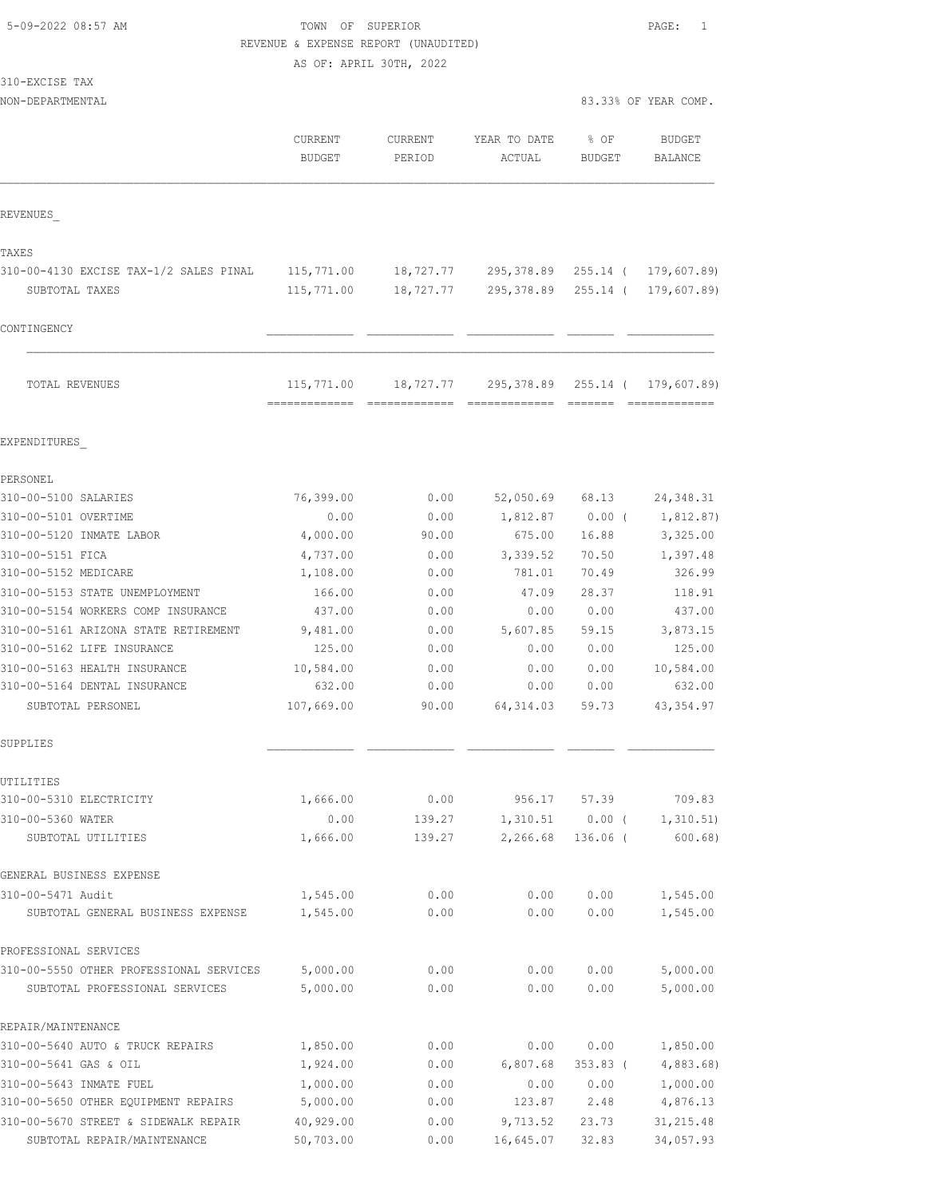# TOWN OF SUPERIOR **PAGE:** 1 REVENUE & EXPENSE REPORT (UNAUDITED)

AS OF: APRIL 30TH, 2022

| 310-EXCISE<br>TAX |  |
|-------------------|--|
|-------------------|--|

NON-DEPARTMENTAL 83.33% OF YEAR COMP.

|                                         | <b>CURRENT</b><br><b>BUDGET</b> | <b>CURRENT</b><br>PERIOD | YEAR TO DATE<br>ACTUAL | % OF<br><b>BUDGET</b> | <b>BUDGET</b><br><b>BALANCE</b> |
|-----------------------------------------|---------------------------------|--------------------------|------------------------|-----------------------|---------------------------------|
| REVENUES                                |                                 |                          |                        |                       |                                 |
| TAXES                                   |                                 |                          |                        |                       |                                 |
| 310-00-4130 EXCISE TAX-1/2 SALES PINAL  | 115,771.00                      | 18,727.77                | 295,378.89             | 255.14 (              | 179,607.89)                     |
| SUBTOTAL TAXES                          | 115,771.00                      | 18,727.77                | 295,378.89             | $255.14$ (            | 179,607.89)                     |
| CONTINGENCY                             |                                 |                          |                        |                       |                                 |
| TOTAL REVENUES                          | 115,771.00<br>=============     | 18,727.77                | 295,378.89             | 255.14 (<br>--------  | 179,607.89)<br>=============    |
| EXPENDITURES                            |                                 |                          |                        |                       |                                 |
| PERSONEL                                |                                 |                          |                        |                       |                                 |
| 310-00-5100 SALARIES                    | 76,399.00                       | 0.00                     | 52,050.69              | 68.13                 | 24, 348.31                      |
| 310-00-5101 OVERTIME                    | 0.00                            | 0.00                     | 1,812.87               | $0.00$ (              | 1,812.87)                       |
| 310-00-5120 INMATE LABOR                | 4,000.00                        | 90.00                    | 675.00                 | 16.88                 | 3,325.00                        |
| 310-00-5151 FICA                        | 4,737.00                        | 0.00                     | 3,339.52               | 70.50                 | 1,397.48                        |
| 310-00-5152 MEDICARE                    | 1,108.00                        | 0.00                     | 781.01                 | 70.49                 | 326.99                          |
| 310-00-5153 STATE UNEMPLOYMENT          | 166.00                          | 0.00                     | 47.09                  | 28.37                 | 118.91                          |
| 310-00-5154 WORKERS COMP INSURANCE      | 437.00                          | 0.00                     | 0.00                   | 0.00                  | 437.00                          |
| 310-00-5161 ARIZONA STATE RETIREMENT    | 9,481.00                        | 0.00                     | 5,607.85               | 59.15                 | 3,873.15                        |
| 310-00-5162 LIFE INSURANCE              | 125.00                          | 0.00                     | 0.00                   | 0.00                  | 125.00                          |
| 310-00-5163 HEALTH INSURANCE            | 10,584.00                       | 0.00                     | 0.00                   | 0.00                  | 10,584.00                       |
| 310-00-5164 DENTAL INSURANCE            | 632.00                          | 0.00                     | 0.00                   | 0.00                  | 632.00                          |
| SUBTOTAL PERSONEL                       | 107,669.00                      | 90.00                    | 64, 314.03             | 59.73                 | 43, 354.97                      |
| SUPPLIES                                |                                 |                          |                        |                       |                                 |
| UTILITIES                               |                                 |                          |                        |                       |                                 |
| 310-00-5310 ELECTRICITY                 | 1,666.00                        | 0.00                     | 956.17                 | 57.39                 | 709.83                          |
| 310-00-5360 WATER                       | 0.00                            | 139.27                   | 1,310.51               | $0.00$ (              | 1, 310.51)                      |
| SUBTOTAL UTILITIES                      | 1,666.00                        | 139.27                   | 2,266.68               | 136.06 (              | 600.68)                         |
| GENERAL BUSINESS EXPENSE                |                                 |                          |                        |                       |                                 |
| 310-00-5471 Audit                       | 1,545.00                        | 0.00                     | 0.00                   | 0.00                  | 1,545.00                        |
| SUBTOTAL GENERAL BUSINESS EXPENSE       | 1,545.00                        | 0.00                     | 0.00                   | 0.00                  | 1,545.00                        |
| PROFESSIONAL SERVICES                   |                                 |                          |                        |                       |                                 |
| 310-00-5550 OTHER PROFESSIONAL SERVICES | 5,000.00                        | 0.00                     | 0.00                   | 0.00                  | 5,000.00                        |
| SUBTOTAL PROFESSIONAL SERVICES          | 5,000.00                        | 0.00                     | 0.00                   | 0.00                  | 5,000.00                        |
| REPAIR/MAINTENANCE                      |                                 |                          |                        |                       |                                 |
| 310-00-5640 AUTO & TRUCK REPAIRS        | 1,850.00                        | 0.00                     | 0.00                   | 0.00                  | 1,850.00                        |
| 310-00-5641 GAS & OIL                   | 1,924.00                        | 0.00                     | 6,807.68               | $353.83$ (            | 4,883.68)                       |
| 310-00-5643 INMATE FUEL                 | 1,000.00                        | 0.00                     | 0.00                   | 0.00                  | 1,000.00                        |

310-00-5650 OTHER EQUIPMENT REPAIRS 5,000.00 0.00 123.87 2.48 4,876.13 310-00-5670 STREET & SIDEWALK REPAIR 40,929.00 0.00 9,713.52 23.73 31,215.48 SUBTOTAL REPAIR/MAINTENANCE 50,703.00 0.00 16,645.07 32.83 34,057.93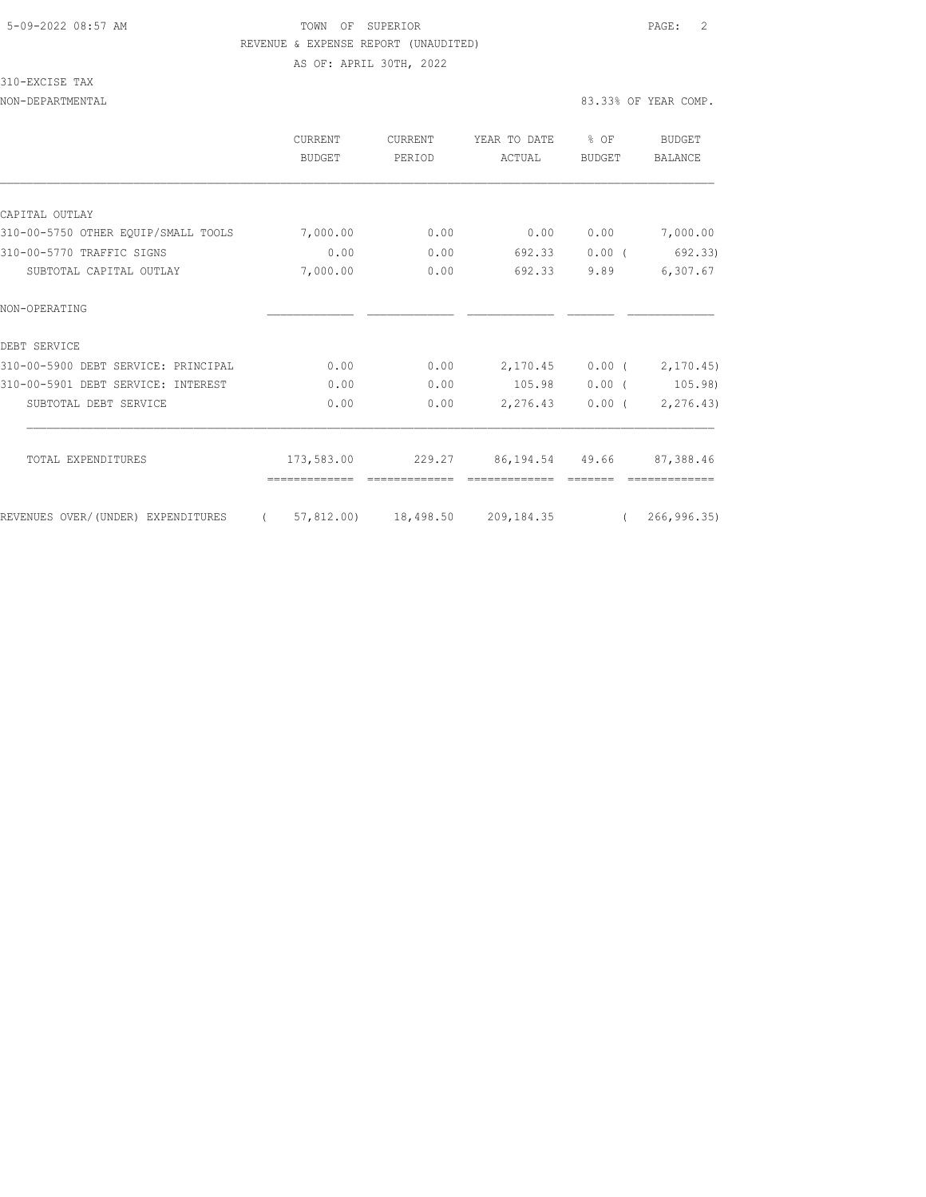## 5-09-2022 08:57 AM TOWN OF SUPERIOR PAGE: 2 REVENUE & EXPENSE REPORT (UNAUDITED) AS OF: APRIL 30TH, 2022

310-EXCISE TAX

|                                     | CURRENT<br>BUDGET | CURRENT<br>PERIOD    | YEAR TO DATE<br>ACTUAL | % OF<br><b>BUDGET</b> | BUDGET<br><b>BALANCE</b> |
|-------------------------------------|-------------------|----------------------|------------------------|-----------------------|--------------------------|
|                                     |                   |                      |                        |                       |                          |
| CAPITAL OUTLAY                      |                   |                      |                        |                       |                          |
| 310-00-5750 OTHER EQUIP/SMALL TOOLS | 7,000.00          | 0.00                 | 0.00                   | 0.00                  | 7,000.00                 |
| 310-00-5770 TRAFFIC SIGNS           | 0.00              | 0.00                 | 692.33                 | $0.00$ (              | 692.33)                  |
| SUBTOTAL CAPITAL OUTLAY             | 7,000.00          | 0.00                 | 692.33                 | 9.89                  | 6,307.67                 |
| NON-OPERATING                       |                   |                      |                        |                       |                          |
| DEBT SERVICE                        |                   |                      |                        |                       |                          |
| 310-00-5900 DEBT SERVICE: PRINCIPAL | 0.00              | 0.00                 | 2,170.45               | $0.00$ (              | 2, 170.45                |
| 310-00-5901 DEBT SERVICE: INTEREST  | 0.00              | 0.00                 | 105.98                 | $0.00$ (              | 105.98)                  |
| SUBTOTAL DEBT SERVICE               | 0.00              | 0.00                 | 2,276.43               | $0.00$ (              | 2, 276.43                |
| TOTAL EXPENDITURES                  | 173,583.00        | 229.27               | 86,194.54 49.66        |                       | 87,388.46                |
|                                     |                   |                      |                        |                       |                          |
| REVENUES OVER/(UNDER) EXPENDITURES  | $\left($          | 57,812.00) 18,498.50 | 209, 184.35            | $\left($              | 266, 996.35              |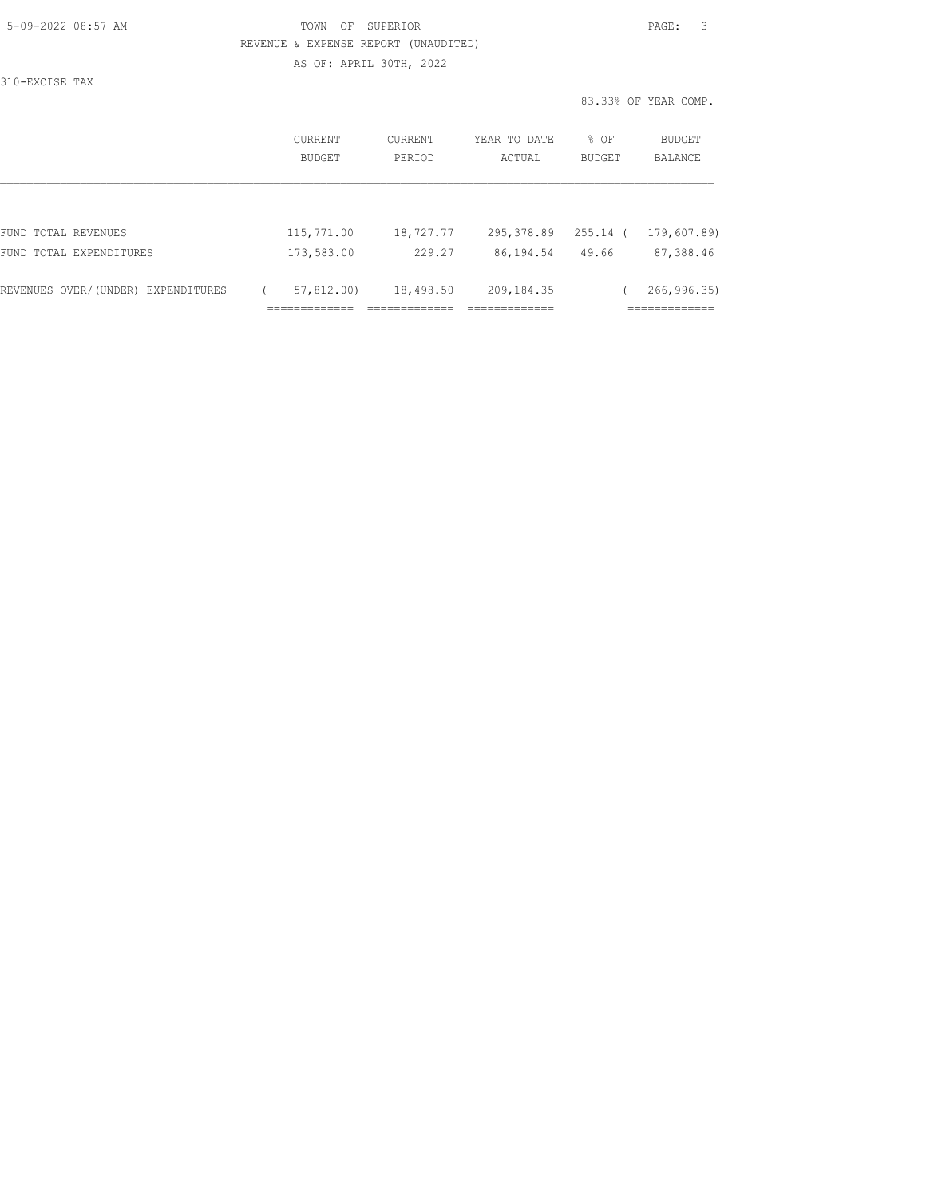| 5-09-2022 08:57 AM |  |
|--------------------|--|

### TOWN OF SUPERIOR **Example 2018** PAGE: 3 REVENUE & EXPENSE REPORT (UNAUDITED) AS OF: APRIL 30TH, 2022

310-EXCISE TAX

| <b>CURRENT</b><br>BUDGET | CURRENT<br>PERIOD | YEAR TO DATE<br>ACTUAL | % OF<br>BUDGET | <b>BUDGET</b><br><b>BALANCE</b> |
|--------------------------|-------------------|------------------------|----------------|---------------------------------|
|                          |                   |                        |                |                                 |
| 115,771.00               | 18,727.77         | 295,378.89             | $255.14$ (     | 179,607.89)                     |
| 173,583.00               | 229.27            | 86,194.54              | 49.66          | 87,388.46                       |
| 57,812,00)               | 18,498.50         | 209, 184.35            |                | 266, 996.35                     |
|                          |                   |                        |                |                                 |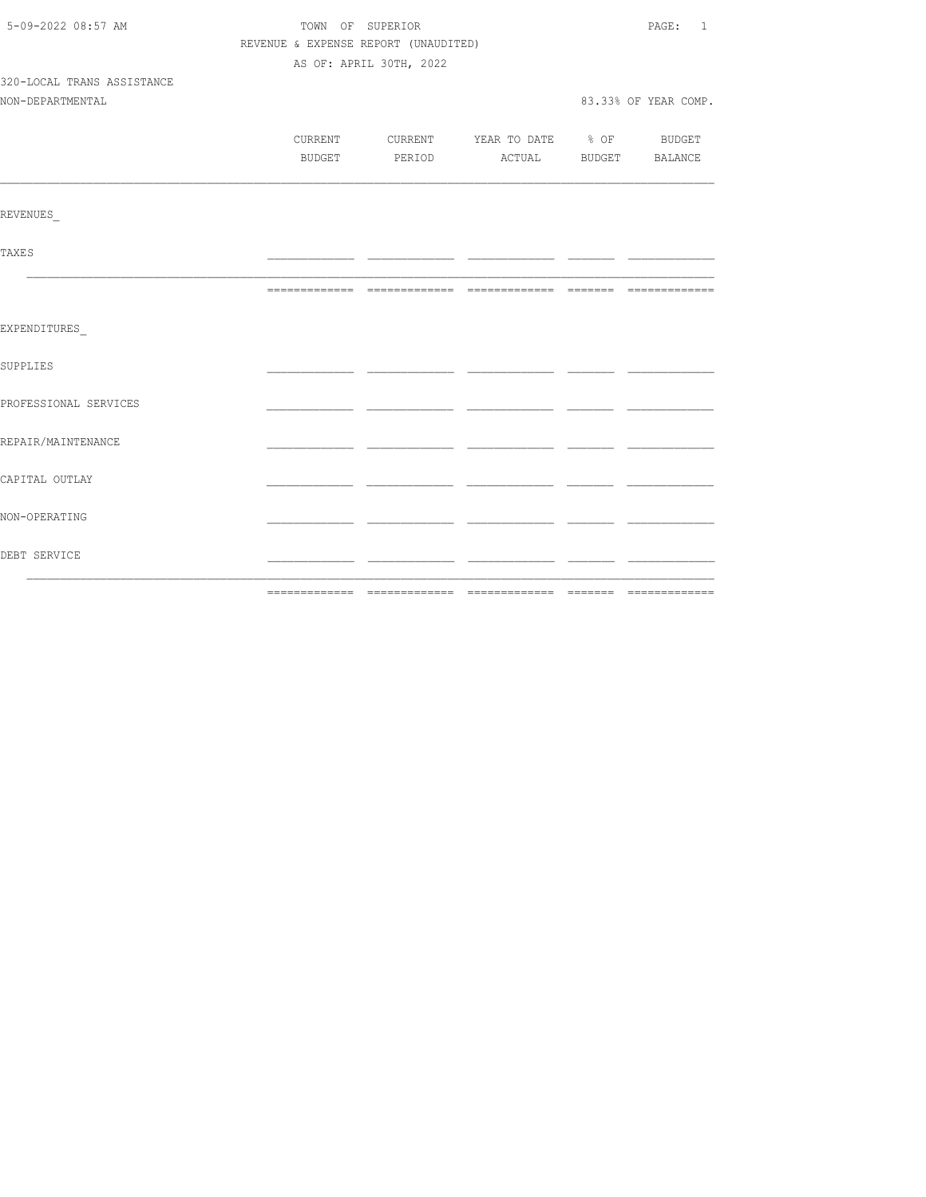| 5-09-2022 08:57 AM         | TOWN OF SUPERIOR | PAGE: 1                              |                                          |  |                      |  |
|----------------------------|------------------|--------------------------------------|------------------------------------------|--|----------------------|--|
|                            |                  | REVENUE & EXPENSE REPORT (UNAUDITED) |                                          |  |                      |  |
|                            |                  | AS OF: APRIL 30TH, 2022              |                                          |  |                      |  |
| 320-LOCAL TRANS ASSISTANCE |                  |                                      |                                          |  |                      |  |
| NON-DEPARTMENTAL           |                  |                                      |                                          |  | 83.33% OF YEAR COMP. |  |
|                            |                  |                                      |                                          |  |                      |  |
|                            |                  |                                      | CURRENT CURRENT YEAR TO DATE % OF BUDGET |  |                      |  |
|                            |                  |                                      | BUDGET PERIOD ACTUAL BUDGET BALANCE      |  |                      |  |
| REVENUES                   |                  |                                      |                                          |  |                      |  |
|                            |                  |                                      |                                          |  |                      |  |
| <b>TAXES</b>               |                  |                                      |                                          |  |                      |  |
|                            |                  |                                      |                                          |  |                      |  |
| EXPENDITURES               |                  |                                      |                                          |  |                      |  |
| SUPPLIES                   |                  |                                      |                                          |  |                      |  |
| PROFESSIONAL SERVICES      |                  |                                      |                                          |  |                      |  |
| REPAIR/MAINTENANCE         |                  |                                      |                                          |  |                      |  |
| CAPITAL OUTLAY             |                  |                                      |                                          |  |                      |  |
| NON-OPERATING              |                  |                                      |                                          |  |                      |  |
| DEBT SERVICE               |                  |                                      |                                          |  |                      |  |
|                            |                  |                                      |                                          |  |                      |  |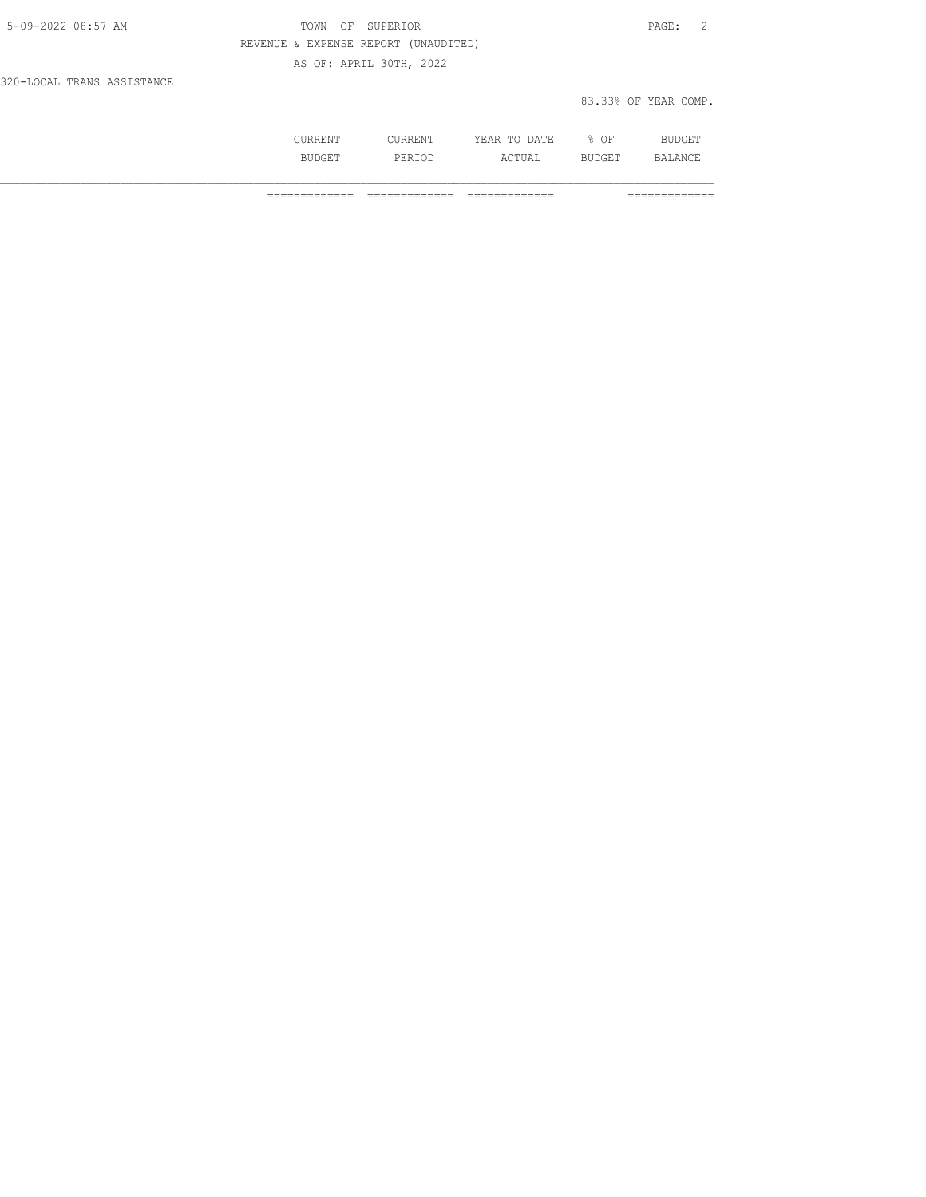| 5-09-2022 08:57 AM         | TOWN OF SUPERIOR                     | PAGE: 2              |  |
|----------------------------|--------------------------------------|----------------------|--|
|                            | REVENUE & EXPENSE REPORT (UNAUDITED) |                      |  |
|                            | AS OF: APRIL 30TH, 2022              |                      |  |
| 320-LOCAL TRANS ASSISTANCE |                                      |                      |  |
|                            |                                      | 83.33% OF YEAR COMP. |  |

| --- | .             | n n<br>----<br>----- | OF<br>ັ |      |
|-----|---------------|----------------------|---------|------|
|     | برا و<br>- 14 | ---                  |         | A NI |

============= ============= ============= =============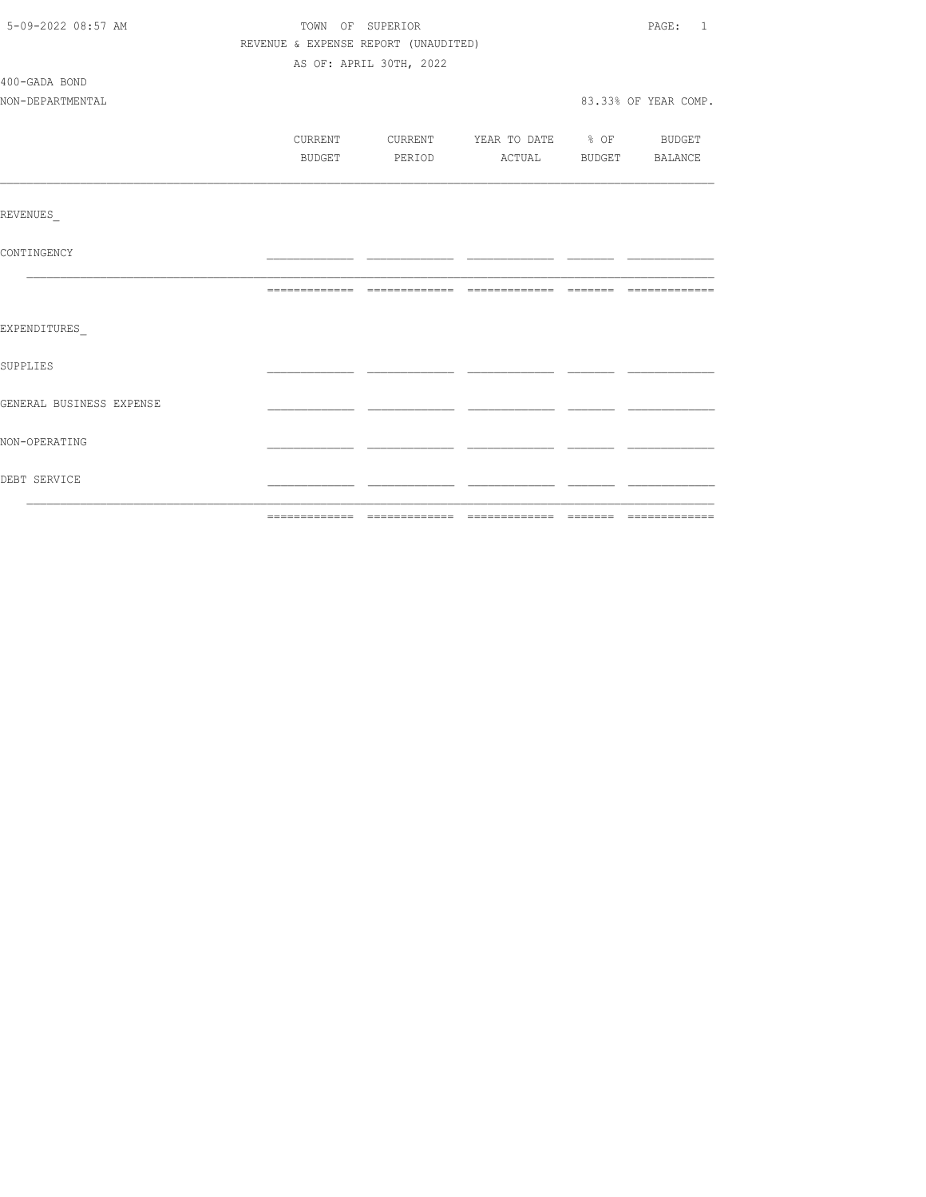| 5-09-2022 08:57 AM<br>TOWN OF SUPERIOR |                                      |                         |                          |  | PAGE: 1              |
|----------------------------------------|--------------------------------------|-------------------------|--------------------------|--|----------------------|
|                                        | REVENUE & EXPENSE REPORT (UNAUDITED) |                         |                          |  |                      |
|                                        |                                      | AS OF: APRIL 30TH, 2022 |                          |  |                      |
| 400-GADA BOND                          |                                      |                         |                          |  |                      |
| NON-DEPARTMENTAL                       |                                      |                         |                          |  | 83.33% OF YEAR COMP. |
|                                        |                                      |                         |                          |  |                      |
|                                        | CURRENT                              | <b>CURRENT</b>          | YEAR TO DATE % OF BUDGET |  |                      |
|                                        | BUDGET                               | PERIOD                  | ACTUAL BUDGET BALANCE    |  |                      |
|                                        |                                      |                         |                          |  |                      |
| REVENUES                               |                                      |                         |                          |  |                      |
| CONTINGENCY                            |                                      |                         |                          |  |                      |
|                                        |                                      |                         |                          |  |                      |
| EXPENDITURES                           |                                      |                         |                          |  |                      |
| <b>SUPPLIES</b>                        |                                      |                         |                          |  |                      |
| GENERAL BUSINESS EXPENSE               |                                      |                         |                          |  |                      |
| NON-OPERATING                          |                                      |                         |                          |  |                      |
| DEBT SERVICE                           |                                      |                         |                          |  |                      |
|                                        |                                      |                         |                          |  |                      |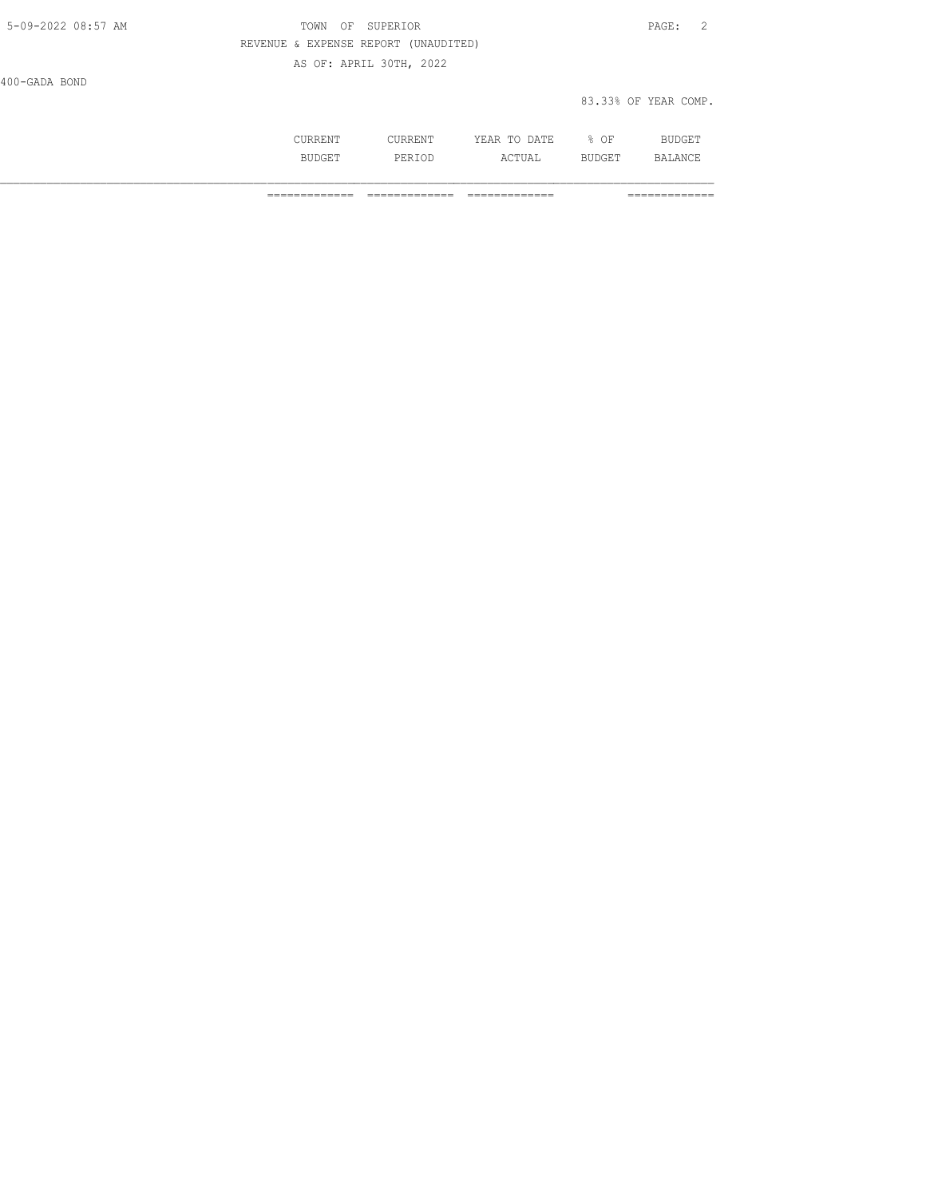| 5-09-2022 08:57 AM | TOWN OF SUPERIOR                     |                         | PAGE: 2              |  |
|--------------------|--------------------------------------|-------------------------|----------------------|--|
|                    | REVENUE & EXPENSE REPORT (UNAUDITED) |                         |                      |  |
|                    |                                      | AS OF: APRIL 30TH, 2022 |                      |  |
| 400-GADA BOND      |                                      |                         |                      |  |
|                    |                                      |                         | 83.33% OF YEAR COMP. |  |

| the contract of the contract of the contract of the contract of the contract of the contract of the contract of | m <sub>T</sub><br>- - -<br>,,,<br>----<br>.<br>$\sim$ | OF<br>◡ | ____ |
|-----------------------------------------------------------------------------------------------------------------|-------------------------------------------------------|---------|------|
| .<br>◡∸◡                                                                                                        | ---                                                   | ---     | 12 ∧ |

============= ============= ============= =============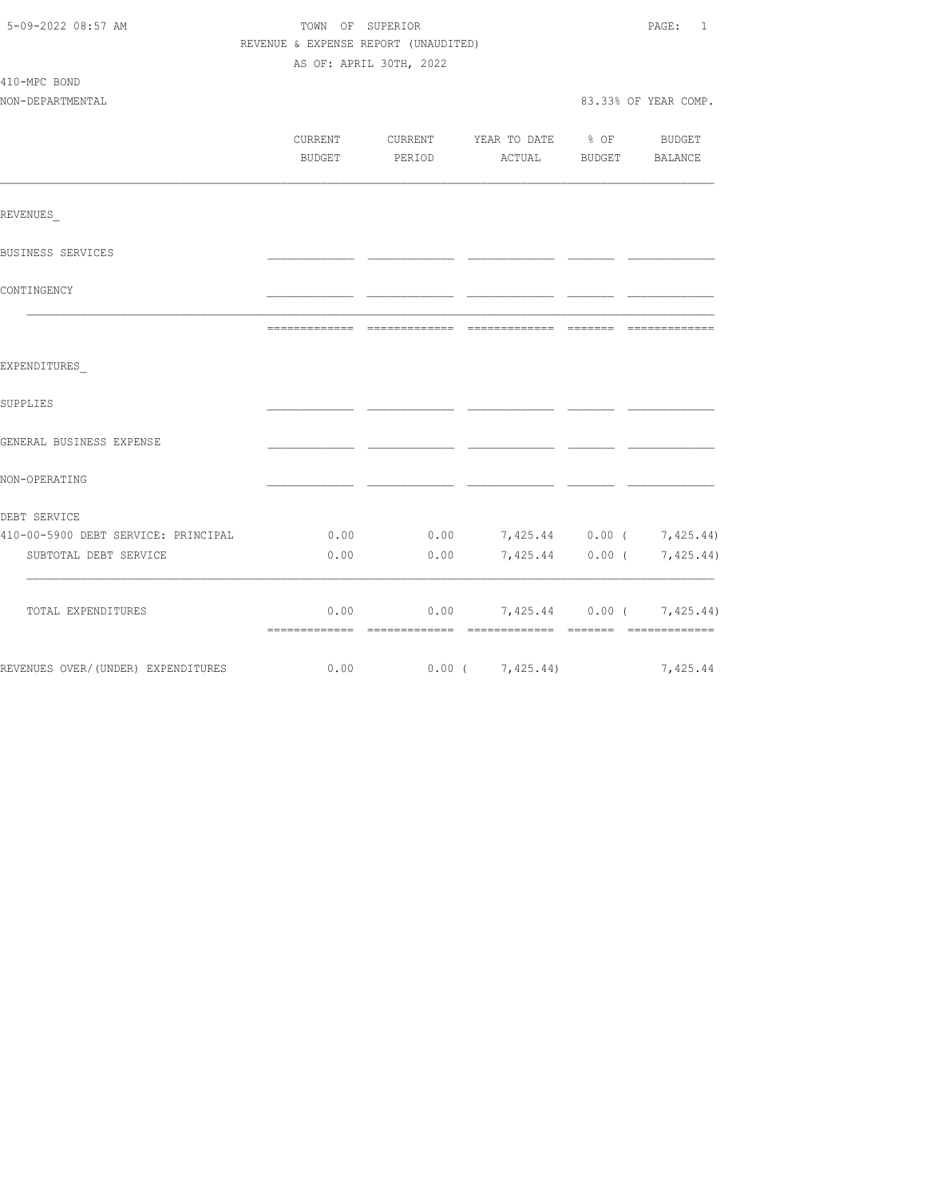| 5-09-2022 08:57 AM                  | TOWN OF SUPERIOR<br>REVENUE & EXPENSE REPORT (UNAUDITED) | PAGE:<br>$\mathbf{1}$ |                                  |                             |                           |
|-------------------------------------|----------------------------------------------------------|-----------------------|----------------------------------|-----------------------------|---------------------------|
|                                     | AS OF: APRIL 30TH, 2022                                  |                       |                                  |                             |                           |
| 410-MPC BOND                        |                                                          |                       |                                  |                             |                           |
| NON-DEPARTMENTAL                    |                                                          |                       |                                  |                             | 83.33% OF YEAR COMP.      |
|                                     |                                                          |                       |                                  |                             |                           |
|                                     | CURRENT                                                  |                       | CURRENT YEAR TO DATE             | $\div$ 8 OF                 | <b>BUDGET</b>             |
|                                     | <b>BUDGET</b>                                            | PERIOD                | ACTUAL                           | BUDGET                      | BALANCE                   |
|                                     |                                                          |                       |                                  |                             |                           |
| REVENUES                            |                                                          |                       |                                  |                             |                           |
| BUSINESS SERVICES                   |                                                          |                       |                                  |                             |                           |
| CONTINGENCY                         |                                                          |                       |                                  |                             |                           |
|                                     | -------------                                            | -------------         | =============                    | $=$ $=$ $=$ $=$ $=$ $=$ $=$ |                           |
| EXPENDITURES                        |                                                          |                       |                                  |                             |                           |
| SUPPLIES                            |                                                          |                       |                                  |                             |                           |
| GENERAL BUSINESS EXPENSE            |                                                          |                       |                                  |                             |                           |
| NON-OPERATING                       |                                                          |                       |                                  |                             |                           |
| DEBT SERVICE                        |                                                          |                       |                                  |                             |                           |
| 410-00-5900 DEBT SERVICE: PRINCIPAL | 0.00                                                     |                       | $0.00$ 7,425.44 0.00 ( 7,425.44) |                             |                           |
| SUBTOTAL DEBT SERVICE               | 0.00                                                     | 0.00                  |                                  |                             | 7,425.44 0.00 ( 7,425.44) |
| TOTAL EXPENDITURES                  | 0.00                                                     | 0.00                  |                                  |                             | 7,425.44 0.00 ( 7,425.44) |
| REVENUES OVER/(UNDER) EXPENDITURES  | 0.00                                                     |                       | $0.00$ ( $7,425.44$ )            |                             | 7,425.44                  |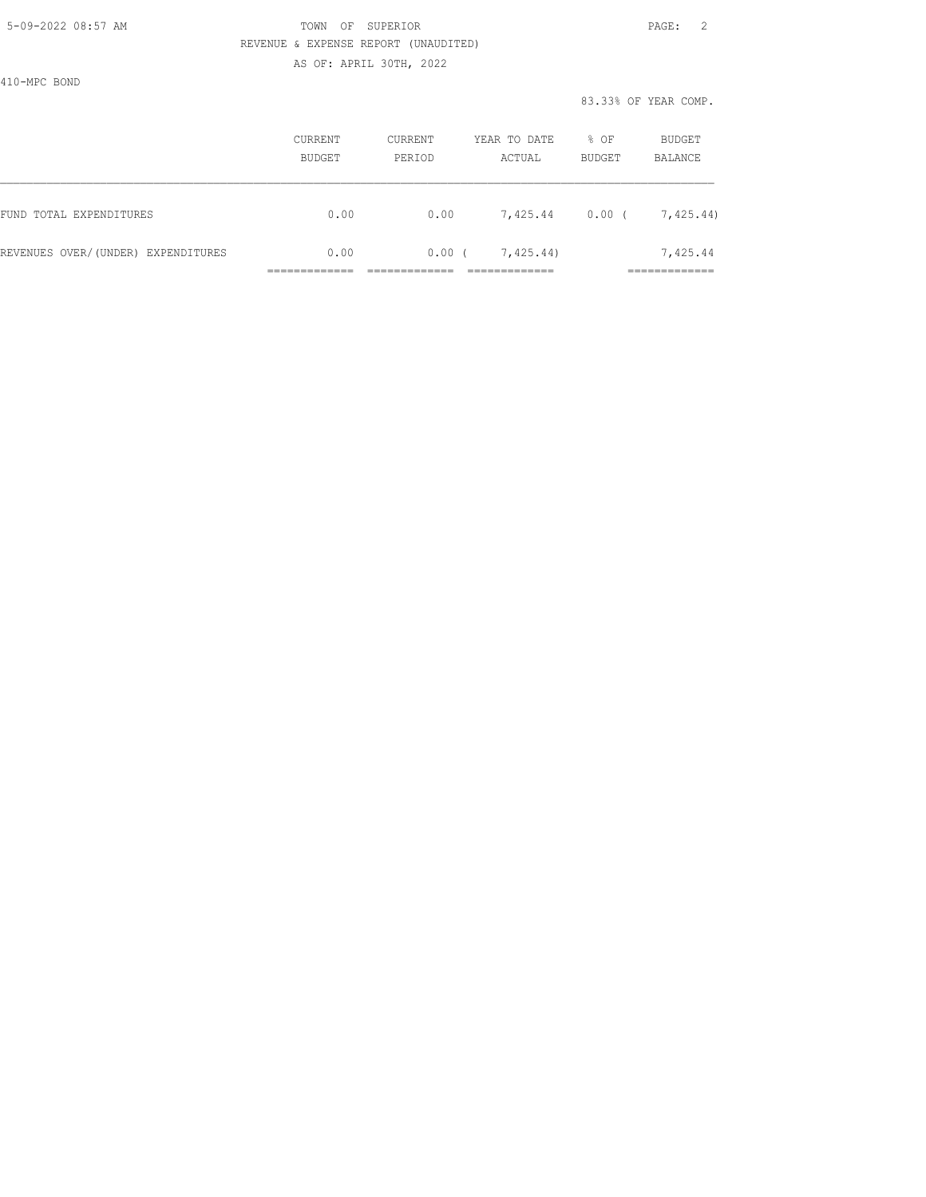#### 5-09-2022 08:57 AM TOWN OF SUPERIOR PAGE: 2 REVENUE & EXPENSE REPORT (UNAUDITED) AS OF: APRIL 30TH, 2022

410-MPC BOND

|                                    | CURRENT<br>BUDGET | CURRENT<br>PERIOD | YEAR TO DATE<br>ACTUAL | % OF<br>BUDGET | BUDGET<br>BALANCE       |
|------------------------------------|-------------------|-------------------|------------------------|----------------|-------------------------|
| FUND TOTAL EXPENDITURES            | 0.00              | 0.00              | 7,425.44               | 0.00(          | 7,425.44)               |
| REVENUES OVER/(UNDER) EXPENDITURES | 0.00              | 0.00(             | 7,425.44)              |                | 7,425.44<br>___________ |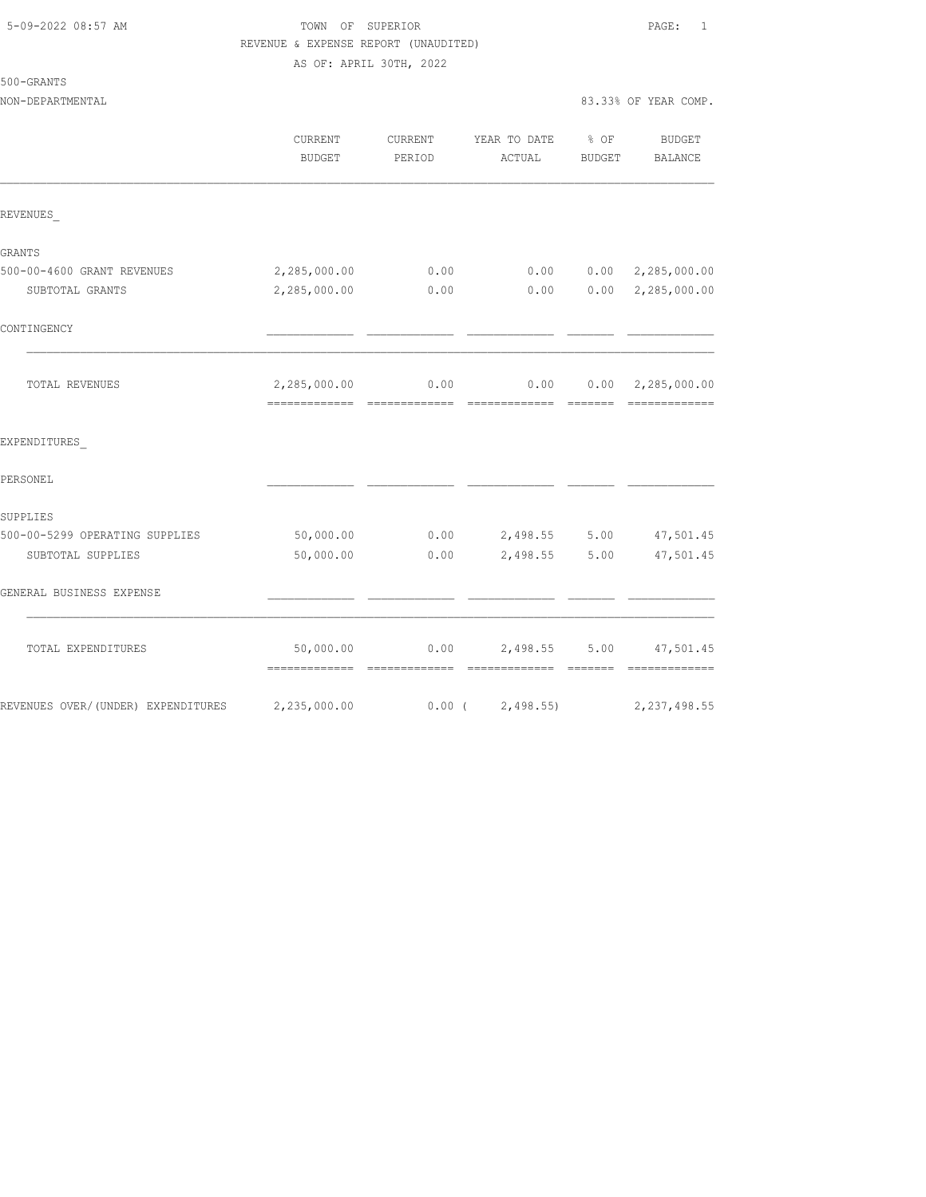|  | 5-09-2022 08:57 AM |  |
|--|--------------------|--|
|  |                    |  |

### TOWN OF SUPERIOR **Example 2018** PAGE: 1 REVENUE & EXPENSE REPORT (UNAUDITED) AS OF: APRIL 30TH, 2022

500-GRANTS

|                                     | CURRENT<br><b>BUDGET</b> | CURRENT<br>PERIOD | YEAR TO DATE % OF<br>ACTUAL | BUDGET | <b>BUDGET</b><br>BALANCE                                                                                                                                                                                                                                                                                                                                                                                                                                                                                            |
|-------------------------------------|--------------------------|-------------------|-----------------------------|--------|---------------------------------------------------------------------------------------------------------------------------------------------------------------------------------------------------------------------------------------------------------------------------------------------------------------------------------------------------------------------------------------------------------------------------------------------------------------------------------------------------------------------|
| REVENUES                            |                          |                   |                             |        |                                                                                                                                                                                                                                                                                                                                                                                                                                                                                                                     |
| GRANTS                              |                          |                   |                             |        |                                                                                                                                                                                                                                                                                                                                                                                                                                                                                                                     |
| 500-00-4600 GRANT REVENUES          | 2,285,000.00             | 0.00              | 0.00                        |        | $0.00 \quad 2,285,000.00$                                                                                                                                                                                                                                                                                                                                                                                                                                                                                           |
| SUBTOTAL GRANTS                     | 2,285,000.00             | 0.00              | 0.00                        |        | 0.00 2, 285, 000.00                                                                                                                                                                                                                                                                                                                                                                                                                                                                                                 |
| CONTINGENCY                         |                          |                   |                             |        |                                                                                                                                                                                                                                                                                                                                                                                                                                                                                                                     |
| TOTAL REVENUES                      | 2,285,000.00             | 0.00              | 0.00                        |        | $0.00 \quad 2,285,000.00$<br>$\begin{array}{cccccccccc} \multicolumn{2}{c}{} & \multicolumn{2}{c}{} & \multicolumn{2}{c}{} & \multicolumn{2}{c}{} & \multicolumn{2}{c}{} & \multicolumn{2}{c}{} & \multicolumn{2}{c}{} & \multicolumn{2}{c}{} & \multicolumn{2}{c}{} & \multicolumn{2}{c}{} & \multicolumn{2}{c}{} & \multicolumn{2}{c}{} & \multicolumn{2}{c}{} & \multicolumn{2}{c}{} & \multicolumn{2}{c}{} & \multicolumn{2}{c}{} & \multicolumn{2}{c}{} & \multicolumn{2}{c}{} & \multicolumn{2}{c}{} & \mult$ |
| EXPENDITURES                        |                          |                   |                             |        |                                                                                                                                                                                                                                                                                                                                                                                                                                                                                                                     |
| PERSONEL                            |                          |                   |                             |        |                                                                                                                                                                                                                                                                                                                                                                                                                                                                                                                     |
| SUPPLIES                            |                          |                   |                             |        |                                                                                                                                                                                                                                                                                                                                                                                                                                                                                                                     |
| 500-00-5299 OPERATING SUPPLIES      | 50,000.00                |                   | $0.00$ 2,498.55 5.00        |        | 47,501.45                                                                                                                                                                                                                                                                                                                                                                                                                                                                                                           |
| SUBTOTAL SUPPLIES                   | 50,000.00                | 0.00              | 2,498.55 5.00               |        | 47,501.45                                                                                                                                                                                                                                                                                                                                                                                                                                                                                                           |
| GENERAL BUSINESS EXPENSE            |                          |                   |                             |        |                                                                                                                                                                                                                                                                                                                                                                                                                                                                                                                     |
| TOTAL EXPENDITURES                  | 50,000.00                |                   | $0.00$ 2,498.55 5.00        |        | 47,501.45<br>=============                                                                                                                                                                                                                                                                                                                                                                                                                                                                                          |
| REVENUES OVER/ (UNDER) EXPENDITURES | 2,235,000.00             | $0.00$ (          | 2,498.55                    |        | 2, 237, 498.55                                                                                                                                                                                                                                                                                                                                                                                                                                                                                                      |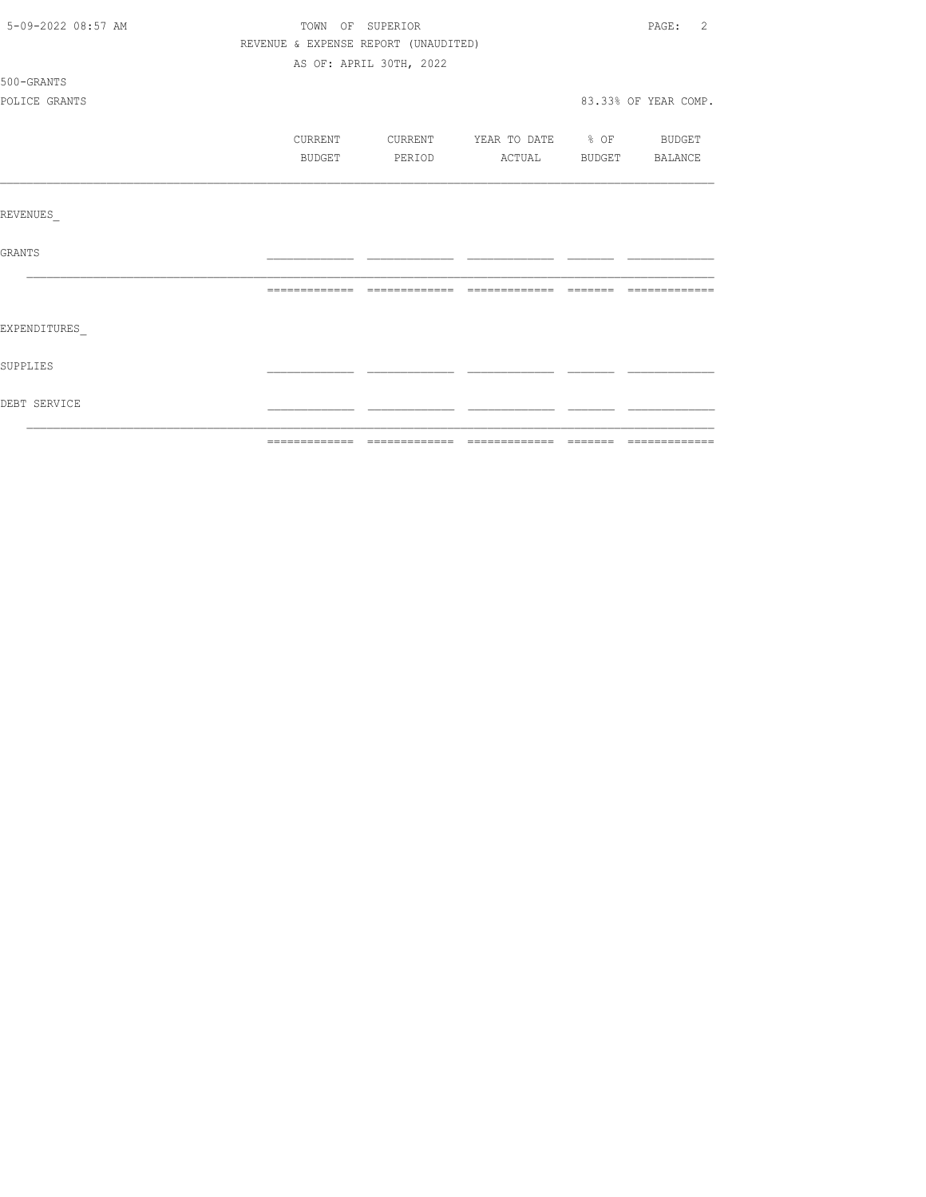| 5-09-2022 08:57 AM | PAGE:<br>TOWN OF SUPERIOR            |                         |                                  |  |                      |
|--------------------|--------------------------------------|-------------------------|----------------------------------|--|----------------------|
|                    | REVENUE & EXPENSE REPORT (UNAUDITED) |                         |                                  |  |                      |
|                    |                                      | AS OF: APRIL 30TH, 2022 |                                  |  |                      |
| 500-GRANTS         |                                      |                         |                                  |  |                      |
| POLICE GRANTS      |                                      |                         |                                  |  | 83.33% OF YEAR COMP. |
|                    | CURRENT                              |                         | CURRENT YEAR TO DATE % OF BUDGET |  |                      |
|                    | BUDGET                               | PERIOD                  | ACTUAL BUDGET BALANCE            |  |                      |
|                    |                                      |                         |                                  |  |                      |
| REVENUES           |                                      |                         |                                  |  |                      |
| GRANTS             |                                      |                         |                                  |  |                      |
|                    |                                      |                         |                                  |  | --------------       |
| EXPENDITURES       |                                      |                         |                                  |  |                      |
| SUPPLIES           |                                      |                         |                                  |  |                      |
| DEBT SERVICE       |                                      |                         |                                  |  |                      |
|                    |                                      |                         |                                  |  |                      |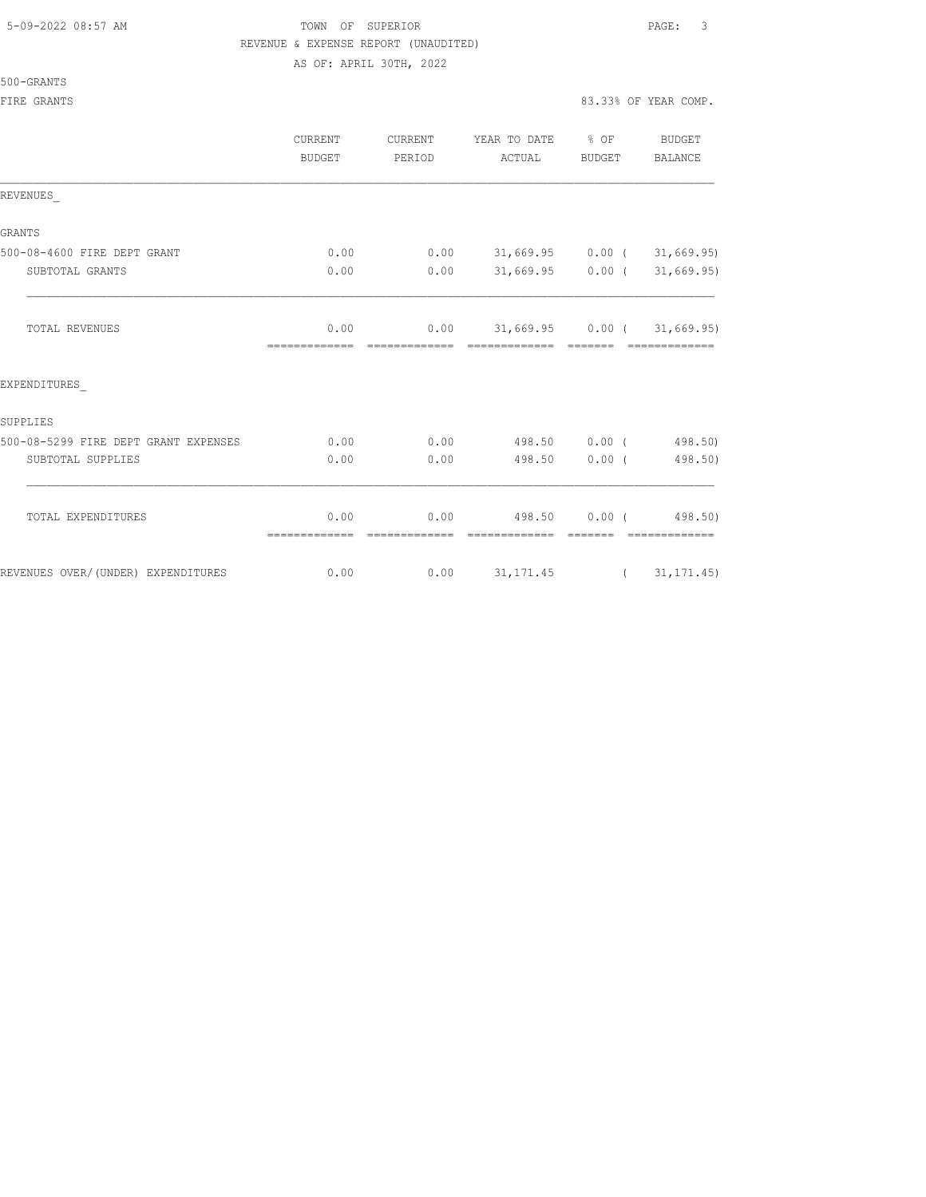## 5-09-2022 08:57 AM **PAGE:** 3 REVENUE & EXPENSE REPORT (UNAUDITED)

AS OF: APRIL 30TH, 2022

| 500-GRANTS |
|------------|
|------------|

|                                      | CURRENT<br><b>BUDGET</b> | CURRENT<br>PERIOD | YEAR TO DATE % OF<br>ACTUAL               | BUDGET | BUDGET<br>BALANCE |
|--------------------------------------|--------------------------|-------------------|-------------------------------------------|--------|-------------------|
| REVENUES                             |                          |                   |                                           |        |                   |
| <b>GRANTS</b>                        |                          |                   |                                           |        |                   |
| 500-08-4600 FIRE DEPT GRANT          | 0.00                     |                   | $0.00$ 31,669.95 0.00 ( 31,669.95)        |        |                   |
| SUBTOTAL GRANTS                      | 0.00                     | 0.00              | $31,669.95$ 0.00 ( 31,669.95)             |        |                   |
| <b>TOTAL REVENUES</b>                | 0.00                     |                   | $0.00$ $31,669.95$ $0.00$ ( $31,669.95$ ) |        |                   |
| EXPENDITURES                         |                          |                   |                                           |        |                   |
| SUPPLIES                             |                          |                   |                                           |        |                   |
| 500-08-5299 FIRE DEPT GRANT EXPENSES | 0.00                     | 0.00              | 498.50 0.00 (498.50)                      |        |                   |
| SUBTOTAL SUPPLIES                    | 0.00                     | 0.00              | 498.50 0.00 (                             |        | 498.50)           |
| TOTAL EXPENDITURES                   | 0.00                     | 0.00              | 498.50 0.00 (498.50)                      |        |                   |
|                                      | =============            | =============     | ======================================    |        |                   |
| REVENUES OVER/(UNDER) EXPENDITURES   | 0.00                     |                   | $0.00$ $31,171.45$ ( $31,171.45$ )        |        |                   |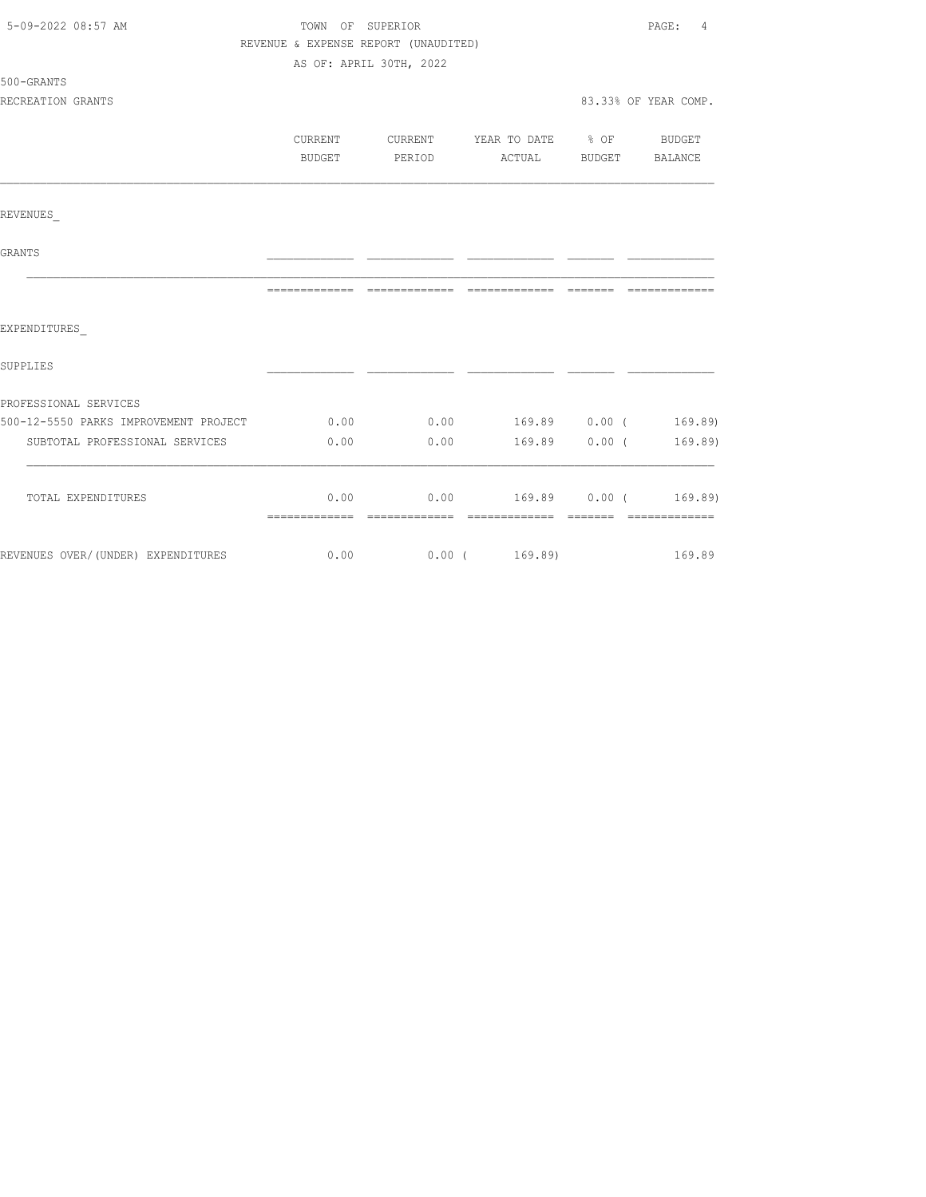| 5-09-2022 08:57 AM                         | TOWN OF SUPERIOR                     |                         |                                            |  |                      |
|--------------------------------------------|--------------------------------------|-------------------------|--------------------------------------------|--|----------------------|
|                                            | REVENUE & EXPENSE REPORT (UNAUDITED) |                         |                                            |  |                      |
|                                            |                                      | AS OF: APRIL 30TH, 2022 |                                            |  |                      |
| 500-GRANTS                                 |                                      |                         |                                            |  |                      |
| RECREATION GRANTS                          |                                      |                         |                                            |  | 83.33% OF YEAR COMP. |
|                                            |                                      |                         |                                            |  |                      |
|                                            | CURRENT                              | <b>CURRENT</b>          | YEAR TO DATE % OF BUDGET                   |  |                      |
|                                            | BUDGET                               |                         | PERIOD ACTUAL BUDGET BALANCE               |  |                      |
|                                            |                                      |                         |                                            |  |                      |
| REVENUES                                   |                                      |                         |                                            |  |                      |
| GRANTS                                     |                                      |                         |                                            |  |                      |
|                                            |                                      |                         |                                            |  |                      |
| EXPENDITURES                               |                                      |                         |                                            |  |                      |
|                                            |                                      |                         |                                            |  |                      |
| SUPPLIES                                   |                                      |                         |                                            |  |                      |
| PROFESSIONAL SERVICES                      |                                      |                         |                                            |  |                      |
| 500-12-5550 PARKS IMPROVEMENT PROJECT 0.00 |                                      |                         | $0.00$ 169.89 $0.00$ ( 169.89)             |  |                      |
| SUBTOTAL PROFESSIONAL SERVICES             | 0.00                                 |                         | $0.00$ 169.89 $0.00$ ( 169.89)             |  |                      |
|                                            |                                      |                         |                                            |  |                      |
| TOTAL EXPENDITURES                         |                                      |                         | $0.00$ $0.00$ $169.89$ $0.00$ ( $169.89$ ) |  |                      |
|                                            |                                      |                         |                                            |  |                      |
| REVENUES OVER/(UNDER) EXPENDITURES         | 0.00                                 |                         | $0.00$ ( $169.89$ )                        |  | 169.89               |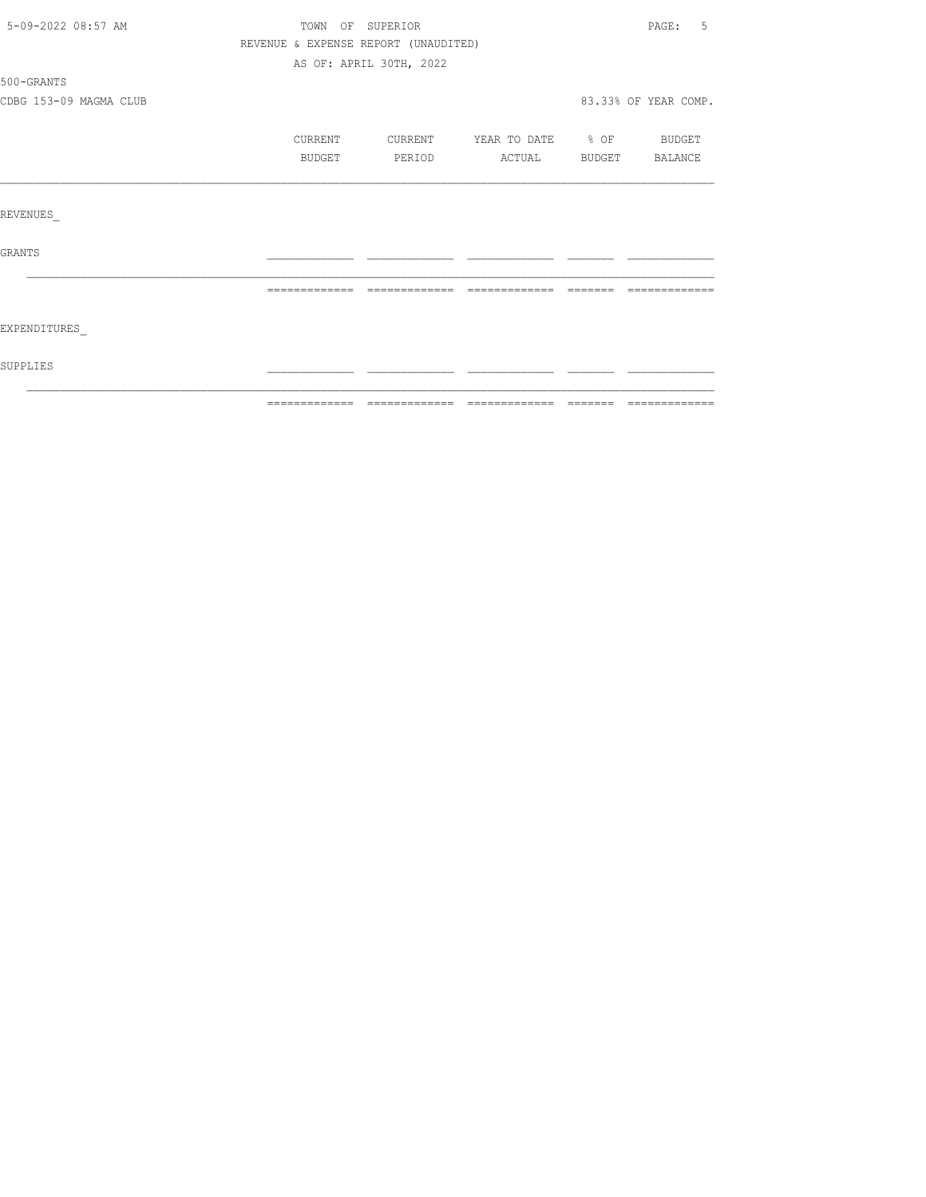| 5-09-2022 08:57 AM     | TOWN OF SUPERIOR                     |                         |                          |        |                      |  |
|------------------------|--------------------------------------|-------------------------|--------------------------|--------|----------------------|--|
|                        | REVENUE & EXPENSE REPORT (UNAUDITED) |                         |                          |        |                      |  |
|                        |                                      | AS OF: APRIL 30TH, 2022 |                          |        |                      |  |
| 500-GRANTS             |                                      |                         |                          |        |                      |  |
| CDBG 153-09 MAGMA CLUB |                                      |                         |                          |        | 83.33% OF YEAR COMP. |  |
|                        | CURRENT                              | CURRENT                 | YEAR TO DATE % OF BUDGET |        |                      |  |
|                        | BUDGET                               | PERIOD                  | ACTUAL                   | BUDGET | BALANCE              |  |
|                        |                                      |                         |                          |        |                      |  |
| <b>REVENUES</b>        |                                      |                         |                          |        |                      |  |
| <b>GRANTS</b>          |                                      |                         |                          |        |                      |  |
|                        |                                      |                         |                          |        |                      |  |
| EXPENDITURES           |                                      |                         |                          |        |                      |  |
| SUPPLIES               |                                      |                         |                          |        |                      |  |
|                        |                                      |                         |                          |        |                      |  |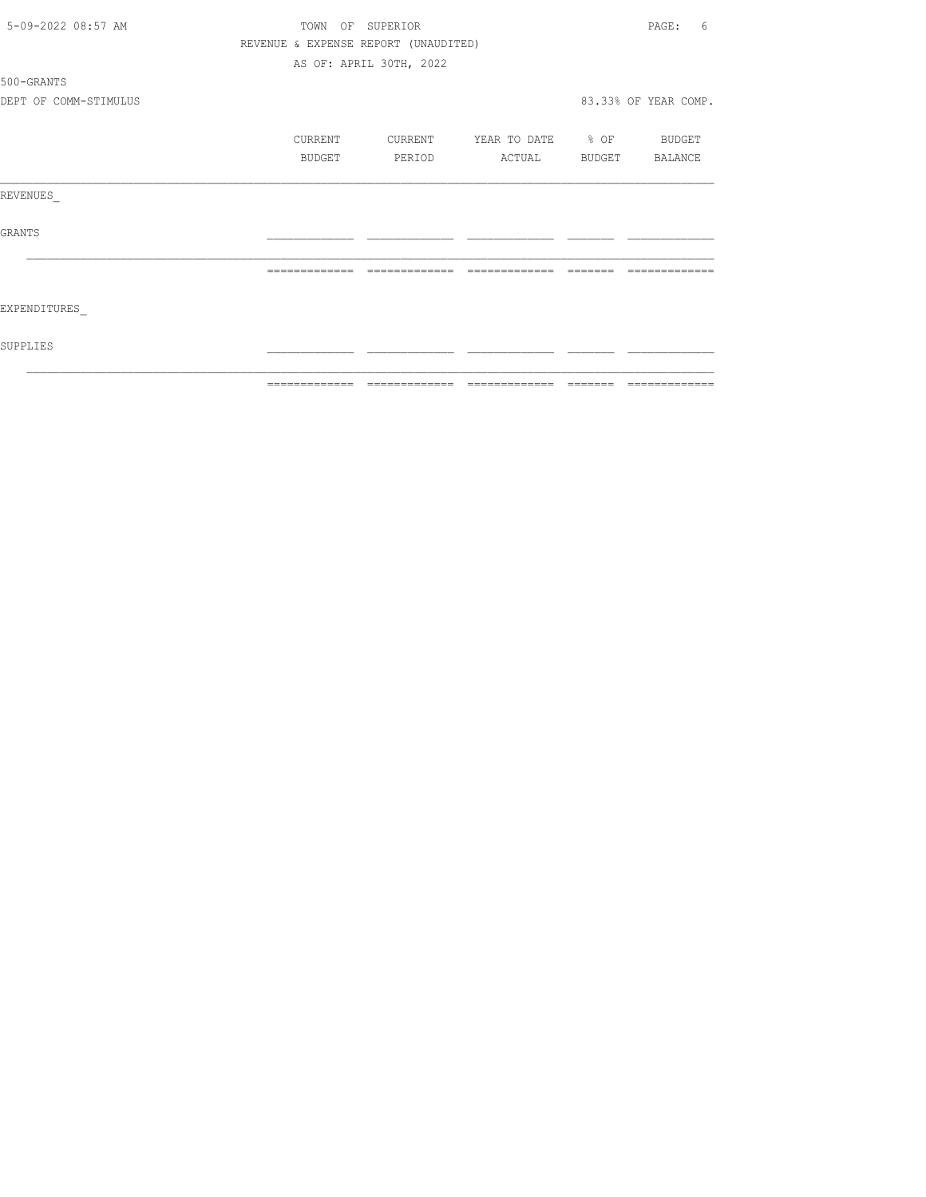|                       | =============    | $=====$                              |                   |               | $\qquad \qquad \qquad =\qquad \qquad =\qquad \qquad =\qquad \qquad =\qquad \qquad =\qquad \qquad =\qquad \qquad =\qquad \qquad =\qquad \qquad =\qquad \qquad =\qquad \qquad =\qquad \qquad =\qquad \qquad =\qquad \qquad =\qquad \qquad =\qquad \qquad =\qquad \qquad =\qquad \qquad =\qquad \qquad =\qquad \qquad =\qquad \qquad =\qquad \qquad =\qquad \qquad =\qquad \qquad =\qquad \qquad =\qquad \qquad =\qquad \qquad =\qquad \qquad =\qquad \qquad =\qquad \qquad =\qquad \qquad =$ |
|-----------------------|------------------|--------------------------------------|-------------------|---------------|--------------------------------------------------------------------------------------------------------------------------------------------------------------------------------------------------------------------------------------------------------------------------------------------------------------------------------------------------------------------------------------------------------------------------------------------------------------------------------------------|
| SUPPLIES              |                  |                                      |                   |               |                                                                                                                                                                                                                                                                                                                                                                                                                                                                                            |
| EXPENDITURES          |                  |                                      |                   |               |                                                                                                                                                                                                                                                                                                                                                                                                                                                                                            |
|                       | -------------    | =============                        | =============     |               |                                                                                                                                                                                                                                                                                                                                                                                                                                                                                            |
| GRANTS                |                  |                                      |                   |               |                                                                                                                                                                                                                                                                                                                                                                                                                                                                                            |
| REVENUES              |                  |                                      |                   |               |                                                                                                                                                                                                                                                                                                                                                                                                                                                                                            |
|                       | BUDGET           | PERIOD                               | ACTUAL            | <b>BUDGET</b> | BALANCE                                                                                                                                                                                                                                                                                                                                                                                                                                                                                    |
|                       | CURRENT          | CURRENT                              | YEAR TO DATE % OF |               | <b>BUDGET</b>                                                                                                                                                                                                                                                                                                                                                                                                                                                                              |
| DEPT OF COMM-STIMULUS |                  |                                      |                   |               | 83.33% OF YEAR COMP.                                                                                                                                                                                                                                                                                                                                                                                                                                                                       |
| 500-GRANTS            |                  |                                      |                   |               |                                                                                                                                                                                                                                                                                                                                                                                                                                                                                            |
|                       |                  | AS OF: APRIL 30TH, 2022              |                   |               |                                                                                                                                                                                                                                                                                                                                                                                                                                                                                            |
|                       |                  | REVENUE & EXPENSE REPORT (UNAUDITED) |                   |               |                                                                                                                                                                                                                                                                                                                                                                                                                                                                                            |
| 5-09-2022 08:57 AM    | TOWN OF SUPERIOR |                                      |                   |               | PAGE:<br>6                                                                                                                                                                                                                                                                                                                                                                                                                                                                                 |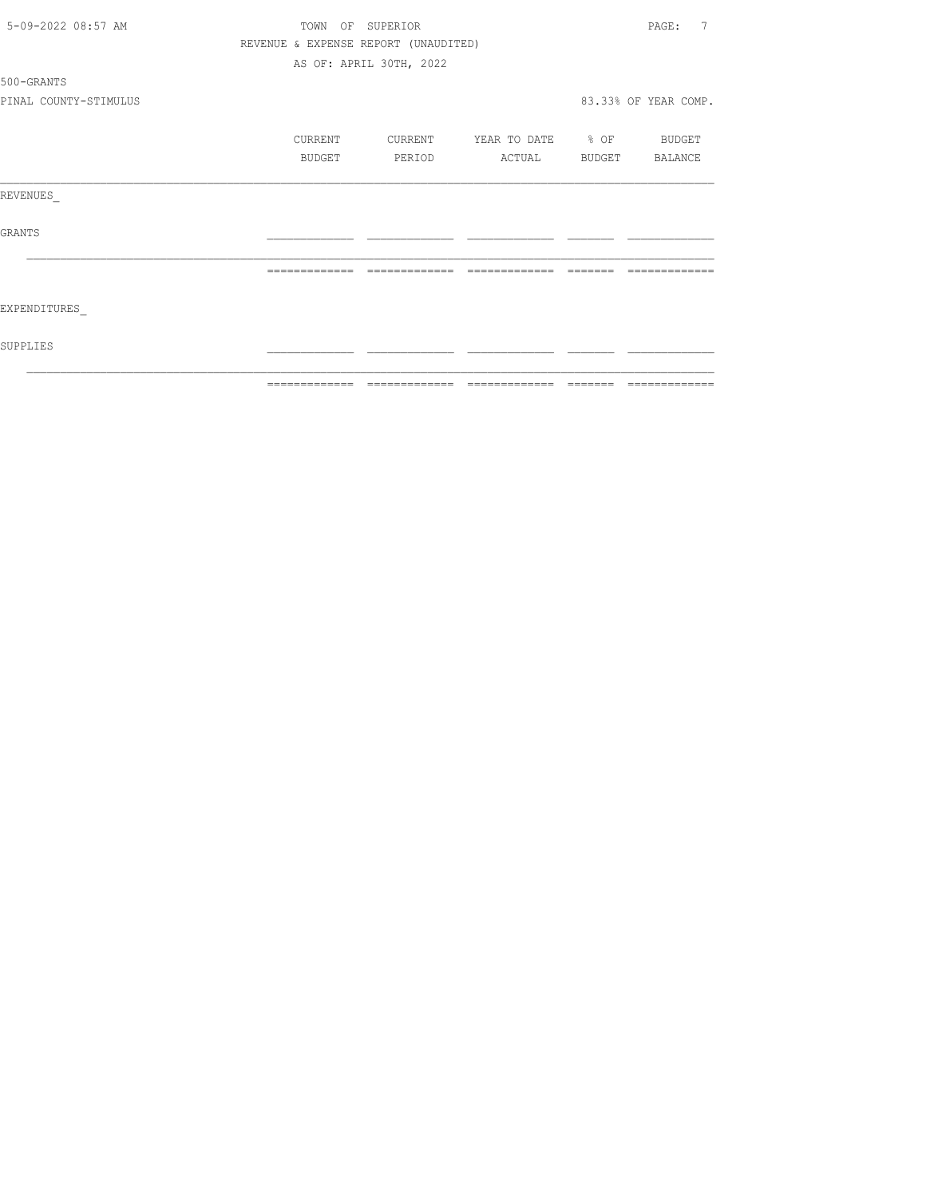|                       | ============= | $\begin{array}{cccccccccc} \multicolumn{2}{c}{} & \multicolumn{2}{c}{} & \multicolumn{2}{c}{} & \multicolumn{2}{c}{} & \multicolumn{2}{c}{} & \multicolumn{2}{c}{} & \multicolumn{2}{c}{} & \multicolumn{2}{c}{} & \multicolumn{2}{c}{} & \multicolumn{2}{c}{} & \multicolumn{2}{c}{} & \multicolumn{2}{c}{} & \multicolumn{2}{c}{} & \multicolumn{2}{c}{} & \multicolumn{2}{c}{} & \multicolumn{2}{c}{} & \multicolumn{2}{c}{} & \multicolumn{2}{c}{} & \multicolumn{2}{c}{} & \mult$ | $\begin{array}{cccccccccc} \multicolumn{2}{c}{} & \multicolumn{2}{c}{} & \multicolumn{2}{c}{} & \multicolumn{2}{c}{} & \multicolumn{2}{c}{} & \multicolumn{2}{c}{} & \multicolumn{2}{c}{} & \multicolumn{2}{c}{} & \multicolumn{2}{c}{} & \multicolumn{2}{c}{} & \multicolumn{2}{c}{} & \multicolumn{2}{c}{} & \multicolumn{2}{c}{} & \multicolumn{2}{c}{} & \multicolumn{2}{c}{} & \multicolumn{2}{c}{} & \multicolumn{2}{c}{} & \multicolumn{2}{c}{} & \multicolumn{2}{c}{} & \mult$ | $\qquad \qquad = \qquad \qquad = \qquad \qquad = \qquad \qquad = \qquad \qquad = \qquad \qquad = \qquad \qquad = \qquad \qquad = \qquad \qquad = \qquad \qquad = \qquad \qquad = \qquad \qquad = \qquad \qquad = \qquad \qquad = \qquad \qquad = \qquad \qquad = \qquad \qquad = \qquad \qquad = \qquad \qquad = \qquad \qquad = \qquad \qquad = \qquad \qquad = \qquad \qquad = \qquad \qquad = \qquad \qquad = \qquad \qquad = \qquad \qquad = \qquad \qquad = \qquad \qquad = \qquad \qquad = \qquad \qquad = \qquad$ | =============        |
|-----------------------|---------------|----------------------------------------------------------------------------------------------------------------------------------------------------------------------------------------------------------------------------------------------------------------------------------------------------------------------------------------------------------------------------------------------------------------------------------------------------------------------------------------|----------------------------------------------------------------------------------------------------------------------------------------------------------------------------------------------------------------------------------------------------------------------------------------------------------------------------------------------------------------------------------------------------------------------------------------------------------------------------------------|--------------------------------------------------------------------------------------------------------------------------------------------------------------------------------------------------------------------------------------------------------------------------------------------------------------------------------------------------------------------------------------------------------------------------------------------------------------------------------------------------------------------------|----------------------|
| SUPPLIES              |               |                                                                                                                                                                                                                                                                                                                                                                                                                                                                                        |                                                                                                                                                                                                                                                                                                                                                                                                                                                                                        |                                                                                                                                                                                                                                                                                                                                                                                                                                                                                                                          |                      |
| EXPENDITURES          |               |                                                                                                                                                                                                                                                                                                                                                                                                                                                                                        |                                                                                                                                                                                                                                                                                                                                                                                                                                                                                        |                                                                                                                                                                                                                                                                                                                                                                                                                                                                                                                          |                      |
|                       |               |                                                                                                                                                                                                                                                                                                                                                                                                                                                                                        |                                                                                                                                                                                                                                                                                                                                                                                                                                                                                        |                                                                                                                                                                                                                                                                                                                                                                                                                                                                                                                          |                      |
| GRANTS                |               |                                                                                                                                                                                                                                                                                                                                                                                                                                                                                        |                                                                                                                                                                                                                                                                                                                                                                                                                                                                                        |                                                                                                                                                                                                                                                                                                                                                                                                                                                                                                                          |                      |
| REVENUES              |               |                                                                                                                                                                                                                                                                                                                                                                                                                                                                                        |                                                                                                                                                                                                                                                                                                                                                                                                                                                                                        |                                                                                                                                                                                                                                                                                                                                                                                                                                                                                                                          |                      |
|                       | BUDGET        | PERIOD                                                                                                                                                                                                                                                                                                                                                                                                                                                                                 | ACTUAL                                                                                                                                                                                                                                                                                                                                                                                                                                                                                 | BUDGET                                                                                                                                                                                                                                                                                                                                                                                                                                                                                                                   | BALANCE              |
|                       | CURRENT       | CURRENT                                                                                                                                                                                                                                                                                                                                                                                                                                                                                | YEAR TO DATE % OF                                                                                                                                                                                                                                                                                                                                                                                                                                                                      |                                                                                                                                                                                                                                                                                                                                                                                                                                                                                                                          | <b>BUDGET</b>        |
| PINAL COUNTY-STIMULUS |               |                                                                                                                                                                                                                                                                                                                                                                                                                                                                                        |                                                                                                                                                                                                                                                                                                                                                                                                                                                                                        |                                                                                                                                                                                                                                                                                                                                                                                                                                                                                                                          | 83.33% OF YEAR COMP. |
| 500-GRANTS            |               |                                                                                                                                                                                                                                                                                                                                                                                                                                                                                        |                                                                                                                                                                                                                                                                                                                                                                                                                                                                                        |                                                                                                                                                                                                                                                                                                                                                                                                                                                                                                                          |                      |
|                       |               | AS OF: APRIL 30TH, 2022                                                                                                                                                                                                                                                                                                                                                                                                                                                                |                                                                                                                                                                                                                                                                                                                                                                                                                                                                                        |                                                                                                                                                                                                                                                                                                                                                                                                                                                                                                                          |                      |
|                       |               | REVENUE & EXPENSE REPORT (UNAUDITED)                                                                                                                                                                                                                                                                                                                                                                                                                                                   |                                                                                                                                                                                                                                                                                                                                                                                                                                                                                        |                                                                                                                                                                                                                                                                                                                                                                                                                                                                                                                          |                      |
| 5-09-2022 08:57 AM    |               | TOWN OF SUPERIOR                                                                                                                                                                                                                                                                                                                                                                                                                                                                       |                                                                                                                                                                                                                                                                                                                                                                                                                                                                                        |                                                                                                                                                                                                                                                                                                                                                                                                                                                                                                                          | 7<br>PAGE:           |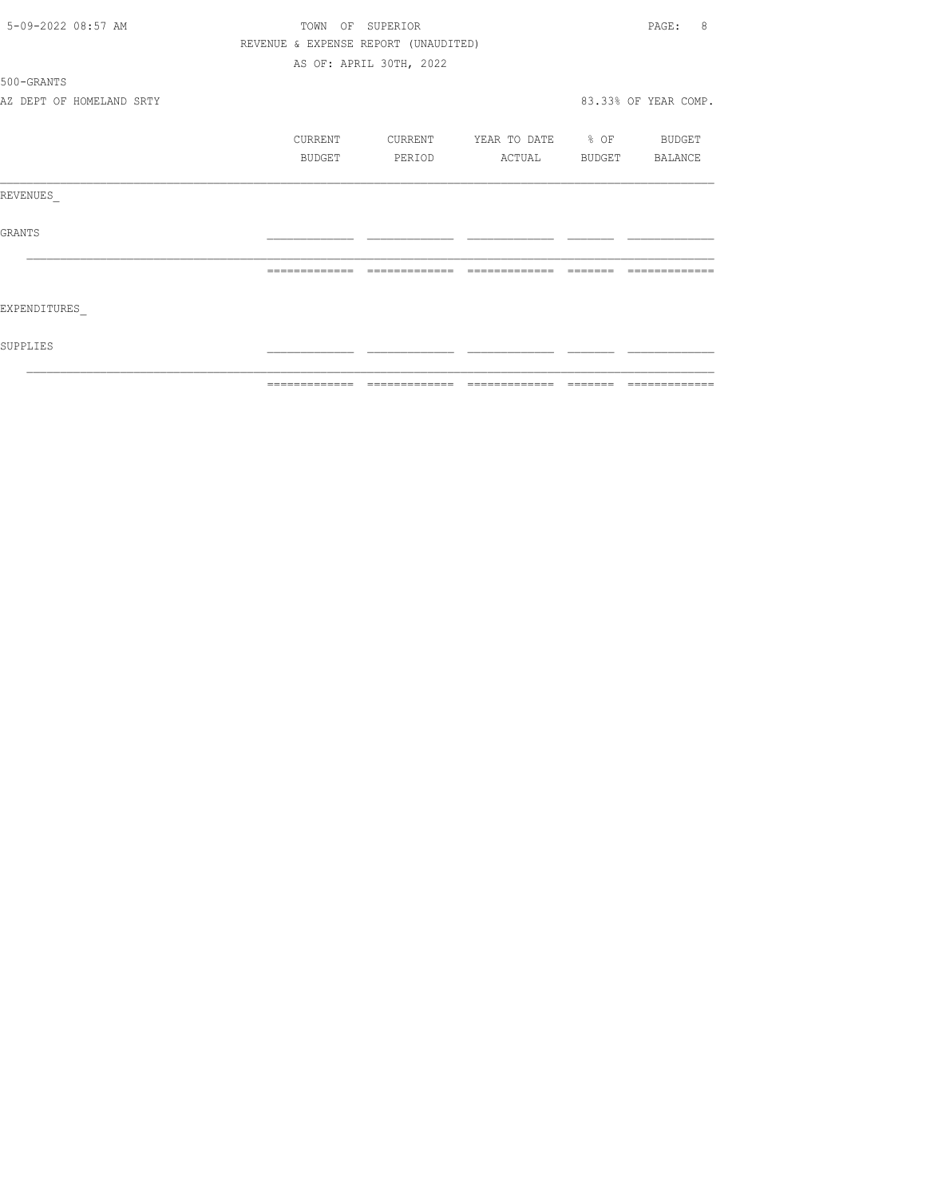| 5-09-2022 08:57 AM       |                                      | TOWN OF SUPERIOR        |                          |         | 8<br>PAGE:           |
|--------------------------|--------------------------------------|-------------------------|--------------------------|---------|----------------------|
|                          | REVENUE & EXPENSE REPORT (UNAUDITED) |                         |                          |         |                      |
|                          |                                      | AS OF: APRIL 30TH, 2022 |                          |         |                      |
| 500-GRANTS               |                                      |                         |                          |         |                      |
| AZ DEPT OF HOMELAND SRTY |                                      |                         |                          |         | 83.33% OF YEAR COMP. |
|                          | <b>CURRENT</b>                       | CURRENT                 | YEAR TO DATE % OF BUDGET |         |                      |
|                          | BUDGET                               | PERIOD                  | ACTUAL                   |         | BUDGET BALANCE       |
| REVENUES                 |                                      |                         |                          |         |                      |
| <b>GRANTS</b>            |                                      |                         |                          |         |                      |
|                          |                                      | -------------           |                          |         |                      |
| EXPENDITURES             |                                      |                         |                          |         |                      |
| SUPPLIES                 |                                      |                         |                          |         |                      |
|                          | =============                        | =============           | =============            | ======= | =============        |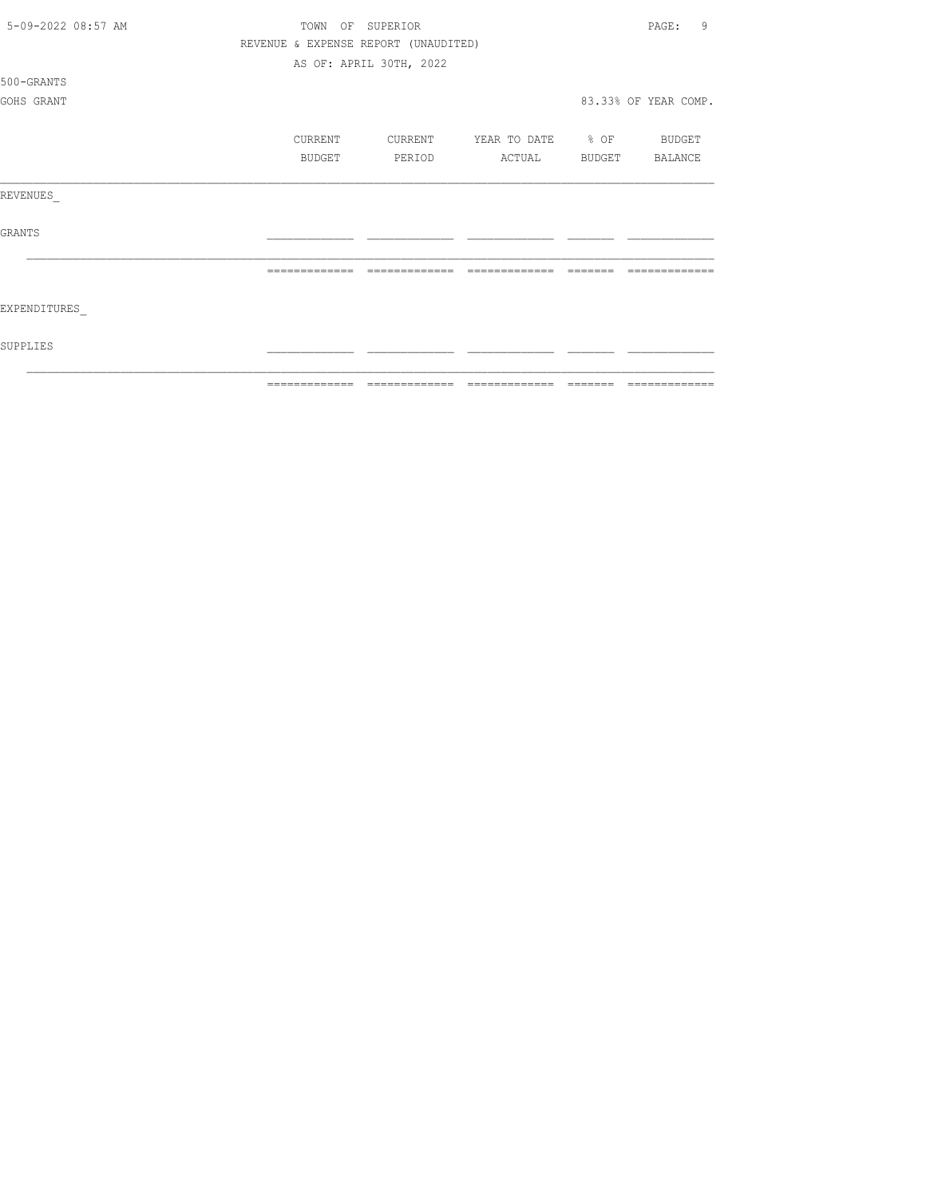| 5-09-2022 08:57 AM | TOWN                                 | OF SUPERIOR             |                   |                | 9<br>PAGE:           |
|--------------------|--------------------------------------|-------------------------|-------------------|----------------|----------------------|
|                    | REVENUE & EXPENSE REPORT (UNAUDITED) |                         |                   |                |                      |
|                    |                                      | AS OF: APRIL 30TH, 2022 |                   |                |                      |
| 500-GRANTS         |                                      |                         |                   |                |                      |
| GOHS GRANT         |                                      |                         |                   |                | 83.33% OF YEAR COMP. |
|                    |                                      |                         |                   |                |                      |
|                    | CURRENT                              | CURRENT                 | YEAR TO DATE % OF |                | BUDGET               |
|                    | BUDGET                               | PERIOD                  | ACTUAL            | BUDGET BALANCE |                      |
| REVENUES           |                                      |                         |                   |                |                      |
| <b>GRANTS</b>      |                                      |                         |                   |                |                      |
|                    |                                      | -------------           | $---$             |                |                      |
| EXPENDITURES       |                                      |                         |                   |                |                      |
| SUPPLIES           |                                      |                         |                   |                |                      |
|                    | -------------                        |                         | -------------     |                |                      |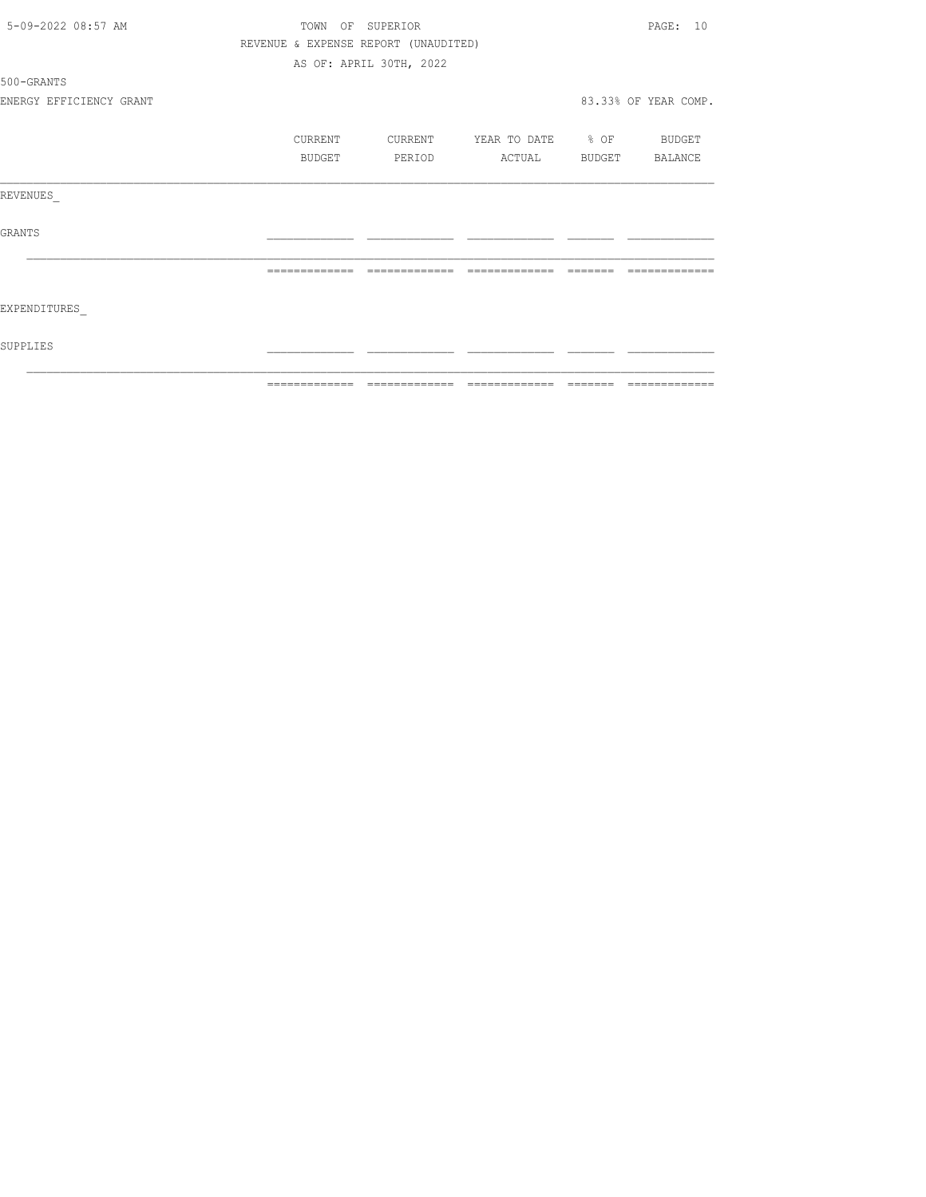| 5-09-2022 08:57 AM      |               | TOWN OF SUPERIOR                     |                          |          | PAGE: 10             |
|-------------------------|---------------|--------------------------------------|--------------------------|----------|----------------------|
|                         |               | REVENUE & EXPENSE REPORT (UNAUDITED) |                          |          |                      |
|                         |               | AS OF: APRIL 30TH, 2022              |                          |          |                      |
| 500-GRANTS              |               |                                      |                          |          |                      |
| ENERGY EFFICIENCY GRANT |               |                                      |                          |          | 83.33% OF YEAR COMP. |
|                         | CURRENT       | CURRENT                              | YEAR TO DATE % OF BUDGET |          |                      |
|                         | BUDGET        | PERIOD                               | ACTUAL BUDGET BALANCE    |          |                      |
| REVENUES                |               |                                      |                          |          |                      |
| <b>GRANTS</b>           |               |                                      |                          |          |                      |
|                         | ============= | =============                        | =============            | -------- |                      |
| EXPENDITURES            |               |                                      |                          |          |                      |
| SUPPLIES                |               |                                      |                          |          |                      |
|                         |               |                                      |                          |          | --------------       |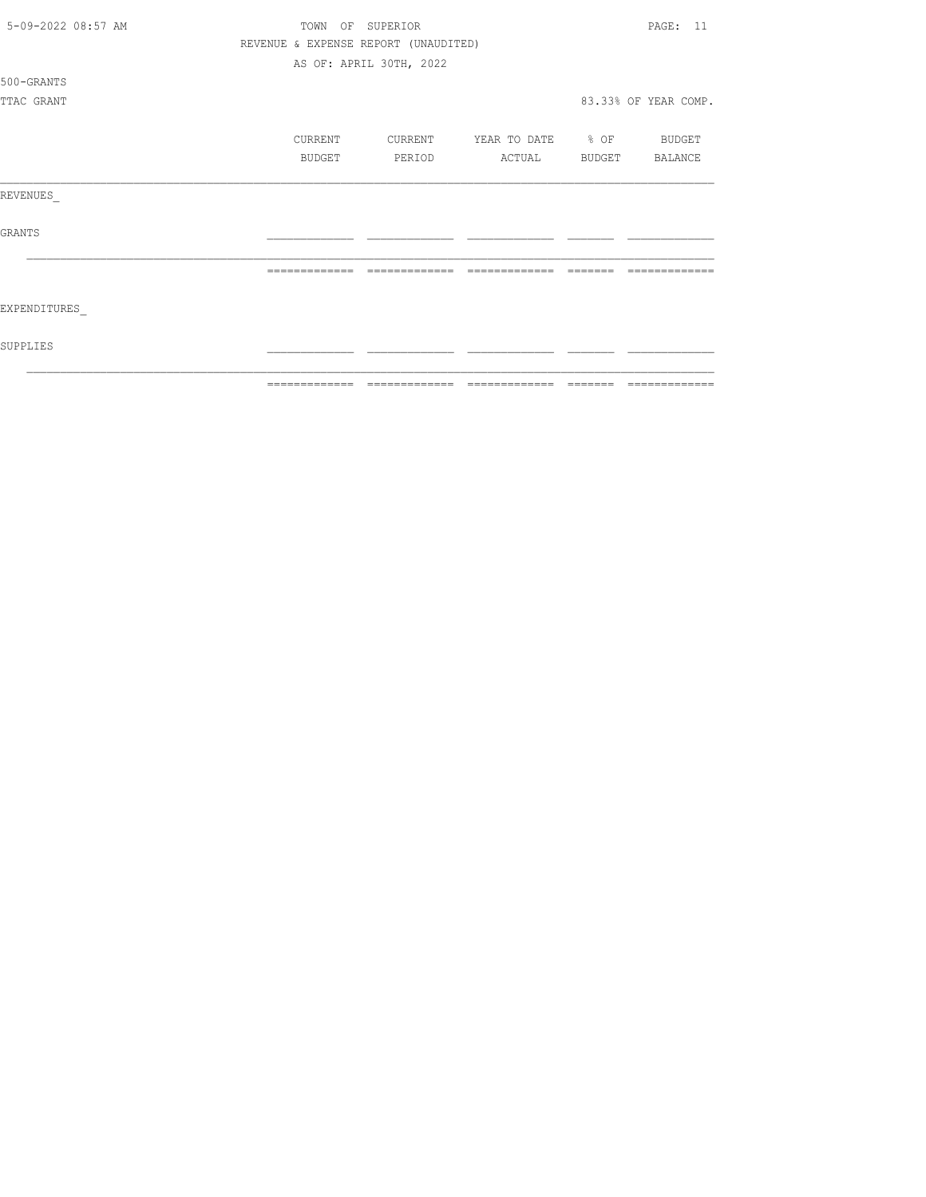| 5-09-2022 08:57 AM | TOWN          |                                      | PAGE: 11          |        |                      |
|--------------------|---------------|--------------------------------------|-------------------|--------|----------------------|
|                    |               | REVENUE & EXPENSE REPORT (UNAUDITED) |                   |        |                      |
|                    |               | AS OF: APRIL 30TH, 2022              |                   |        |                      |
| 500-GRANTS         |               |                                      |                   |        |                      |
| TTAC GRANT         |               |                                      |                   |        | 83.33% OF YEAR COMP. |
|                    | CURRENT       | CURRENT                              | YEAR TO DATE % OF |        | BUDGET               |
|                    | <b>BUDGET</b> | PERIOD                               | ACTUAL            | BUDGET | BALANCE              |
| REVENUES           |               |                                      |                   |        |                      |
| <b>GRANTS</b>      |               |                                      |                   |        |                      |
|                    |               |                                      |                   |        |                      |
| EXPENDITURES       |               |                                      |                   |        |                      |
| SUPPLIES           |               |                                      |                   |        |                      |
|                    | ------------- |                                      | -------------     |        |                      |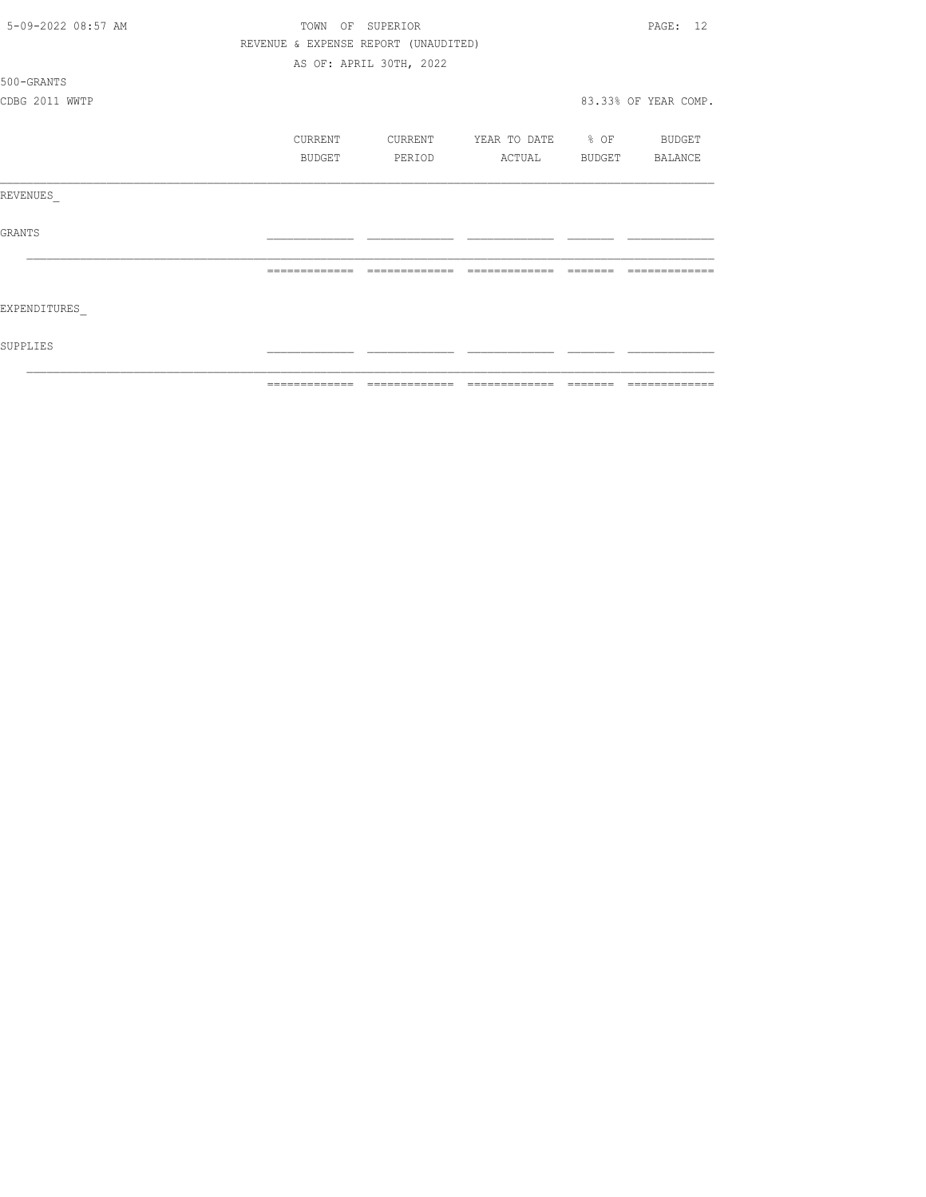| 5-09-2022 08:57 AM | TOWN OF SUPERIOR |                                      |                                  |                                                                                                                                                                                                                                                                                                                                                                                                                                                                                            | PAGE: 12             |
|--------------------|------------------|--------------------------------------|----------------------------------|--------------------------------------------------------------------------------------------------------------------------------------------------------------------------------------------------------------------------------------------------------------------------------------------------------------------------------------------------------------------------------------------------------------------------------------------------------------------------------------------|----------------------|
|                    |                  | REVENUE & EXPENSE REPORT (UNAUDITED) |                                  |                                                                                                                                                                                                                                                                                                                                                                                                                                                                                            |                      |
|                    |                  | AS OF: APRIL 30TH, 2022              |                                  |                                                                                                                                                                                                                                                                                                                                                                                                                                                                                            |                      |
| 500-GRANTS         |                  |                                      |                                  |                                                                                                                                                                                                                                                                                                                                                                                                                                                                                            |                      |
| CDBG 2011 WWTP     |                  |                                      |                                  |                                                                                                                                                                                                                                                                                                                                                                                                                                                                                            | 83.33% OF YEAR COMP. |
|                    | CURRENT          |                                      | CURRENT YEAR TO DATE % OF BUDGET |                                                                                                                                                                                                                                                                                                                                                                                                                                                                                            |                      |
|                    | BUDGET           | PERIOD                               | ACTUAL BUDGET BALANCE            |                                                                                                                                                                                                                                                                                                                                                                                                                                                                                            |                      |
| REVENUES           |                  |                                      |                                  |                                                                                                                                                                                                                                                                                                                                                                                                                                                                                            |                      |
| GRANTS             |                  |                                      |                                  |                                                                                                                                                                                                                                                                                                                                                                                                                                                                                            |                      |
|                    | =============    | =============                        | =============                    | $\qquad \qquad \qquad =\qquad \qquad =\qquad \qquad =\qquad \qquad =\qquad \qquad =\qquad \qquad =\qquad \qquad =\qquad \qquad =\qquad \qquad =\qquad \qquad =\qquad \qquad =\qquad \qquad =\qquad \qquad =\qquad \qquad =\qquad \qquad =\qquad \qquad =\qquad \qquad =\qquad \qquad =\qquad \qquad =\qquad \qquad =\qquad \qquad =\qquad \qquad =\qquad \qquad =\qquad \qquad =\qquad \qquad =\qquad \qquad =\qquad \qquad =\qquad \qquad =\qquad \qquad =\qquad \qquad =\qquad \qquad =$ |                      |
| EXPENDITURES       |                  |                                      |                                  |                                                                                                                                                                                                                                                                                                                                                                                                                                                                                            |                      |
| SUPPLIES           |                  |                                      |                                  |                                                                                                                                                                                                                                                                                                                                                                                                                                                                                            |                      |
|                    |                  |                                      |                                  |                                                                                                                                                                                                                                                                                                                                                                                                                                                                                            |                      |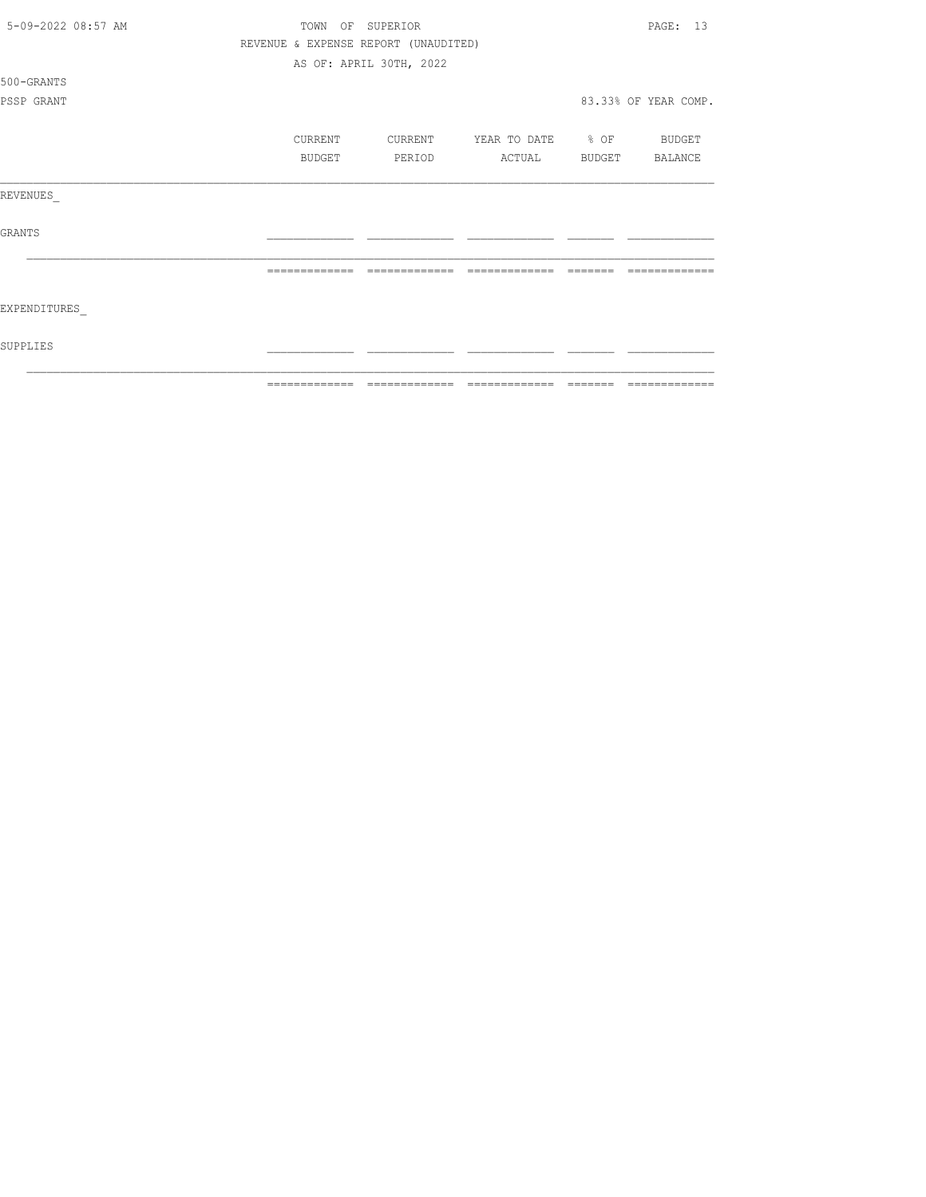| 5-09-2022 08:57 AM | TOWN          |         | OF SUPERIOR                          |                   |        | PAGE: 13             |
|--------------------|---------------|---------|--------------------------------------|-------------------|--------|----------------------|
|                    |               |         | REVENUE & EXPENSE REPORT (UNAUDITED) |                   |        |                      |
|                    |               |         | AS OF: APRIL 30TH, 2022              |                   |        |                      |
| 500-GRANTS         |               |         |                                      |                   |        |                      |
| PSSP GRANT         |               |         |                                      |                   |        | 83.33% OF YEAR COMP. |
|                    |               | CURRENT | CURRENT                              | YEAR TO DATE % OF |        | BUDGET               |
|                    |               | BUDGET  | PERIOD                               | ACTUAL            | BUDGET | BALANCE              |
| REVENUES           |               |         |                                      |                   |        |                      |
| <b>GRANTS</b>      |               |         |                                      |                   |        |                      |
|                    |               |         |                                      |                   |        |                      |
| EXPENDITURES       |               |         |                                      |                   |        |                      |
| SUPPLIES           |               |         |                                      |                   |        |                      |
|                    | ------------- |         |                                      |                   |        |                      |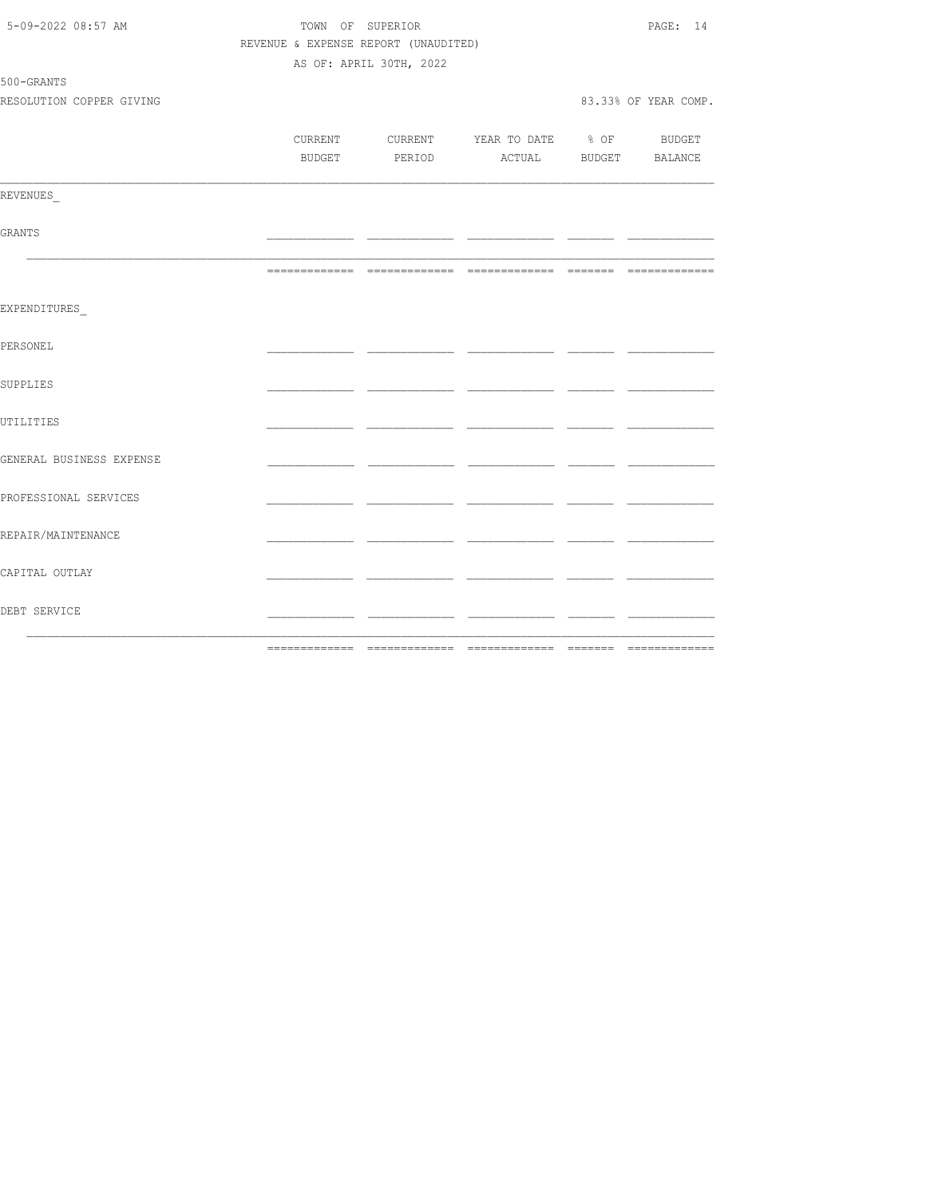| 5-09-2022 08:57 AM       | TOWN OF SUPERIOR                     | PAGE: 14                |                                          |               |                      |
|--------------------------|--------------------------------------|-------------------------|------------------------------------------|---------------|----------------------|
|                          | REVENUE & EXPENSE REPORT (UNAUDITED) |                         |                                          |               |                      |
|                          |                                      | AS OF: APRIL 30TH, 2022 |                                          |               |                      |
| 500-GRANTS               |                                      |                         |                                          |               |                      |
| RESOLUTION COPPER GIVING |                                      |                         |                                          |               | 83.33% OF YEAR COMP. |
|                          |                                      |                         |                                          |               |                      |
|                          |                                      |                         | CURRENT CURRENT YEAR TO DATE % OF BUDGET |               |                      |
|                          |                                      |                         | BUDGET PERIOD ACTUAL BUDGET BALANCE      |               |                      |
| REVENUES                 |                                      |                         |                                          |               |                      |
|                          |                                      |                         |                                          |               |                      |
| GRANTS                   |                                      |                         |                                          | للمسترد المست |                      |
|                          |                                      |                         |                                          |               |                      |
| EXPENDITURES             |                                      |                         |                                          |               |                      |
| PERSONEL                 |                                      |                         |                                          |               |                      |
| SUPPLIES                 |                                      |                         |                                          |               |                      |
| UTILITIES                |                                      |                         |                                          |               |                      |
| GENERAL BUSINESS EXPENSE |                                      |                         |                                          |               |                      |
| PROFESSIONAL SERVICES    |                                      |                         |                                          |               |                      |
| REPAIR/MAINTENANCE       |                                      |                         |                                          |               |                      |
| CAPITAL OUTLAY           |                                      |                         |                                          |               |                      |
| DEBT SERVICE             |                                      |                         |                                          |               |                      |
|                          |                                      |                         |                                          |               |                      |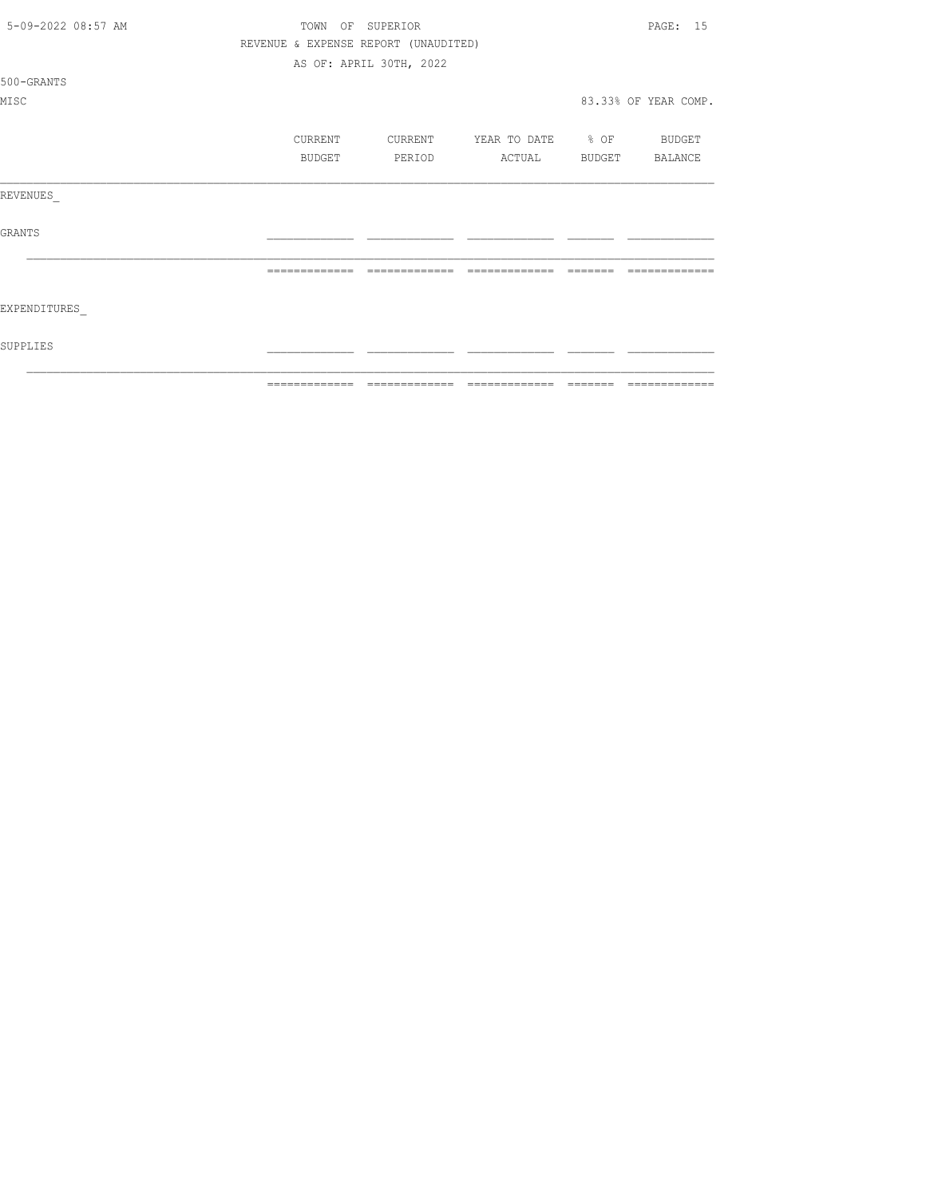| 5-09-2022 08:57 AM | TOWN                                 | OF SUPERIOR             |                          |               | PAGE: 15             |
|--------------------|--------------------------------------|-------------------------|--------------------------|---------------|----------------------|
|                    | REVENUE & EXPENSE REPORT (UNAUDITED) |                         |                          |               |                      |
|                    |                                      | AS OF: APRIL 30TH, 2022 |                          |               |                      |
| 500-GRANTS         |                                      |                         |                          |               |                      |
| MISC               |                                      |                         |                          |               | 83.33% OF YEAR COMP. |
|                    | CURRENT                              | CURRENT                 | YEAR TO DATE % OF BUDGET |               |                      |
|                    | <b>BUDGET</b>                        | PERIOD                  | ACTUAL                   | <b>BUDGET</b> | BALANCE              |
| REVENUES           |                                      |                         |                          |               |                      |
| <b>GRANTS</b>      |                                      |                         |                          |               |                      |
|                    |                                      |                         | -------------            |               |                      |
| EXPENDITURES       |                                      |                         |                          |               |                      |
| SUPPLIES           |                                      |                         |                          |               |                      |
|                    |                                      |                         |                          |               |                      |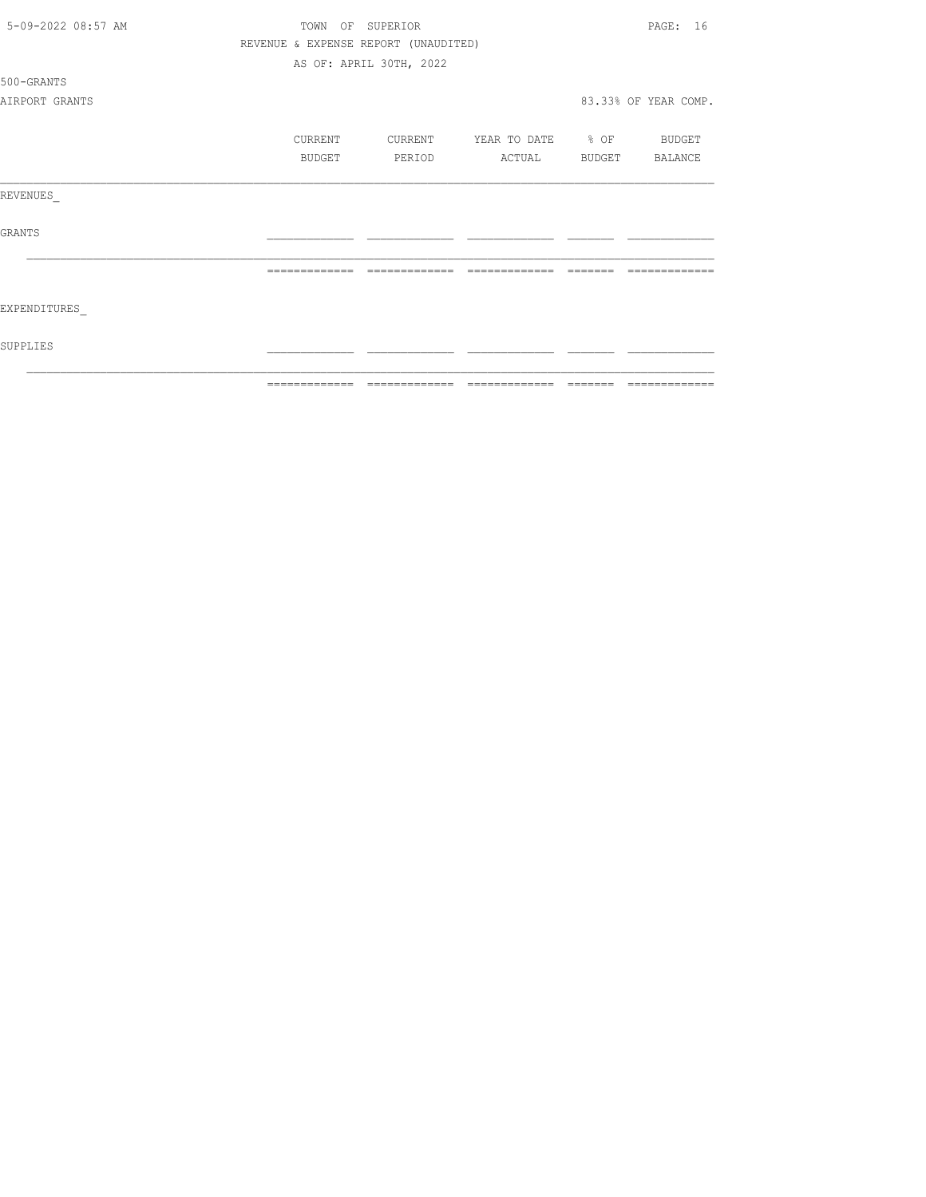| 5-09-2022 08:57 AM |               | TOWN OF SUPERIOR                     |                          |         | PAGE: 16                                                                                                                                                                                                                                                                                                                                                                                                                                                                                     |
|--------------------|---------------|--------------------------------------|--------------------------|---------|----------------------------------------------------------------------------------------------------------------------------------------------------------------------------------------------------------------------------------------------------------------------------------------------------------------------------------------------------------------------------------------------------------------------------------------------------------------------------------------------|
|                    |               | REVENUE & EXPENSE REPORT (UNAUDITED) |                          |         |                                                                                                                                                                                                                                                                                                                                                                                                                                                                                              |
|                    |               | AS OF: APRIL 30TH, 2022              |                          |         |                                                                                                                                                                                                                                                                                                                                                                                                                                                                                              |
| 500-GRANTS         |               |                                      |                          |         |                                                                                                                                                                                                                                                                                                                                                                                                                                                                                              |
| AIRPORT GRANTS     |               |                                      |                          |         | 83.33% OF YEAR COMP.                                                                                                                                                                                                                                                                                                                                                                                                                                                                         |
|                    | CURRENT       | CURRENT                              | YEAR TO DATE % OF BUDGET |         |                                                                                                                                                                                                                                                                                                                                                                                                                                                                                              |
|                    | BUDGET        | PERIOD                               | ACTUAL                   |         | BUDGET BALANCE                                                                                                                                                                                                                                                                                                                                                                                                                                                                               |
| REVENUES           |               |                                      |                          |         |                                                                                                                                                                                                                                                                                                                                                                                                                                                                                              |
| <b>GRANTS</b>      |               |                                      |                          |         |                                                                                                                                                                                                                                                                                                                                                                                                                                                                                              |
|                    |               | =============                        | =============            |         |                                                                                                                                                                                                                                                                                                                                                                                                                                                                                              |
| EXPENDITURES       |               |                                      |                          |         |                                                                                                                                                                                                                                                                                                                                                                                                                                                                                              |
| SUPPLIES           |               |                                      |                          |         |                                                                                                                                                                                                                                                                                                                                                                                                                                                                                              |
|                    | ============= | =============                        | =============            | ======= | $\begin{array}{c} \multicolumn{2}{c} {\textbf{1}} & \multicolumn{2}{c} {\textbf{2}} & \multicolumn{2}{c} {\textbf{3}} & \multicolumn{2}{c} {\textbf{4}} \\ \multicolumn{2}{c} {\textbf{5}} & \multicolumn{2}{c} {\textbf{6}} & \multicolumn{2}{c} {\textbf{7}} & \multicolumn{2}{c} {\textbf{8}} & \multicolumn{2}{c} {\textbf{9}} \\ \multicolumn{2}{c} {\textbf{1}} & \multicolumn{2}{c} {\textbf{1}} & \multicolumn{2}{c} {\textbf{1}} & \multicolumn{2}{c} {\textbf{1}} & \multicolumn{$ |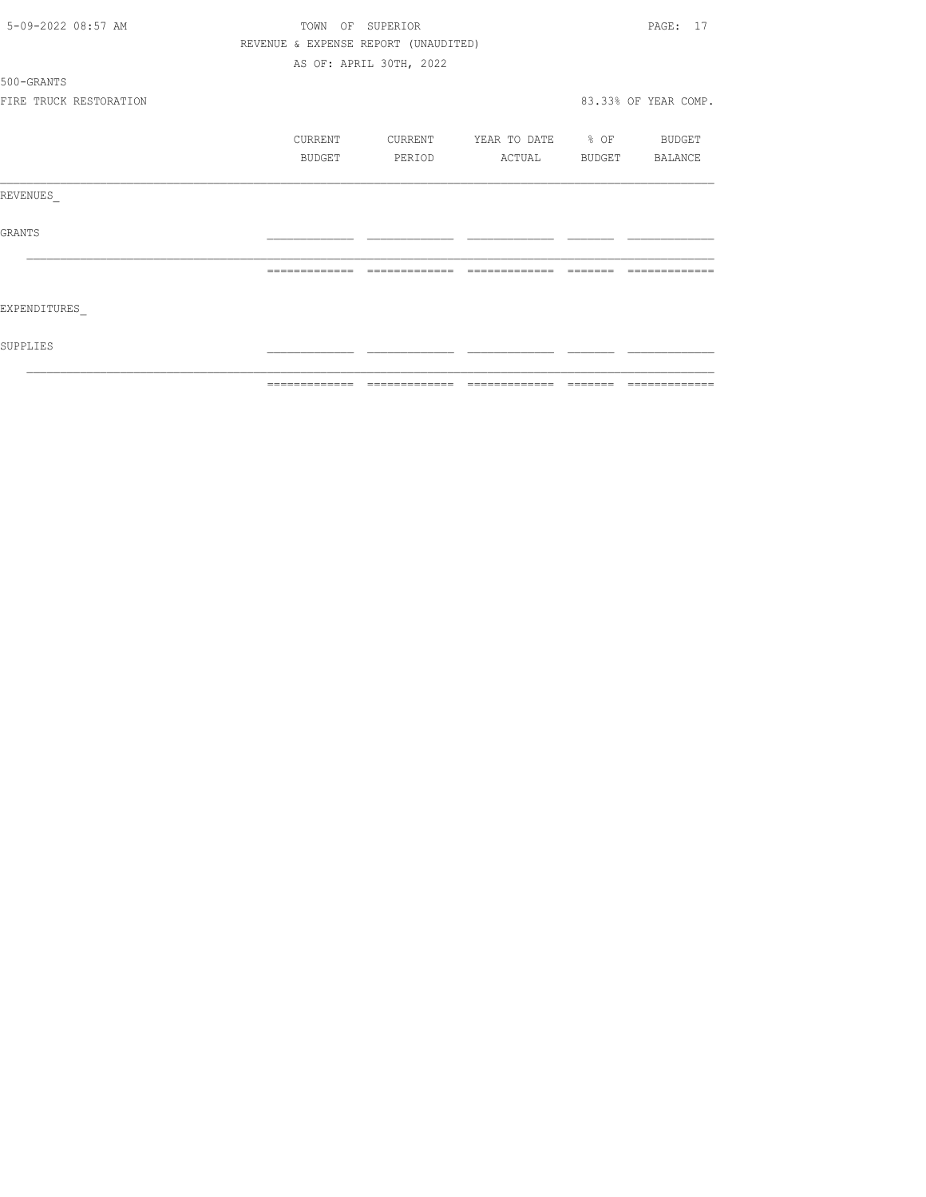| 5-09-2022 08:57 AM     | TOWN OF SUPERIOR                     |                         |                              |         | PAGE: 17             |
|------------------------|--------------------------------------|-------------------------|------------------------------|---------|----------------------|
|                        | REVENUE & EXPENSE REPORT (UNAUDITED) |                         |                              |         |                      |
|                        |                                      | AS OF: APRIL 30TH, 2022 |                              |         |                      |
| 500-GRANTS             |                                      |                         |                              |         |                      |
| FIRE TRUCK RESTORATION |                                      |                         |                              |         | 83.33% OF YEAR COMP. |
|                        | CURRENT                              | CURRENT                 | YEAR TO DATE % OF            |         | BUDGET               |
|                        | BUDGET                               | PERIOD                  | ACTUAL                       | BUDGET  | BALANCE              |
| REVENUES               |                                      |                         |                              |         |                      |
| GRANTS                 |                                      |                         |                              |         |                      |
|                        |                                      |                         |                              |         |                      |
| EXPENDITURES           |                                      |                         |                              |         |                      |
| SUPPLIES               |                                      |                         |                              |         |                      |
|                        | =============                        |                         | ============================ | ======= | -------------        |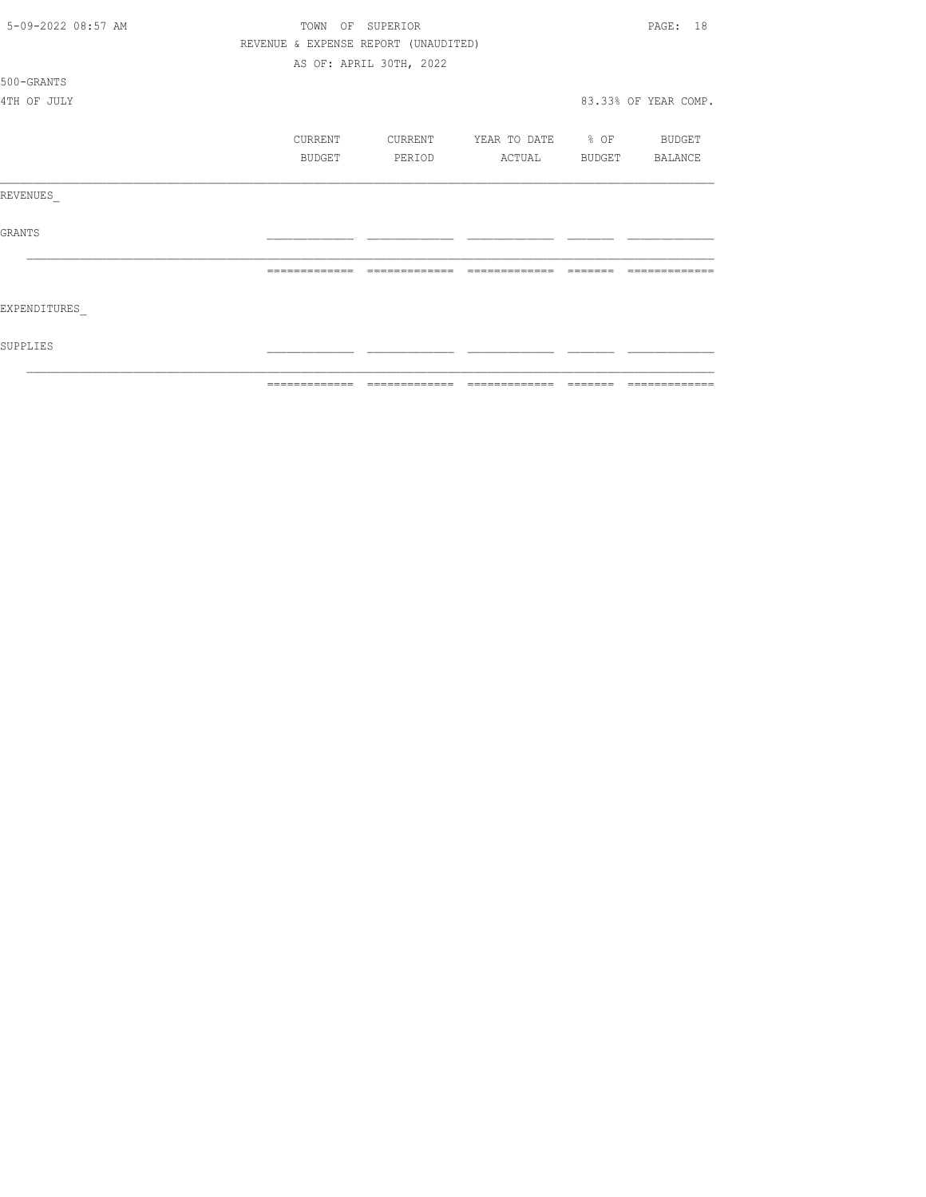| 5-09-2022 08:57 AM | TOWN OF SUPERIOR |                                      |                          |  |                      |  |
|--------------------|------------------|--------------------------------------|--------------------------|--|----------------------|--|
|                    |                  | REVENUE & EXPENSE REPORT (UNAUDITED) |                          |  |                      |  |
|                    |                  | AS OF: APRIL 30TH, 2022              |                          |  |                      |  |
| 500-GRANTS         |                  |                                      |                          |  |                      |  |
| 4TH OF JULY        |                  |                                      |                          |  | 83.33% OF YEAR COMP. |  |
|                    | CURRENT          | CURRENT                              | YEAR TO DATE % OF BUDGET |  |                      |  |
|                    | BUDGET           | PERIOD                               | ACTUAL                   |  | BUDGET BALANCE       |  |
| REVENUES           |                  |                                      |                          |  |                      |  |
| GRANTS             |                  |                                      |                          |  |                      |  |
|                    |                  |                                      |                          |  |                      |  |
| EXPENDITURES       |                  |                                      |                          |  |                      |  |
| SUPPLIES           |                  |                                      |                          |  |                      |  |
|                    | -------------    |                                      | --------------           |  |                      |  |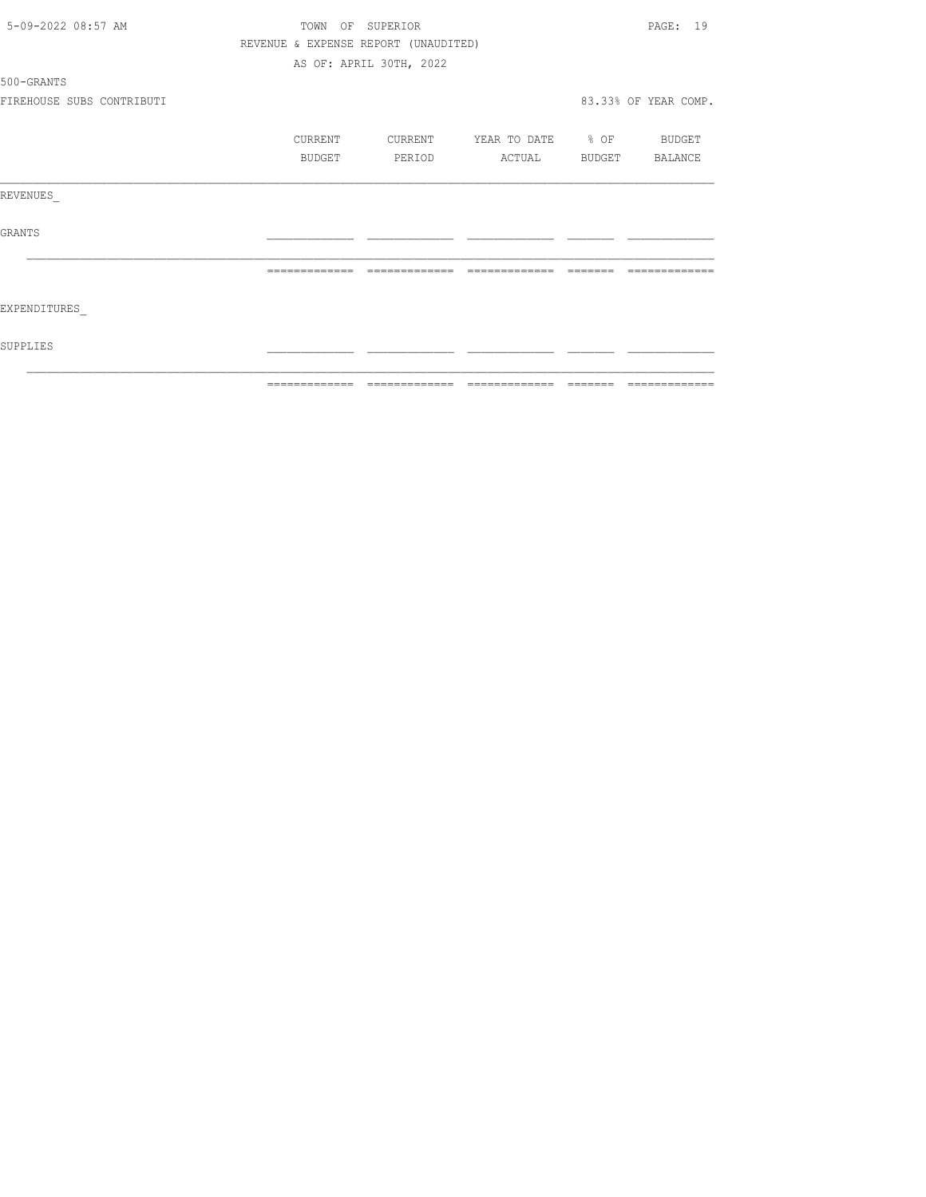| 5-09-2022 08:57 AM        |                                      | TOWN OF SUPERIOR        |                                                                                                                                                                                                                                                                                                                                                                                                                                                                                        |                         | PAGE: 19             |
|---------------------------|--------------------------------------|-------------------------|----------------------------------------------------------------------------------------------------------------------------------------------------------------------------------------------------------------------------------------------------------------------------------------------------------------------------------------------------------------------------------------------------------------------------------------------------------------------------------------|-------------------------|----------------------|
|                           | REVENUE & EXPENSE REPORT (UNAUDITED) |                         |                                                                                                                                                                                                                                                                                                                                                                                                                                                                                        |                         |                      |
|                           |                                      | AS OF: APRIL 30TH, 2022 |                                                                                                                                                                                                                                                                                                                                                                                                                                                                                        |                         |                      |
| 500-GRANTS                |                                      |                         |                                                                                                                                                                                                                                                                                                                                                                                                                                                                                        |                         |                      |
| FIREHOUSE SUBS CONTRIBUTI |                                      |                         |                                                                                                                                                                                                                                                                                                                                                                                                                                                                                        |                         | 83.33% OF YEAR COMP. |
|                           | CURRENT                              | CURRENT                 | YEAR TO DATE % OF                                                                                                                                                                                                                                                                                                                                                                                                                                                                      |                         | BUDGET               |
|                           | BUDGET                               | PERIOD                  | ACTUAL                                                                                                                                                                                                                                                                                                                                                                                                                                                                                 | BUDGET                  | BALANCE              |
| REVENUES                  |                                      |                         |                                                                                                                                                                                                                                                                                                                                                                                                                                                                                        |                         |                      |
| <b>GRANTS</b>             |                                      |                         |                                                                                                                                                                                                                                                                                                                                                                                                                                                                                        |                         |                      |
|                           |                                      |                         |                                                                                                                                                                                                                                                                                                                                                                                                                                                                                        |                         |                      |
| EXPENDITURES              |                                      |                         |                                                                                                                                                                                                                                                                                                                                                                                                                                                                                        |                         |                      |
| SUPPLIES                  |                                      |                         |                                                                                                                                                                                                                                                                                                                                                                                                                                                                                        |                         |                      |
|                           | -------------                        | =============           | $\begin{array}{cccccccccc} \multicolumn{2}{c}{} & \multicolumn{2}{c}{} & \multicolumn{2}{c}{} & \multicolumn{2}{c}{} & \multicolumn{2}{c}{} & \multicolumn{2}{c}{} & \multicolumn{2}{c}{} & \multicolumn{2}{c}{} & \multicolumn{2}{c}{} & \multicolumn{2}{c}{} & \multicolumn{2}{c}{} & \multicolumn{2}{c}{} & \multicolumn{2}{c}{} & \multicolumn{2}{c}{} & \multicolumn{2}{c}{} & \multicolumn{2}{c}{} & \multicolumn{2}{c}{} & \multicolumn{2}{c}{} & \multicolumn{2}{c}{} & \mult$ | $=$ $=$ $=$ $=$ $=$ $=$ | =============        |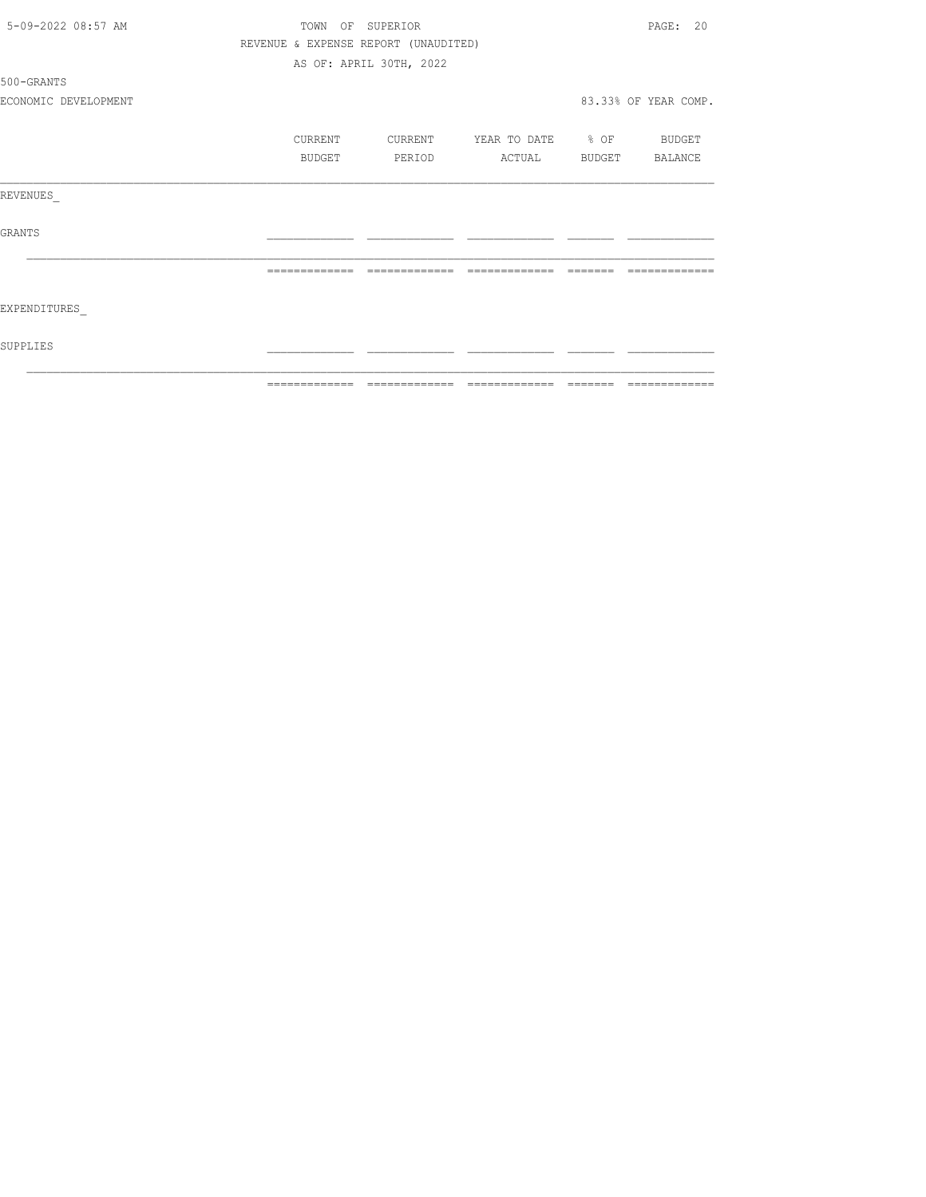|                      |                  | =============================        |                          |          | --------------       |
|----------------------|------------------|--------------------------------------|--------------------------|----------|----------------------|
| SUPPLIES             |                  |                                      |                          |          |                      |
| EXPENDITURES         |                  |                                      |                          |          |                      |
|                      | --------------   | --------------                       | --------------           | -------- | -------------        |
| GRANTS               |                  |                                      |                          |          |                      |
| REVENUES             |                  |                                      |                          |          |                      |
|                      | BUDGET           | PERIOD                               | <b>ACTUAL</b>            |          | BUDGET BALANCE       |
|                      | CURRENT          | CURRENT                              | YEAR TO DATE % OF BUDGET |          |                      |
| ECONOMIC DEVELOPMENT |                  |                                      |                          |          | 83.33% OF YEAR COMP. |
| 500-GRANTS           |                  |                                      |                          |          |                      |
|                      |                  | AS OF: APRIL 30TH, 2022              |                          |          |                      |
|                      |                  | REVENUE & EXPENSE REPORT (UNAUDITED) |                          |          |                      |
| 5-09-2022 08:57 AM   | TOWN OF SUPERIOR |                                      |                          |          | PAGE: 20             |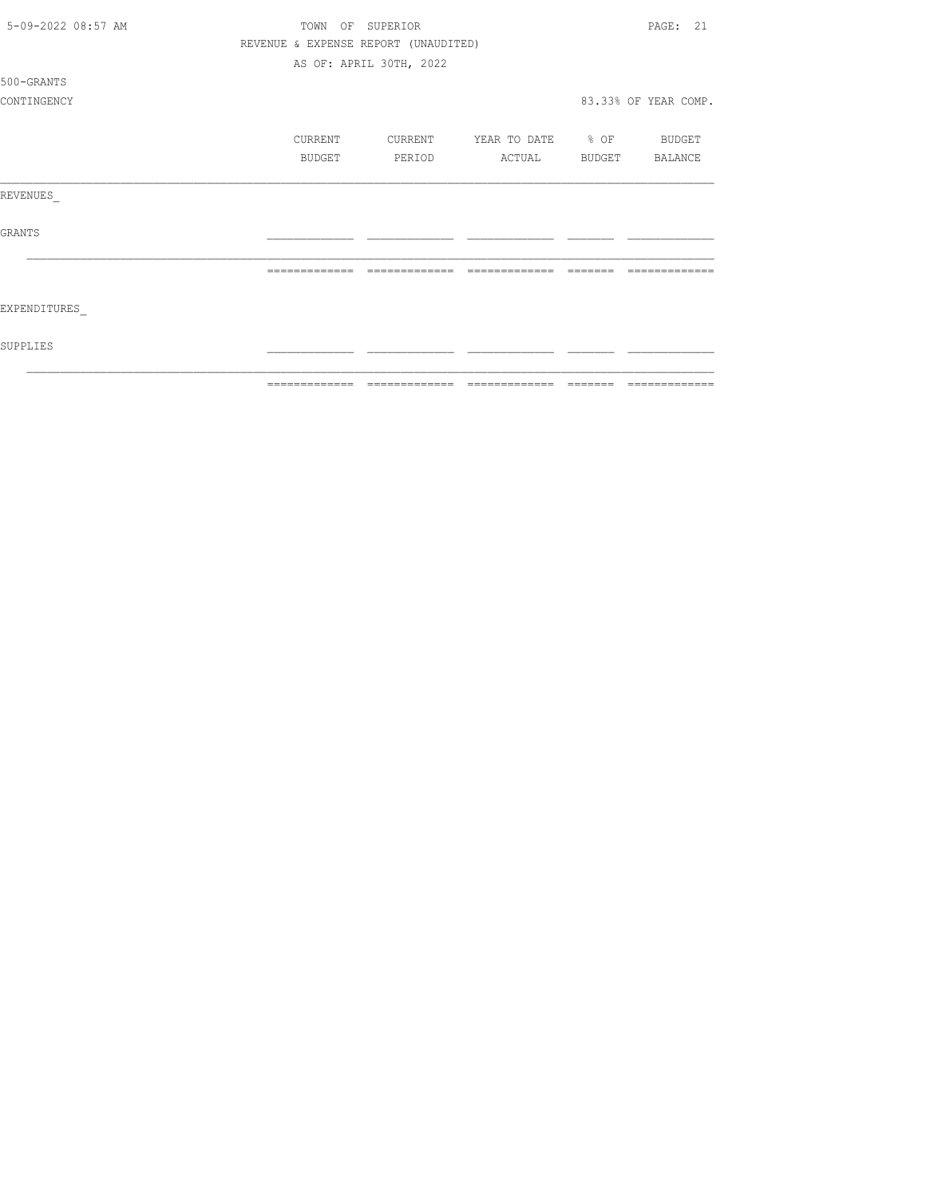| 5-09-2022 08:57 AM | TOWN<br>OF    | SUPERIOR                             |                   |         | PAGE: 21             |
|--------------------|---------------|--------------------------------------|-------------------|---------|----------------------|
|                    |               | REVENUE & EXPENSE REPORT (UNAUDITED) |                   |         |                      |
|                    |               | AS OF: APRIL 30TH, 2022              |                   |         |                      |
| 500-GRANTS         |               |                                      |                   |         |                      |
| CONTINGENCY        |               |                                      |                   |         | 83.33% OF YEAR COMP. |
|                    | CURRENT       | CURRENT                              | YEAR TO DATE % OF |         | BUDGET               |
|                    | BUDGET        | PERIOD                               | ACTUAL            | BUDGET  | BALANCE              |
| REVENUES           |               |                                      |                   |         |                      |
| <b>GRANTS</b>      |               |                                      |                   |         |                      |
|                    |               | -------------                        | -------------     |         |                      |
| EXPENDITURES       |               |                                      |                   |         |                      |
| SUPPLIES           |               |                                      |                   |         |                      |
|                    | ------------- | =============                        | =============     | ======= | =============        |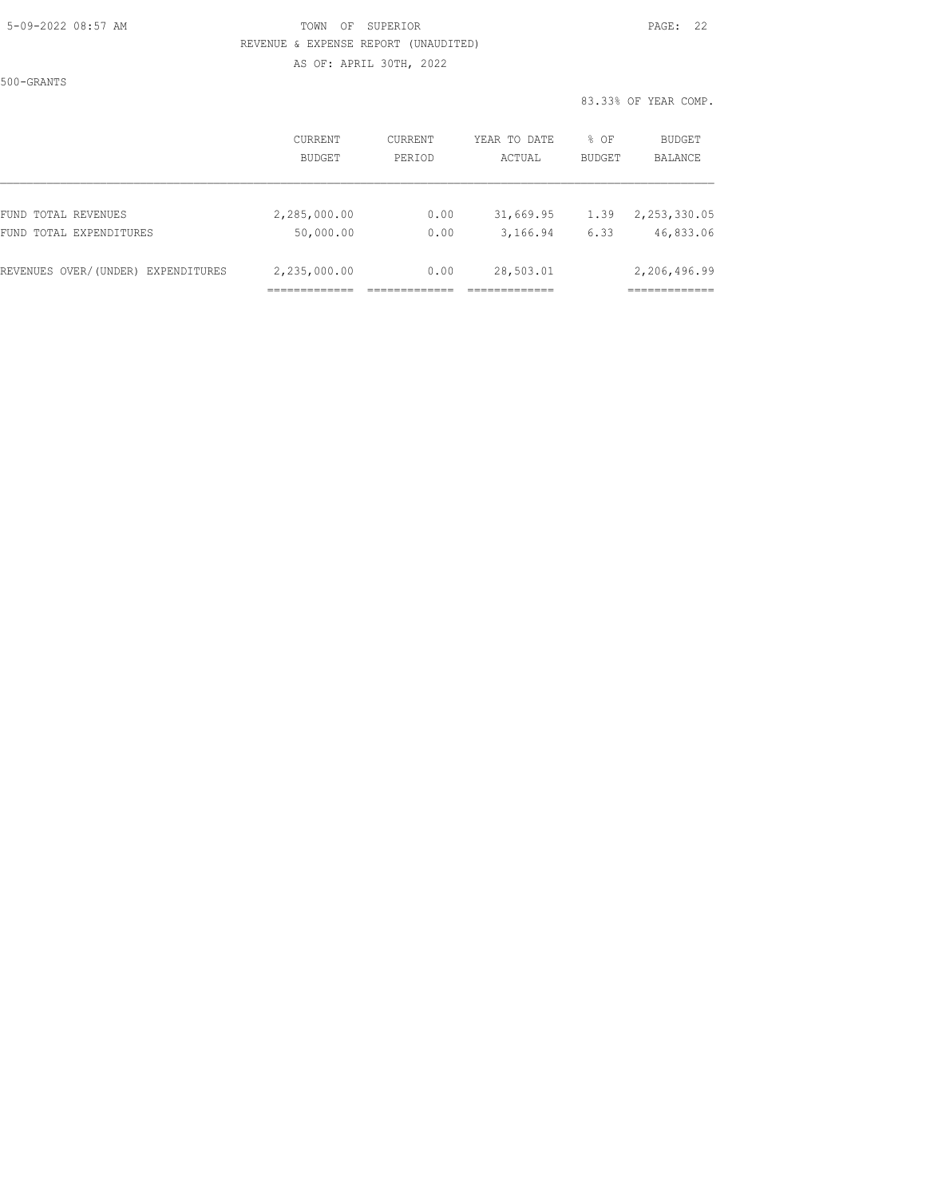#### 5-09-2022 08:57 AM TOWN OF SUPERIOR PAGE: 22 REVENUE & EXPENSE REPORT (UNAUDITED) AS OF: APRIL 30TH, 2022

500-GRANTS

|                                    | CURRENT<br><b>BUDGET</b> | CURRENT<br>PERIOD | YEAR TO DATE<br>ACTUAL | % OF<br><b>BUDGET</b> | BUDGET<br>BALANCE |
|------------------------------------|--------------------------|-------------------|------------------------|-----------------------|-------------------|
| FUND TOTAL REVENUES                | 2,285,000.00             | 0.00              | 31,669.95              | 1.39                  | 2, 253, 330, 05   |
| FUND TOTAL EXPENDITURES            | 50,000.00                | 0.00              | 3,166.94               | 6.33                  | 46,833.06         |
| REVENUES OVER/(UNDER) EXPENDITURES | 2,235,000.00             | 0.00              | 28,503.01              |                       | 2,206,496.99      |
|                                    |                          |                   |                        |                       |                   |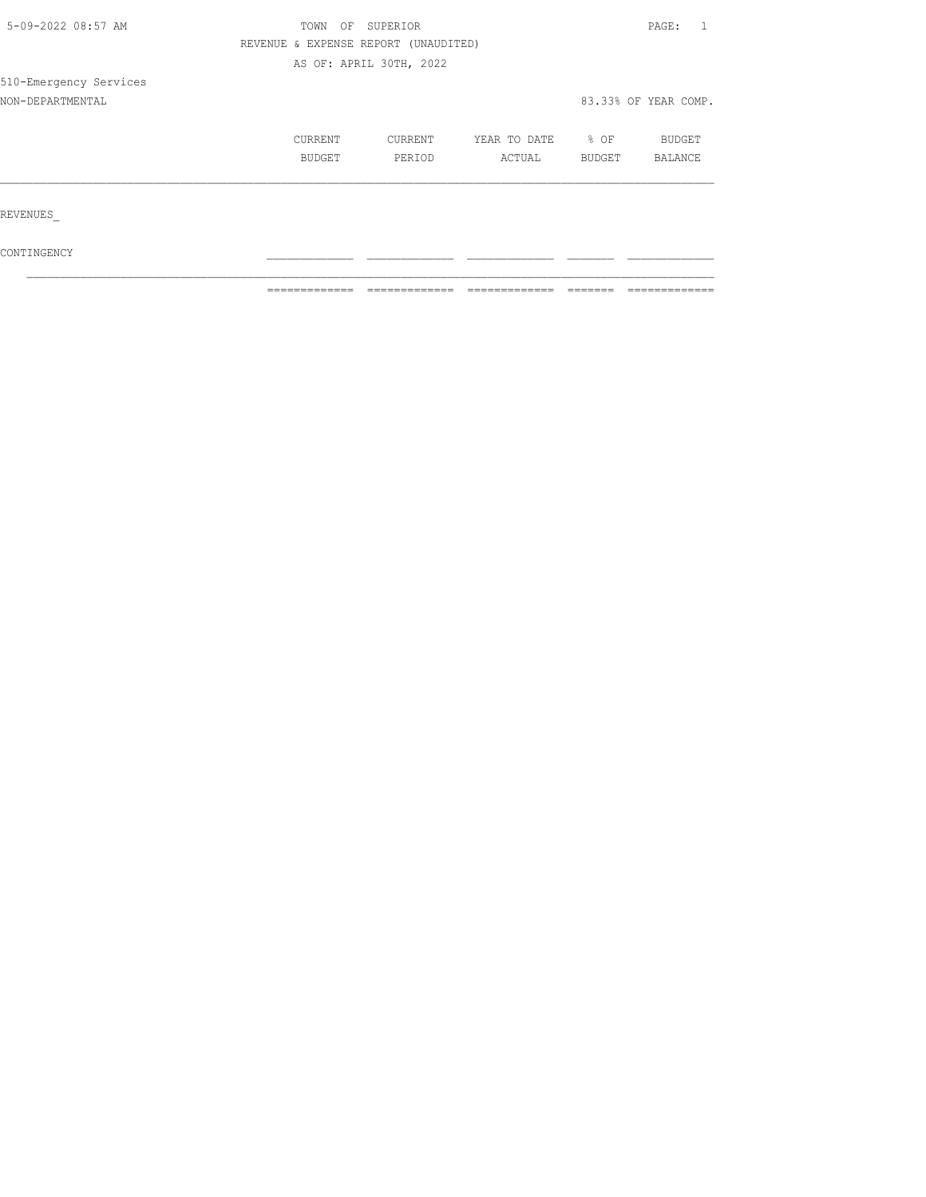| 5-09-2022 08:57 AM     | OF<br>TOWN                           | SUPERIOR                |              |        |                      |  |
|------------------------|--------------------------------------|-------------------------|--------------|--------|----------------------|--|
|                        | REVENUE & EXPENSE REPORT (UNAUDITED) |                         |              |        |                      |  |
|                        |                                      | AS OF: APRIL 30TH, 2022 |              |        |                      |  |
| 510-Emergency Services |                                      |                         |              |        |                      |  |
| NON-DEPARTMENTAL       |                                      |                         |              |        | 83.33% OF YEAR COMP. |  |
|                        | CURRENT                              | CURRENT                 | YEAR TO DATE | $8$ OF | BUDGET               |  |
|                        | BUDGET                               | PERIOD                  | ACTUAL       | BUDGET | BALANCE              |  |
|                        |                                      |                         |              |        |                      |  |
| REVENUES               |                                      |                         |              |        |                      |  |
|                        |                                      |                         |              |        |                      |  |

 $\texttt{CONTINGENCY}$  $\mathcal{L}_\text{max}$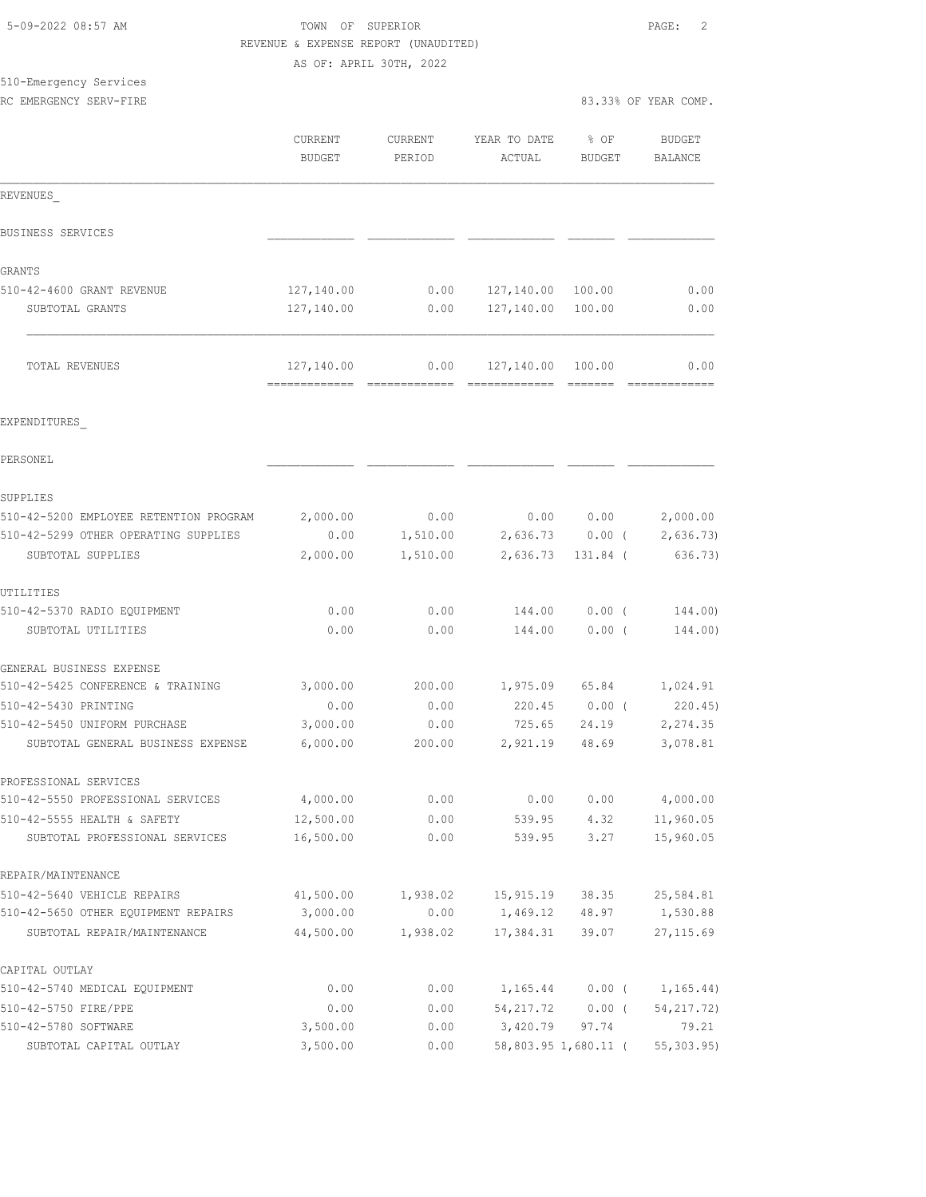|                                        | REVENUE & EXPENSE REPORT (UNAUDITED) |          |                                    |                   |                      |
|----------------------------------------|--------------------------------------|----------|------------------------------------|-------------------|----------------------|
|                                        | AS OF: APRIL 30TH, 2022              |          |                                    |                   |                      |
| 510-Emergency Services                 |                                      |          |                                    |                   |                      |
| RC EMERGENCY SERV-FIRE                 |                                      |          |                                    |                   | 83.33% OF YEAR COMP. |
|                                        | <b>CURRENT</b>                       | CURRENT  | YEAR TO DATE                       | $\frac{1}{2}$ OF  | BUDGET               |
|                                        | <b>BUDGET</b>                        | PERIOD   | ACTUAL                             | BUDGET            | BALANCE              |
| REVENUES                               |                                      |          |                                    |                   |                      |
|                                        |                                      |          |                                    |                   |                      |
| BUSINESS SERVICES                      |                                      |          |                                    |                   |                      |
| GRANTS                                 |                                      |          |                                    |                   |                      |
| 510-42-4600 GRANT REVENUE              | 127,140.00                           | 0.00     | 127,140.00                         | 100.00            | 0.00                 |
| SUBTOTAL GRANTS                        | 127,140.00                           | 0.00     | 127,140.00                         | 100.00            | 0.00                 |
| TOTAL REVENUES                         | 127,140.00                           | 0.00     | 127,140.00 100.00                  |                   | 0.00                 |
|                                        |                                      |          |                                    |                   |                      |
| EXPENDITURES                           |                                      |          |                                    |                   |                      |
| PERSONEL                               |                                      |          |                                    |                   |                      |
| SUPPLIES                               |                                      |          |                                    |                   |                      |
| 510-42-5200 EMPLOYEE RETENTION PROGRAM | 2,000.00                             | 0.00     |                                    | 0.00 0.00         | 2,000.00             |
| 510-42-5299 OTHER OPERATING SUPPLIES   | 0.00                                 | 1,510.00 |                                    | $2,636.73$ 0.00 ( | 2,636.73             |
| SUBTOTAL SUPPLIES                      | 2,000.00                             | 1,510.00 | 2,636.73                           | 131.84 (          | 636.73)              |
| UTILITIES                              |                                      |          |                                    |                   |                      |
| 510-42-5370 RADIO EQUIPMENT            | 0.00                                 | 0.00     | 144.00                             | $0.00$ (          | 144.00)              |
| SUBTOTAL UTILITIES                     | 0.00                                 | 0.00     | 144.00                             | 0.00(             | 144.00)              |
| GENERAL BUSINESS EXPENSE               |                                      |          |                                    |                   |                      |
| 510-42-5425 CONFERENCE & TRAINING      | 3,000.00                             | 200.00   |                                    | 1,975.09 65.84    | 1,024.91             |
| 510-42-5430 PRINTING                   | 0.00                                 | 0.00     | 220.45                             | $0.00$ (          | 220.45               |
| 510-42-5450 UNIFORM PURCHASE           | 3,000.00                             | 0.00     | 725.65                             | 24.19             | 2,274.35             |
| SUBTOTAL GENERAL BUSINESS EXPENSE      | 6,000.00                             | 200.00   | 2,921.19                           | 48.69             | 3,078.81             |
| PROFESSIONAL SERVICES                  |                                      |          |                                    |                   |                      |
| 510-42-5550 PROFESSIONAL SERVICES      | 4,000.00                             | 0.00     | 0.00                               | 0.00              | 4,000.00             |
| 510-42-5555 HEALTH & SAFETY            | 12,500.00                            | 0.00     | 539.95                             | 4.32              | 11,960.05            |
| SUBTOTAL PROFESSIONAL SERVICES         | 16,500.00                            | 0.00     | 539.95                             | 3.27              | 15,960.05            |
| REPAIR/MAINTENANCE                     |                                      |          |                                    |                   |                      |
| 510-42-5640 VEHICLE REPAIRS            | 41,500.00                            | 1,938.02 | 15,915.19                          | 38.35             | 25,584.81            |
| 510-42-5650 OTHER EQUIPMENT REPAIRS    | 3,000.00                             | 0.00     | 1,469.12                           | 48.97             | 1,530.88             |
| SUBTOTAL REPAIR/MAINTENANCE            | 44,500.00                            | 1,938.02 | 17,384.31                          | 39.07             | 27, 115.69           |
| CAPITAL OUTLAY                         |                                      |          |                                    |                   |                      |
| 510-42-5740 MEDICAL EQUIPMENT          | 0.00                                 |          | $0.00$ 1, 165.44 0.00 ( 1, 165.44) |                   |                      |

510-42-5750 FIRE/PPE 0.00 0.00 54,217.72 0.00 ( 54,217.72) 510-42-5780 SOFTWARE 3,500.00 0.00 3,420.79 97.74 79.21 SUBTOTAL CAPITAL OUTLAY 3,500.00 0.00 58,803.95 1,680.11 ( 55,303.95)

5-09-2022 08:57 AM **TOWN OF SUPERIOR PAGE:** 2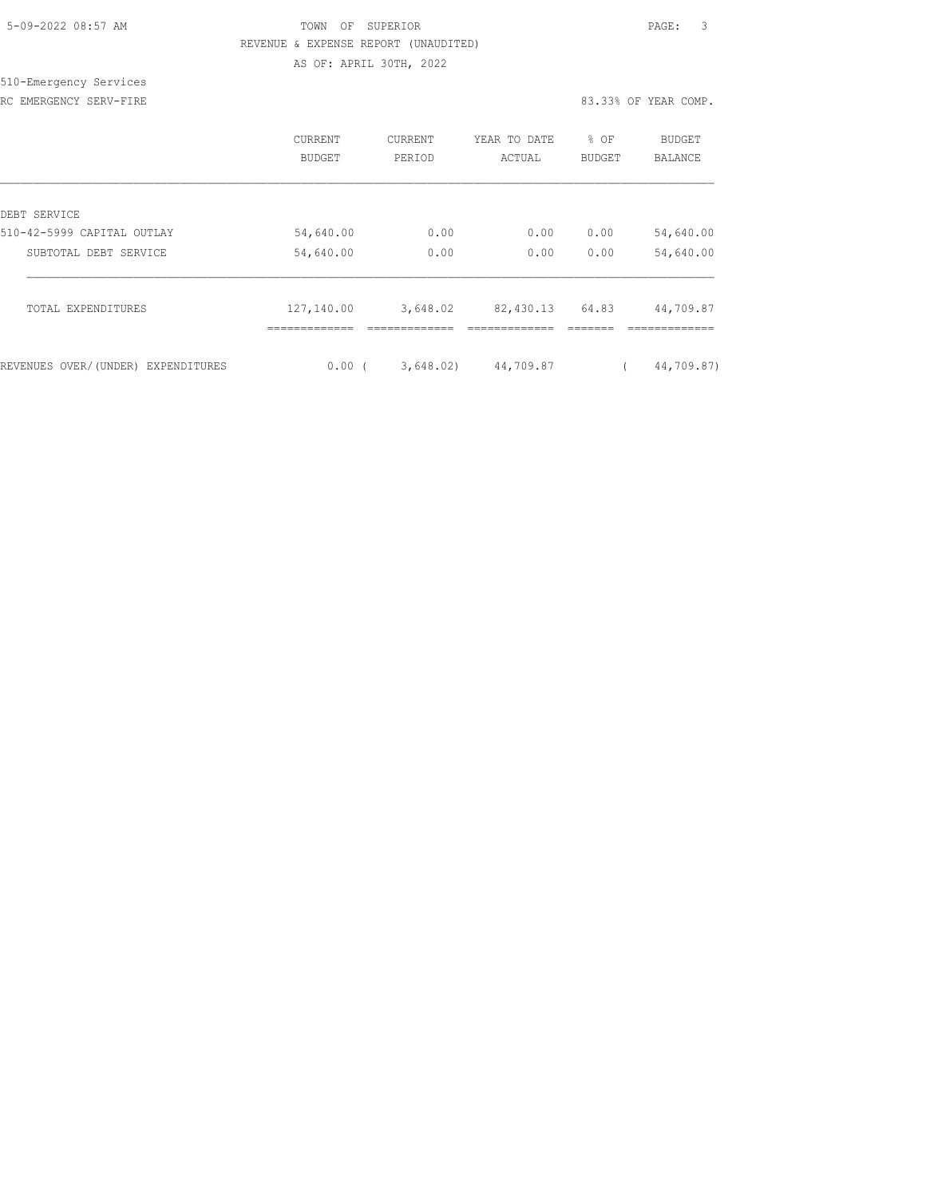| 5-09-2022 08:57 AM |  |
|--------------------|--|

## TOWN OF SUPERIOR **Example 2018** PAGE: 3 REVENUE & EXPENSE REPORT (UNAUDITED) AS OF: APRIL 30TH, 2022

510-Emergency Services RC EMERGENCY SERV-FIRE **All and SERV-FIRE 83.33% OF YEAR COMP.** 

|                                    | <b>CURRENT</b><br>BUDGET | CURRENT<br>PERIOD | YEAR TO DATE<br>ACTUAL | % OF<br><b>BUDGET</b> | <b>BUDGET</b><br>BALANCE |
|------------------------------------|--------------------------|-------------------|------------------------|-----------------------|--------------------------|
| DEBT SERVICE                       |                          |                   |                        |                       |                          |
| 510-42-5999 CAPITAL OUTLAY         | 54,640.00                | 0.00              | 0.00                   | 0.00                  | 54,640.00                |
| SUBTOTAL DEBT SERVICE              | 54,640.00                | 0.00              | 0.00                   | 0.00                  | 54,640.00                |
| TOTAL EXPENDITURES                 | 127,140.00               | 3,648.02          | 82,430.13              | 64.83                 | 44,709.87                |
| REVENUES OVER/(UNDER) EXPENDITURES | $0.00$ (                 | 3,648.02)         | 44,709.87              |                       | 44,709.87)               |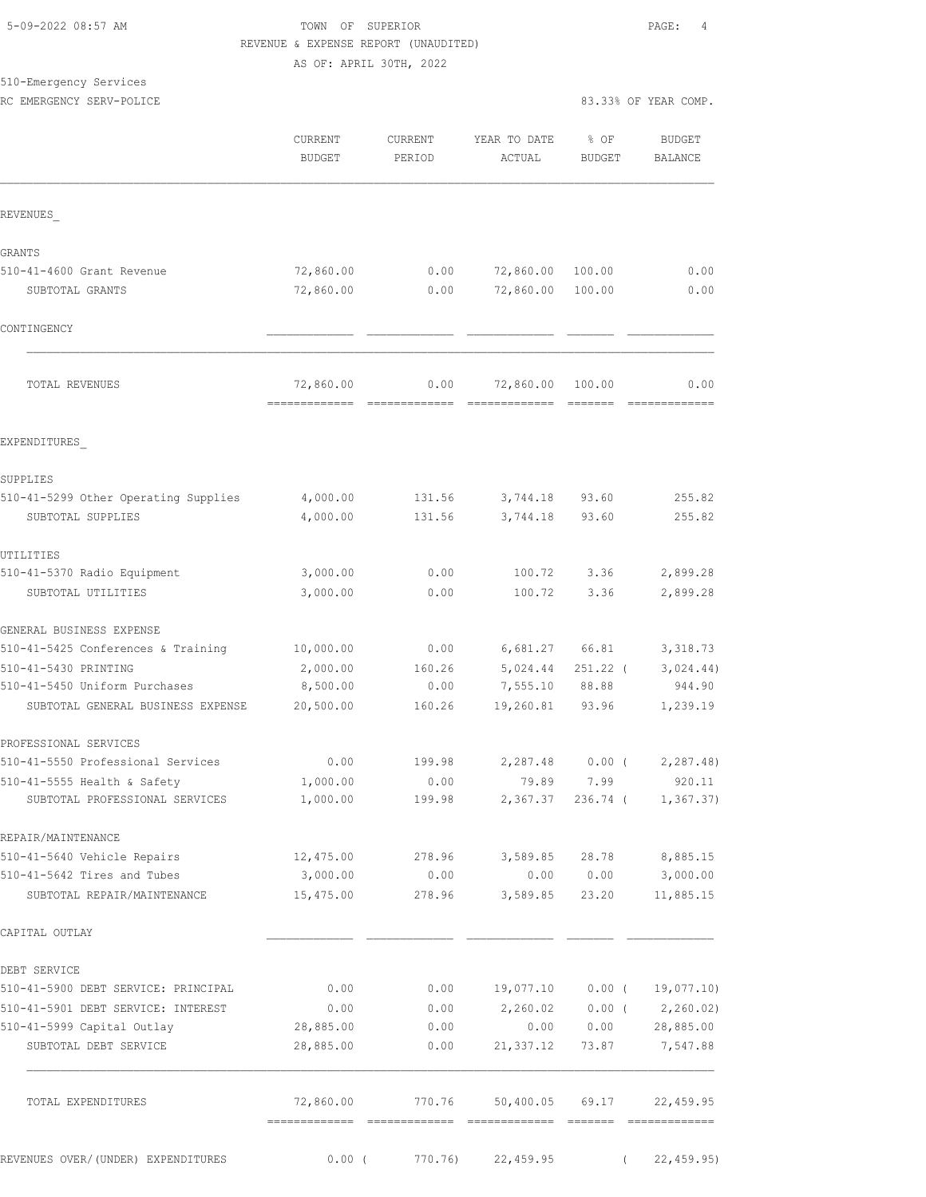#### 5-09-2022 08:57 AM TOWN OF SUPERIOR PAGE: 4 REVENUE & EXPENSE REPORT (UNAUDITED) AS OF: APRIL 30TH, 2022

# 510-Emergency Services

| pro-rwerdency pervices<br>RC EMERGENCY SERV-POLICE |                                 |                   |                        |                       | 83.33% OF YEAR COMP.            |
|----------------------------------------------------|---------------------------------|-------------------|------------------------|-----------------------|---------------------------------|
|                                                    | <b>CURRENT</b><br><b>BUDGET</b> | CURRENT<br>PERIOD | YEAR TO DATE<br>ACTUAL | % OF<br><b>BUDGET</b> | <b>BUDGET</b><br><b>BALANCE</b> |
| REVENUES                                           |                                 |                   |                        |                       |                                 |
| GRANTS                                             |                                 |                   |                        |                       |                                 |
| 510-41-4600 Grant Revenue                          | 72,860.00                       | 0.00              | 72,860.00              | 100.00                | 0.00                            |
| SUBTOTAL GRANTS                                    | 72,860.00                       | 0.00              | 72,860.00              | 100.00                | 0.00                            |
| CONTINGENCY                                        |                                 |                   |                        |                       |                                 |
| TOTAL REVENUES                                     | 72,860.00                       | 0.00              | 72,860.00              | 100.00                | 0.00                            |
| EXPENDITURES                                       |                                 |                   |                        |                       |                                 |
| SUPPLIES                                           |                                 |                   |                        |                       |                                 |
| 510-41-5299 Other Operating Supplies               | 4,000.00                        | 131.56            | 3,744.18               | 93.60                 | 255.82                          |
| SUBTOTAL SUPPLIES                                  | 4,000.00                        | 131.56            | 3,744.18               | 93.60                 | 255.82                          |
| UTILITIES                                          |                                 |                   |                        |                       |                                 |
| 510-41-5370 Radio Equipment                        | 3,000.00                        | 0.00              | 100.72                 | 3.36                  | 2,899.28                        |
| SUBTOTAL UTILITIES                                 | 3,000.00                        | 0.00              | 100.72                 | 3.36                  | 2,899.28                        |
| GENERAL BUSINESS EXPENSE                           |                                 |                   |                        |                       |                                 |
| 510-41-5425 Conferences & Training                 | 10,000.00                       | 0.00              | 6,681.27               | 66.81                 | 3,318.73                        |
| 510-41-5430 PRINTING                               | 2,000.00                        | 160.26            | 5,024.44               | $251.22$ (            | 3,024.44)                       |
| 510-41-5450 Uniform Purchases                      | 8,500.00                        | 0.00              | 7,555.10               | 88.88                 | 944.90                          |
| SUBTOTAL GENERAL BUSINESS EXPENSE                  | 20,500.00                       | 160.26            | 19,260.81 93.96        |                       | 1,239.19                        |
| PROFESSIONAL SERVICES                              |                                 |                   |                        |                       |                                 |
| 510-41-5550 Professional Services                  | 0.00                            | 199.98            | 2,287.48               | $0.00$ (              | 2,287.48)                       |
| 510-41-5555 Health & Safety                        | 1,000.00                        | 0.00              | 79.89                  | 7.99                  | 920.11                          |
| SUBTOTAL PROFESSIONAL SERVICES                     | 1,000.00                        | 199.98            | 2,367.37               | $236.74$ (            | 1, 367.37)                      |
| REPAIR/MAINTENANCE                                 |                                 |                   |                        |                       |                                 |
| 510-41-5640 Vehicle Repairs                        | 12,475.00                       | 278.96            | 3,589.85               | 28.78                 | 8,885.15                        |
| 510-41-5642 Tires and Tubes                        | 3,000.00                        | 0.00              | 0.00                   | 0.00                  | 3,000.00                        |
| SUBTOTAL REPAIR/MAINTENANCE                        | 15,475.00                       | 278.96            | 3,589.85               | 23.20                 | 11,885.15                       |
| CAPITAL OUTLAY                                     |                                 |                   |                        |                       |                                 |
| DEBT SERVICE                                       |                                 |                   |                        |                       |                                 |
| 510-41-5900 DEBT SERVICE: PRINCIPAL                | 0.00                            | 0.00              | 19,077.10              | $0.00$ (              | 19,077.10)                      |
| 510-41-5901 DEBT SERVICE: INTEREST                 | 0.00                            | 0.00              | 2,260.02               | $0.00$ (              | 2, 260.02                       |
| 510-41-5999 Capital Outlay                         | 28,885.00                       | 0.00              | 0.00                   | 0.00                  | 28,885.00                       |
| SUBTOTAL DEBT SERVICE                              | 28,885.00                       | 0.00              | 21, 337.12             | 73.87                 | 7,547.88                        |

| TOTAL EXPENDITURES                 | 72,860.00 | 770.76           | 50,400.05 69.17 | 22,459.95  |
|------------------------------------|-----------|------------------|-----------------|------------|
|                                    |           |                  |                 |            |
| REVENUES OVER/(UNDER) EXPENDITURES |           | 770.76)<br>0.00( | 22,459.95       | 22,459.95) |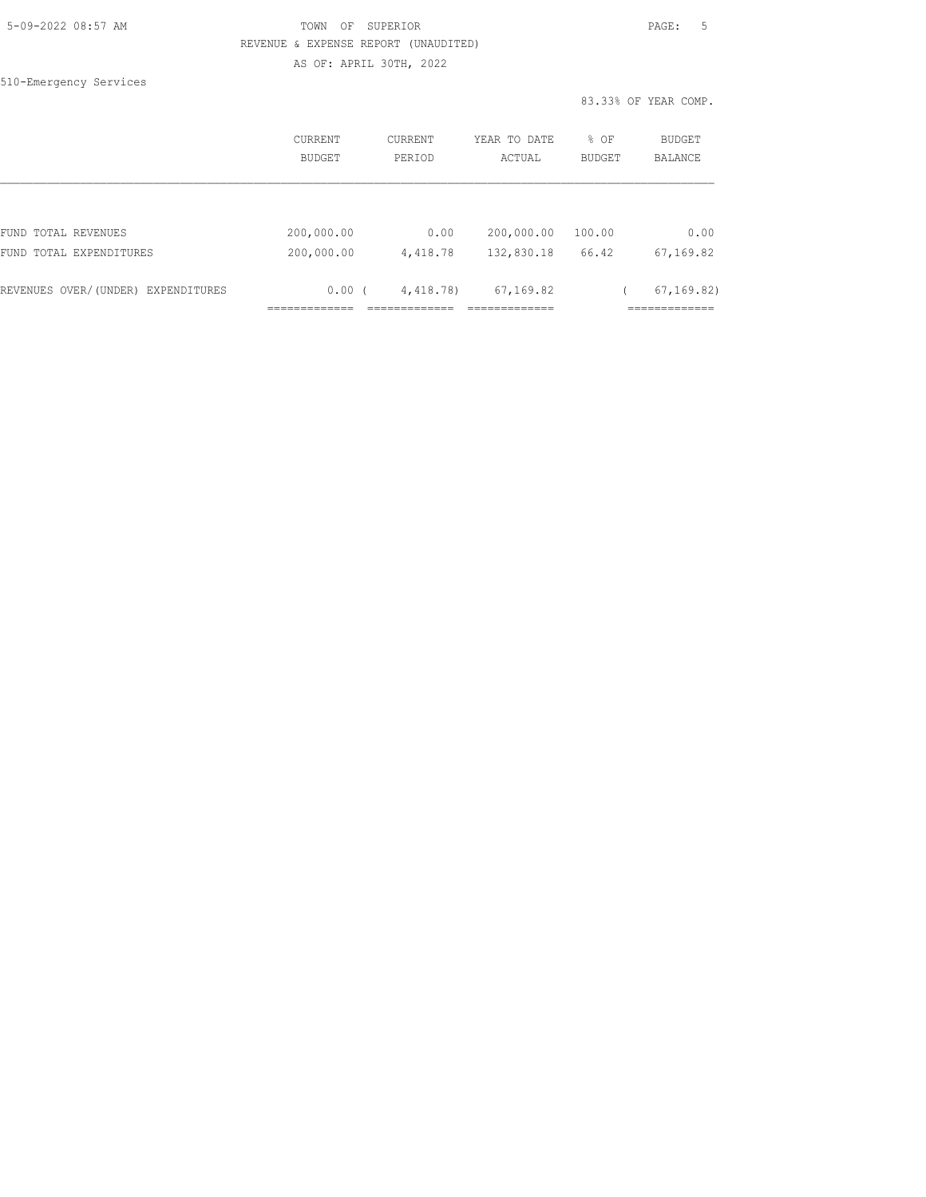| 5-09-2022 08:57 AM |  |
|--------------------|--|
|                    |  |

## TOWN OF SUPERIOR **Example 2018** PAGE: 5 REVENUE & EXPENSE REPORT (UNAUDITED) AS OF: APRIL 30TH, 2022

|                                                | <b>CURRENT</b><br>BUDGET | <b>CURRENT</b><br>PERIOD | YEAR TO DATE<br>ACTUAL   | % OF<br><b>BUDGET</b> | BUDGET<br><b>BALANCE</b>      |
|------------------------------------------------|--------------------------|--------------------------|--------------------------|-----------------------|-------------------------------|
|                                                |                          |                          |                          |                       |                               |
| FUND TOTAL REVENUES<br>FUND TOTAL EXPENDITURES | 200,000.00<br>200,000.00 | 0.00<br>4,418.78         | 200,000.00<br>132,830.18 | 100.00<br>66.42       | 0.00<br>67,169.82             |
|                                                |                          |                          |                          |                       |                               |
| REVENUES OVER/(UNDER) EXPENDITURES             | 0.00(                    | 4,418.78)                | 67,169.82                |                       | 67, 169, 82)                  |
|                                                | ___________              |                          | ___________              |                       | --------------<br>----------- |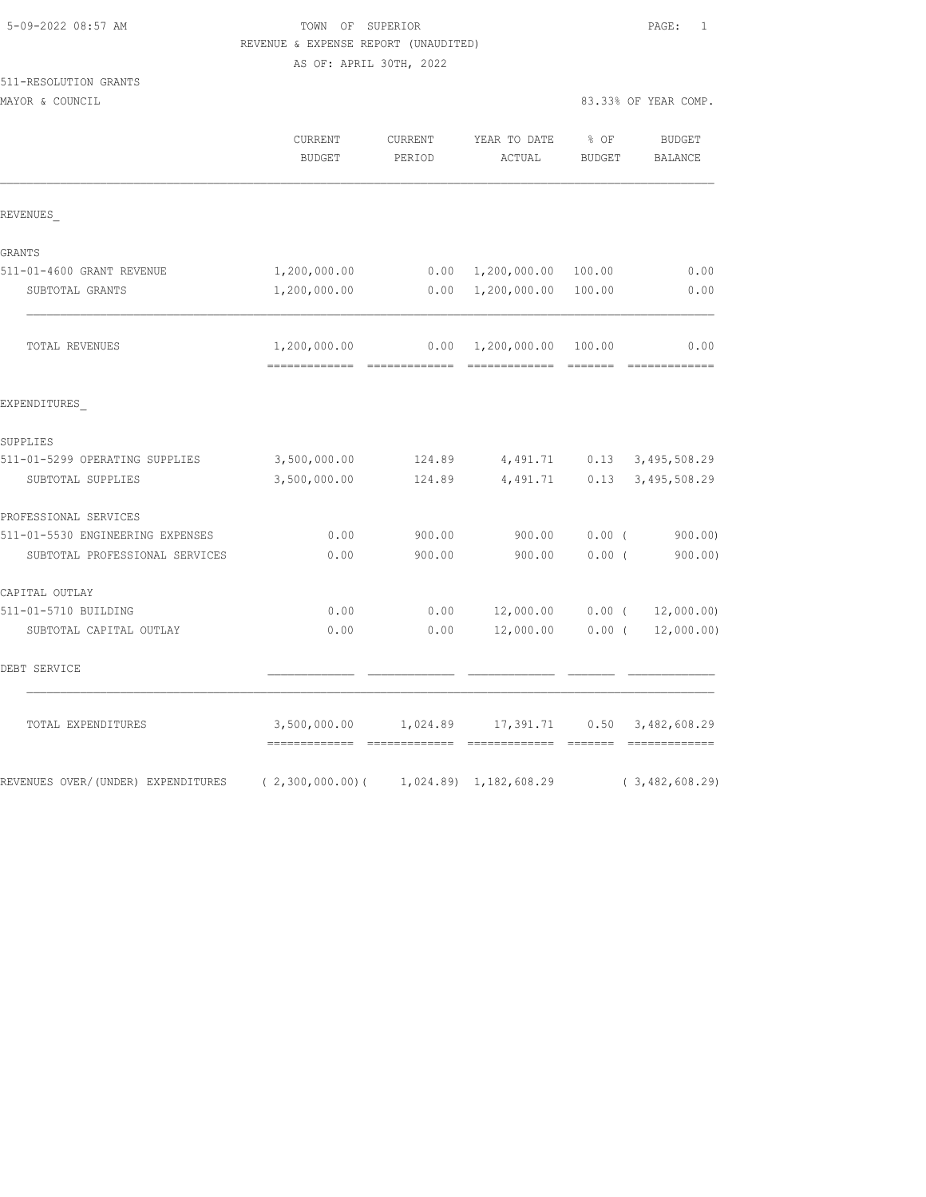511-RESOLUTION GRANTS

## TOWN OF SUPERIOR **Example 2018** PAGE: 1 REVENUE & EXPENSE REPORT (UNAUDITED) AS OF: APRIL 30TH, 2022

MAYOR & COUNCIL 83.33% OF YEAR COMP.

|                                    | CURRENT<br><b>BUDGET</b> | CURRENT<br>PERIOD | YEAR TO DATE<br>ACTUAL    | % OF<br><b>BUDGET</b>                                                                                                                                                                                                                                                                                                                                                                                                                                                                            | <b>BUDGET</b><br><b>BALANCE</b>        |
|------------------------------------|--------------------------|-------------------|---------------------------|--------------------------------------------------------------------------------------------------------------------------------------------------------------------------------------------------------------------------------------------------------------------------------------------------------------------------------------------------------------------------------------------------------------------------------------------------------------------------------------------------|----------------------------------------|
| REVENUES                           |                          |                   |                           |                                                                                                                                                                                                                                                                                                                                                                                                                                                                                                  |                                        |
| GRANTS                             |                          |                   |                           |                                                                                                                                                                                                                                                                                                                                                                                                                                                                                                  |                                        |
| 511-01-4600 GRANT REVENUE          | 1,200,000.00             |                   | $0.00 \quad 1,200,000.00$ | 100.00                                                                                                                                                                                                                                                                                                                                                                                                                                                                                           | 0.00                                   |
| SUBTOTAL GRANTS                    | 1,200,000.00             |                   | 0.00 1,200,000.00         | 100.00                                                                                                                                                                                                                                                                                                                                                                                                                                                                                           | 0.00                                   |
| TOTAL REVENUES                     | 1,200,000.00             |                   | $0.00 \quad 1,200,000.00$ | 100.00<br>$\begin{array}{cccccccccc} \multicolumn{2}{c}{} & \multicolumn{2}{c}{} & \multicolumn{2}{c}{} & \multicolumn{2}{c}{} & \multicolumn{2}{c}{} & \multicolumn{2}{c}{} & \multicolumn{2}{c}{} & \multicolumn{2}{c}{} & \multicolumn{2}{c}{} & \multicolumn{2}{c}{} & \multicolumn{2}{c}{} & \multicolumn{2}{c}{} & \multicolumn{2}{c}{} & \multicolumn{2}{c}{} & \multicolumn{2}{c}{} & \multicolumn{2}{c}{} & \multicolumn{2}{c}{} & \multicolumn{2}{c}{} & \multicolumn{2}{c}{} & \mult$ | 0.00<br>=============                  |
| EXPENDITURES                       |                          |                   |                           |                                                                                                                                                                                                                                                                                                                                                                                                                                                                                                  |                                        |
| SUPPLIES                           |                          |                   |                           |                                                                                                                                                                                                                                                                                                                                                                                                                                                                                                  |                                        |
| 511-01-5299 OPERATING SUPPLIES     | 3,500,000.00             | 124.89            | 4,491.71                  | 0.13                                                                                                                                                                                                                                                                                                                                                                                                                                                                                             | 3,495,508.29                           |
| SUBTOTAL SUPPLIES                  | 3,500,000.00             | 124.89            | 4,491.71                  | 0.13                                                                                                                                                                                                                                                                                                                                                                                                                                                                                             | 3,495,508.29                           |
| PROFESSIONAL SERVICES              |                          |                   |                           |                                                                                                                                                                                                                                                                                                                                                                                                                                                                                                  |                                        |
| 511-01-5530 ENGINEERING EXPENSES   | 0.00                     | 900.00            | 900.00                    | 0.00(                                                                                                                                                                                                                                                                                                                                                                                                                                                                                            | 900.00                                 |
| SUBTOTAL PROFESSIONAL SERVICES     | 0.00                     | 900.00            | 900.00                    | $0.00$ (                                                                                                                                                                                                                                                                                                                                                                                                                                                                                         | 900.00)                                |
| CAPITAL OUTLAY                     |                          |                   |                           |                                                                                                                                                                                                                                                                                                                                                                                                                                                                                                  |                                        |
| 511-01-5710 BUILDING               | 0.00                     | 0.00              | 12,000.00                 | $0.00$ (                                                                                                                                                                                                                                                                                                                                                                                                                                                                                         | 12,000.00)                             |
| SUBTOTAL CAPITAL OUTLAY            | 0.00                     | 0.00              | 12,000.00                 | $0.00$ (                                                                                                                                                                                                                                                                                                                                                                                                                                                                                         | 12,000.00)                             |
| DEBT SERVICE                       |                          |                   |                           |                                                                                                                                                                                                                                                                                                                                                                                                                                                                                                  |                                        |
| TOTAL EXPENDITURES                 | 3,500,000.00             | 1,024.89          | 17,391.71                 |                                                                                                                                                                                                                                                                                                                                                                                                                                                                                                  | $0.50$ $3,482,608.29$<br>------------- |
| REVENUES OVER/(UNDER) EXPENDITURES | (2, 300, 000.00)         |                   | 1,024.89) 1,182,608.29    |                                                                                                                                                                                                                                                                                                                                                                                                                                                                                                  | (3, 482, 608.29)                       |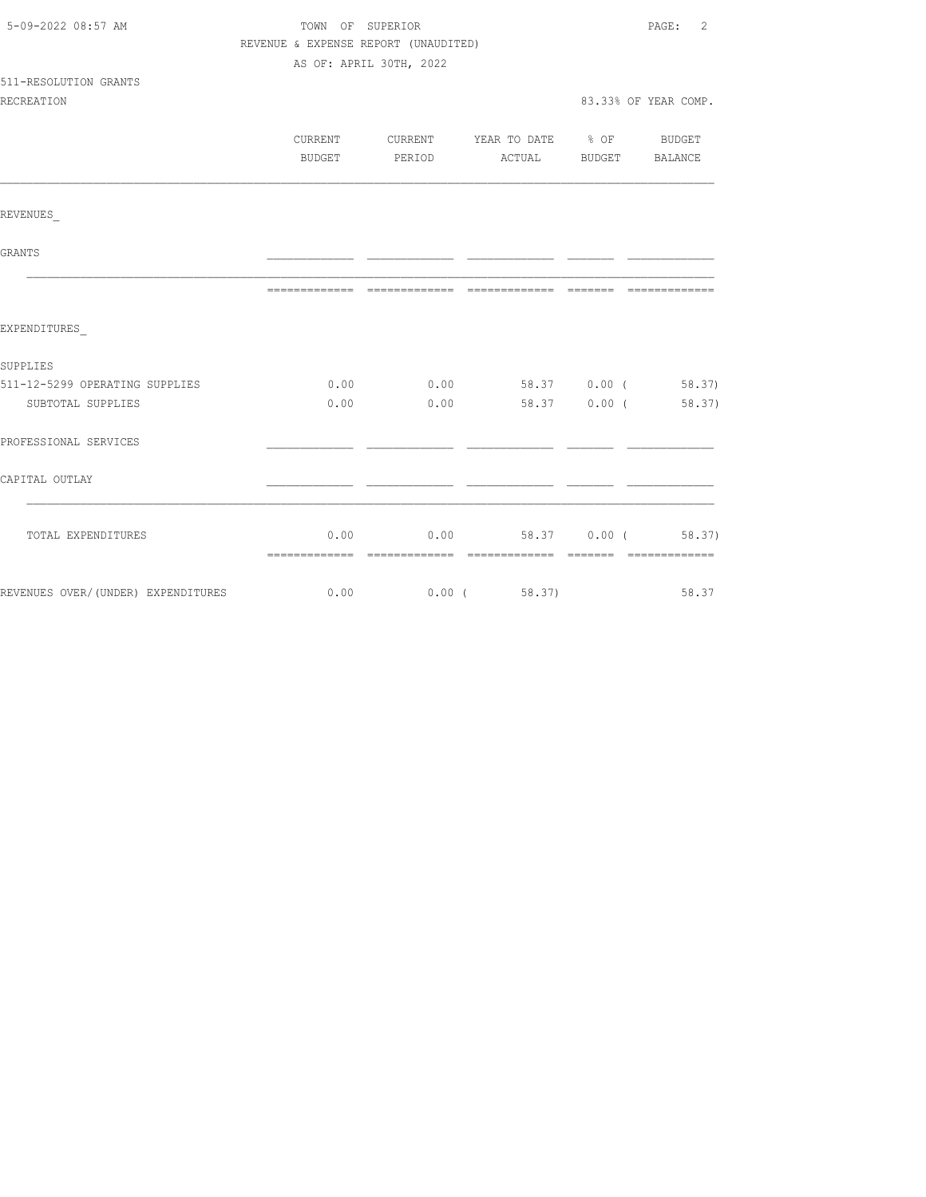| 5-09-2022 08:57 AM             | TOWN OF SUPERIOR                     |               |                                          |                       | PAGE: 2              |  |  |
|--------------------------------|--------------------------------------|---------------|------------------------------------------|-----------------------|----------------------|--|--|
|                                | REVENUE & EXPENSE REPORT (UNAUDITED) |               |                                          |                       |                      |  |  |
|                                | AS OF: APRIL 30TH, 2022              |               |                                          |                       |                      |  |  |
| 511-RESOLUTION GRANTS          |                                      |               |                                          |                       |                      |  |  |
| <b>RECREATION</b>              |                                      |               |                                          |                       | 83.33% OF YEAR COMP. |  |  |
|                                |                                      |               |                                          |                       |                      |  |  |
|                                |                                      |               | CURRENT CURRENT YEAR TO DATE % OF BUDGET |                       |                      |  |  |
|                                |                                      | BUDGET PERIOD |                                          | ACTUAL BUDGET BALANCE |                      |  |  |
| REVENUES                       |                                      |               |                                          |                       |                      |  |  |
|                                |                                      |               |                                          |                       |                      |  |  |
| GRANTS                         |                                      |               |                                          |                       |                      |  |  |
|                                |                                      |               |                                          |                       |                      |  |  |
| EXPENDITURES                   |                                      |               |                                          |                       |                      |  |  |
| SUPPLIES                       |                                      |               |                                          |                       |                      |  |  |
| 511-12-5299 OPERATING SUPPLIES |                                      |               | $0.00$ $0.00$ $58.37$ $0.00$ ( $58.37$ ) |                       |                      |  |  |
| SUBTOTAL SUPPLIES              |                                      | $0.00$ $0.00$ |                                          |                       | 58.37 0.00 (58.37)   |  |  |
| PROFESSIONAL SERVICES          |                                      |               |                                          |                       |                      |  |  |
| CAPITAL OUTLAY                 |                                      |               |                                          |                       |                      |  |  |
|                                |                                      |               |                                          |                       |                      |  |  |
| TOTAL EXPENDITURES             |                                      |               | $0.00$ $0.00$ $58.37$ $0.00$ ( $58.37$ ) |                       |                      |  |  |
|                                |                                      |               |                                          |                       |                      |  |  |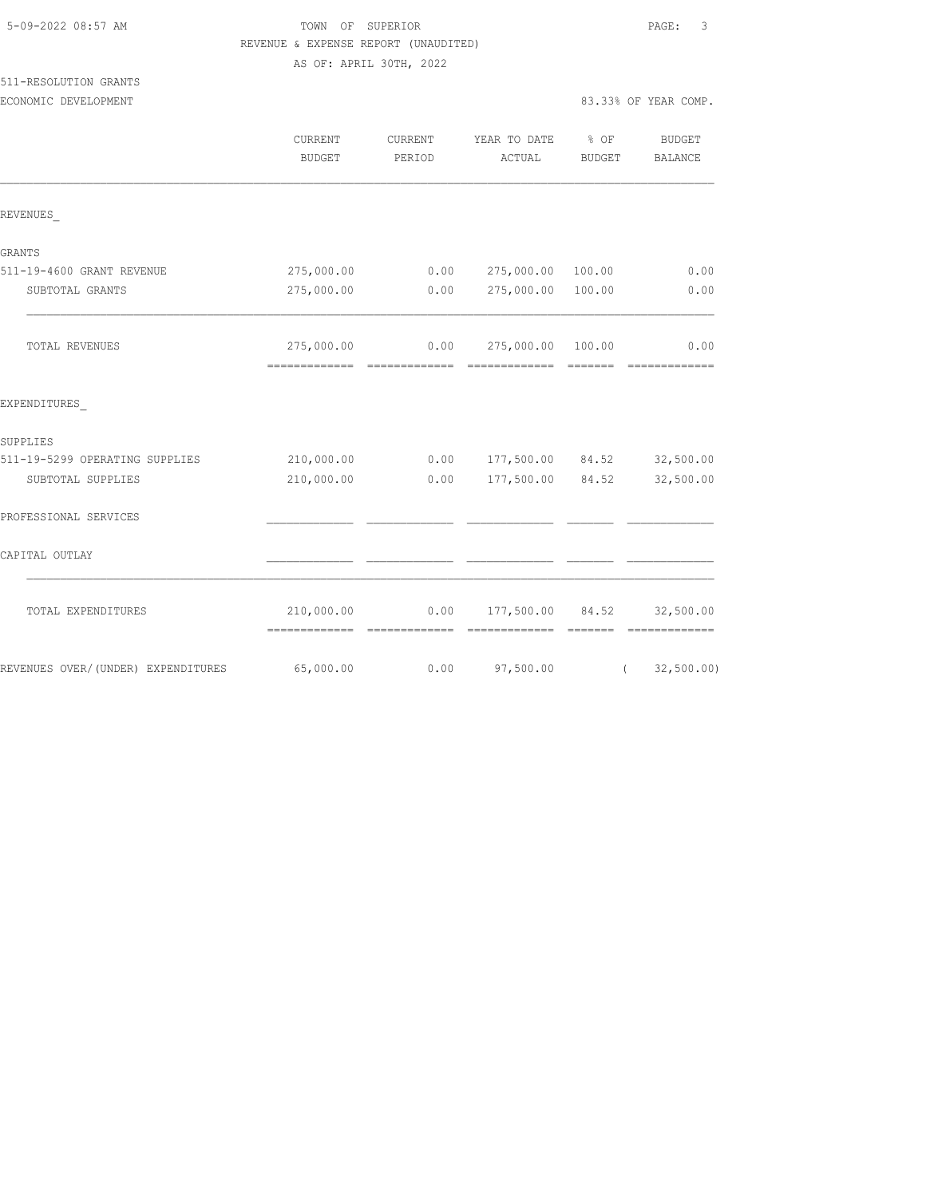|                                    | REVENUE & EXPENSE REPORT (UNAUDITED) |                         |                  |                    |                                                                                                                                                                                                                                                                                                                                                                                                                                                                                                     |
|------------------------------------|--------------------------------------|-------------------------|------------------|--------------------|-----------------------------------------------------------------------------------------------------------------------------------------------------------------------------------------------------------------------------------------------------------------------------------------------------------------------------------------------------------------------------------------------------------------------------------------------------------------------------------------------------|
|                                    |                                      | AS OF: APRIL 30TH, 2022 |                  |                    |                                                                                                                                                                                                                                                                                                                                                                                                                                                                                                     |
| 511-RESOLUTION GRANTS              |                                      |                         |                  |                    |                                                                                                                                                                                                                                                                                                                                                                                                                                                                                                     |
| ECONOMIC DEVELOPMENT               |                                      |                         |                  |                    | 83.33% OF YEAR COMP.                                                                                                                                                                                                                                                                                                                                                                                                                                                                                |
|                                    | CURRENT                              | CURRENT                 | YEAR TO DATE     | % OF               | <b>BUDGET</b>                                                                                                                                                                                                                                                                                                                                                                                                                                                                                       |
|                                    | <b>BUDGET</b>                        | PERIOD                  | ACTUAL           | <b>BUDGET</b>      | BALANCE                                                                                                                                                                                                                                                                                                                                                                                                                                                                                             |
| REVENUES                           |                                      |                         |                  |                    |                                                                                                                                                                                                                                                                                                                                                                                                                                                                                                     |
| GRANTS                             |                                      |                         |                  |                    |                                                                                                                                                                                                                                                                                                                                                                                                                                                                                                     |
| 511-19-4600 GRANT REVENUE          | 275,000.00                           | 0.00                    | 275,000.00       | 100.00             | 0.00                                                                                                                                                                                                                                                                                                                                                                                                                                                                                                |
| SUBTOTAL GRANTS                    | 275,000.00                           | 0.00                    | 275,000.00       | 100.00             | 0.00                                                                                                                                                                                                                                                                                                                                                                                                                                                                                                |
| TOTAL REVENUES                     | 275,000.00                           | 0.00                    | 275,000.00       | 100.00<br>-------- | 0.00                                                                                                                                                                                                                                                                                                                                                                                                                                                                                                |
| EXPENDITURES                       |                                      |                         |                  |                    |                                                                                                                                                                                                                                                                                                                                                                                                                                                                                                     |
| SUPPLIES                           |                                      |                         |                  |                    |                                                                                                                                                                                                                                                                                                                                                                                                                                                                                                     |
| 511-19-5299 OPERATING SUPPLIES     | 210,000.00                           | 0.00                    | 177,500.00 84.52 |                    | 32,500.00                                                                                                                                                                                                                                                                                                                                                                                                                                                                                           |
| SUBTOTAL SUPPLIES                  | 210,000.00                           | 0.00                    | 177,500.00 84.52 |                    | 32,500.00                                                                                                                                                                                                                                                                                                                                                                                                                                                                                           |
| PROFESSIONAL SERVICES              |                                      |                         |                  |                    |                                                                                                                                                                                                                                                                                                                                                                                                                                                                                                     |
| CAPITAL OUTLAY                     |                                      |                         |                  |                    |                                                                                                                                                                                                                                                                                                                                                                                                                                                                                                     |
| TOTAL EXPENDITURES                 | 210,000.00                           | 0.00                    | 177,500.00       | 84.52              | 32,500.00<br>$\begin{array}{cccccccccccccc} \multicolumn{2}{c}{} & \multicolumn{2}{c}{} & \multicolumn{2}{c}{} & \multicolumn{2}{c}{} & \multicolumn{2}{c}{} & \multicolumn{2}{c}{} & \multicolumn{2}{c}{} & \multicolumn{2}{c}{} & \multicolumn{2}{c}{} & \multicolumn{2}{c}{} & \multicolumn{2}{c}{} & \multicolumn{2}{c}{} & \multicolumn{2}{c}{} & \multicolumn{2}{c}{} & \multicolumn{2}{c}{} & \multicolumn{2}{c}{} & \multicolumn{2}{c}{} & \multicolumn{2}{c}{} & \multicolumn{2}{c}{} & \$ |
| REVENUES OVER/(UNDER) EXPENDITURES | 65,000.00                            | 0.00                    | 97,500.00        | $\left($           | 32,500.00)                                                                                                                                                                                                                                                                                                                                                                                                                                                                                          |

5-09-2022 08:57 AM TOWN OF SUPERIOR PAGE: 3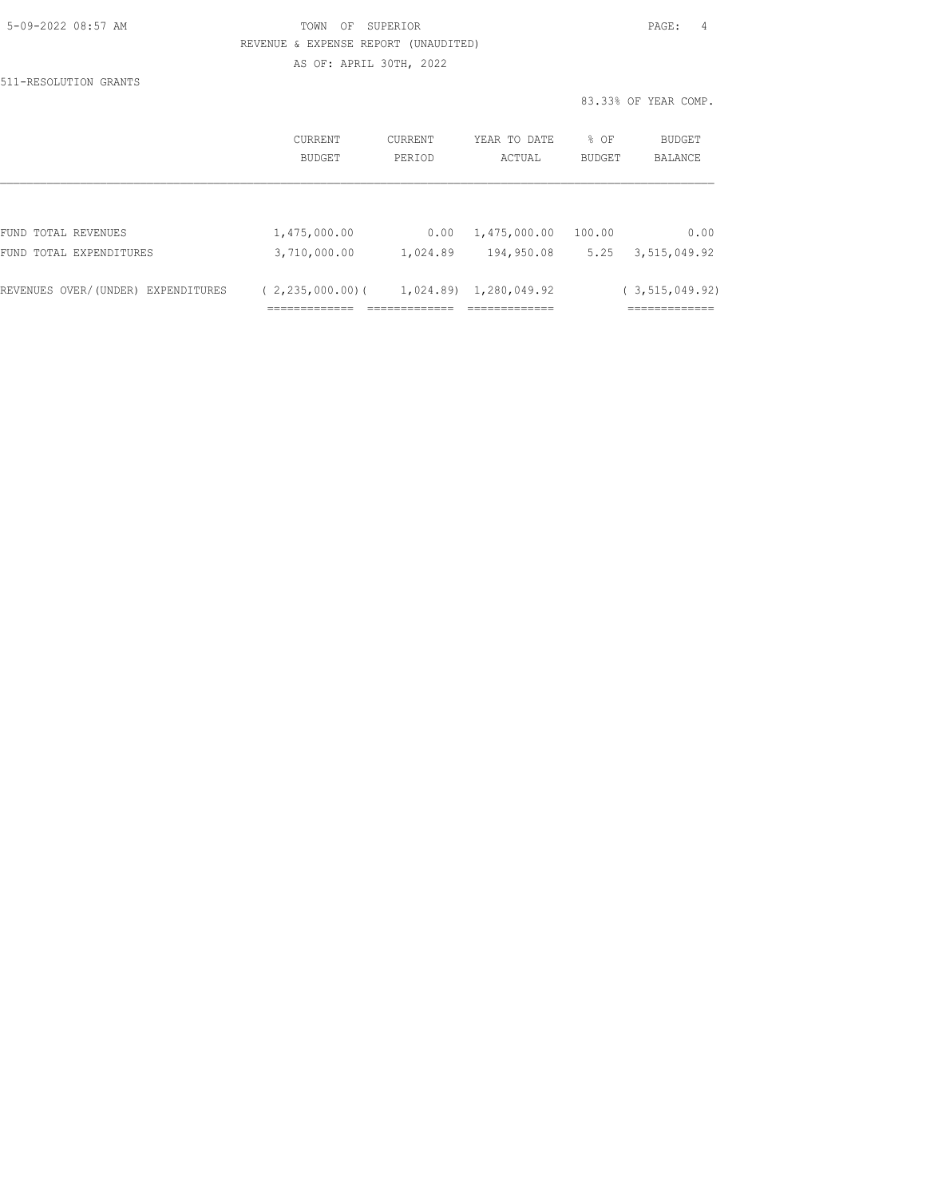| 5-09-2022 08:57 AM |  |
|--------------------|--|
|                    |  |

## TOWN OF SUPERIOR **Example 2018** PAGE: 4 REVENUE & EXPENSE REPORT (UNAUDITED) AS OF: APRIL 30TH, 2022

511-RESOLUTION GRANTS

|                                    | <b>CURRENT</b><br>BUDGET | CURRENT<br>PERIOD | YEAR TO DATE<br>ACTUAL | % OF<br>BUDGET | <b>BUDGET</b><br>BALANCE |
|------------------------------------|--------------------------|-------------------|------------------------|----------------|--------------------------|
|                                    |                          |                   |                        |                |                          |
| FUND TOTAL REVENUES                | 1,475,000.00             | 0.00              | 1,475,000.00           | 100.00         | 0.00                     |
| FUND TOTAL EXPENDITURES            | 3,710,000.00             | 1,024.89          | 194,950.08             | 5.25           | 3,515,049.92             |
| REVENUES OVER/(UNDER) EXPENDITURES | $(2, 235, 000, 00)$ (    |                   | 1,024.89) 1,280,049.92 |                | (3, 515, 049.92)         |
|                                    |                          |                   |                        |                | ------------             |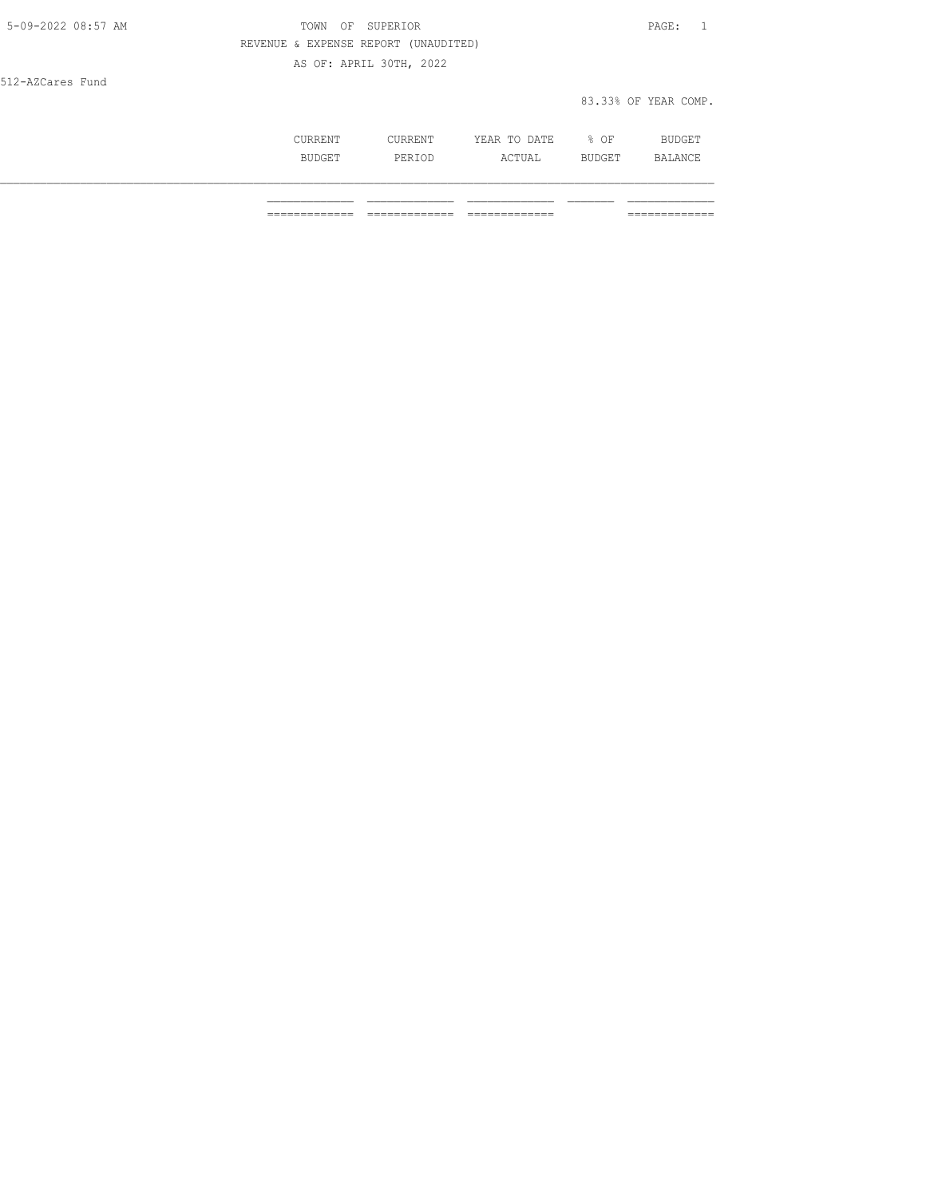| 5-09-2022 08:57 AM | OF SUPERIOR<br>TOWN                  | PAGE: 1              |
|--------------------|--------------------------------------|----------------------|
|                    | REVENUE & EXPENSE REPORT (UNAUDITED) |                      |
|                    | AS OF: APRIL 30TH, 2022              |                      |
| 512-AZCares Fund   |                                      |                      |
|                    |                                      | 83.33% OF YEAR COMP. |
|                    |                                      |                      |

| CURRENT       | CURRENT | YEAR TO DATE | % OF   | <b>BUDGET</b> |
|---------------|---------|--------------|--------|---------------|
| <b>BUDGET</b> | PERTOD  | ACTUAL       | BUDGET | BALANCE       |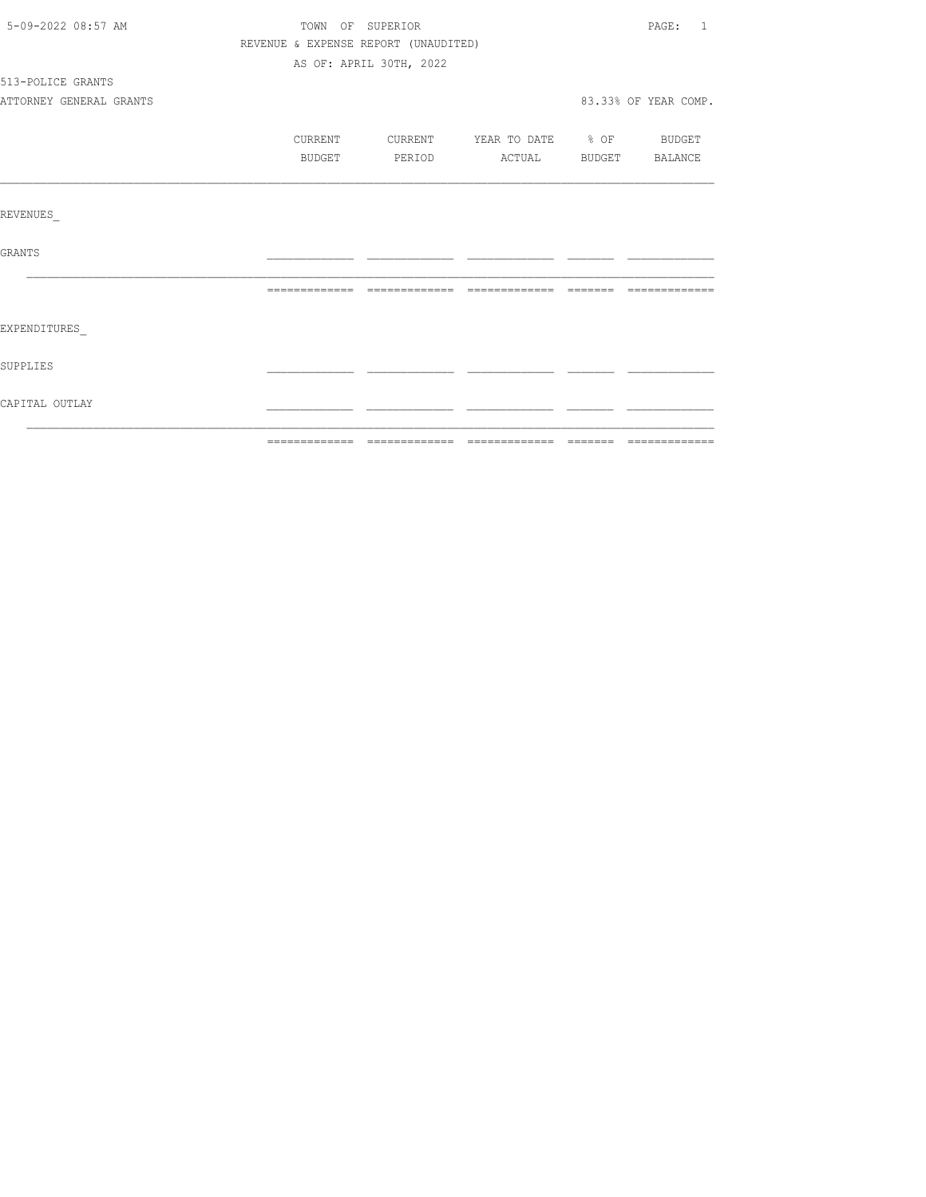| 5-09-2022 08:57 AM      | TOWN OF SUPERIOR                     |                         |                                  | PAGE: 1              |
|-------------------------|--------------------------------------|-------------------------|----------------------------------|----------------------|
|                         | REVENUE & EXPENSE REPORT (UNAUDITED) |                         |                                  |                      |
|                         |                                      | AS OF: APRIL 30TH, 2022 |                                  |                      |
| 513-POLICE GRANTS       |                                      |                         |                                  |                      |
| ATTORNEY GENERAL GRANTS |                                      |                         |                                  | 83.33% OF YEAR COMP. |
|                         | CURRENT                              |                         | CURRENT YEAR TO DATE % OF BUDGET |                      |
|                         | BUDGET                               | PERIOD                  | ACTUAL BUDGET BALANCE            |                      |
|                         |                                      |                         |                                  |                      |
| REVENUES                |                                      |                         |                                  |                      |
| <b>GRANTS</b>           |                                      |                         |                                  |                      |
|                         |                                      |                         |                                  | --------------       |
| EXPENDITURES            |                                      |                         |                                  |                      |
| SUPPLIES                |                                      |                         |                                  |                      |
| CAPITAL OUTLAY          |                                      |                         |                                  |                      |
|                         |                                      |                         |                                  |                      |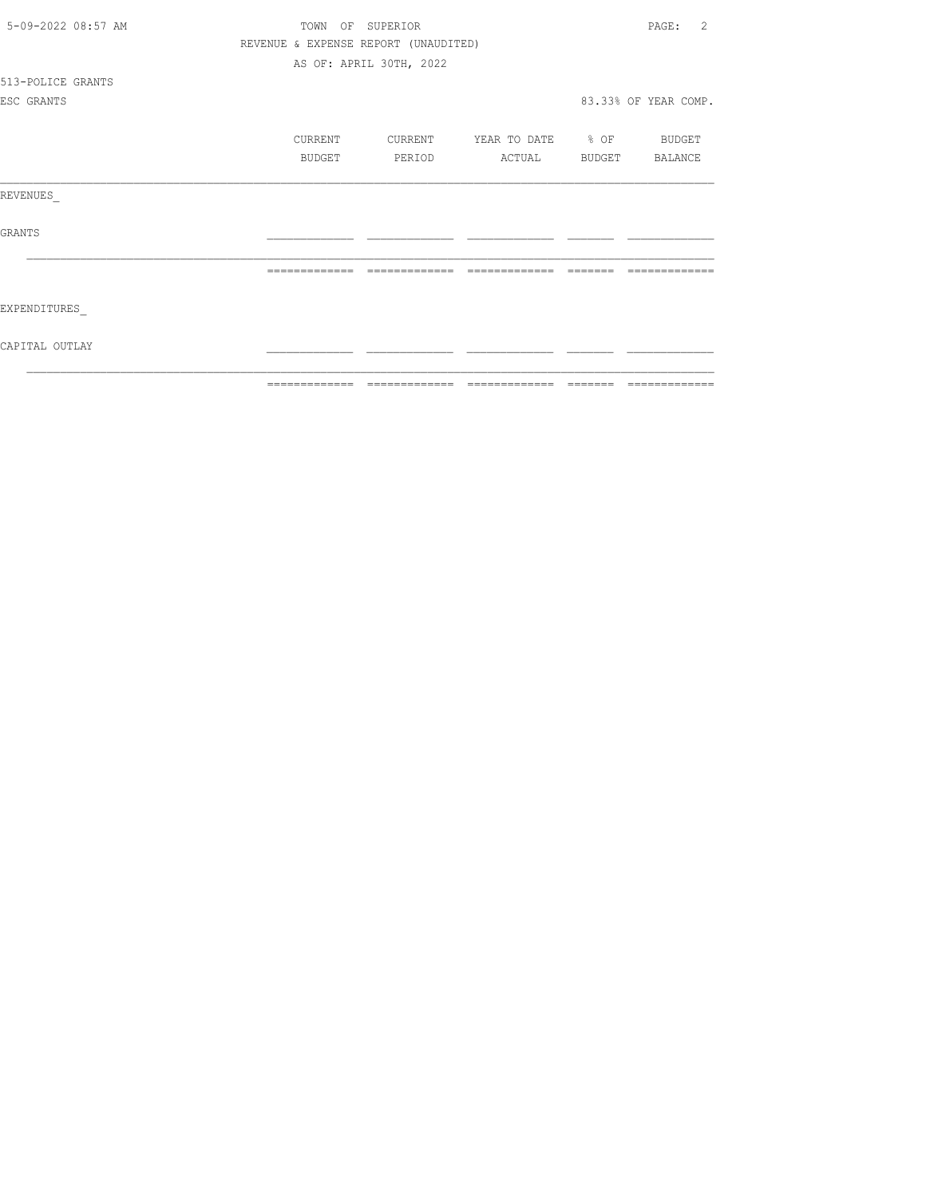| 5-09-2022 08:57 AM | TOWN<br>OF    | SUPERIOR                             |                                | $\mathcal{L}$<br>PAGE: |
|--------------------|---------------|--------------------------------------|--------------------------------|------------------------|
|                    |               | REVENUE & EXPENSE REPORT (UNAUDITED) |                                |                        |
|                    |               | AS OF: APRIL 30TH, 2022              |                                |                        |
| 513-POLICE GRANTS  |               |                                      |                                |                        |
| ESC GRANTS         |               |                                      |                                | 83.33% OF YEAR COMP.   |
|                    |               |                                      |                                |                        |
|                    | CURRENT       | CURRENT                              | YEAR TO DATE % OF              | BUDGET                 |
|                    | BUDGET        | PERIOD                               | ACTUAL                         | BUDGET BALANCE         |
| REVENUES           |               |                                      |                                |                        |
| <b>GRANTS</b>      |               |                                      |                                |                        |
|                    |               |                                      |                                |                        |
| EXPENDITURES       |               |                                      |                                |                        |
| CAPITAL OUTLAY     |               |                                      |                                |                        |
|                    | ============= |                                      | ============================== | ======= =============  |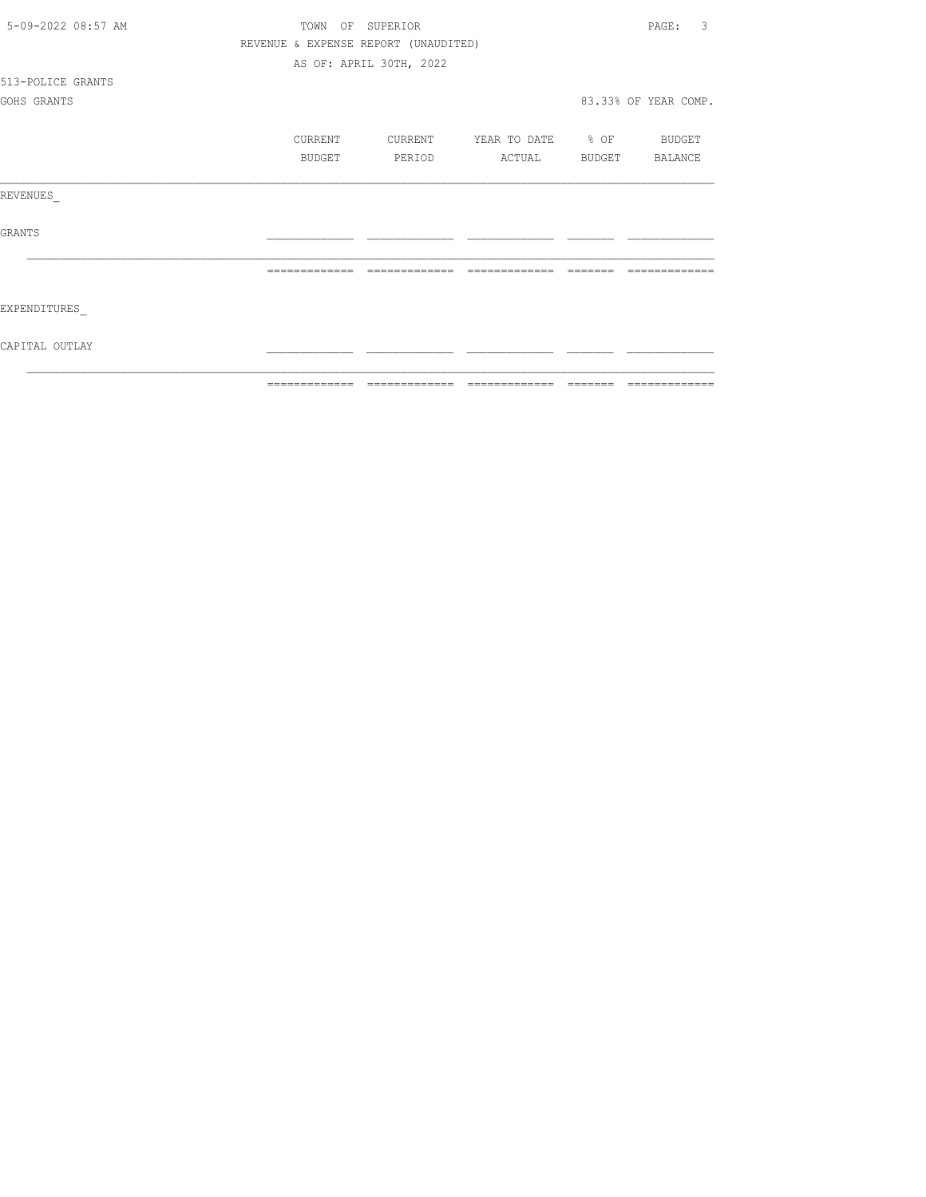| 5-09-2022 08:57 AM | TOWN          | OF SUPERIOR                          |                          |          | 3<br>PAGE:           |
|--------------------|---------------|--------------------------------------|--------------------------|----------|----------------------|
|                    |               | REVENUE & EXPENSE REPORT (UNAUDITED) |                          |          |                      |
|                    |               | AS OF: APRIL 30TH, 2022              |                          |          |                      |
| 513-POLICE GRANTS  |               |                                      |                          |          |                      |
| GOHS GRANTS        |               |                                      |                          |          | 83.33% OF YEAR COMP. |
|                    | CURRENT       | CURRENT                              | YEAR TO DATE % OF BUDGET |          |                      |
|                    | BUDGET        | PERIOD                               | ACTUAL BUDGET BALANCE    |          |                      |
| REVENUES           |               |                                      |                          |          |                      |
| GRANTS             |               |                                      |                          |          |                      |
|                    |               |                                      |                          |          |                      |
| EXPENDITURES       |               |                                      |                          |          |                      |
| CAPITAL OUTLAY     |               |                                      |                          |          |                      |
|                    | ============= | -------------                        | --------------           | -------- | =============        |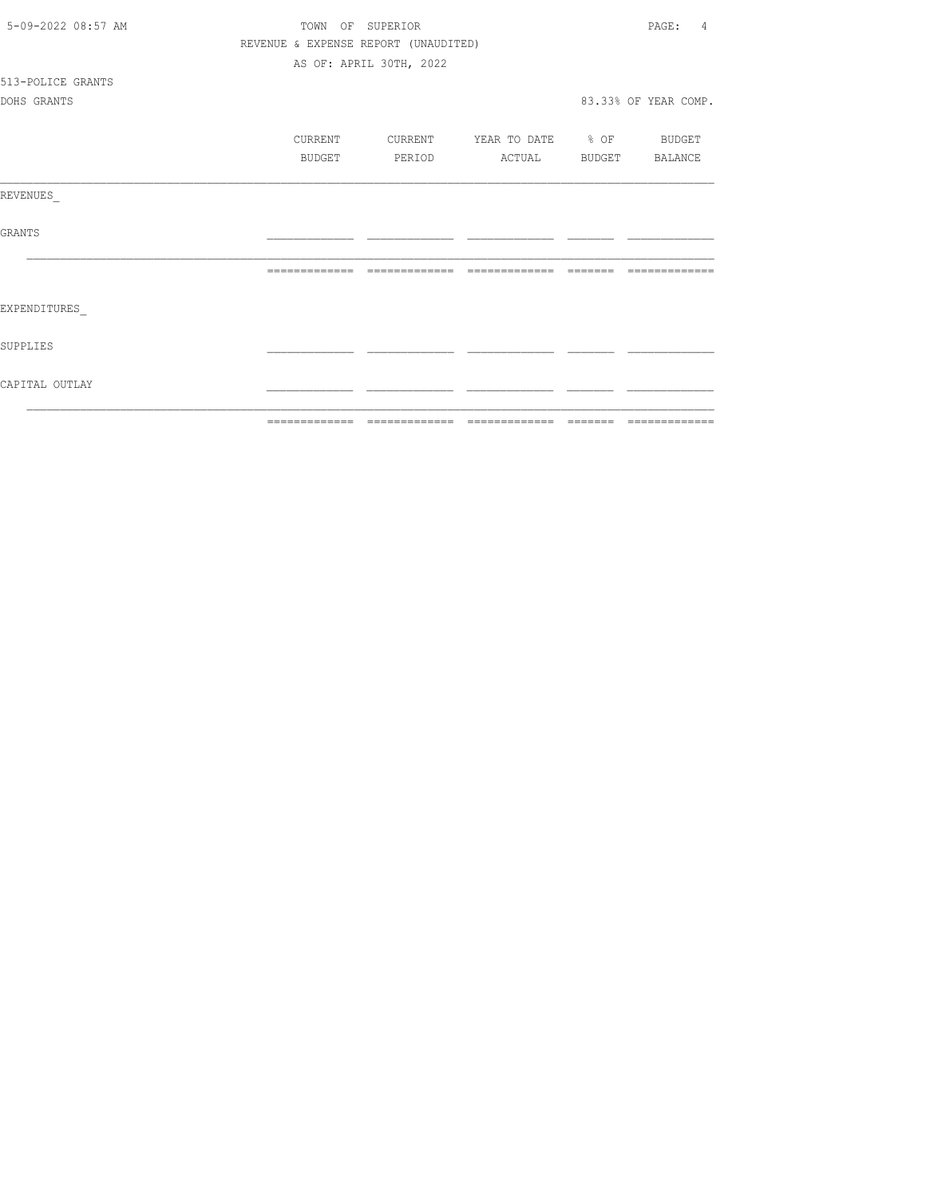| CAPITAL OUTLAY     |         |                                      |                          |                         |
|--------------------|---------|--------------------------------------|--------------------------|-------------------------|
| SUPPLIES           |         |                                      |                          |                         |
| EXPENDITURES       |         |                                      |                          |                         |
|                    |         |                                      |                          | --------------          |
| GRANTS             |         |                                      |                          |                         |
| REVENUES           |         |                                      |                          |                         |
|                    | BUDGET  | PERIOD                               | ACTUAL                   | BUDGET BALANCE          |
|                    | CURRENT | CURRENT                              | YEAR TO DATE % OF BUDGET |                         |
| DOHS GRANTS        |         |                                      |                          | 83.33% OF YEAR COMP.    |
| 513-POLICE GRANTS  |         |                                      |                          |                         |
|                    |         | AS OF: APRIL 30TH, 2022              |                          |                         |
|                    |         | REVENUE & EXPENSE REPORT (UNAUDITED) |                          |                         |
| 5-09-2022 08:57 AM |         | TOWN OF SUPERIOR                     |                          | PAGE:<br>$\overline{4}$ |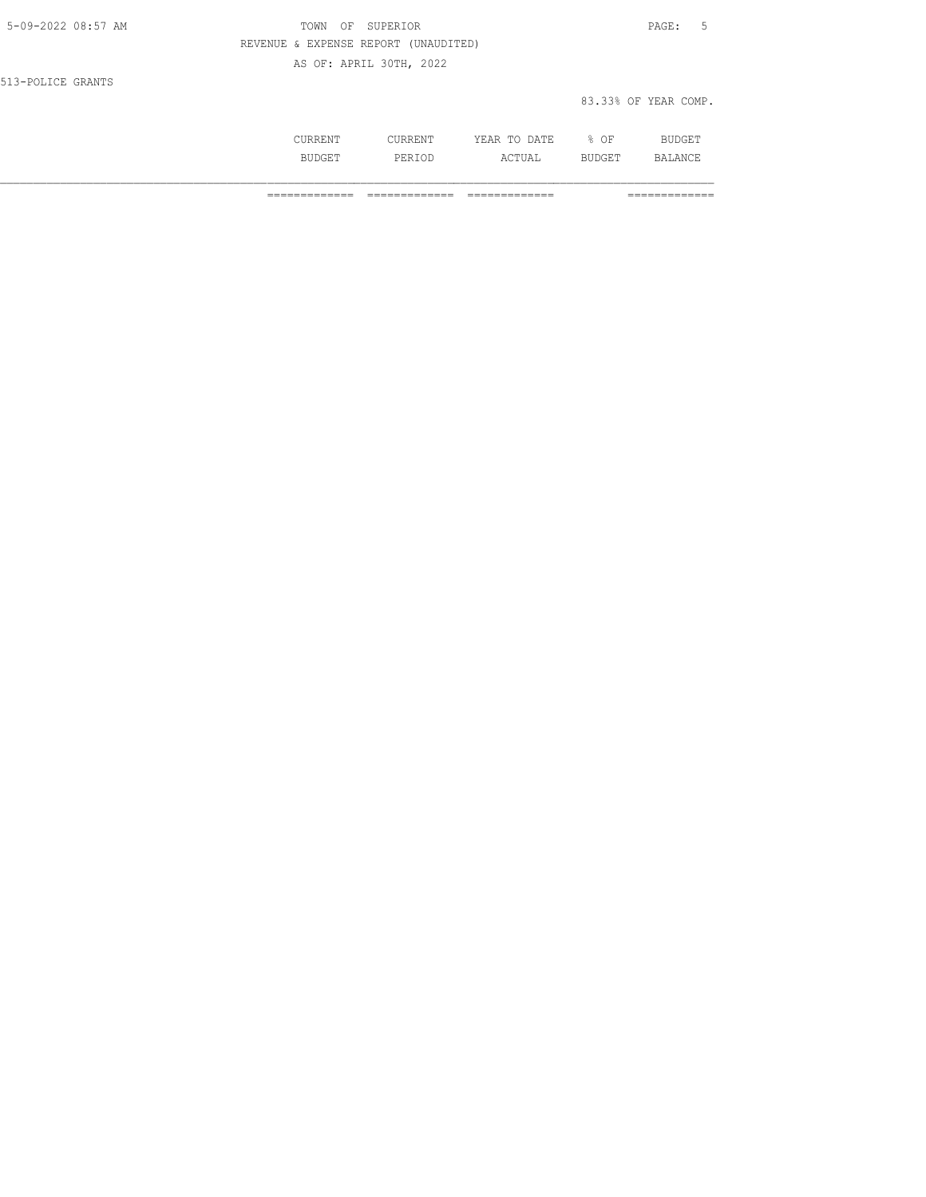| 5-09-2022 08:57 AM | TOWN<br>OF SUPERIOR                  | PAGE: 5              |  |
|--------------------|--------------------------------------|----------------------|--|
|                    | REVENUE & EXPENSE REPORT (UNAUDITED) |                      |  |
|                    | AS OF: APRIL 30TH, 2022              |                      |  |
| 513-POLICE GRANTS  |                                      |                      |  |
|                    |                                      | 83.33% OF YEAR COMP. |  |
|                    |                                      |                      |  |

 CURRENT CURRENT YEAR TO DATE % OF BUDGET BUDGET PERIOD ACTUAL BUDGET BALANCE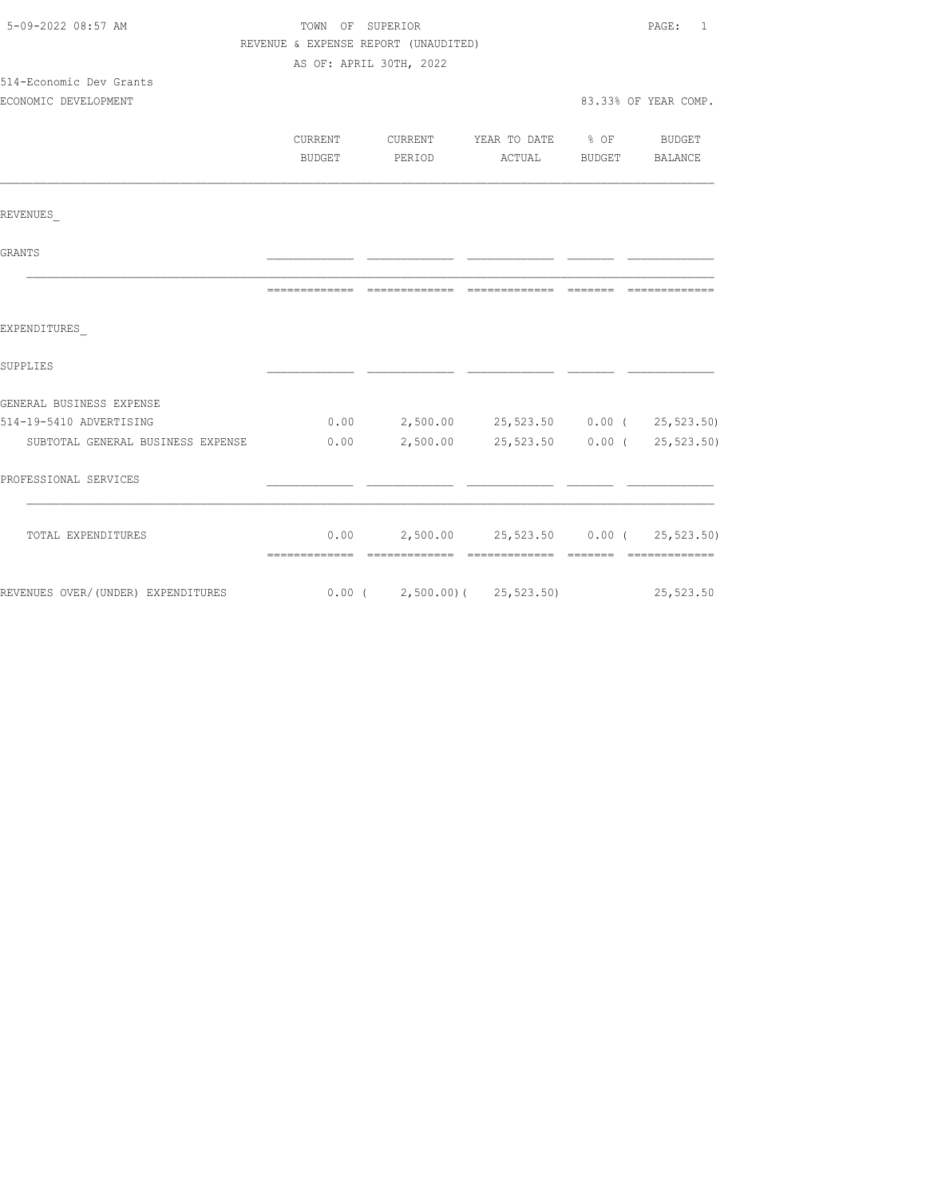| REVENUE & EXPENSE REPORT (UNAUDITED) |                |                                                                                                                                                                                                                                                                                                                                              |
|--------------------------------------|----------------|----------------------------------------------------------------------------------------------------------------------------------------------------------------------------------------------------------------------------------------------------------------------------------------------------------------------------------------------|
|                                      |                |                                                                                                                                                                                                                                                                                                                                              |
| AS OF: APRIL 30TH, 2022              |                |                                                                                                                                                                                                                                                                                                                                              |
|                                      |                |                                                                                                                                                                                                                                                                                                                                              |
|                                      |                | 83.33% OF YEAR COMP.                                                                                                                                                                                                                                                                                                                         |
|                                      |                |                                                                                                                                                                                                                                                                                                                                              |
|                                      |                |                                                                                                                                                                                                                                                                                                                                              |
|                                      |                |                                                                                                                                                                                                                                                                                                                                              |
|                                      |                |                                                                                                                                                                                                                                                                                                                                              |
|                                      |                |                                                                                                                                                                                                                                                                                                                                              |
|                                      |                |                                                                                                                                                                                                                                                                                                                                              |
|                                      |                |                                                                                                                                                                                                                                                                                                                                              |
|                                      |                |                                                                                                                                                                                                                                                                                                                                              |
|                                      |                |                                                                                                                                                                                                                                                                                                                                              |
|                                      |                |                                                                                                                                                                                                                                                                                                                                              |
|                                      |                |                                                                                                                                                                                                                                                                                                                                              |
|                                      |                |                                                                                                                                                                                                                                                                                                                                              |
|                                      |                |                                                                                                                                                                                                                                                                                                                                              |
|                                      |                |                                                                                                                                                                                                                                                                                                                                              |
|                                      |                |                                                                                                                                                                                                                                                                                                                                              |
|                                      |                |                                                                                                                                                                                                                                                                                                                                              |
| BUDGET<br>=============              | -------------- | CURRENT CURRENT YEAR TO DATE % OF BUDGET<br>PERIOD ACTUAL BUDGET BALANCE<br>=======<br>$0.00$ 2,500.00 25,523.50 0.00 ( 25,523.50)<br>SUBTOTAL GENERAL BUSINESS EXPENSE $0.00$ 2,500.00 25,523.50 0.00 (25,523.50)<br>$0.00$ 2,500.00 25,523.50 0.00 (25,523.50)<br>REVENUES OVER/(UNDER) EXPENDITURES 6.00 (2,500.00) (25,523.50) 25,523.50 |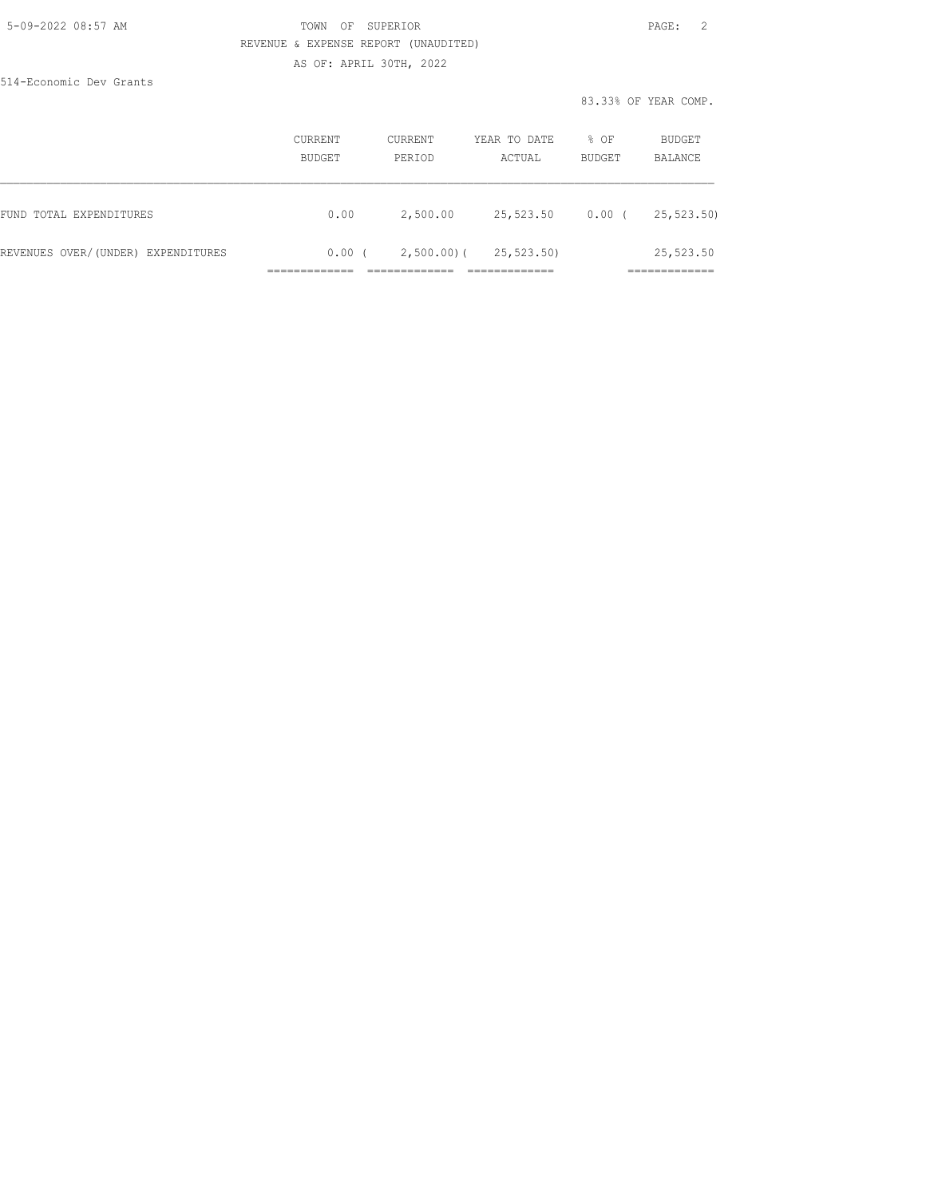#### 5-09-2022 08:57 AM TOWN OF SUPERIOR PAGE: 2 REVENUE & EXPENSE REPORT (UNAUDITED) AS OF: APRIL 30TH, 2022

514-Economic Dev Grants

|                                    | CURRENT<br>BUDGET | CURRENT<br>PERIOD | YEAR TO DATE<br>ACTUAL | % OF<br>BUDGET | BUDGET<br>BALANCE         |
|------------------------------------|-------------------|-------------------|------------------------|----------------|---------------------------|
| FUND TOTAL EXPENDITURES            | 0.00              | 2,500.00          | 25,523.50              | $0.00$ (       | 25,523.50)                |
| REVENUES OVER/(UNDER) EXPENDITURES | 0.00(             | $2,500.00$ ) (    | 25,523.50)             |                | 25,523.50<br>____________ |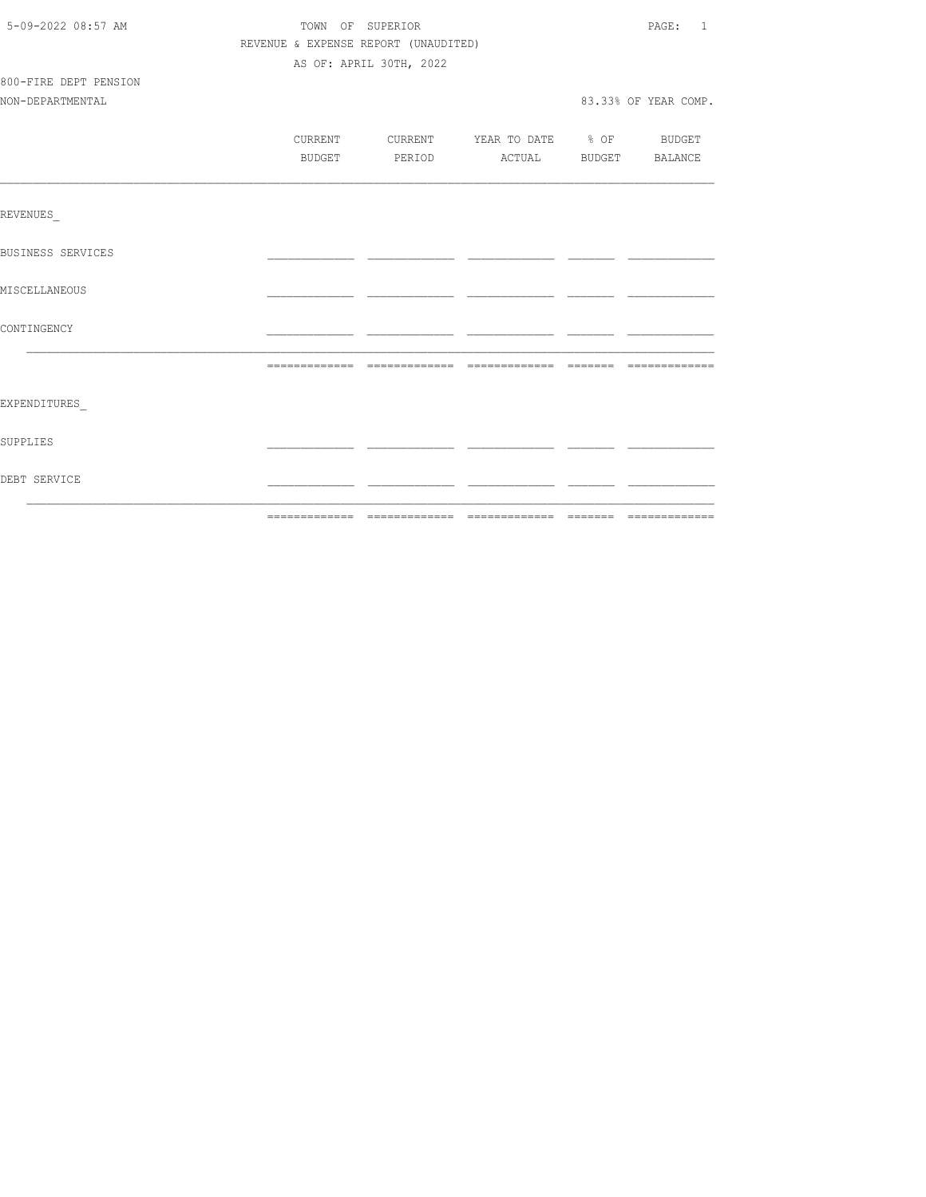| 5-09-2022 08:57 AM       | TOWN OF SUPERIOR |                                      |                                  |  | PAGE: 1              |  |  |
|--------------------------|------------------|--------------------------------------|----------------------------------|--|----------------------|--|--|
|                          |                  | REVENUE & EXPENSE REPORT (UNAUDITED) |                                  |  |                      |  |  |
|                          |                  | AS OF: APRIL 30TH, 2022              |                                  |  |                      |  |  |
| 800-FIRE DEPT PENSION    |                  |                                      |                                  |  |                      |  |  |
| NON-DEPARTMENTAL         |                  |                                      |                                  |  | 83.33% OF YEAR COMP. |  |  |
|                          |                  |                                      |                                  |  |                      |  |  |
|                          | CURRENT          |                                      | CURRENT YEAR TO DATE % OF BUDGET |  |                      |  |  |
|                          | BUDGET           |                                      | PERIOD ACTUAL BUDGET BALANCE     |  |                      |  |  |
|                          |                  |                                      |                                  |  |                      |  |  |
| REVENUES                 |                  |                                      |                                  |  |                      |  |  |
| <b>BUSINESS SERVICES</b> |                  |                                      |                                  |  |                      |  |  |
| MISCELLANEOUS            |                  |                                      |                                  |  |                      |  |  |
| CONTINGENCY              |                  |                                      |                                  |  |                      |  |  |
|                          |                  |                                      |                                  |  |                      |  |  |
|                          |                  |                                      |                                  |  |                      |  |  |
| EXPENDITURES             |                  |                                      |                                  |  |                      |  |  |
| SUPPLIES                 |                  |                                      |                                  |  |                      |  |  |
| DEBT SERVICE             |                  |                                      |                                  |  |                      |  |  |
|                          |                  |                                      |                                  |  |                      |  |  |
|                          |                  |                                      |                                  |  |                      |  |  |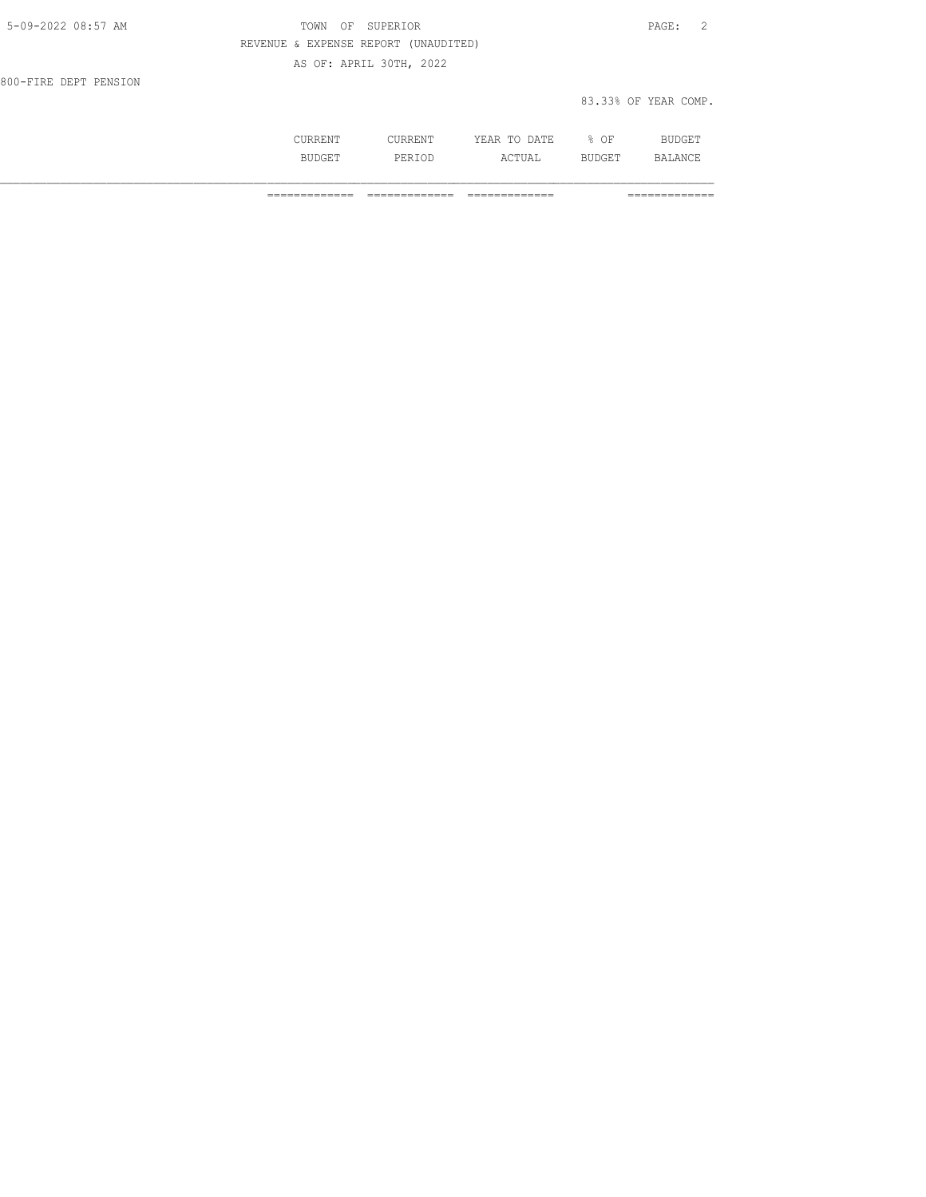| 5-09-2022 08:57 AM    | TOWN OF SUPERIOR                     | PAGE: 2              |
|-----------------------|--------------------------------------|----------------------|
|                       | REVENUE & EXPENSE REPORT (UNAUDITED) |                      |
|                       | AS OF: APRIL 30TH, 2022              |                      |
| 800-FIRE DEPT PENSION |                                      |                      |
|                       |                                      | 83.33% OF YEAR COMP. |

 CURRENT CURRENT YEAR TO DATE % OF BUDGET BUDGET PERIOD ACTUAL BUDGET BALANCE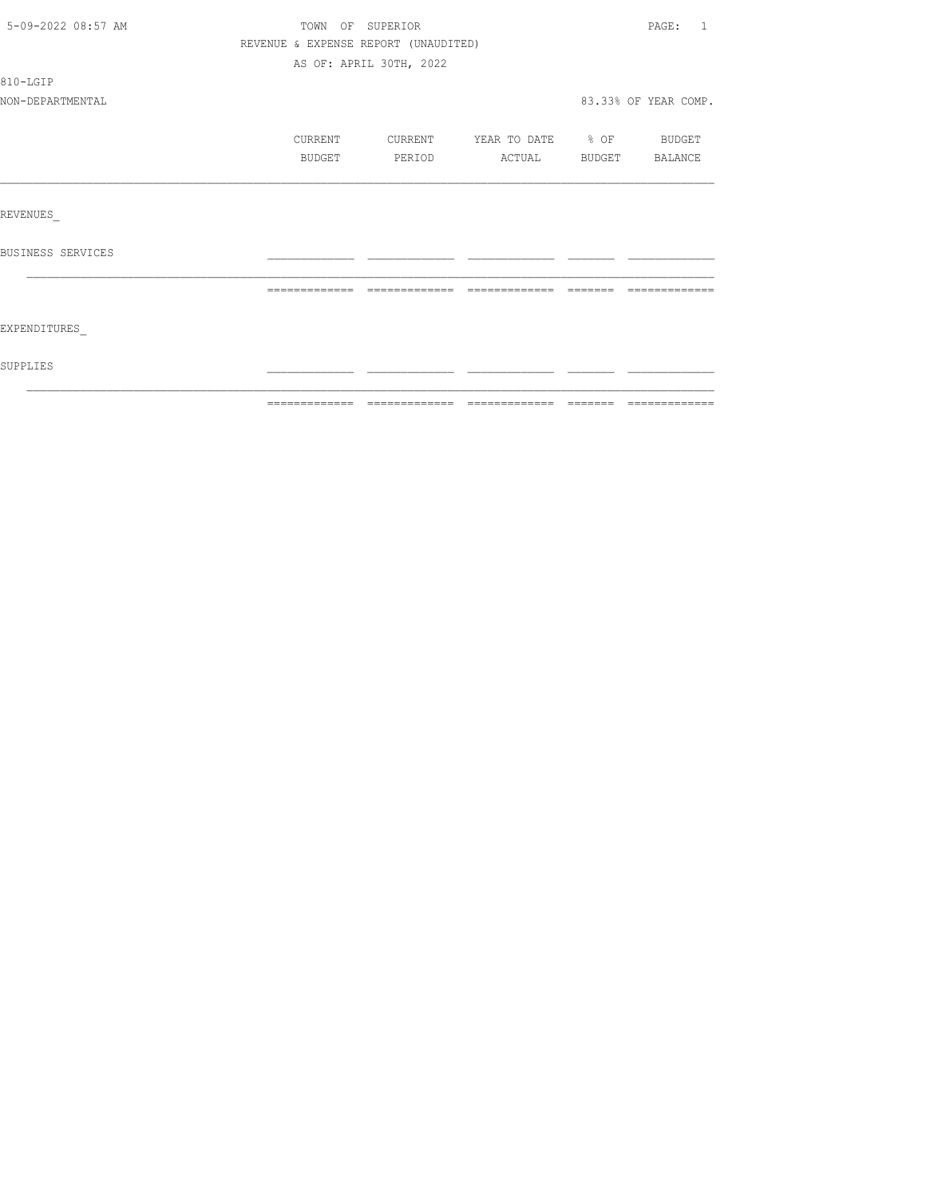| 5-09-2022 08:57 AM |                                      | TOWN OF SUPERIOR        |                          | PAGE: 1              |
|--------------------|--------------------------------------|-------------------------|--------------------------|----------------------|
|                    | REVENUE & EXPENSE REPORT (UNAUDITED) |                         |                          |                      |
|                    |                                      | AS OF: APRIL 30TH, 2022 |                          |                      |
| 810-LGIP           |                                      |                         |                          |                      |
| NON-DEPARTMENTAL   |                                      |                         |                          | 83.33% OF YEAR COMP. |
|                    | CURRENT                              | CURRENT                 | YEAR TO DATE % OF BUDGET |                      |
|                    | BUDGET                               | PERIOD                  | ACTUAL                   | BUDGET BALANCE       |
|                    |                                      |                         |                          |                      |
| REVENUES           |                                      |                         |                          |                      |
| BUSINESS SERVICES  |                                      |                         |                          |                      |
|                    |                                      |                         |                          |                      |
| EXPENDITURES       |                                      |                         |                          |                      |
| SUPPLIES           |                                      |                         |                          |                      |
|                    |                                      |                         |                          |                      |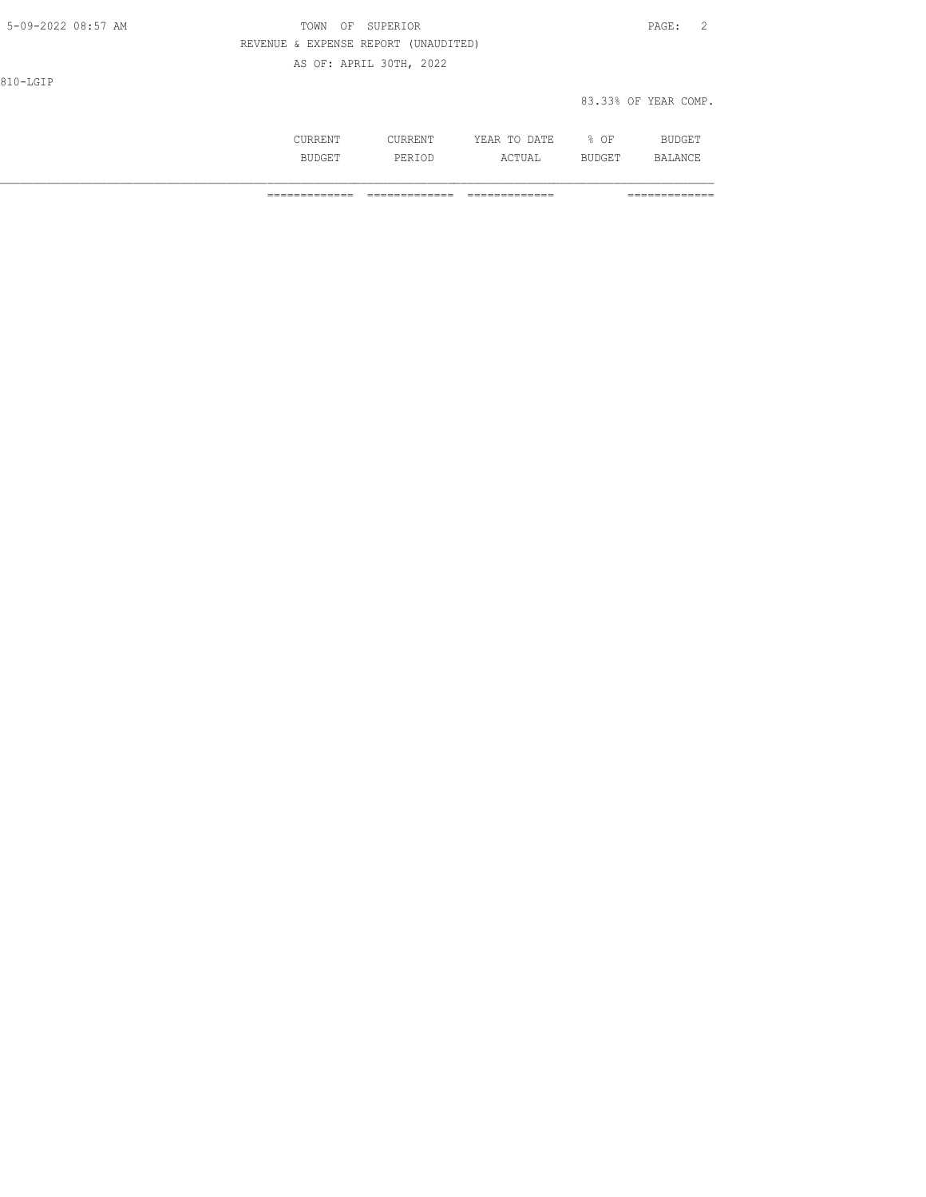| 5-09-2022 08:57 AM | OF SUPERIOR<br>TOWN                  | PAGE:<br>$\overline{2}$ |
|--------------------|--------------------------------------|-------------------------|
|                    | REVENUE & EXPENSE REPORT (UNAUDITED) |                         |
|                    | AS OF: APRIL 30TH, 2022              |                         |
| 810-LGIP           |                                      |                         |
|                    |                                      | 83.33% OF YEAR COMP.    |
|                    |                                      |                         |

 CURRENT CURRENT YEAR TO DATE % OF BUDGET BUDGET PERIOD ACTUAL BUDGET BALANCE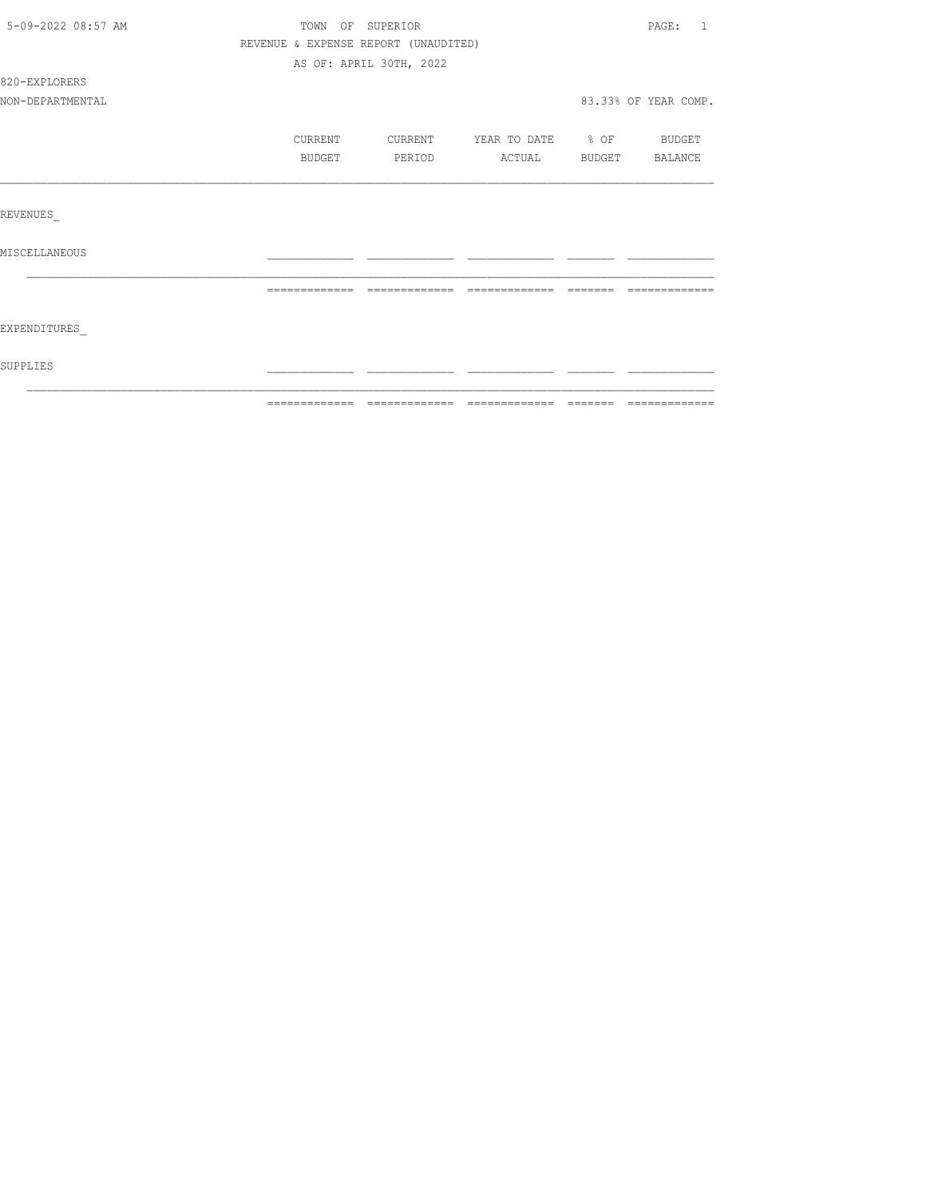| 5-09-2022 08:57 AM | TOWN OF SUPERIOR                     |                         |                          | PAGE:<br>-1          |
|--------------------|--------------------------------------|-------------------------|--------------------------|----------------------|
|                    | REVENUE & EXPENSE REPORT (UNAUDITED) |                         |                          |                      |
|                    |                                      | AS OF: APRIL 30TH, 2022 |                          |                      |
| 820-EXPLORERS      |                                      |                         |                          |                      |
| NON-DEPARTMENTAL   |                                      |                         |                          | 83.33% OF YEAR COMP. |
|                    | CURRENT                              | CURRENT                 | YEAR TO DATE % OF BUDGET |                      |
|                    | BUDGET                               | PERIOD                  | ACTUAL                   | BUDGET BALANCE       |
|                    |                                      |                         |                          |                      |
| REVENUES           |                                      |                         |                          |                      |
| MISCELLANEOUS      |                                      |                         |                          |                      |
|                    |                                      |                         | $---$                    |                      |
| EXPENDITURES       |                                      |                         |                          |                      |
| SUPPLIES           |                                      |                         |                          |                      |
|                    |                                      |                         |                          |                      |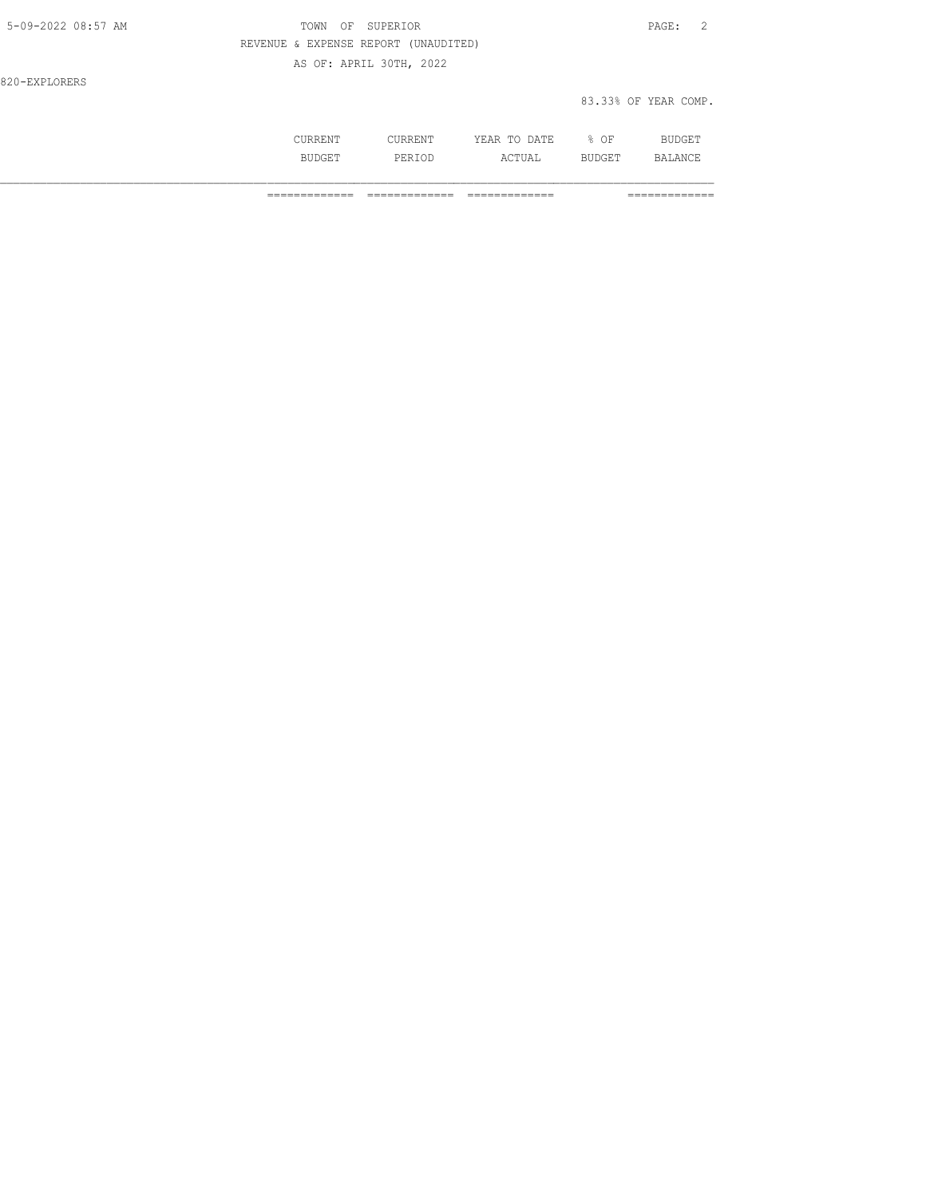| 5-09-2022 08:57 AM | TOWN OF SUPERIOR                     | PAGE: 2              |
|--------------------|--------------------------------------|----------------------|
|                    | REVENUE & EXPENSE REPORT (UNAUDITED) |                      |
|                    | AS OF: APRIL 30TH, 2022              |                      |
| 820-EXPLORERS      |                                      |                      |
|                    |                                      | 83.33% OF YEAR COMP. |

|                | 17<br>.<br>----<br>----- | OF<br>ັ |  |
|----------------|--------------------------|---------|--|
| - 11.5<br>- 14 | ---                      | ---     |  |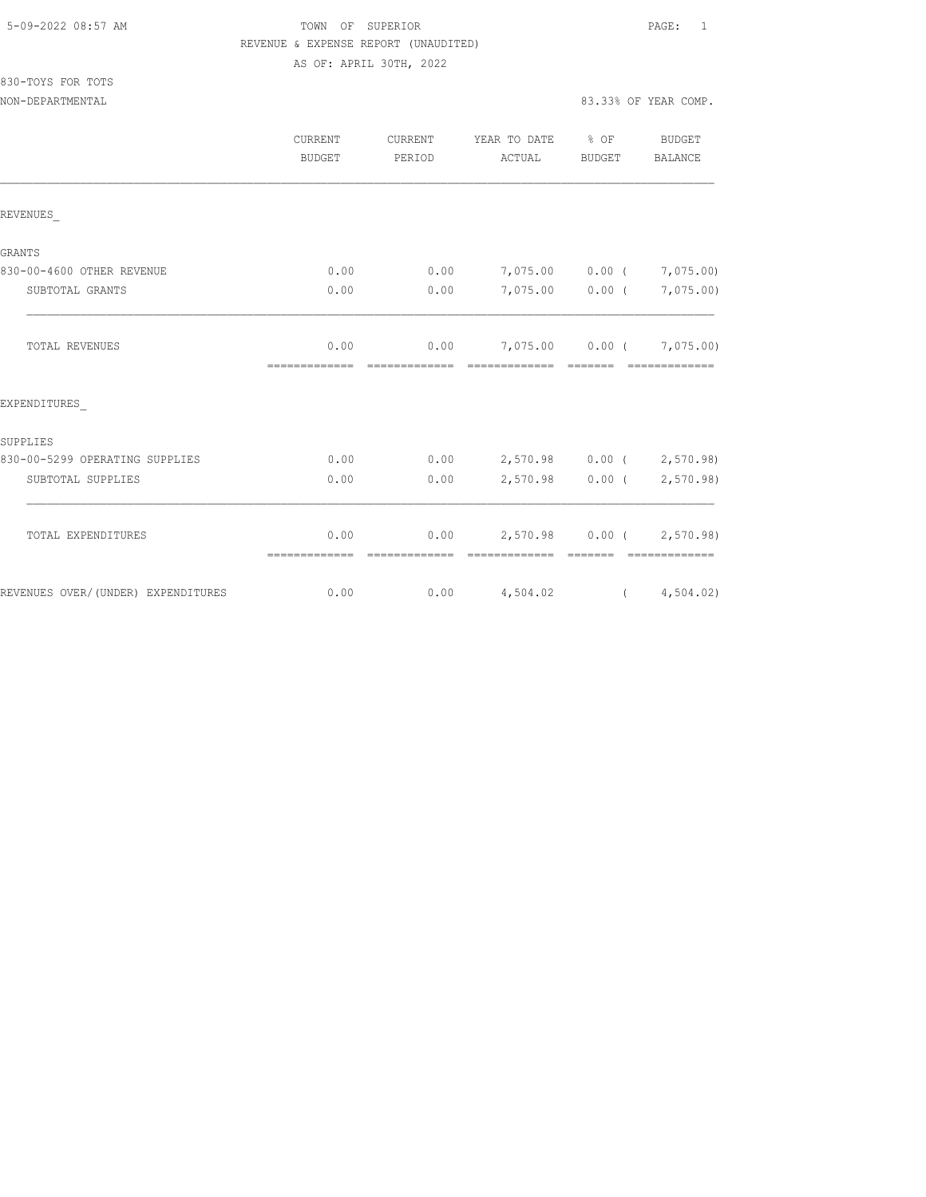| 5-09-2022 08:57 AM |  |
|--------------------|--|
|                    |  |

# TOWN OF SUPERIOR **Example 2018** PAGE: 1 REVENUE & EXPENSE REPORT (UNAUDITED)

AS OF: APRIL 30TH, 2022

| 830-TOYS FOR TOTS |  |  |
|-------------------|--|--|
|                   |  |  |

|                                    | CURRENT<br><b>BUDGET</b> | CURRENT<br>PERIOD | YEAR TO DATE % OF<br>ACTUAL                                                                                                                                                                                                                                                                                                                                                                                                                                                            | BUDGET          | BUDGET<br>BALANCE         |
|------------------------------------|--------------------------|-------------------|----------------------------------------------------------------------------------------------------------------------------------------------------------------------------------------------------------------------------------------------------------------------------------------------------------------------------------------------------------------------------------------------------------------------------------------------------------------------------------------|-----------------|---------------------------|
| REVENUES                           |                          |                   |                                                                                                                                                                                                                                                                                                                                                                                                                                                                                        |                 |                           |
| GRANTS                             |                          |                   |                                                                                                                                                                                                                                                                                                                                                                                                                                                                                        |                 |                           |
| 830-00-4600 OTHER REVENUE          | 0.00                     | 0.00              | 7,075.00 0.00 ( 7,075.00)                                                                                                                                                                                                                                                                                                                                                                                                                                                              |                 |                           |
| SUBTOTAL GRANTS                    | 0.00                     | 0.00              |                                                                                                                                                                                                                                                                                                                                                                                                                                                                                        | 7,075.00 0.00 ( | 7,075.00)                 |
| TOTAL REVENUES                     | 0.00                     |                   | $0.00$ 7,075.00 0.00 ( 7,075.00)                                                                                                                                                                                                                                                                                                                                                                                                                                                       |                 |                           |
| EXPENDITURES                       |                          |                   |                                                                                                                                                                                                                                                                                                                                                                                                                                                                                        |                 |                           |
| SUPPLIES                           |                          |                   |                                                                                                                                                                                                                                                                                                                                                                                                                                                                                        |                 |                           |
| 830-00-5299 OPERATING SUPPLIES     | 0.00                     |                   | $0.00$ 2,570.98 0.00 ( 2,570.98)                                                                                                                                                                                                                                                                                                                                                                                                                                                       |                 |                           |
| SUBTOTAL SUPPLIES                  | 0.00                     | 0.00              |                                                                                                                                                                                                                                                                                                                                                                                                                                                                                        |                 | 2,570.98 0.00 ( 2,570.98) |
| TOTAL EXPENDITURES                 | 0.00                     | 0.00              | 2,570.98 0.00 (2,570.98)                                                                                                                                                                                                                                                                                                                                                                                                                                                               |                 |                           |
|                                    | =============            | =============     | $\begin{array}{cccccccccccccc} \multicolumn{2}{c}{} & \multicolumn{2}{c}{} & \multicolumn{2}{c}{} & \multicolumn{2}{c}{} & \multicolumn{2}{c}{} & \multicolumn{2}{c}{} & \multicolumn{2}{c}{} & \multicolumn{2}{c}{} & \multicolumn{2}{c}{} & \multicolumn{2}{c}{} & \multicolumn{2}{c}{} & \multicolumn{2}{c}{} & \multicolumn{2}{c}{} & \multicolumn{2}{c}{} & \multicolumn{2}{c}{} & \multicolumn{2}{c}{} & \multicolumn{2}{c}{} & \multicolumn{2}{c}{} & \multicolumn{2}{c}{} & \$ | --------        | - ==============          |
| REVENUES OVER/(UNDER) EXPENDITURES | 0.00                     |                   | $0.00$ $4,504.02$ $(4,504.02)$                                                                                                                                                                                                                                                                                                                                                                                                                                                         |                 |                           |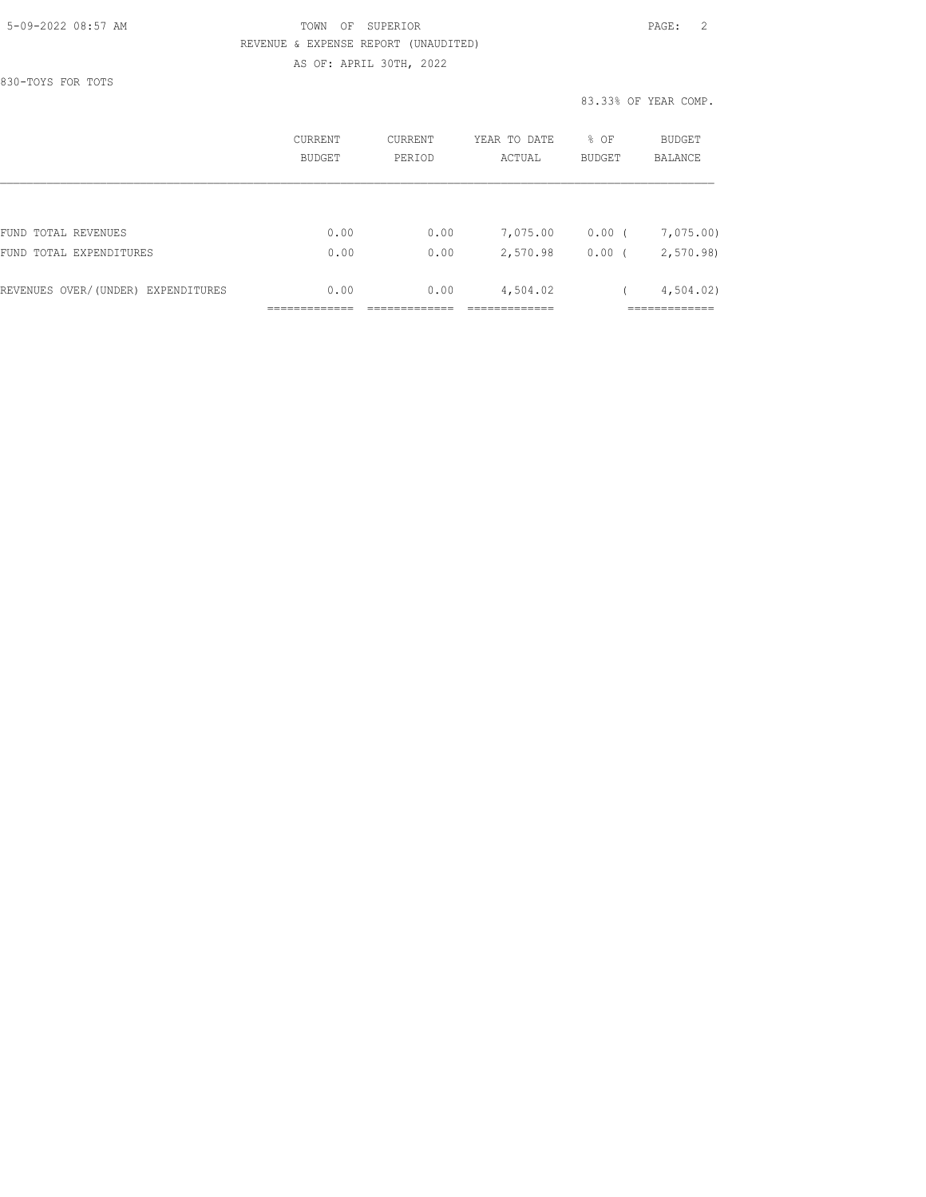#### 5-09-2022 08:57 AM TOWN OF SUPERIOR PAGE: 2 REVENUE & EXPENSE REPORT (UNAUDITED) AS OF: APRIL 30TH, 2022

830-TOYS FOR TOTS

|                                    | CURRENT<br><b>BUDGET</b> | CURRENT<br>PERIOD | YEAR TO DATE<br>ACTUAL | % OF<br><b>BUDGET</b> | BUDGET<br><b>BALANCE</b> |
|------------------------------------|--------------------------|-------------------|------------------------|-----------------------|--------------------------|
|                                    |                          |                   |                        |                       |                          |
| FUND TOTAL REVENUES                | 0.00                     | 0.00              | 7,075.00               | 0.00(                 | 7,075.00)                |
| FUND TOTAL EXPENDITURES            | 0.00                     | 0.00              | 2,570.98               | 0.00                  | 2,570.98                 |
| REVENUES OVER/(UNDER) EXPENDITURES | 0.00                     | 0.00              | 4,504.02               |                       | 4,504.02                 |
|                                    |                          |                   |                        |                       |                          |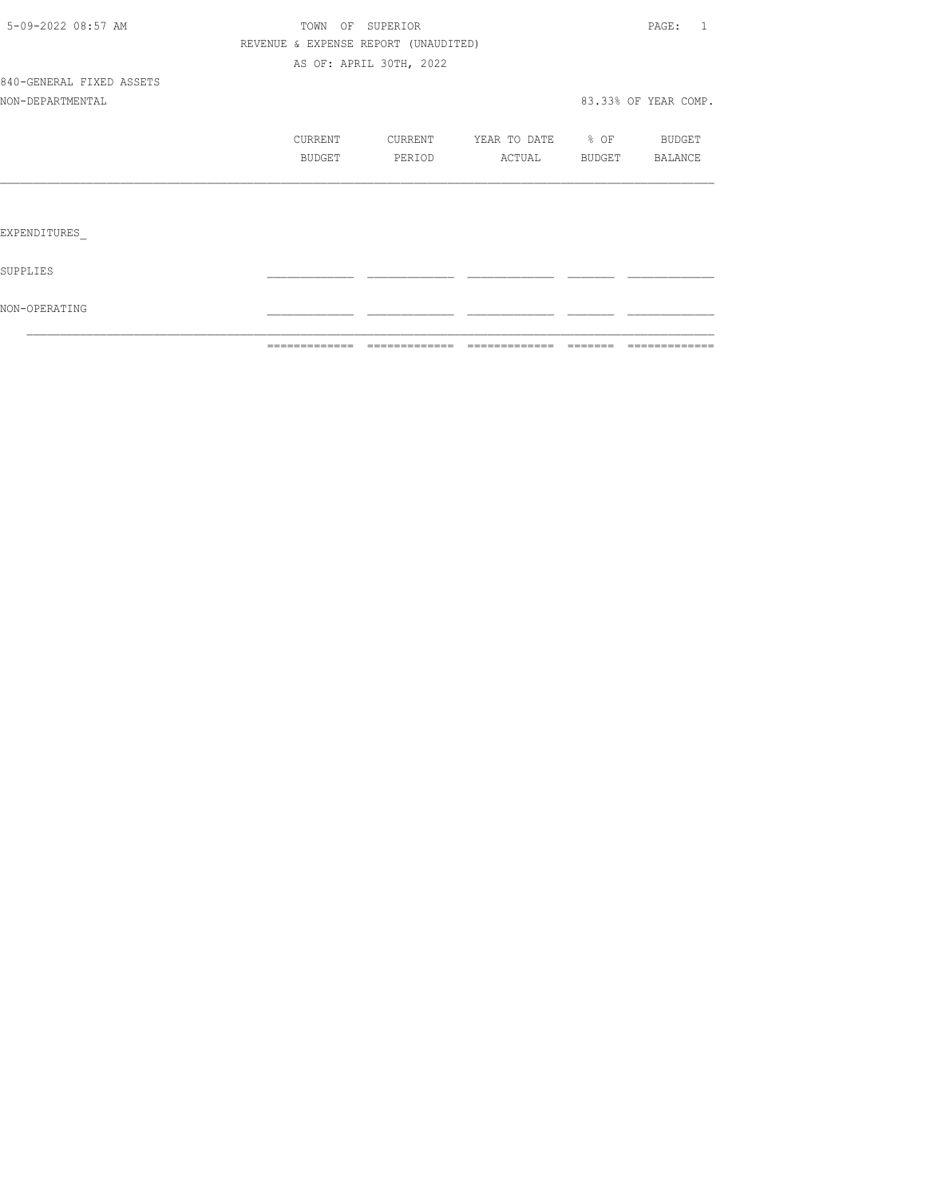|                          | =============                        | =============           | =============         | ======= | =============        |
|--------------------------|--------------------------------------|-------------------------|-----------------------|---------|----------------------|
| NON-OPERATING            |                                      |                         |                       |         |                      |
| SUPPLIES                 |                                      |                         |                       |         |                      |
| EXPENDITURES             |                                      |                         |                       |         |                      |
|                          |                                      |                         |                       |         |                      |
|                          | BUDGET                               | PERIOD                  | ACTUAL BUDGET BALANCE |         |                      |
|                          | CURRENT                              | CURRENT                 | YEAR TO DATE % OF     |         | BUDGET               |
| NON-DEPARTMENTAL         |                                      |                         |                       |         | 83.33% OF YEAR COMP. |
| 840-GENERAL FIXED ASSETS |                                      |                         |                       |         |                      |
|                          |                                      | AS OF: APRIL 30TH, 2022 |                       |         |                      |
|                          | REVENUE & EXPENSE REPORT (UNAUDITED) |                         |                       |         |                      |
| 5-09-2022 08:57 AM       |                                      | TOWN OF SUPERIOR        |                       |         | PAGE: 1              |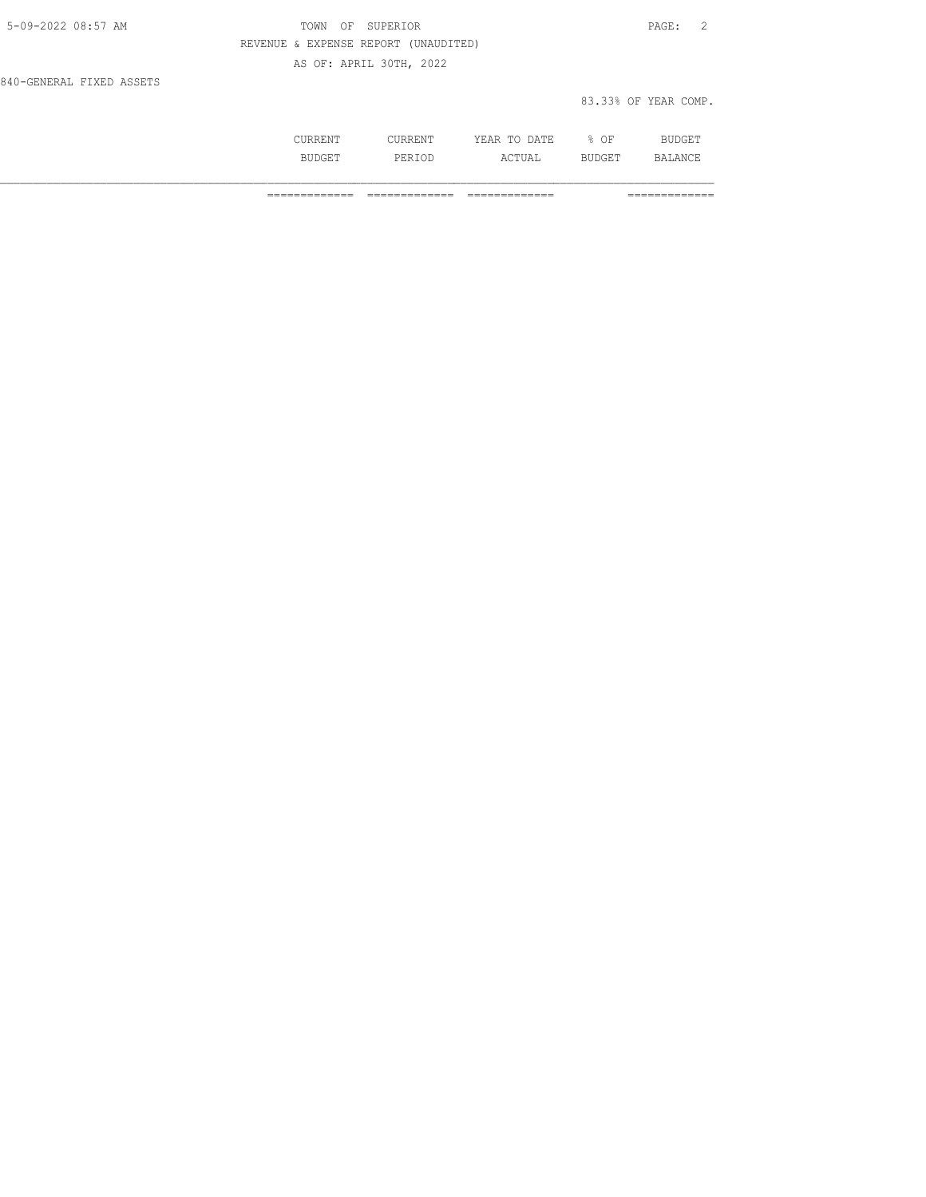| 5-09-2022 08:57 AM       | TOWN OF SUPERIOR                     | PAGE: 2              |
|--------------------------|--------------------------------------|----------------------|
|                          | REVENUE & EXPENSE REPORT (UNAUDITED) |                      |
|                          | AS OF: APRIL 30TH, 2022              |                      |
| 840-GENERAL FIXED ASSETS |                                      |                      |
|                          |                                      | 83.33% OF YEAR COMP. |

| .   | .      | ነ∆ ጥፑ<br>. .<br>ш,<br>$\sim$<br>----<br>-- | ΟF<br>u. |                |
|-----|--------|--------------------------------------------|----------|----------------|
|     |        |                                            |          |                |
| --- | ⊤י⊡ כ. | ---                                        | ----     | $\mathbb{R}^n$ |
|     |        |                                            |          |                |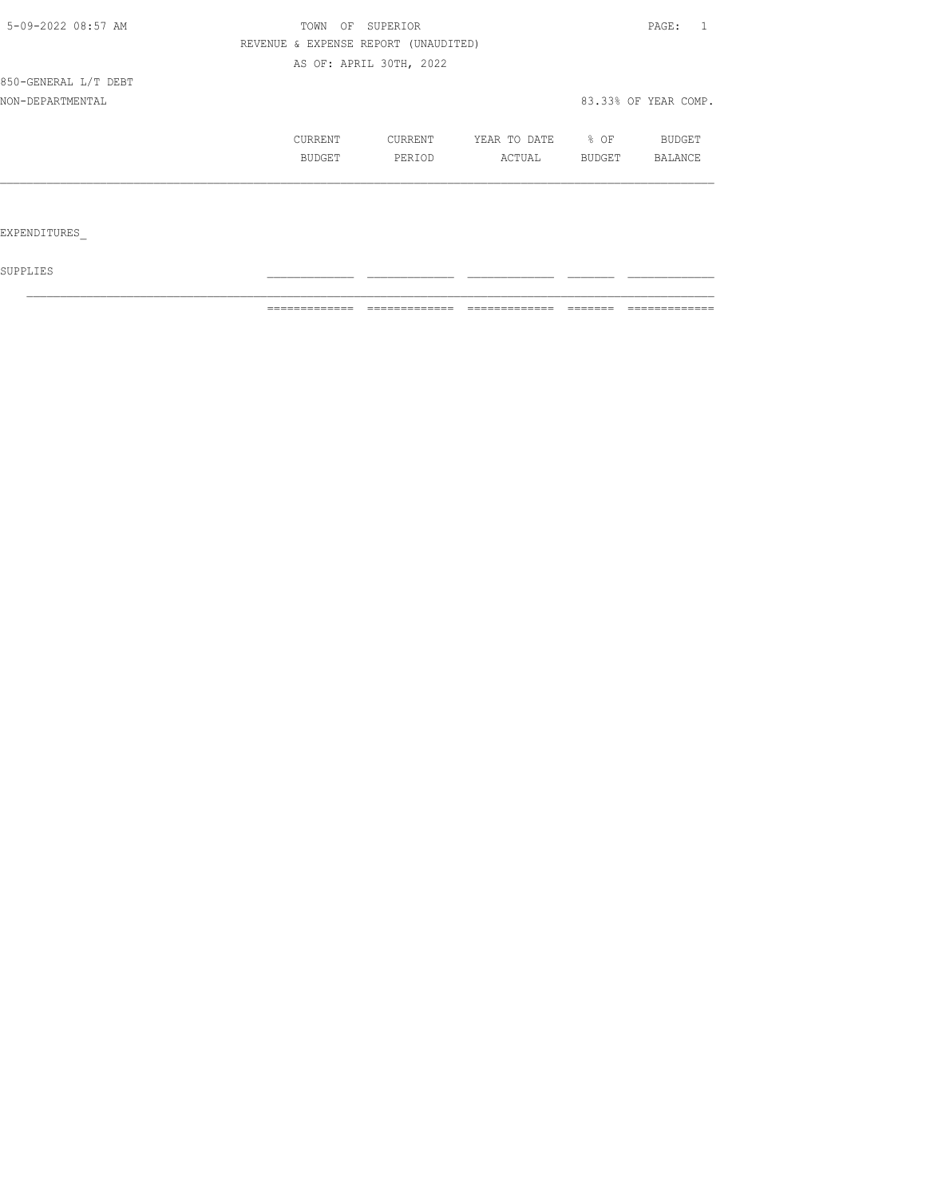| 5-09-2022 08:57 AM   | TOWN<br>OF | SUPERIOR                             |              |        | PAGE:                |
|----------------------|------------|--------------------------------------|--------------|--------|----------------------|
|                      |            | REVENUE & EXPENSE REPORT (UNAUDITED) |              |        |                      |
|                      |            | AS OF: APRIL 30TH, 2022              |              |        |                      |
| 850-GENERAL L/T DEBT |            |                                      |              |        |                      |
| NON-DEPARTMENTAL     |            |                                      |              |        | 83.33% OF YEAR COMP. |
|                      | CURRENT    | <b>CURRENT</b>                       | YEAR TO DATE | % OF   | BUDGET               |
|                      | BUDGET     | PERIOD                               | ACTUAL       | BUDGET | BALANCE              |
|                      |            |                                      |              |        |                      |
|                      |            |                                      |              |        |                      |
| EXPENDITURES         |            |                                      |              |        |                      |

 ${\tt SUPPLIES}$